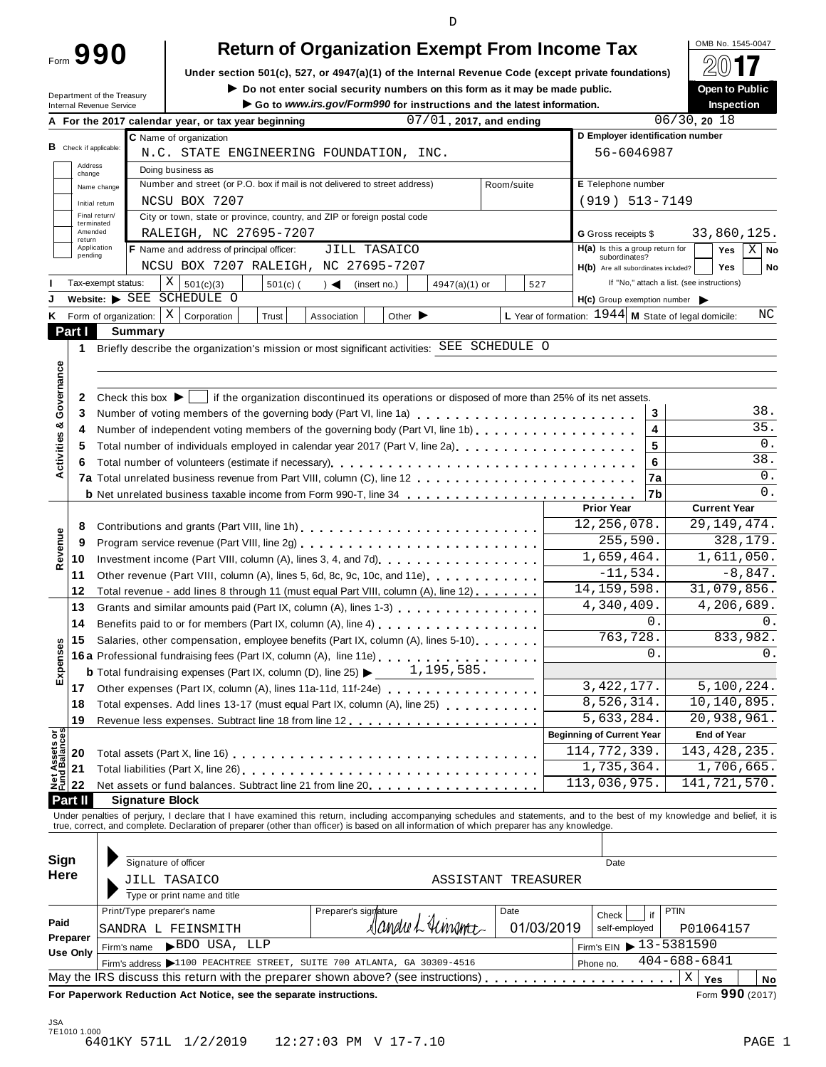Form **990**

# **Return of Organization Exempt From Income Tax**<br>section 501(c). 527. or 4947(a)(1) of the Internal Revenue Code (except private foundations)  $\bigotimes_{\mathbb{Z}} 0$  17

D

Under section 501(c), 527, or 4947(a)(1) of the Internal Revenue Code (except private foundations) **△**<del>○µ</del> **▶** Do not enter social security numbers on this form as it may be made public. ● ● ● ● ● ● ● ● ● ● ● ● ● ● ● ● ●

**Department of the Treasury <br>
Do not enter social security numbers on this form as it may be made public.**<br>
Do not enter social security numbers on this form as it may be made public.

| Department of the Treasury<br>Internal Revenue Service |                       | $\blacktriangleright$ Do not enter social security numbers on this form as it may be made public.<br>Go to www.irs.gov/Form990 for instructions and the latest information.                                                    |                                   |                                                                                       | <b>Open to Public</b><br><b>Inspection</b> |  |  |  |
|--------------------------------------------------------|-----------------------|--------------------------------------------------------------------------------------------------------------------------------------------------------------------------------------------------------------------------------|-----------------------------------|---------------------------------------------------------------------------------------|--------------------------------------------|--|--|--|
|                                                        |                       | $07/01$ , 2017, and ending<br>A For the 2017 calendar year, or tax year beginning                                                                                                                                              |                                   |                                                                                       | 06/30, 2018                                |  |  |  |
|                                                        |                       | C Name of organization                                                                                                                                                                                                         |                                   | D Employer identification number                                                      |                                            |  |  |  |
| <b>B</b> Check if applicable:                          |                       | N.C. STATE ENGINEERING FOUNDATION, INC.                                                                                                                                                                                        | 56-6046987                        |                                                                                       |                                            |  |  |  |
| Address                                                |                       | Doing business as                                                                                                                                                                                                              |                                   |                                                                                       |                                            |  |  |  |
| change                                                 | Name change           | Number and street (or P.O. box if mail is not delivered to street address)<br>Room/suite                                                                                                                                       | E Telephone number                |                                                                                       |                                            |  |  |  |
|                                                        | Initial return        | NCSU BOX 7207                                                                                                                                                                                                                  |                                   | $(919) 513 - 7149$                                                                    |                                            |  |  |  |
|                                                        | Final return/         | City or town, state or province, country, and ZIP or foreign postal code                                                                                                                                                       |                                   |                                                                                       |                                            |  |  |  |
|                                                        | terminated<br>Amended | RALEIGH, NC 27695-7207                                                                                                                                                                                                         |                                   | G Gross receipts \$                                                                   | 33,860,125.                                |  |  |  |
| return                                                 | Application           | F Name and address of principal officer:<br>JILL TASAICO                                                                                                                                                                       | $H(a)$ is this a group return for | Yes<br>ΧI<br>No                                                                       |                                            |  |  |  |
| pending                                                |                       | NCSU BOX 7207 RALEIGH, NC 27695-7207                                                                                                                                                                                           |                                   | subordinates?<br>H(b) Are all subordinates included?                                  | <b>Yes</b><br>No                           |  |  |  |
|                                                        | Tax-exempt status:    | X<br>501(c)(3)                                                                                                                                                                                                                 |                                   |                                                                                       | If "No," attach a list. (see instructions) |  |  |  |
|                                                        |                       | $501(c)$ (<br>$4947(a)(1)$ or<br>$\rightarrow$ $\rightarrow$<br>(insert no.)<br>Website: SEE SCHEDULE O                                                                                                                        | 527                               |                                                                                       |                                            |  |  |  |
|                                                        |                       | $\mathbf{X}$<br>Corporation                                                                                                                                                                                                    |                                   | H(c) Group exemption number<br>L Year of formation: $1944$ M State of legal domicile: | NC                                         |  |  |  |
| ĸ                                                      | Form of organization: | Trust<br>Other $\blacktriangleright$<br>Association                                                                                                                                                                            |                                   |                                                                                       |                                            |  |  |  |
| Part I                                                 |                       | <b>Summary</b>                                                                                                                                                                                                                 |                                   |                                                                                       |                                            |  |  |  |
| 1                                                      |                       | Briefly describe the organization's mission or most significant activities: SEE SCHEDULE O                                                                                                                                     |                                   |                                                                                       |                                            |  |  |  |
|                                                        |                       |                                                                                                                                                                                                                                |                                   |                                                                                       |                                            |  |  |  |
| Governance                                             |                       |                                                                                                                                                                                                                                |                                   |                                                                                       |                                            |  |  |  |
| 2                                                      |                       | if the organization discontinued its operations or disposed of more than 25% of its net assets.<br>Check this box $\blacktriangleright$                                                                                        |                                   |                                                                                       | 38.                                        |  |  |  |
| 3                                                      |                       | Number of voting members of the governing body (Part VI, line 1a)                                                                                                                                                              |                                   | 3                                                                                     | $\overline{35}$ .                          |  |  |  |
| 4                                                      |                       | Number of independent voting members of the governing body (Part VI, line 1b)                                                                                                                                                  |                                   | 4                                                                                     | 0.                                         |  |  |  |
| Activities &<br>5                                      |                       | Total number of individuals employed in calendar year 2017 (Part V, line 2a)                                                                                                                                                   |                                   | 5                                                                                     |                                            |  |  |  |
| 6                                                      |                       |                                                                                                                                                                                                                                |                                   | 6                                                                                     | 38.                                        |  |  |  |
|                                                        |                       |                                                                                                                                                                                                                                |                                   | 7a                                                                                    | 0.                                         |  |  |  |
|                                                        |                       | <b>b</b> Net unrelated business taxable income from Form 990-T, line 34                                                                                                                                                        |                                   | 7b                                                                                    | $0$ .                                      |  |  |  |
|                                                        |                       |                                                                                                                                                                                                                                |                                   | <b>Prior Year</b>                                                                     | <b>Current Year</b>                        |  |  |  |
| 8                                                      |                       | Contributions and grants (Part VIII, line 1h)                                                                                                                                                                                  |                                   | 12,256,078.                                                                           | 29, 149, 474.                              |  |  |  |
| 9                                                      |                       |                                                                                                                                                                                                                                |                                   | 255,590.                                                                              | 328,179.                                   |  |  |  |
| Revenue<br>10                                          |                       | Investment income (Part VIII, column (A), lines 3, 4, and 7d)<br>[10] The Languard Column (A), lines 3, 4, and 7d)                                                                                                             |                                   | 1,659,464.                                                                            | 1,611,050.                                 |  |  |  |
| 11                                                     |                       | Other revenue (Part VIII, column (A), lines 5, 6d, 8c, 9c, 10c, and 11e)                                                                                                                                                       |                                   | $-11,534.$                                                                            | $-8,847.$                                  |  |  |  |
| 12                                                     |                       | Total revenue - add lines 8 through 11 (must equal Part VIII, column (A), line 12)                                                                                                                                             |                                   | 14, 159, 598.                                                                         | 31,079,856.                                |  |  |  |
| 13                                                     |                       | Grants and similar amounts paid (Part IX, column (A), lines 1-3)                                                                                                                                                               |                                   | 4,340,409.                                                                            | 4,206,689.                                 |  |  |  |
| 14                                                     |                       | Benefits paid to or for members (Part IX, column (A), line 4) [10] cases are set of the set of the set of the set of the set of the set of the set of the set of the set of the set of the set of the set of the set of the se |                                   | 0.                                                                                    | 0.                                         |  |  |  |
| 15                                                     |                       | Salaries, other compensation, employee benefits (Part IX, column (A), lines 5-10)                                                                                                                                              |                                   | 763, 728.                                                                             | 833,982.                                   |  |  |  |
| Expenses                                               |                       | 16a Professional fundraising fees (Part IX, column (A), line 11e)                                                                                                                                                              |                                   | 0.                                                                                    | 0.                                         |  |  |  |
|                                                        |                       | 1,195,585.<br><b>b</b> Total fundraising expenses (Part IX, column (D), line 25) $\blacktriangleright$                                                                                                                         |                                   |                                                                                       |                                            |  |  |  |
| 17                                                     |                       | Other expenses (Part IX, column (A), lines 11a-11d, 11f-24e)                                                                                                                                                                   |                                   | 3, 422, 177.                                                                          | 5,100,224.                                 |  |  |  |
| 18                                                     |                       | Total expenses. Add lines 13-17 (must equal Part IX, column (A), line 25)                                                                                                                                                      |                                   | 8,526,314.                                                                            | 10,140,895.                                |  |  |  |
| 19                                                     |                       |                                                                                                                                                                                                                                |                                   | 5,633,284.                                                                            | 20,938,961.                                |  |  |  |
| <b>Net Assets or<br/>Fund Balances</b>                 |                       |                                                                                                                                                                                                                                |                                   | <b>Beginning of Current Year</b>                                                      | <b>End of Year</b>                         |  |  |  |
| 20                                                     |                       |                                                                                                                                                                                                                                |                                   | 114,772,339.                                                                          | 143, 428, 235.                             |  |  |  |
| 21                                                     |                       |                                                                                                                                                                                                                                |                                   | 1,735,364.                                                                            | 1,706,665.                                 |  |  |  |
| 22                                                     |                       | Net assets or fund balances. Subtract line 21 from line 20.                                                                                                                                                                    |                                   | 113,036,975.                                                                          | 141, 721, 570.                             |  |  |  |
| Part II                                                |                       | <b>Signature Block</b>                                                                                                                                                                                                         |                                   |                                                                                       |                                            |  |  |  |
|                                                        |                       | Under penalties of perjury, I declare that I have examined this return, including accompanying schedules and statements, and to the best of my knowledge and belief, it is true, correct, and complete. Declaration of prepare |                                   |                                                                                       |                                            |  |  |  |
|                                                        |                       |                                                                                                                                                                                                                                |                                   |                                                                                       |                                            |  |  |  |
|                                                        |                       |                                                                                                                                                                                                                                |                                   |                                                                                       |                                            |  |  |  |
| Sign<br>Here                                           |                       | Signature of officer                                                                                                                                                                                                           |                                   | Date                                                                                  |                                            |  |  |  |
|                                                        |                       | JILL TASAICO<br>ASSISTANT TREASURER                                                                                                                                                                                            |                                   |                                                                                       |                                            |  |  |  |
|                                                        |                       | Type or print name and title                                                                                                                                                                                                   |                                   |                                                                                       |                                            |  |  |  |
|                                                        |                       | Print/Type preparer's name<br>Preparer's signature                                                                                                                                                                             | Date                              | if<br>Check                                                                           | PTIN                                       |  |  |  |
| Paid                                                   |                       | Jandue L Jimamet<br>SANDRA L FEINSMITH                                                                                                                                                                                         | 01/03/2019                        | self-employed                                                                         | P01064157                                  |  |  |  |
| Preparer                                               | Firm's name           | BDO USA, LLP                                                                                                                                                                                                                   |                                   | Firm's EIN ▶ 13-5381590                                                               |                                            |  |  |  |
| <b>Use Only</b>                                        |                       | Firm's address >1100 PEACHTREE STREET, SUITE 700 ATLANTA, GA 30309-4516                                                                                                                                                        |                                   | Phone no.                                                                             | $404 - 688 - 6841$                         |  |  |  |
|                                                        |                       | May the IRS discuss this return with the preparer shown above? (see instructions)                                                                                                                                              |                                   | .                                                                                     | $\mathbf X$<br>Yes<br>No                   |  |  |  |
|                                                        |                       | For Paperwork Reduction Act Notice, see the separate instructions.                                                                                                                                                             |                                   |                                                                                       | Form 990 (2017)                            |  |  |  |
|                                                        |                       |                                                                                                                                                                                                                                |                                   |                                                                                       |                                            |  |  |  |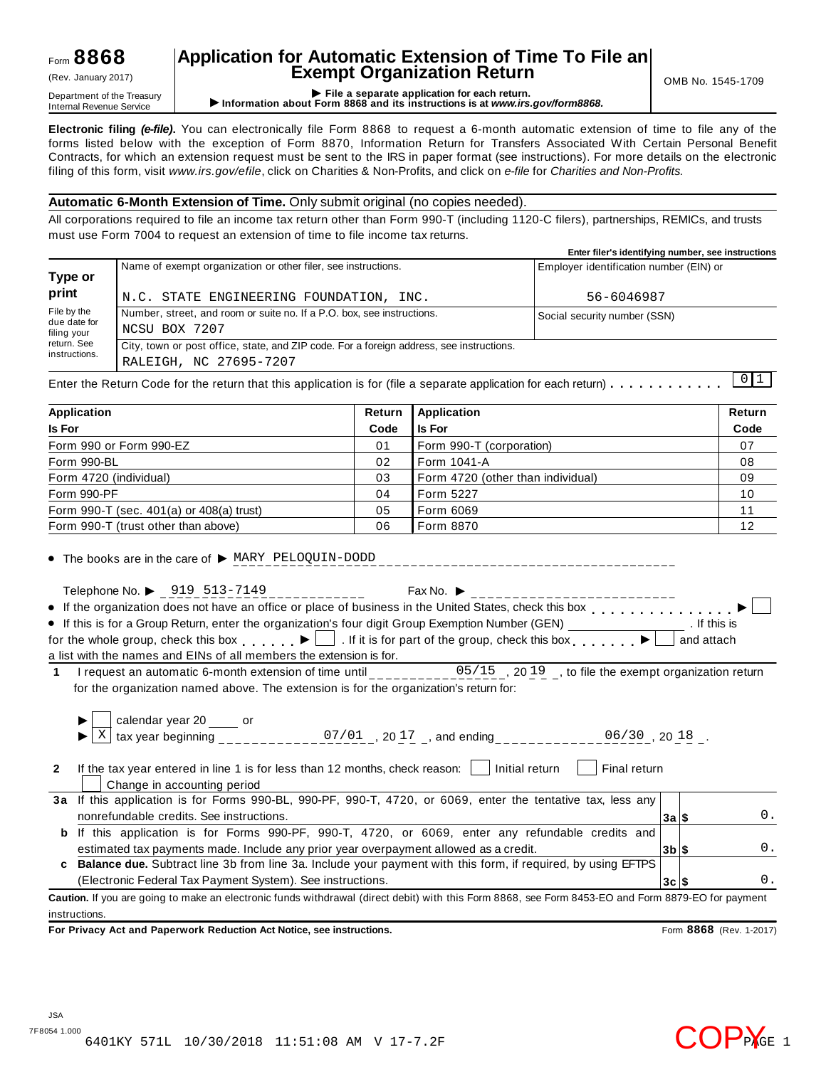### Form **8868**

### **Application for Automatic Extension of Time To File an Exempt Organization Return** (Rev. January 2017) OMB No. 1545-1709

Department of the Treasury<br>Department of the Treasury<br>Internal Revenue Service **CONFICE 1999 File a separate application for each return.**<br>Internal Revenue Service **CONFICE 1999 File a separate application for each return.** 

**Electronic filing** *(e-file)***.** You can electronically file Form 8868 to request a 6-month automatic extension of time to file any of the forms listed below with the exception of Form 8870, Information Return for Transfers Associated With Certain Personal Benefit Contracts, for which an extension request must be sent to the IRS in paper format (see instructions). For more details on the electronic filing of this form, visit *www.irs.gov/efile*, click on Charities & Non-Profits, and click on *e-file* for *Charities and Non-Profits.*

### **Automatic 6-Month Extension of Time.** Only submit original (no copies needed).

All corporations required to file an income tax return other than Form 990-T (including 1120-C filers), partnerships, REMICs, and trusts must use Form 7004 to request an extension of time to file income tax returns.

|                             |                                                                                          | Enter filer's identifying number, see instructions |
|-----------------------------|------------------------------------------------------------------------------------------|----------------------------------------------------|
| Type or                     | Name of exempt organization or other filer, see instructions.                            | Employer identification number (EIN) or            |
| print                       | N.C. STATE ENGINEERING FOUNDATION, INC.                                                  | 56-6046987                                         |
| File by the                 | Number, street, and room or suite no. If a P.O. box, see instructions.                   | Social security number (SSN)                       |
| due date for<br>filing your | NCSU BOX 7207                                                                            |                                                    |
| return. See                 | City, town or post office, state, and ZIP code. For a foreign address, see instructions. |                                                    |
| instructions.               | RALEIGH, NC 27695-7207                                                                   |                                                    |

Enter the Return Code for the return that this application is for (file a separate application for each return)  $\dots \dots \dots$  $\begin{bmatrix} 0 & 1 \end{bmatrix}$ 

| Application                              | Return | <b>Application</b>                | Return |
|------------------------------------------|--------|-----------------------------------|--------|
| <b>Is For</b>                            | Code   | <b>Is For</b>                     | Code   |
| Form 990 or Form 990-EZ                  | 01     | Form 990-T (corporation)          | 07     |
| Form 990-BL                              | 02     | Form 1041-A                       | 08     |
| Form 4720 (individual)                   | 03     | Form 4720 (other than individual) | 09     |
| Form 990-PF                              | 04     | Form 5227                         | 10     |
| Form 990-T (sec. 401(a) or 408(a) trust) | 05     | Form 6069                         | 11     |
| Form 990-T (trust other than above)      | 06     | Form 8870                         | 12     |

 $\bullet$  The books are in the care of  $\triangleright$  MARY PELOQUIN-DODD

Telephone No.  $\triangleright$  919 513-7149<br>If the experiments of the state of the state of the state of the limit of  $\cdot$ If the organization does not have an office or place of business in the United States, check this box  $\Box$ If this is for a Group Return, enter the organization's four digit Group Exemption Number (GEN)  $\overline{\phantom{a}}$  for the organization's four digit Group Exemption Number (GEN) . If this is for the whole group, check this box  $\Box$ . If it is for part of the group, check this box  $\Box$  and attach a list with the names and EINs of all members the extension is for.

**1** I request an automatic 6-month extension of time until \_\_\_\_\_\_\_\_\_\_ for the organization named above. The extension is for the organization's return for: 05/15, 2019, to file the exempt organization return

|                | calendar year 20 _____ or<br>tax year beginning<br>07/01, 2017, and ending<br>$06/30$ , 20 18.                                                     |          |            |
|----------------|----------------------------------------------------------------------------------------------------------------------------------------------------|----------|------------|
| $\overline{2}$ | If the tax year entered in line 1 is for less than 12 months, check reason:<br>Initial return<br>Final return<br>Change in accounting period       |          |            |
| За             | If this application is for Forms 990-BL, 990-PF, 990-T, 4720, or 6069, enter the tentative tax, less any                                           |          |            |
|                | nonrefundable credits. See instructions.                                                                                                           | 3a S     | 0.         |
| b              | this application is for Forms 990-PF, 990-T, 4720, or 6069, enter any refundable credits and                                                       |          |            |
|                | estimated tax payments made. Include any prior year overpayment allowed as a credit.                                                               | $3b$ $s$ | 0.         |
| C              | Balance due. Subtract line 3b from line 3a. Include your payment with this form, if required, by using EFTPS                                       |          |            |
|                | (Electronic Federal Tax Payment System). See instructions.                                                                                         | $3c$ $s$ | $\Omega$ . |
|                | Caution. If you are going to make an electronic funds withdrawal (direct debit) with this Form 8868, see Form 8453-EO and Form 8879-EO for payment |          |            |
|                | instructions.                                                                                                                                      |          |            |

**For Privacy Act and Paperwork Reduction Act Notice, see instructions.** Form **8868** (Rev. 1-2017)

COPYGE 1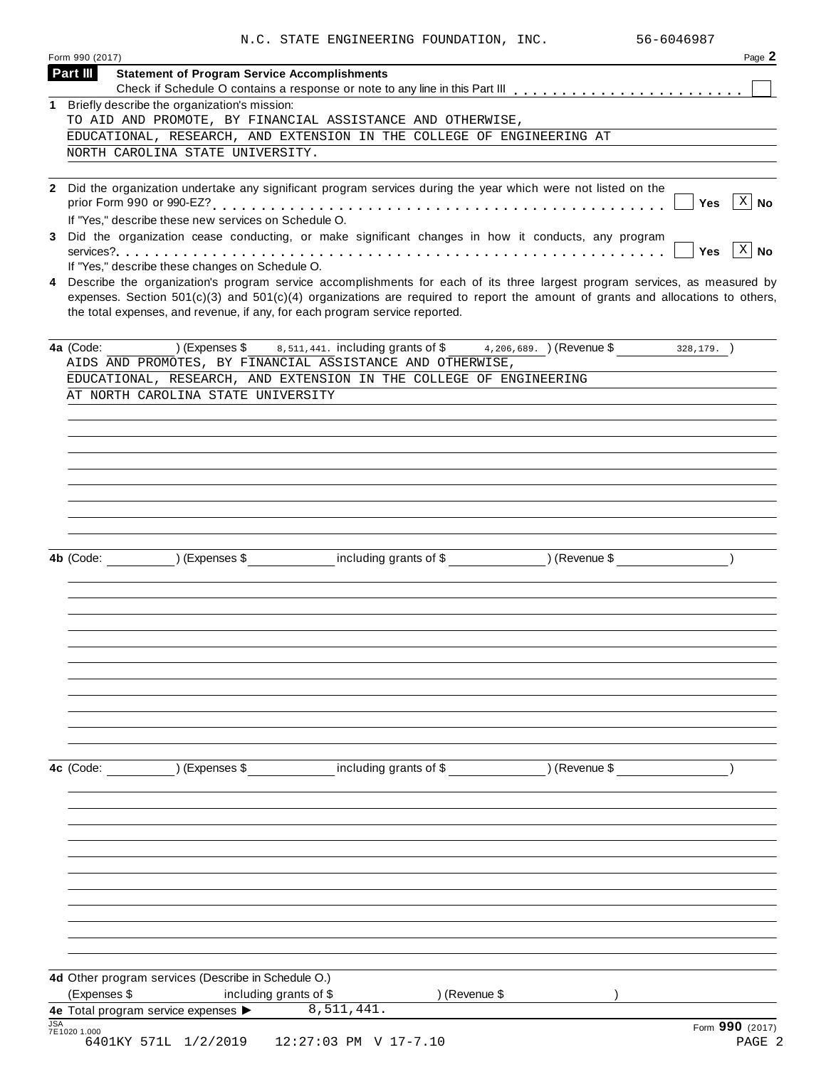N.C. STATE ENGINEERING FOUNDATION, INC. 56-6046987

|            | Form 990 (2017)                                                                                                                                                                                                                                                                                                                                                                                    | Page 2                             |
|------------|----------------------------------------------------------------------------------------------------------------------------------------------------------------------------------------------------------------------------------------------------------------------------------------------------------------------------------------------------------------------------------------------------|------------------------------------|
|            | Part III<br><b>Statement of Program Service Accomplishments</b>                                                                                                                                                                                                                                                                                                                                    |                                    |
|            | 1 Briefly describe the organization's mission:                                                                                                                                                                                                                                                                                                                                                     |                                    |
|            | TO AID AND PROMOTE, BY FINANCIAL ASSISTANCE AND OTHERWISE,                                                                                                                                                                                                                                                                                                                                         |                                    |
|            | EDUCATIONAL, RESEARCH, AND EXTENSION IN THE COLLEGE OF ENGINEERING AT                                                                                                                                                                                                                                                                                                                              |                                    |
|            | NORTH CAROLINA STATE UNIVERSITY.                                                                                                                                                                                                                                                                                                                                                                   |                                    |
|            |                                                                                                                                                                                                                                                                                                                                                                                                    |                                    |
|            | 2 Did the organization undertake any significant program services during the year which were not listed on the<br>If "Yes," describe these new services on Schedule O.                                                                                                                                                                                                                             | $ X $ No<br>Yes                    |
| 3          | Did the organization cease conducting, or make significant changes in how it conducts, any program                                                                                                                                                                                                                                                                                                 | $\vert$ X $\vert$ No<br><b>Yes</b> |
| 4          | If "Yes," describe these changes on Schedule O.<br>Describe the organization's program service accomplishments for each of its three largest program services, as measured by<br>expenses. Section $501(c)(3)$ and $501(c)(4)$ organizations are required to report the amount of grants and allocations to others,<br>the total expenses, and revenue, if any, for each program service reported. |                                    |
|            | 8, 511, 441. including grants of \$4, 206, 689. (Revenue \$328, 179.)<br>4a (Code:<br>) (Expenses \$<br>AIDS AND PROMOTES, BY FINANCIAL ASSISTANCE AND OTHERWISE,                                                                                                                                                                                                                                  |                                    |
|            | EDUCATIONAL, RESEARCH, AND EXTENSION IN THE COLLEGE OF ENGINEERING                                                                                                                                                                                                                                                                                                                                 |                                    |
|            | AT NORTH CAROLINA STATE UNIVERSITY                                                                                                                                                                                                                                                                                                                                                                 |                                    |
|            |                                                                                                                                                                                                                                                                                                                                                                                                    |                                    |
|            |                                                                                                                                                                                                                                                                                                                                                                                                    |                                    |
|            |                                                                                                                                                                                                                                                                                                                                                                                                    |                                    |
|            |                                                                                                                                                                                                                                                                                                                                                                                                    |                                    |
|            |                                                                                                                                                                                                                                                                                                                                                                                                    |                                    |
|            |                                                                                                                                                                                                                                                                                                                                                                                                    |                                    |
|            | including grants of \$ ) (Revenue \$<br>) (Expenses \$<br>4b (Code:                                                                                                                                                                                                                                                                                                                                |                                    |
|            |                                                                                                                                                                                                                                                                                                                                                                                                    |                                    |
|            |                                                                                                                                                                                                                                                                                                                                                                                                    |                                    |
|            |                                                                                                                                                                                                                                                                                                                                                                                                    |                                    |
|            |                                                                                                                                                                                                                                                                                                                                                                                                    |                                    |
|            |                                                                                                                                                                                                                                                                                                                                                                                                    |                                    |
|            |                                                                                                                                                                                                                                                                                                                                                                                                    |                                    |
|            |                                                                                                                                                                                                                                                                                                                                                                                                    |                                    |
|            |                                                                                                                                                                                                                                                                                                                                                                                                    |                                    |
|            |                                                                                                                                                                                                                                                                                                                                                                                                    |                                    |
|            | including grants of \$ (Revenue \$)<br>) (Expenses \$<br>4c (Code:                                                                                                                                                                                                                                                                                                                                 |                                    |
|            |                                                                                                                                                                                                                                                                                                                                                                                                    |                                    |
|            |                                                                                                                                                                                                                                                                                                                                                                                                    |                                    |
|            |                                                                                                                                                                                                                                                                                                                                                                                                    |                                    |
|            |                                                                                                                                                                                                                                                                                                                                                                                                    |                                    |
|            |                                                                                                                                                                                                                                                                                                                                                                                                    |                                    |
|            |                                                                                                                                                                                                                                                                                                                                                                                                    |                                    |
|            |                                                                                                                                                                                                                                                                                                                                                                                                    |                                    |
|            |                                                                                                                                                                                                                                                                                                                                                                                                    |                                    |
|            | 4d Other program services (Describe in Schedule O.)                                                                                                                                                                                                                                                                                                                                                |                                    |
|            | (Expenses \$<br>including grants of \$<br>) (Revenue \$                                                                                                                                                                                                                                                                                                                                            |                                    |
| <b>JSA</b> | 4e Total program service expenses ><br>8,511,441.                                                                                                                                                                                                                                                                                                                                                  |                                    |
|            | 7E1020 1.000<br>6401KY 571L 1/2/2019<br>12:27:03 PM V 17-7.10                                                                                                                                                                                                                                                                                                                                      | Form 990 (2017)<br>PAGE 2          |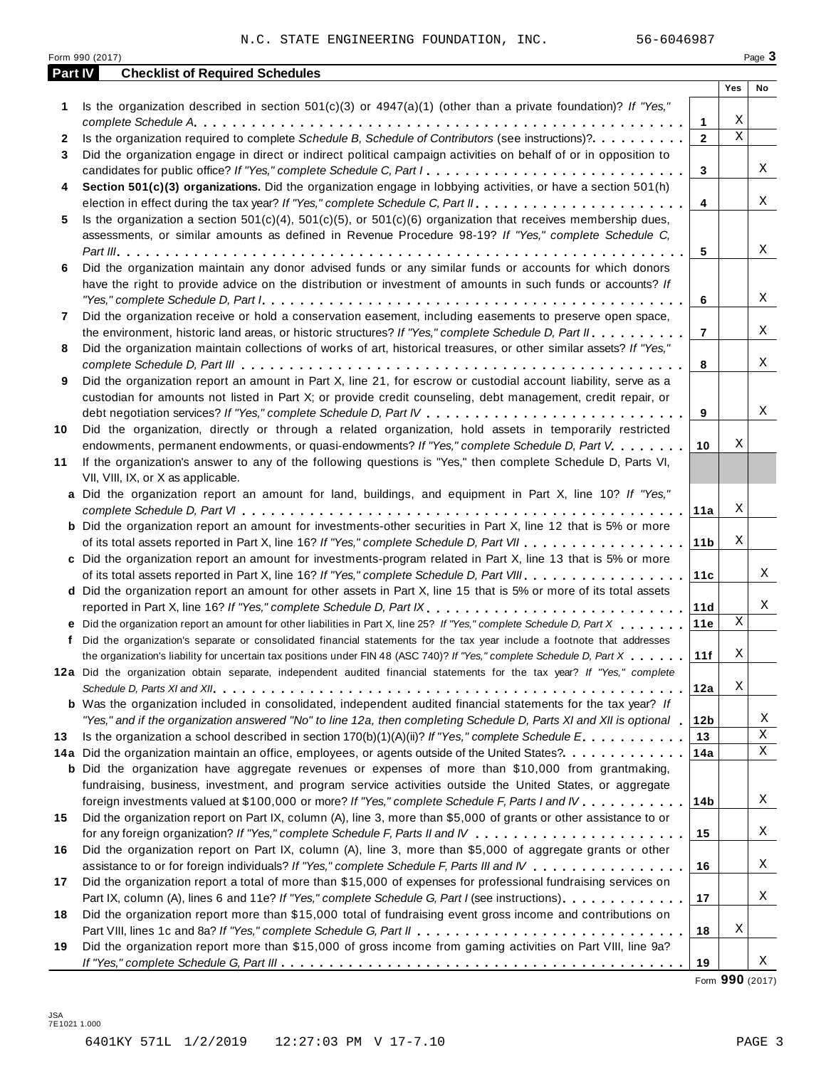N.C. STATE ENGINEERING FOUNDATION, INC. 56-6046987

|         | Form 990 (2017)                                                                                                                                                                                                                                                                                                                                                                               |                 |                  | Page 3 |
|---------|-----------------------------------------------------------------------------------------------------------------------------------------------------------------------------------------------------------------------------------------------------------------------------------------------------------------------------------------------------------------------------------------------|-----------------|------------------|--------|
| Part IV | <b>Checklist of Required Schedules</b>                                                                                                                                                                                                                                                                                                                                                        |                 |                  |        |
|         |                                                                                                                                                                                                                                                                                                                                                                                               |                 | Yes              | No     |
| 1       | Is the organization described in section $501(c)(3)$ or $4947(a)(1)$ (other than a private foundation)? If "Yes,"                                                                                                                                                                                                                                                                             |                 |                  |        |
|         |                                                                                                                                                                                                                                                                                                                                                                                               | 1               | Χ<br>$\mathbf X$ |        |
| 2       | Is the organization required to complete Schedule B, Schedule of Contributors (see instructions)?.                                                                                                                                                                                                                                                                                            | $\mathbf{2}$    |                  |        |
| 3       | Did the organization engage in direct or indirect political campaign activities on behalf of or in opposition to                                                                                                                                                                                                                                                                              |                 |                  | Χ      |
|         | candidates for public office? If "Yes," complete Schedule C, Part I.                                                                                                                                                                                                                                                                                                                          | 3               |                  |        |
| 4       | Section 501(c)(3) organizations. Did the organization engage in lobbying activities, or have a section 501(h)                                                                                                                                                                                                                                                                                 |                 |                  | Χ      |
|         |                                                                                                                                                                                                                                                                                                                                                                                               | $\overline{4}$  |                  |        |
| 5       | Is the organization a section $501(c)(4)$ , $501(c)(5)$ , or $501(c)(6)$ organization that receives membership dues,                                                                                                                                                                                                                                                                          |                 |                  |        |
|         | assessments, or similar amounts as defined in Revenue Procedure 98-19? If "Yes," complete Schedule C,                                                                                                                                                                                                                                                                                         | 5               |                  | Χ      |
| 6       | Did the organization maintain any donor advised funds or any similar funds or accounts for which donors                                                                                                                                                                                                                                                                                       |                 |                  |        |
|         | have the right to provide advice on the distribution or investment of amounts in such funds or accounts? If                                                                                                                                                                                                                                                                                   |                 |                  |        |
|         | "Yes," complete Schedule D, Part $l_1, \ldots, l_k, \ldots, l_k, \ldots, l_k, \ldots, l_k, \ldots, l_k, \ldots, l_k, \ldots, l_k, \ldots, l_k, \ldots, l_k, \ldots, l_k, \ldots, l_k, \ldots, l_k, \ldots, l_k, \ldots, l_k, \ldots, l_k, \ldots, l_k, \ldots, l_k, \ldots, l_k, \ldots, l_k, \ldots, l_k, \ldots, l_k, \ldots, l_k, \ldots, l_k, \ldots, l_k, \ldots, l_k, \ldots, l_k, \ld$ | 6               |                  | Χ      |
| 7       | Did the organization receive or hold a conservation easement, including easements to preserve open space,                                                                                                                                                                                                                                                                                     |                 |                  |        |
|         | the environment, historic land areas, or historic structures? If "Yes," complete Schedule D, Part II.                                                                                                                                                                                                                                                                                         | $\overline{7}$  |                  | Χ      |
| 8       | Did the organization maintain collections of works of art, historical treasures, or other similar assets? If "Yes,"                                                                                                                                                                                                                                                                           |                 |                  |        |
|         |                                                                                                                                                                                                                                                                                                                                                                                               | 8               |                  | Χ      |
| 9       | Did the organization report an amount in Part X, line 21, for escrow or custodial account liability, serve as a                                                                                                                                                                                                                                                                               |                 |                  |        |
|         | custodian for amounts not listed in Part X; or provide credit counseling, debt management, credit repair, or                                                                                                                                                                                                                                                                                  |                 |                  |        |
|         |                                                                                                                                                                                                                                                                                                                                                                                               | 9               |                  | Χ      |
| 10      | Did the organization, directly or through a related organization, hold assets in temporarily restricted                                                                                                                                                                                                                                                                                       |                 |                  |        |
|         | endowments, permanent endowments, or quasi-endowments? If "Yes," complete Schedule D, Part V.                                                                                                                                                                                                                                                                                                 | 10              | Χ                |        |
| 11      | If the organization's answer to any of the following questions is "Yes," then complete Schedule D, Parts VI,                                                                                                                                                                                                                                                                                  |                 |                  |        |
|         | VII, VIII, IX, or X as applicable.                                                                                                                                                                                                                                                                                                                                                            |                 |                  |        |
|         | a Did the organization report an amount for land, buildings, and equipment in Part X, line 10? If "Yes,"                                                                                                                                                                                                                                                                                      |                 |                  |        |
|         |                                                                                                                                                                                                                                                                                                                                                                                               | 11a             | Χ                |        |
|         | <b>b</b> Did the organization report an amount for investments-other securities in Part X, line 12 that is 5% or more                                                                                                                                                                                                                                                                         |                 |                  |        |
|         |                                                                                                                                                                                                                                                                                                                                                                                               | 11 <sub>b</sub> | Χ                |        |
|         | c Did the organization report an amount for investments-program related in Part X, line 13 that is 5% or more                                                                                                                                                                                                                                                                                 |                 |                  |        |
|         |                                                                                                                                                                                                                                                                                                                                                                                               | 11c             |                  | Χ      |
|         | d Did the organization report an amount for other assets in Part X, line 15 that is 5% or more of its total assets                                                                                                                                                                                                                                                                            |                 |                  |        |
|         | reported in Part X, line 16? If "Yes," complete Schedule D, Part IX.                                                                                                                                                                                                                                                                                                                          | 11d             |                  | Χ      |
|         | e Did the organization report an amount for other liabilities in Part X, line 25? If "Yes," complete Schedule D, Part X                                                                                                                                                                                                                                                                       | 11e             | Χ                |        |
|         | f Did the organization's separate or consolidated financial statements for the tax year include a footnote that addresses                                                                                                                                                                                                                                                                     |                 |                  |        |
|         | the organization's liability for uncertain tax positions under FIN 48 (ASC 740)? If "Yes," complete Schedule D, Part X                                                                                                                                                                                                                                                                        | 11f             | Χ                |        |
|         | 12a Did the organization obtain separate, independent audited financial statements for the tax year? If "Yes," complete                                                                                                                                                                                                                                                                       |                 |                  |        |
|         |                                                                                                                                                                                                                                                                                                                                                                                               | 12a             | Χ                |        |
|         | <b>b</b> Was the organization included in consolidated, independent audited financial statements for the tax year? If                                                                                                                                                                                                                                                                         |                 |                  |        |
|         | "Yes," and if the organization answered "No" to line 12a, then completing Schedule D, Parts XI and XII is optional "                                                                                                                                                                                                                                                                          | 12 <sub>b</sub> |                  | Χ      |
| 13      | Is the organization a school described in section $170(b)(1)(A)(ii)?$ If "Yes," complete Schedule E.                                                                                                                                                                                                                                                                                          | 13              |                  | Χ      |
|         | 14a Did the organization maintain an office, employees, or agents outside of the United States?.                                                                                                                                                                                                                                                                                              | 14a             |                  | X      |
|         | <b>b</b> Did the organization have aggregate revenues or expenses of more than \$10,000 from grantmaking,                                                                                                                                                                                                                                                                                     |                 |                  |        |
|         | fundraising, business, investment, and program service activities outside the United States, or aggregate                                                                                                                                                                                                                                                                                     |                 |                  |        |
|         | foreign investments valued at \$100,000 or more? If "Yes," complete Schedule F, Parts I and IV                                                                                                                                                                                                                                                                                                | 14 <sub>b</sub> |                  | Χ      |
| 15      | Did the organization report on Part IX, column (A), line 3, more than \$5,000 of grants or other assistance to or                                                                                                                                                                                                                                                                             |                 |                  |        |
|         |                                                                                                                                                                                                                                                                                                                                                                                               | 15              |                  | Χ      |
| 16      | Did the organization report on Part IX, column (A), line 3, more than \$5,000 of aggregate grants or other                                                                                                                                                                                                                                                                                    |                 |                  |        |
|         | assistance to or for foreign individuals? If "Yes," complete Schedule F, Parts III and IV                                                                                                                                                                                                                                                                                                     | 16              |                  | Χ      |
| 17      | Did the organization report a total of more than \$15,000 of expenses for professional fundraising services on                                                                                                                                                                                                                                                                                |                 |                  |        |
|         | Part IX, column (A), lines 6 and 11e? If "Yes," complete Schedule G, Part I (see instructions)                                                                                                                                                                                                                                                                                                | 17              |                  | Χ      |
| 18      | Did the organization report more than \$15,000 total of fundraising event gross income and contributions on                                                                                                                                                                                                                                                                                   |                 |                  |        |
|         |                                                                                                                                                                                                                                                                                                                                                                                               | 18              | Χ                |        |
| 19      | Did the organization report more than \$15,000 of gross income from gaming activities on Part VIII, line 9a?                                                                                                                                                                                                                                                                                  |                 |                  |        |
|         |                                                                                                                                                                                                                                                                                                                                                                                               | 19              |                  | Χ      |

Form **990** (2017)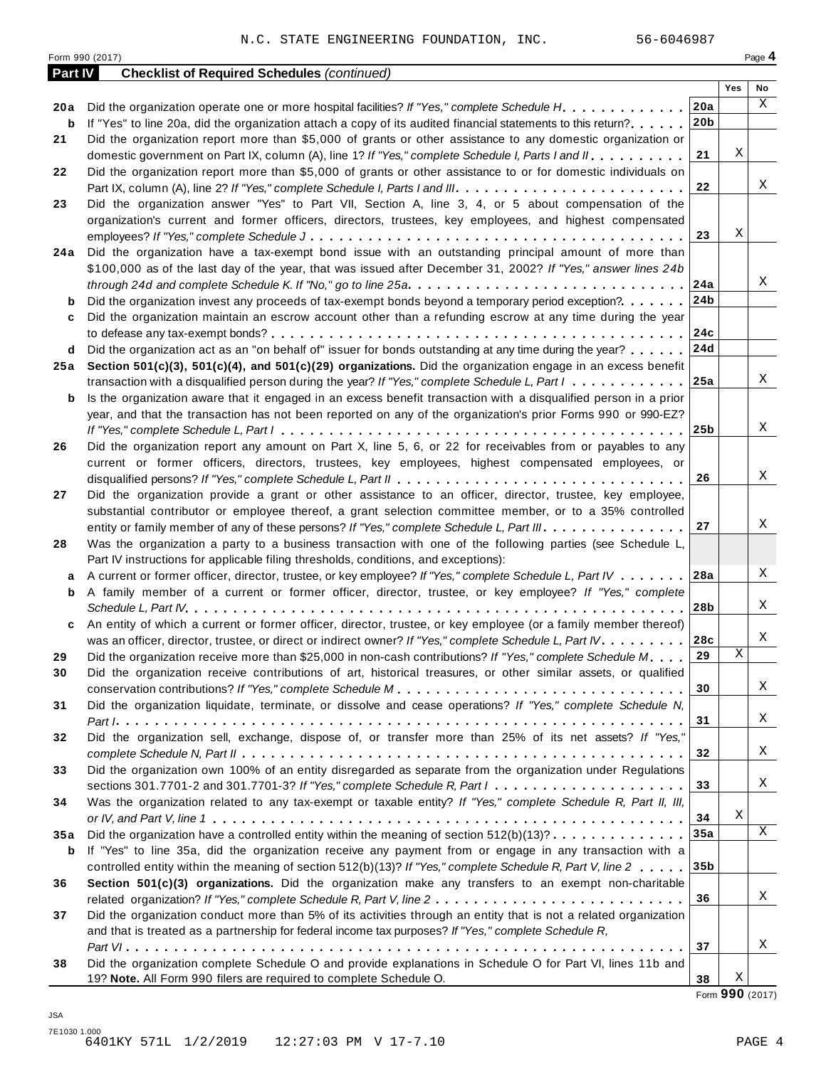| Part IV | <b>Checklist of Required Schedules (continued)</b>                                                                                                                                                                   |                 |     |    |
|---------|----------------------------------------------------------------------------------------------------------------------------------------------------------------------------------------------------------------------|-----------------|-----|----|
|         |                                                                                                                                                                                                                      |                 | Yes | No |
| 20 a    | Did the organization operate one or more hospital facilities? If "Yes," complete Schedule H.                                                                                                                         | 20a             |     | X  |
| b       | If "Yes" to line 20a, did the organization attach a copy of its audited financial statements to this return?                                                                                                         | 20 <sub>b</sub> |     |    |
| 21      | Did the organization report more than \$5,000 of grants or other assistance to any domestic organization or                                                                                                          |                 |     |    |
|         | domestic government on Part IX, column (A), line 1? If "Yes," complete Schedule I, Parts I and II.                                                                                                                   | 21              | Χ   |    |
| 22      | Did the organization report more than \$5,000 of grants or other assistance to or for domestic individuals on                                                                                                        |                 |     |    |
|         |                                                                                                                                                                                                                      | 22              |     | X  |
| 23      | Did the organization answer "Yes" to Part VII, Section A, line 3, 4, or 5 about compensation of the                                                                                                                  |                 |     |    |
|         | organization's current and former officers, directors, trustees, key employees, and highest compensated                                                                                                              |                 |     |    |
|         |                                                                                                                                                                                                                      | 23              | Χ   |    |
| 24 a    | Did the organization have a tax-exempt bond issue with an outstanding principal amount of more than                                                                                                                  |                 |     |    |
|         | \$100,000 as of the last day of the year, that was issued after December 31, 2002? If "Yes," answer lines 24b                                                                                                        |                 |     |    |
|         |                                                                                                                                                                                                                      | 24a             |     | Χ  |
| b       | Did the organization invest any proceeds of tax-exempt bonds beyond a temporary period exception?                                                                                                                    | 24b             |     |    |
| c       | Did the organization maintain an escrow account other than a refunding escrow at any time during the year                                                                                                            |                 |     |    |
|         |                                                                                                                                                                                                                      | 24c             |     |    |
| d       | Did the organization act as an "on behalf of" issuer for bonds outstanding at any time during the year?                                                                                                              | 24d             |     |    |
| 25 a    | Section 501(c)(3), 501(c)(4), and 501(c)(29) organizations. Did the organization engage in an excess benefit                                                                                                         |                 |     |    |
|         | transaction with a disqualified person during the year? If "Yes," complete Schedule L, Part I                                                                                                                        | 25a             |     | Χ  |
| b       | Is the organization aware that it engaged in an excess benefit transaction with a disqualified person in a prior                                                                                                     |                 |     |    |
|         | year, and that the transaction has not been reported on any of the organization's prior Forms 990 or 990-EZ?                                                                                                         |                 |     |    |
|         |                                                                                                                                                                                                                      | 25 <sub>b</sub> |     | X  |
| 26      | Did the organization report any amount on Part X, line 5, 6, or 22 for receivables from or payables to any                                                                                                           |                 |     |    |
|         | current or former officers, directors, trustees, key employees, highest compensated employees, or                                                                                                                    |                 |     |    |
|         |                                                                                                                                                                                                                      | 26              |     | X  |
| 27      | Did the organization provide a grant or other assistance to an officer, director, trustee, key employee,                                                                                                             |                 |     |    |
|         | substantial contributor or employee thereof, a grant selection committee member, or to a 35% controlled                                                                                                              |                 |     |    |
|         | entity or family member of any of these persons? If "Yes," complete Schedule L, Part III.                                                                                                                            | 27              |     | Χ  |
| 28      | Was the organization a party to a business transaction with one of the following parties (see Schedule L,                                                                                                            |                 |     |    |
|         | Part IV instructions for applicable filing thresholds, conditions, and exceptions):                                                                                                                                  |                 |     | Χ  |
| a       | A current or former officer, director, trustee, or key employee? If "Yes," complete Schedule L, Part IV                                                                                                              | 28a             |     |    |
| b       | A family member of a current or former officer, director, trustee, or key employee? If "Yes," complete                                                                                                               |                 |     | Χ  |
|         | Schedule L. Part IV Contract Contract on the Contract of Tennes                                                                                                                                                      | 28 <sub>b</sub> |     |    |
| c       | An entity of which a current or former officer, director, trustee, or key employee (or a family member thereof)                                                                                                      |                 |     | Χ  |
|         | was an officer, director, trustee, or direct or indirect owner? If "Yes," complete Schedule L, Part IV.<br>Did the organization receive more than \$25,000 in non-cash contributions? If "Yes," complete Schedule M. | 28c<br>29       | Χ   |    |
| 29      | Did the organization receive contributions of art, historical treasures, or other similar assets, or qualified                                                                                                       |                 |     |    |
| 30      |                                                                                                                                                                                                                      | 30              |     | Χ  |
| 31      | Did the organization liquidate, terminate, or dissolve and cease operations? If "Yes," complete Schedule N,                                                                                                          |                 |     |    |
|         |                                                                                                                                                                                                                      | 31              |     | Χ  |
| 32      | Did the organization sell, exchange, dispose of, or transfer more than 25% of its net assets? If "Yes,"                                                                                                              |                 |     |    |
|         |                                                                                                                                                                                                                      | 32              |     | Χ  |
| 33      | Did the organization own 100% of an entity disregarded as separate from the organization under Regulations                                                                                                           |                 |     |    |
|         | sections 301.7701-2 and 301.7701-3? If "Yes," complete Schedule R, Part $l_1, \ldots, l_l, l_l, \ldots, l_l, l_l, \ldots, l_l, l_l$                                                                                  | 33              |     | Χ  |
| 34      | Was the organization related to any tax-exempt or taxable entity? If "Yes," complete Schedule R, Part II, III,                                                                                                       |                 |     |    |
|         |                                                                                                                                                                                                                      | 34              | Χ   |    |
| 35a     | Did the organization have a controlled entity within the meaning of section $512(b)(13)? \ldots \ldots \ldots \ldots$                                                                                                | 35a             |     | X  |
| b       | If "Yes" to line 35a, did the organization receive any payment from or engage in any transaction with a                                                                                                              |                 |     |    |
|         | controlled entity within the meaning of section 512(b)(13)? If "Yes," complete Schedule R, Part V, line 2                                                                                                            | 35 <sub>b</sub> |     |    |
| 36      | Section 501(c)(3) organizations. Did the organization make any transfers to an exempt non-charitable                                                                                                                 |                 |     |    |
|         |                                                                                                                                                                                                                      | 36              |     | Χ  |
| 37      | Did the organization conduct more than 5% of its activities through an entity that is not a related organization                                                                                                     |                 |     |    |
|         | and that is treated as a partnership for federal income tax purposes? If "Yes," complete Schedule R,                                                                                                                 |                 |     |    |
|         |                                                                                                                                                                                                                      | 37              |     | X  |
| 38      | Did the organization complete Schedule O and provide explanations in Schedule O for Part VI, lines 11b and                                                                                                           |                 |     |    |
|         | 19? Note. All Form 990 filers are required to complete Schedule O.                                                                                                                                                   | 38              | Χ   |    |

Form **990** (2017)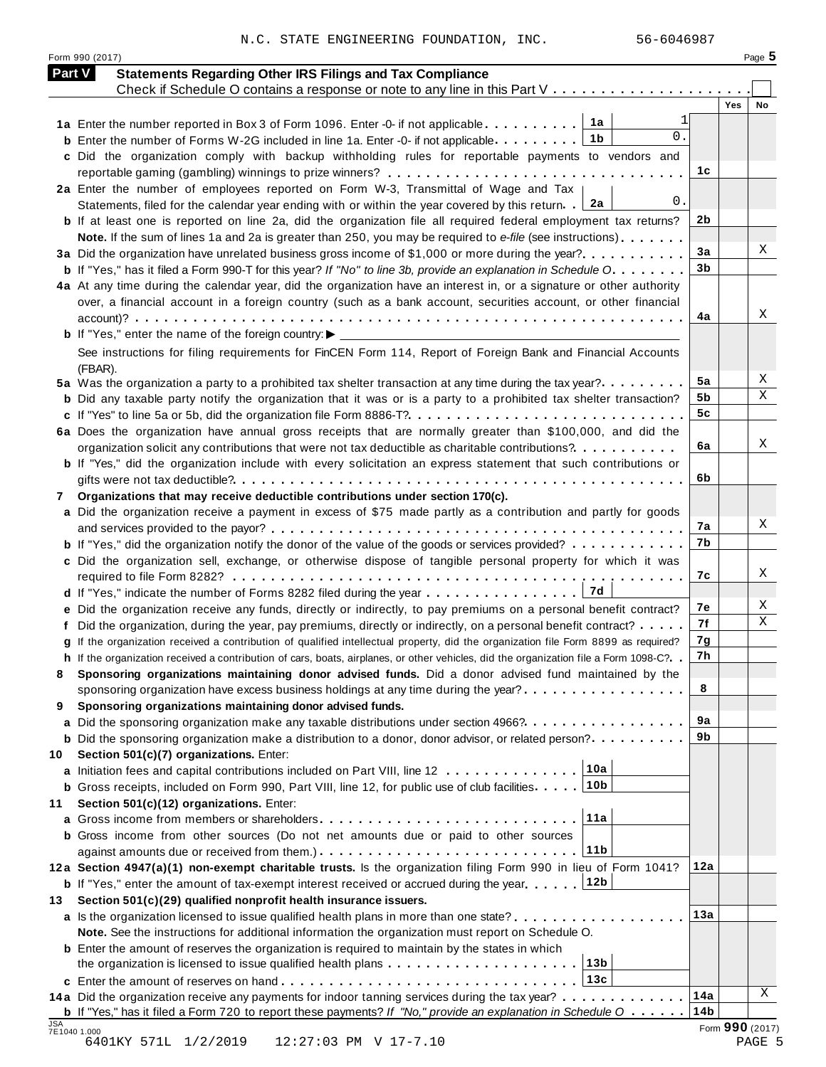N.C. STATE ENGINEERING FOUNDATION, INC. 56-6046987

Form <sup>990</sup> (2017) Page **5**

| Part V | <b>Statements Regarding Other IRS Filings and Tax Compliance</b>                                                                        |                 |                 |
|--------|-----------------------------------------------------------------------------------------------------------------------------------------|-----------------|-----------------|
|        | Check if Schedule O contains a response or note to any line in this Part $V_1, \ldots, V_k, \ldots, V_k, \ldots$                        |                 | Yes<br>No.      |
|        |                                                                                                                                         |                 |                 |
|        | 0.<br><b>b</b> Enter the number of Forms W-2G included in line 1a. Enter -0- if not applicable. $\dots \dots \dots$                     |                 |                 |
|        | c Did the organization comply with backup withholding rules for reportable payments to vendors and                                      |                 |                 |
|        |                                                                                                                                         | 1с              |                 |
|        | 2a Enter the number of employees reported on Form W-3, Transmittal of Wage and Tax                                                      |                 |                 |
|        | $0$ .<br>2a<br>Statements, filed for the calendar year ending with or within the year covered by this return.                           |                 |                 |
|        | <b>b</b> If at least one is reported on line 2a, did the organization file all required federal employment tax returns?                 | 2 <sub>b</sub>  |                 |
|        | Note. If the sum of lines 1a and 2a is greater than 250, you may be required to e-file (see instructions)                               |                 |                 |
|        | 3a Did the organization have unrelated business gross income of \$1,000 or more during the year?                                        | 3a              | Χ               |
|        | <b>b</b> If "Yes," has it filed a Form 990-T for this year? If "No" to line 3b, provide an explanation in Schedule O                    | 3 <sub>b</sub>  |                 |
|        | 4a At any time during the calendar year, did the organization have an interest in, or a signature or other authority                    |                 |                 |
|        | over, a financial account in a foreign country (such as a bank account, securities account, or other financial                          |                 |                 |
|        |                                                                                                                                         | 4a              | Χ               |
|        |                                                                                                                                         |                 |                 |
|        |                                                                                                                                         |                 |                 |
|        | See instructions for filing requirements for FinCEN Form 114, Report of Foreign Bank and Financial Accounts                             |                 |                 |
|        | (FBAR).<br>5a Was the organization a party to a prohibited tax shelter transaction at any time during the tax year?                     | 5a              | Х               |
|        | <b>b</b> Did any taxable party notify the organization that it was or is a party to a prohibited tax shelter transaction?               | 5b              | Χ               |
|        |                                                                                                                                         | 5 <sub>c</sub>  |                 |
|        |                                                                                                                                         |                 |                 |
|        | 6a Does the organization have annual gross receipts that are normally greater than \$100,000, and did the                               | 6a              | Χ               |
|        | organization solicit any contributions that were not tax deductible as charitable contributions?                                        |                 |                 |
|        | <b>b</b> If "Yes," did the organization include with every solicitation an express statement that such contributions or                 | 6b              |                 |
|        |                                                                                                                                         |                 |                 |
| 7      | Organizations that may receive deductible contributions under section 170(c).                                                           |                 |                 |
|        | a Did the organization receive a payment in excess of \$75 made partly as a contribution and partly for goods                           |                 | X               |
|        |                                                                                                                                         | 7а              |                 |
|        | <b>b</b> If "Yes," did the organization notify the donor of the value of the goods or services provided?                                | 7b              |                 |
|        | c Did the organization sell, exchange, or otherwise dispose of tangible personal property for which it was                              |                 | Χ               |
|        |                                                                                                                                         | 7c              |                 |
|        |                                                                                                                                         |                 |                 |
|        | e Did the organization receive any funds, directly or indirectly, to pay premiums on a personal benefit contract?                       | 7e              | X               |
|        | f Did the organization, during the year, pay premiums, directly or indirectly, on a personal benefit contract?                          | 7f              | Χ               |
|        | g If the organization received a contribution of qualified intellectual property, did the organization file Form 8899 as required?      | 7g              |                 |
|        | h If the organization received a contribution of cars, boats, airplanes, or other vehicles, did the organization file a Form 1098-C?. . | 7h              |                 |
| 8      | Sponsoring organizations maintaining donor advised funds. Did a donor advised fund maintained by the                                    |                 |                 |
|        | sponsoring organization have excess business holdings at any time during the year?                                                      | 8               |                 |
| 9      | Sponsoring organizations maintaining donor advised funds.                                                                               |                 |                 |
| a      | Did the sponsoring organization make any taxable distributions under section 4966?                                                      | 9а              |                 |
|        | <b>b</b> Did the sponsoring organization make a distribution to a donor, donor advisor, or related person?                              | 9b              |                 |
| 10     | Section 501(c)(7) organizations. Enter:                                                                                                 |                 |                 |
|        | 10a<br>a Initiation fees and capital contributions included on Part VIII, line 12                                                       |                 |                 |
|        | 10 <sub>b</sub><br><b>b</b> Gross receipts, included on Form 990, Part VIII, line 12, for public use of club facilities.                |                 |                 |
| 11     | Section 501(c)(12) organizations. Enter:                                                                                                |                 |                 |
|        | 11a                                                                                                                                     |                 |                 |
|        | <b>b</b> Gross income from other sources (Do not net amounts due or paid to other sources                                               |                 |                 |
|        | 11b                                                                                                                                     |                 |                 |
|        | 12a Section 4947(a)(1) non-exempt charitable trusts. Is the organization filing Form 990 in lieu of Form 1041?                          | 12a             |                 |
|        | 12b<br><b>b</b> If "Yes," enter the amount of tax-exempt interest received or accrued during the year                                   |                 |                 |
| 13     | Section 501(c)(29) qualified nonprofit health insurance issuers.                                                                        |                 |                 |
|        | a Is the organization licensed to issue qualified health plans in more than one state?                                                  | 13a             |                 |
|        | Note. See the instructions for additional information the organization must report on Schedule O.                                       |                 |                 |
|        | <b>b</b> Enter the amount of reserves the organization is required to maintain by the states in which                                   |                 |                 |
|        | 13b                                                                                                                                     |                 |                 |
|        | 13c                                                                                                                                     |                 |                 |
|        | 14a Did the organization receive any payments for indoor tanning services during the tax year?                                          | 14a             | Χ               |
|        | <b>b</b> If "Yes," has it filed a Form 720 to report these payments? If "No," provide an explanation in Schedule O $\dots \dots$        | 14 <sub>b</sub> |                 |
| JSA    | 7E1040 1.000                                                                                                                            |                 | Form 990 (2017) |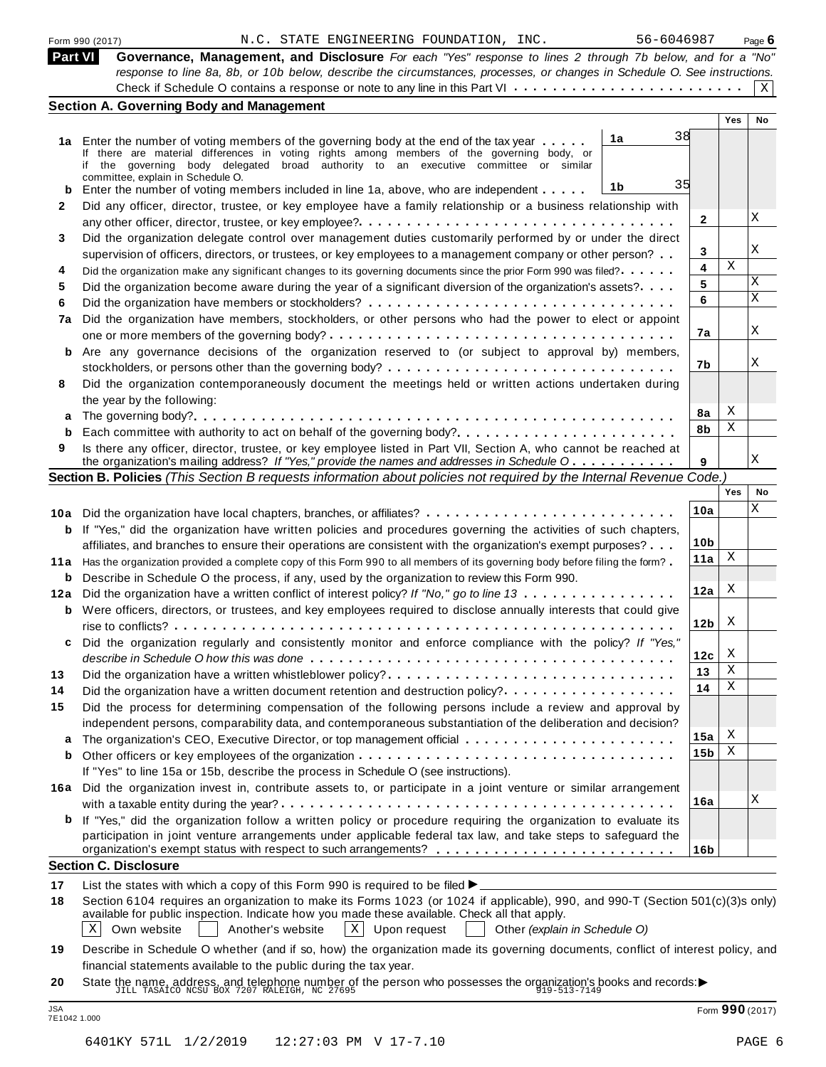|        | 56-6046987<br>N.C. STATE ENGINEERING FOUNDATION, INC.<br>Form 990 (2017)                                                        |                 |            | Page $6$ |
|--------|---------------------------------------------------------------------------------------------------------------------------------|-----------------|------------|----------|
|        | Part VI<br>Governance, Management, and Disclosure For each "Yes" response to lines 2 through 7b below, and for a "No"           |                 |            |          |
|        | response to line 8a, 8b, or 10b below, describe the circumstances, processes, or changes in Schedule O. See instructions.       |                 |            | Χ        |
|        | <b>Section A. Governing Body and Management</b>                                                                                 |                 |            |          |
|        |                                                                                                                                 |                 | <b>Yes</b> | No       |
|        | 38<br>1a<br>1a Enter the number of voting members of the governing body at the end of the tax year                              |                 |            |          |
|        | If there are material differences in voting rights among members of the governing body, or                                      |                 |            |          |
|        | if the governing body delegated broad authority to an executive committee or similar<br>committee, explain in Schedule O.       |                 |            |          |
| b      | 35<br>1b<br>Enter the number of voting members included in line 1a, above, who are independent                                  |                 |            |          |
| 2      | Did any officer, director, trustee, or key employee have a family relationship or a business relationship with                  |                 |            |          |
|        |                                                                                                                                 | 2               |            | X        |
| 3      | Did the organization delegate control over management duties customarily performed by or under the direct                       |                 |            |          |
|        | supervision of officers, directors, or trustees, or key employees to a management company or other person?                      | 3               |            | X        |
| 4      | Did the organization make any significant changes to its governing documents since the prior Form 990 was filed?.               | 4               | Χ          |          |
|        | Did the organization become aware during the year of a significant diversion of the organization's assets?                      | 5               |            | Χ        |
|        |                                                                                                                                 | 6               |            | X        |
| 7a     | Did the organization have members, stockholders, or other persons who had the power to elect or appoint                         |                 |            | X        |
|        |                                                                                                                                 | 7a              |            |          |
|        | <b>b</b> Are any governance decisions of the organization reserved to (or subject to approval by) members,                      |                 |            | Χ        |
|        |                                                                                                                                 | 7b              |            |          |
| 8      | Did the organization contemporaneously document the meetings held or written actions undertaken during                          |                 |            |          |
|        | the year by the following:                                                                                                      | 8a              | Χ          |          |
| a      | Each committee with authority to act on behalf of the governing body?                                                           | 8b              | Χ          |          |
| b<br>9 | Is there any officer, director, trustee, or key employee listed in Part VII, Section A, who cannot be reached at                |                 |            |          |
|        | the organization's mailing address? If "Yes," provide the names and addresses in Schedule O                                     | 9               |            | X        |
|        | Section B. Policies (This Section B requests information about policies not required by the Internal Revenue Code.)             |                 |            |          |
|        |                                                                                                                                 |                 | Yes        | No       |
|        | 10a Did the organization have local chapters, branches, or affiliates?                                                          | 10a             |            | Χ        |
|        | <b>b</b> If "Yes," did the organization have written policies and procedures governing the activities of such chapters,         |                 |            |          |
|        | affiliates, and branches to ensure their operations are consistent with the organization's exempt purposes?                     | 10 <sub>b</sub> |            |          |
| 11 a   | Has the organization provided a complete copy of this Form 990 to all members of its governing body before filing the form?     | 11a             | Χ          |          |
| b      | Describe in Schedule O the process, if any, used by the organization to review this Form 990.                                   |                 |            |          |
| 12a    | Did the organization have a written conflict of interest policy? If "No," go to line 13                                         | 12a             | Χ          |          |
|        | <b>b</b> Were officers, directors, or trustees, and key employees required to disclose annually interests that could give       |                 |            |          |
|        |                                                                                                                                 | 12 <sub>b</sub> | X          |          |
|        | Did the organization regularly and consistently monitor and enforce compliance with the policy? If "Yes,"                       |                 | X          |          |
| 13     |                                                                                                                                 | 12c<br>13       | Χ          |          |
|        | Did the organization have a written whistleblower policy?                                                                       | 14              | Χ          |          |
|        | Did the organization have a written document retention and destruction policy?                                                  |                 |            |          |
|        | Did the process for determining compensation of the following persons include a review and approval by                          |                 |            |          |
|        | independent persons, comparability data, and contemporaneous substantiation of the deliberation and decision?                   | 15a             | Χ          |          |
| a<br>b |                                                                                                                                 | 15 <sub>b</sub> | Χ          |          |
|        | If "Yes" to line 15a or 15b, describe the process in Schedule O (see instructions).                                             |                 |            |          |
| 16a    | Did the organization invest in, contribute assets to, or participate in a joint venture or similar arrangement                  |                 |            |          |
|        |                                                                                                                                 | 16a             |            | Χ        |
|        | <b>b</b> If "Yes," did the organization follow a written policy or procedure requiring the organization to evaluate its         |                 |            |          |
|        | participation in joint venture arrangements under applicable federal tax law, and take steps to safeguard the                   |                 |            |          |
|        |                                                                                                                                 | 16 <sub>b</sub> |            |          |
|        | <b>Section C. Disclosure</b>                                                                                                    |                 |            |          |
|        | List the states with which a copy of this Form 990 is required to be filed $\blacktriangleright$ .                              |                 |            |          |
| 18     | Section 6104 requires an organization to make its Forms 1023 (or 1024 if applicable), 990, and 990-T (Section 501(c)(3)s only)  |                 |            |          |
|        | available for public inspection. Indicate how you made these available. Check all that apply.                                   |                 |            |          |
|        | $\mathbf{X}$<br>Own website<br>Another's website<br>Upon request<br>Χ<br>Other (explain in Schedule O)                          |                 |            |          |
|        | Describe in Schedule O whether (and if so, how) the organization made its governing documents, conflict of interest policy, and |                 |            |          |
|        | financial statements available to the public during the tax year.                                                               |                 |            |          |
|        | State the name, address, and telephone number of the person who possesses the organization's books and records:                 |                 |            |          |

JSA Form **<sup>990</sup>** (2017) 7E1042 1.000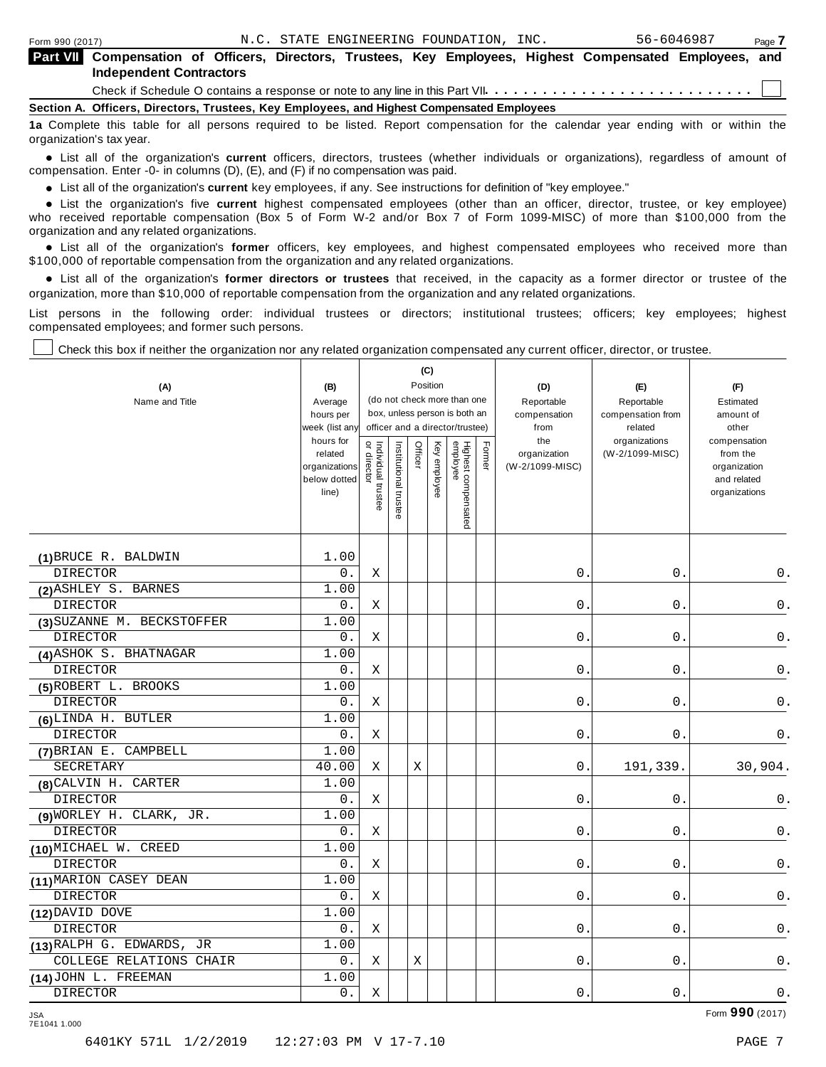| Part VIII Compensation of Officers, Directors, Trustees, Key Employees, Highest Compensated Employees, and                                                    |  |  |  |  |  |  |
|---------------------------------------------------------------------------------------------------------------------------------------------------------------|--|--|--|--|--|--|
| <b>Independent Contractors</b>                                                                                                                                |  |  |  |  |  |  |
|                                                                                                                                                               |  |  |  |  |  |  |
| Section A. Officers, Directors, Trustees, Key Employees, and Highest Compensated Employees                                                                    |  |  |  |  |  |  |
| 1a Complete this table for all persons required to be listed. Report compensation for the calendar year ending with or within the<br>organization's tax year. |  |  |  |  |  |  |

anization's lax year.<br>● List all of the organization's **current** officers, directors, trustees (whether individuals or organizations), regardless of amount of<br>nnensation Enter -0- in columns (D) (E) and (E) if no compensa compensation. Enter -0- in columns (D), (E), and (F) if no compensation was paid.

• List all of the organization's **current** key employees, if any. See instructions for definition of "key employee."<br>● List the experientials five expect highest expressed explores (other than an efficer director of

**Example in the organization's current** key employees, if any. See instructions for definition of key employee.<br>• List the organization's five **current** highest compensated employees (other than an officer, director, trust who received reportable compensation (Box 5 of Form W-2 and/or Box 7 of Form 1099-MISC) of more than \$100,000 from the

organization and any related organizations.<br>• List all of the organization's **former** officers, key employees, and highest compensated employees who received more than<br>\$1.00.000 of reportable componention from the erganiza \$100,000 of reportable compensation from the organization and any related organizations.

% List all of the organization's **former directors or trustees** that received, in the capacity as a former director or trustee of the organization, more than \$10,000 of reportable compensation from the organization and any related organizations.

List persons in the following order: individual trustees or directors; institutional trustees; officers; key employees; highest compensated employees; and former such persons.

Check this box if neither the organization nor any related organization compensated any current officer, director, or trustee.

| (A)<br>Name and Title      | (B)<br>Average<br>hours per<br>week (list any<br>hours for<br>related<br>organizations<br>below dotted<br>line) | or directo<br>Individual trustee | Institutional trustee | (C)<br>Officer | Position<br>Key employee | (do not check more than one<br>box, unless person is both an<br>officer and a director/trustee)<br>Highest compensated<br>employee | Former | (D)<br>Reportable<br>compensation<br>from<br>the<br>organization<br>(W-2/1099-MISC) | (E)<br>Reportable<br>compensation from<br>related<br>organizations<br>(W-2/1099-MISC) | (F)<br>Estimated<br>amount of<br>other<br>compensation<br>from the<br>organization<br>and related<br>organizations |
|----------------------------|-----------------------------------------------------------------------------------------------------------------|----------------------------------|-----------------------|----------------|--------------------------|------------------------------------------------------------------------------------------------------------------------------------|--------|-------------------------------------------------------------------------------------|---------------------------------------------------------------------------------------|--------------------------------------------------------------------------------------------------------------------|
| (1) BRUCE R. BALDWIN       | 1.00                                                                                                            |                                  |                       |                |                          |                                                                                                                                    |        |                                                                                     |                                                                                       |                                                                                                                    |
| <b>DIRECTOR</b>            | $0$ .                                                                                                           | Χ                                |                       |                |                          |                                                                                                                                    |        | 0.                                                                                  | 0.                                                                                    | 0.                                                                                                                 |
| (2) ASHLEY S. BARNES       | 1.00                                                                                                            |                                  |                       |                |                          |                                                                                                                                    |        |                                                                                     |                                                                                       |                                                                                                                    |
| DIRECTOR                   | $0$ .                                                                                                           | Χ                                |                       |                |                          |                                                                                                                                    |        | $0\;.$                                                                              | $\boldsymbol{0}$ .                                                                    | $\mathsf 0$ .                                                                                                      |
| (3) SUZANNE M. BECKSTOFFER | 1.00                                                                                                            |                                  |                       |                |                          |                                                                                                                                    |        |                                                                                     |                                                                                       |                                                                                                                    |
| <b>DIRECTOR</b>            | 0.                                                                                                              | Χ                                |                       |                |                          |                                                                                                                                    |        | $\overline{0}$ .                                                                    | 0.                                                                                    | $\mathsf 0$ .                                                                                                      |
| (4) ASHOK S. BHATNAGAR     | 1.00                                                                                                            |                                  |                       |                |                          |                                                                                                                                    |        |                                                                                     |                                                                                       |                                                                                                                    |
| <b>DIRECTOR</b>            | 0.                                                                                                              | X                                |                       |                |                          |                                                                                                                                    |        | 0.                                                                                  | $0$ .                                                                                 | $\mathsf 0$ .                                                                                                      |
| (5) ROBERT L. BROOKS       | 1.00                                                                                                            |                                  |                       |                |                          |                                                                                                                                    |        |                                                                                     |                                                                                       |                                                                                                                    |
| <b>DIRECTOR</b>            | 0.                                                                                                              | X                                |                       |                |                          |                                                                                                                                    |        | $0$ .                                                                               | $0$ .                                                                                 | $\mathsf 0$ .                                                                                                      |
| (6) LINDA H. BUTLER        | 1.00                                                                                                            |                                  |                       |                |                          |                                                                                                                                    |        |                                                                                     |                                                                                       |                                                                                                                    |
| <b>DIRECTOR</b>            | 0.                                                                                                              | Χ                                |                       |                |                          |                                                                                                                                    |        | 0.                                                                                  | 0.                                                                                    | 0.                                                                                                                 |
| (7) BRIAN E. CAMPBELL      | 1.00                                                                                                            |                                  |                       |                |                          |                                                                                                                                    |        |                                                                                     |                                                                                       |                                                                                                                    |
| SECRETARY                  | 40.00                                                                                                           | Χ                                |                       | X              |                          |                                                                                                                                    |        | 0.                                                                                  | 191,339.                                                                              | 30,904.                                                                                                            |
| (8) CALVIN H. CARTER       | 1.00                                                                                                            |                                  |                       |                |                          |                                                                                                                                    |        |                                                                                     |                                                                                       |                                                                                                                    |
| <b>DIRECTOR</b>            | 0.                                                                                                              | X                                |                       |                |                          |                                                                                                                                    |        | $\overline{0}$ .                                                                    | 0.                                                                                    | 0.                                                                                                                 |
| (9) WORLEY H. CLARK, JR.   | 1.00                                                                                                            |                                  |                       |                |                          |                                                                                                                                    |        |                                                                                     |                                                                                       |                                                                                                                    |
| <b>DIRECTOR</b>            | 0.                                                                                                              | Χ                                |                       |                |                          |                                                                                                                                    |        | $\mathsf{O}$                                                                        | $\mathbf 0$ .                                                                         | $0$ .                                                                                                              |
| (10) MICHAEL W. CREED      | 1.00                                                                                                            |                                  |                       |                |                          |                                                                                                                                    |        |                                                                                     |                                                                                       |                                                                                                                    |
| <b>DIRECTOR</b>            | 0.                                                                                                              | Χ                                |                       |                |                          |                                                                                                                                    |        | 0.                                                                                  | 0.                                                                                    | $0$ .                                                                                                              |
| (11) MARION CASEY DEAN     | 1.00                                                                                                            |                                  |                       |                |                          |                                                                                                                                    |        |                                                                                     |                                                                                       |                                                                                                                    |
| <b>DIRECTOR</b>            | $0$ .                                                                                                           | Χ                                |                       |                |                          |                                                                                                                                    |        | 0.                                                                                  | 0.                                                                                    | 0.                                                                                                                 |
| (12) DAVID DOVE            | 1.00                                                                                                            |                                  |                       |                |                          |                                                                                                                                    |        |                                                                                     |                                                                                       |                                                                                                                    |
| <b>DIRECTOR</b>            | 0.                                                                                                              | Χ                                |                       |                |                          |                                                                                                                                    |        | 0.                                                                                  | 0.                                                                                    | 0.                                                                                                                 |
| (13) RALPH G. EDWARDS, JR  | 1.00                                                                                                            |                                  |                       |                |                          |                                                                                                                                    |        |                                                                                     |                                                                                       |                                                                                                                    |
| COLLEGE RELATIONS CHAIR    | 0.                                                                                                              | Χ                                |                       | Χ              |                          |                                                                                                                                    |        | 0.                                                                                  | $0$ .                                                                                 | 0.                                                                                                                 |
| (14) JOHN L. FREEMAN       | 1.00                                                                                                            |                                  |                       |                |                          |                                                                                                                                    |        |                                                                                     |                                                                                       |                                                                                                                    |
| <b>DIRECTOR</b>            | 0.                                                                                                              | Χ                                |                       |                |                          |                                                                                                                                    |        | 0.                                                                                  | $0$ .                                                                                 | $0$ .                                                                                                              |

7E1041 1.000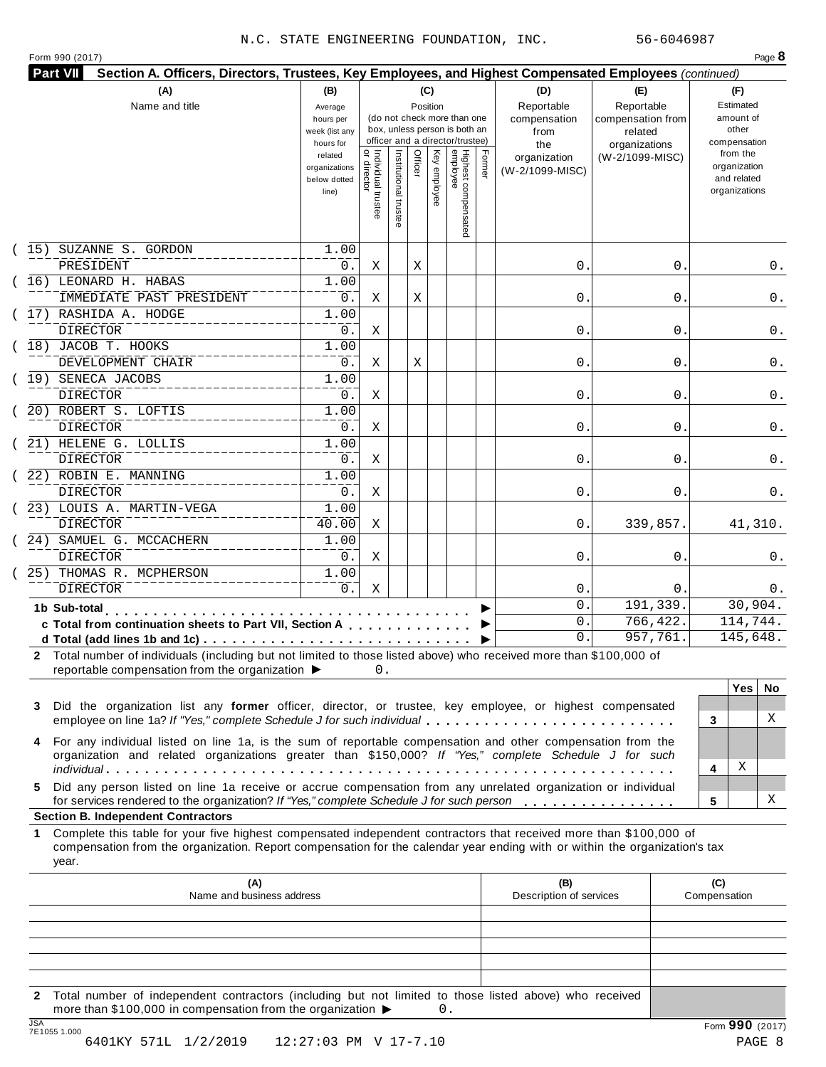|     | (A)                                                                                                                                                                                                                                                       | (B)                                                            |                                           |                       | (C)      |              |                                                                                                 |        | (D)                                    | (E)                                        |              | (F)                                                      |          |
|-----|-----------------------------------------------------------------------------------------------------------------------------------------------------------------------------------------------------------------------------------------------------------|----------------------------------------------------------------|-------------------------------------------|-----------------------|----------|--------------|-------------------------------------------------------------------------------------------------|--------|----------------------------------------|--------------------------------------------|--------------|----------------------------------------------------------|----------|
|     | Name and title                                                                                                                                                                                                                                            | Average<br>hours per<br>week (list any                         |                                           |                       | Position |              | (do not check more than one<br>box, unless person is both an<br>officer and a director/trustee) |        | Reportable<br>compensation<br>from     | Reportable<br>compensation from<br>related | compensation | Estimated<br>amount of<br>other                          |          |
|     |                                                                                                                                                                                                                                                           | hours for<br>related<br>organizations<br>below dotted<br>line) | <br>  Individual trustee<br>  or director | Institutional trustee | Officer  | Key employee | Highest compensated<br>employee                                                                 | Former | the<br>organization<br>(W-2/1099-MISC) | organizations<br>(W-2/1099-MISC)           |              | from the<br>organization<br>and related<br>organizations |          |
| 15) | SUZANNE S. GORDON<br>PRESIDENT                                                                                                                                                                                                                            | 1.00<br>0.                                                     | Χ                                         |                       | Χ        |              |                                                                                                 |        | 0.                                     | 0                                          |              |                                                          | 0.       |
|     | (16) LEONARD H. HABAS<br>IMMEDIATE PAST PRESIDENT                                                                                                                                                                                                         | 1.00<br>0.                                                     | Χ                                         |                       |          |              |                                                                                                 |        | 0.                                     | 0                                          |              |                                                          | 0.       |
|     | (17) RASHIDA A. HODGE<br><b>DIRECTOR</b>                                                                                                                                                                                                                  | 1.00<br>0.                                                     |                                           |                       | Χ        |              |                                                                                                 |        | 0.                                     |                                            |              |                                                          |          |
|     | (18) JACOB T. HOOKS<br>DEVELOPMENT CHAIR                                                                                                                                                                                                                  | 1.00<br>0.                                                     | Χ<br>Χ                                    |                       | Χ        |              |                                                                                                 |        | 0.                                     | 0<br>0                                     |              |                                                          | 0.<br>0. |
|     | (19) SENECA JACOBS<br><b>DIRECTOR</b>                                                                                                                                                                                                                     | 1.00<br>0.                                                     | Χ                                         |                       |          |              |                                                                                                 |        | 0.                                     | 0                                          |              |                                                          | 0.       |
|     | 20) ROBERT S. LOFTIS<br>DIRECTOR                                                                                                                                                                                                                          | 1.00<br>0.                                                     | Χ                                         |                       |          |              |                                                                                                 |        | 0.                                     | 0                                          |              |                                                          | 0.       |
|     | 21) HELENE G. LOLLIS<br><b>DIRECTOR</b>                                                                                                                                                                                                                   | 1.00<br>0.                                                     | Χ                                         |                       |          |              |                                                                                                 |        | 0.                                     | 0                                          |              |                                                          | 0.       |
|     | 22) ROBIN E. MANNING<br>DIRECTOR                                                                                                                                                                                                                          | 1.00<br>$0$ .                                                  | Χ                                         |                       |          |              |                                                                                                 |        | 0.                                     | 0                                          |              |                                                          | 0.       |
|     | (23) LOUIS A. MARTIN-VEGA<br>DIRECTOR                                                                                                                                                                                                                     | $\overline{1}$ .00<br>40.00                                    | Χ                                         |                       |          |              |                                                                                                 |        | 0.                                     | 339,857.                                   |              | 41,310.                                                  |          |
|     | 24) SAMUEL G. MCCACHERN<br><b>DIRECTOR</b>                                                                                                                                                                                                                | 1.00<br>$0$ .                                                  | Χ                                         |                       |          |              |                                                                                                 |        | 0.                                     | 0                                          |              |                                                          | 0.       |
|     | 25) THOMAS R. MCPHERSON<br><b>DIRECTOR</b>                                                                                                                                                                                                                | 1.00<br>0.                                                     | Χ                                         |                       |          |              |                                                                                                 |        | 0.                                     | 0                                          |              |                                                          | 0.       |
|     | 1b Sub-total                                                                                                                                                                                                                                              |                                                                |                                           |                       |          |              |                                                                                                 |        | 0.                                     | 191,339.                                   |              | 30,904.                                                  |          |
|     | c Total from continuation sheets to Part VII, Section A                                                                                                                                                                                                   |                                                                |                                           |                       |          |              |                                                                                                 |        | 0.                                     | 766, 422.                                  |              | 114,744.                                                 |          |
|     | 2 Total number of individuals (including but not limited to those listed above) who received more than \$100,000 of                                                                                                                                       |                                                                |                                           |                       |          |              |                                                                                                 |        | 0.                                     | 957,761.                                   |              | 145,648.                                                 |          |
|     | reportable compensation from the organization $\blacktriangleright$                                                                                                                                                                                       |                                                                | 0.                                        |                       |          |              |                                                                                                 |        |                                        |                                            |              |                                                          |          |
| 3   | Did the organization list any former officer, director, or trustee, key employee, or highest compensated<br>employee on line 1a? If "Yes," complete Schedule J for such individual                                                                        |                                                                |                                           |                       |          |              |                                                                                                 |        |                                        |                                            | 3            | <b>Yes</b>                                               | No.<br>X |
| 4   | For any individual listed on line 1a, is the sum of reportable compensation and other compensation from the<br>organization and related organizations greater than \$150,000? If "Yes," complete Schedule J for such                                      |                                                                |                                           |                       |          |              |                                                                                                 |        |                                        |                                            |              | х                                                        |          |
| 5.  | Did any person listed on line 1a receive or accrue compensation from any unrelated organization or individual<br>for services rendered to the organization? If "Yes," complete Schedule J for such person                                                 |                                                                |                                           |                       |          |              |                                                                                                 |        |                                        |                                            | 4<br>5       |                                                          | Χ        |
|     | <b>Section B. Independent Contractors</b>                                                                                                                                                                                                                 |                                                                |                                           |                       |          |              |                                                                                                 |        |                                        |                                            |              |                                                          |          |
| 1   | Complete this table for your five highest compensated independent contractors that received more than \$100,000 of<br>compensation from the organization. Report compensation for the calendar year ending with or within the organization's tax<br>year. |                                                                |                                           |                       |          |              |                                                                                                 |        |                                        |                                            |              |                                                          |          |
|     |                                                                                                                                                                                                                                                           |                                                                |                                           |                       |          |              |                                                                                                 |        |                                        |                                            |              |                                                          |          |

**2** Total number of independent contractors (including but not limited to those listed above) who received more than \$100,000 in compensation from the organization  $\triangleright$  0.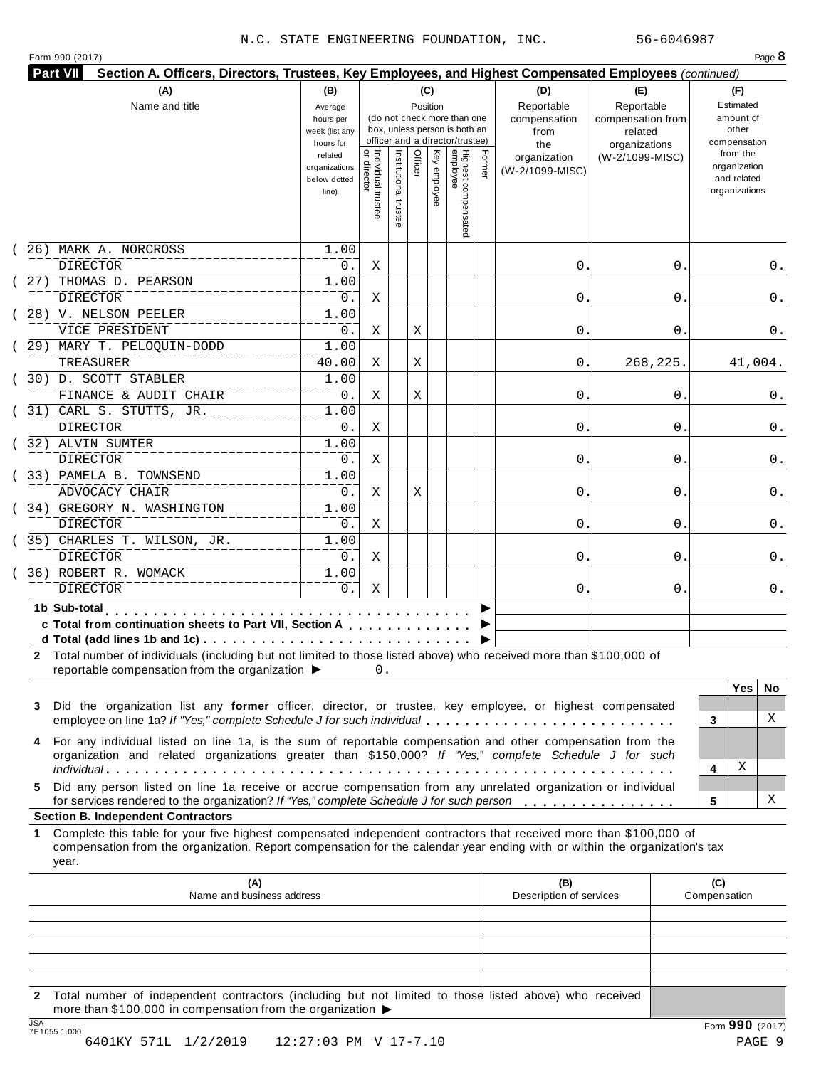|  | Form 990 (2017) |  |
|--|-----------------|--|
|  |                 |  |

### Form <sup>990</sup> (2017) Page **8 Part VII Section A. Officers, Directors, Trustees, Key Employees, and Highest Compensated Employees** *(continued)* **(A) (B) (C) (D) (E) (F)** Estimated amount of other compensation from the organization and related organizations Name and title **Average** hours per week (list any hours for related organizations below dotted line) Position (do not check more than one box, unless person is both an officer and a director/trustee) Reportable compensation from the organization (W-2/1099-MISC) Reportable compensation from related organizations (W-2/1099-MISC) Individual trustee  $\overline{\circ}$ director Institutional trustee Officer employee<br>|<br>Key emplo employee Highest compensated employee Former  $\frac{1}{\sqrt{1+\frac{1}{n}}+\frac{1}{n}}$  **1b** Sub-total<br>
m  $\frac{1}{\sqrt{1+\frac{1}{n}}+\frac{1}{n}}$  **1b** Sub-total **c** Total from continuation sheets to Part VII, Section A manufactured in the state of  $\blacksquare$ **<sup>d</sup> Total (add lines 1b and 1c)** m m m m m m m m m m m m m m m m m m m m m m m m m m m m I **2** Total number of individuals (including but not limited to those listed above) who received more than \$100,000 of reportable compensation from the organization  $\blacktriangleright$ **Yes No 3** Did the organization list any **former** officer, director, or trustee, key employee, or highest compensated employee on line 1a? *If "Yes," complete Schedule <sup>J</sup> for such individual* m m m m m m m m m m m m m m m m m m m m m m m m m m **<sup>3</sup> 4** For any individual listed on line 1a, is the sum of reportable compensation and other compensation from the organization and related organizations greater than \$150,000? *If "Yes," complete Schedule J for such individual* m m m m m m m m m m m m m m m m m m m m m m m m m m m m m m m m m m m m m m m m m m m m m m m m m m m m m m m m m m m **<sup>4</sup> 5** Did any person listed on line 1a receive or accrue compensation from any unrelated organization or individual for services rendered to the organization? *If"Yes," complete Schedule <sup>J</sup> for such person* mm m m m m m m m m m m m m m m **<sup>5</sup> Section B. Independent Contractors 1** Complete this table for your five highest compensated independent contractors that received more than \$100,000 of compensation from the organization. Report compensation for the calendar year ending with or within the organization's tax year. **(A)** Name and business address **(B)** Description of services **(C)** Compensation  $\Omega$ . X X X (26) MARK A. NORCROSS 1.00 DIRECTOR 0. X 0. 0. 0. (27) THOMAS D. PEARSON 1.00 DIRECTOR 0. X 0. 0. 0. (28) V. NELSON PEELER 1.00 VICE PRESIDENT  $\begin{bmatrix} 0.0 \ 0.0 \end{bmatrix}$  x  $\begin{bmatrix} 0.0 \ 0.0 \end{bmatrix}$  x 0. (29) MARY T. PELOQUIN-DODD 29) MARY T.  $\texttt{TREASURER} \quad | \quad 40.00 \; \text{X} \; | \; \text{X} \; | \quad | \quad | \quad 0. \; | \quad 268 \, \text{,} \; 225 \; | \quad 41 \, \text{,} \; 004 \, .$ (30) D. SCOTT STABLER 1.00 FINANCE & AUDIT CHAIR  $\begin{bmatrix} 0 & 0 & 0 \\ 0 & 0 & 0 \end{bmatrix}$   $\begin{bmatrix} 0 & 0 & 0 \\ 0 & 0 & 0 \end{bmatrix}$   $\begin{bmatrix} 0 & 0 & 0 \\ 0 & 0 & 0 \end{bmatrix}$ (31) CARL S. STUTTS, JR. | 1.00 DIRECTOR 0. X 0. 0. 0. (32) ALVIN SUMTER 1.00 DIRECTOR 0. X 0. 0. 0. (33) PAMELA B. TOWNSEND 1.00 ADVOCACY CHAIR 0. X X 0. 0. 0. 34) GREGORY N. WASHINGTON 1.00 DIRECTOR 0. X 0. 0. 0. (35) CHARLES T. WILSON, JR. | 1.00 DIRECTOR 0. X 0. 0. 0. (36) ROBERT R. WOMACK 1.00 DIRECTOR 0. X 0. 0. 0.

**2** Total number of independent contractors (including but not limited to those listed above) who received more than \$100,000 in compensation from the organization  $\blacktriangleright$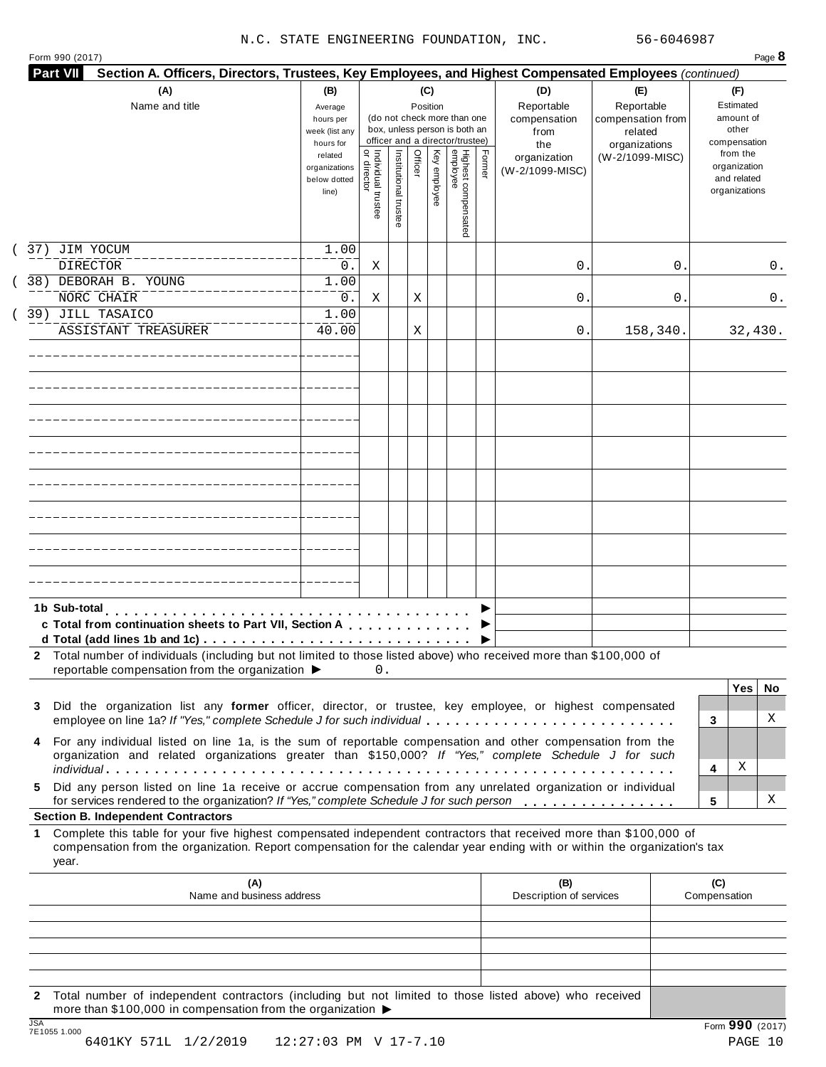|  | Form 990 (2017) |
|--|-----------------|

| (A)<br>Name and title                                                                                                                                                                                                                                     | Average<br>hours per<br>week (list any<br>hours for | (B)<br>(C)<br>Position<br>(do not check more than one<br>box, unless person is both an<br>officer and a director/trustee) |                       |         |              |                                 |        | (D)<br>Reportable<br>compensation<br>from<br>the | (E)<br>Reportable<br>compensation from<br>related<br>organizations | (F)<br>Estimated<br>amount of<br>other<br>compensation   |
|-----------------------------------------------------------------------------------------------------------------------------------------------------------------------------------------------------------------------------------------------------------|-----------------------------------------------------|---------------------------------------------------------------------------------------------------------------------------|-----------------------|---------|--------------|---------------------------------|--------|--------------------------------------------------|--------------------------------------------------------------------|----------------------------------------------------------|
|                                                                                                                                                                                                                                                           | related<br>organizations<br>below dotted<br>line)   | Individual trustee<br>  or director                                                                                       | Institutional trustee | Officer | Key employee | Highest compensated<br>employee | Former | organization<br>(W-2/1099-MISC)                  | (W-2/1099-MISC)                                                    | from the<br>organization<br>and related<br>organizations |
| 37) JIM YOCUM                                                                                                                                                                                                                                             | 1.00                                                |                                                                                                                           |                       |         |              |                                 |        |                                                  |                                                                    |                                                          |
| <b>DIRECTOR</b>                                                                                                                                                                                                                                           | $0$ .                                               | Χ                                                                                                                         |                       |         |              |                                 |        | 0                                                | 0                                                                  | 0.                                                       |
| 38) DEBORAH B. YOUNG                                                                                                                                                                                                                                      | 1.00                                                |                                                                                                                           |                       |         |              |                                 |        |                                                  |                                                                    |                                                          |
| NORC CHAIR<br>39) JILL TASAICO                                                                                                                                                                                                                            | 0.<br>1.00                                          | Χ                                                                                                                         |                       | Χ       |              |                                 |        | 0.                                               | 0                                                                  | 0.                                                       |
| ASSISTANT TREASURER                                                                                                                                                                                                                                       | 40.00                                               |                                                                                                                           |                       | Χ       |              |                                 |        | 0.                                               | 158,340.                                                           | 32,430.                                                  |
|                                                                                                                                                                                                                                                           |                                                     |                                                                                                                           |                       |         |              |                                 |        |                                                  |                                                                    |                                                          |
|                                                                                                                                                                                                                                                           |                                                     |                                                                                                                           |                       |         |              |                                 |        |                                                  |                                                                    |                                                          |
|                                                                                                                                                                                                                                                           |                                                     |                                                                                                                           |                       |         |              |                                 |        |                                                  |                                                                    |                                                          |
|                                                                                                                                                                                                                                                           |                                                     |                                                                                                                           |                       |         |              |                                 |        |                                                  |                                                                    |                                                          |
|                                                                                                                                                                                                                                                           |                                                     |                                                                                                                           |                       |         |              |                                 |        |                                                  |                                                                    |                                                          |
|                                                                                                                                                                                                                                                           |                                                     |                                                                                                                           |                       |         |              |                                 |        |                                                  |                                                                    |                                                          |
|                                                                                                                                                                                                                                                           |                                                     |                                                                                                                           |                       |         |              |                                 |        |                                                  |                                                                    |                                                          |
|                                                                                                                                                                                                                                                           |                                                     |                                                                                                                           |                       |         |              |                                 |        |                                                  |                                                                    |                                                          |
|                                                                                                                                                                                                                                                           |                                                     |                                                                                                                           |                       |         |              |                                 |        |                                                  |                                                                    |                                                          |
| 1b Sub-total<br>c Total from continuation sheets to Part VII, Section A                                                                                                                                                                                   |                                                     |                                                                                                                           |                       |         |              |                                 |        |                                                  |                                                                    |                                                          |
|                                                                                                                                                                                                                                                           |                                                     |                                                                                                                           |                       |         |              |                                 |        |                                                  |                                                                    |                                                          |
| 2 Total number of individuals (including but not limited to those listed above) who received more than \$100,000 of                                                                                                                                       |                                                     |                                                                                                                           |                       |         |              |                                 |        |                                                  |                                                                    |                                                          |
| reportable compensation from the organization ▶                                                                                                                                                                                                           |                                                     | 0.                                                                                                                        |                       |         |              |                                 |        |                                                  |                                                                    | <b>Yes</b><br>No.                                        |
| Did the organization list any former officer, director, or trustee, key employee, or highest compensated<br>employee on line 1a? If "Yes," complete Schedule J for such individual                                                                        |                                                     |                                                                                                                           |                       |         |              |                                 |        |                                                  |                                                                    | X<br>3                                                   |
| For any individual listed on line 1a, is the sum of reportable compensation and other compensation from the                                                                                                                                               |                                                     |                                                                                                                           |                       |         |              |                                 |        |                                                  |                                                                    |                                                          |
| organization and related organizations greater than \$150,000? If "Yes," complete Schedule J for such                                                                                                                                                     |                                                     |                                                                                                                           |                       |         |              |                                 |        |                                                  |                                                                    | Χ                                                        |
| Did any person listed on line 1a receive or accrue compensation from any unrelated organization or individual                                                                                                                                             |                                                     |                                                                                                                           |                       |         |              |                                 |        |                                                  |                                                                    | 4<br>х                                                   |
| for services rendered to the organization? If "Yes," complete Schedule J for such person<br><b>Section B. Independent Contractors</b>                                                                                                                     |                                                     |                                                                                                                           |                       |         |              |                                 |        |                                                  |                                                                    | 5                                                        |
| Complete this table for your five highest compensated independent contractors that received more than \$100,000 of<br>compensation from the organization. Report compensation for the calendar year ending with or within the organization's tax<br>year. |                                                     |                                                                                                                           |                       |         |              |                                 |        |                                                  |                                                                    |                                                          |
| (A)<br>Name and business address                                                                                                                                                                                                                          |                                                     |                                                                                                                           |                       |         |              |                                 |        | (B)<br>Description of services                   |                                                                    | (C)<br>Compensation                                      |
|                                                                                                                                                                                                                                                           |                                                     |                                                                                                                           |                       |         |              |                                 |        |                                                  |                                                                    |                                                          |
|                                                                                                                                                                                                                                                           |                                                     |                                                                                                                           |                       |         |              |                                 |        |                                                  |                                                                    |                                                          |
|                                                                                                                                                                                                                                                           |                                                     |                                                                                                                           |                       |         |              |                                 |        |                                                  |                                                                    |                                                          |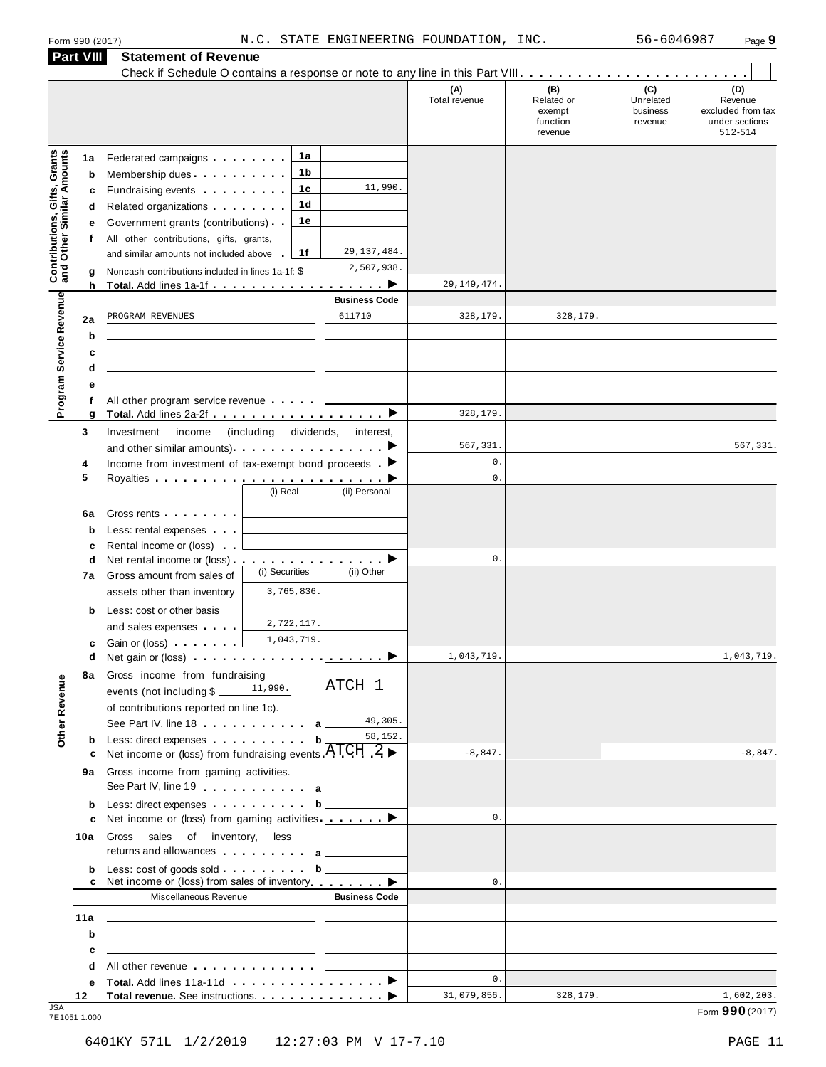|                                                                  | <b>Part VIII</b>                  | <b>Statement of Revenue</b>                                                                                                                                                                                                                                                                                                                                                    |                                      |                                         |                                            |                                                    |                                         |                                                                  |
|------------------------------------------------------------------|-----------------------------------|--------------------------------------------------------------------------------------------------------------------------------------------------------------------------------------------------------------------------------------------------------------------------------------------------------------------------------------------------------------------------------|--------------------------------------|-----------------------------------------|--------------------------------------------|----------------------------------------------------|-----------------------------------------|------------------------------------------------------------------|
|                                                                  |                                   |                                                                                                                                                                                                                                                                                                                                                                                |                                      |                                         | (A)<br>Total revenue                       | (B)<br>Related or<br>exempt<br>function<br>revenue | (C)<br>Unrelated<br>business<br>revenue | (D)<br>Revenue<br>excluded from tax<br>under sections<br>512-514 |
| <b>Contributions, Gifts, Grants</b><br>and Other Similar Amounts | 1a<br>b<br>c<br>d<br>е<br>f<br>g  | Federated campaigns <b>Federated</b><br>Membership dues<br>Fundraising events <b>Fundraising</b><br>Related organizations <b>contains</b> and <b>Related</b> organizations <b>and relations</b><br>Government grants (contributions)<br>All other contributions, gifts, grants,<br>and similar amounts not included above<br>Noncash contributions included in lines 1a-1f: \$ | 1a<br>1 b<br>1c<br>1d<br>1е<br>1f    | 11,990.<br>29, 137, 484.<br>2,507,938.  |                                            |                                                    |                                         |                                                                  |
|                                                                  | h                                 | Total. Add lines 1a-1f ▶                                                                                                                                                                                                                                                                                                                                                       |                                      |                                         | 29, 149, 474                               |                                                    |                                         |                                                                  |
| Program Service Revenue                                          | 2a<br>b<br>с<br>d                 | PROGRAM REVENUES                                                                                                                                                                                                                                                                                                                                                               |                                      | <b>Business Code</b><br>611710          | 328,179.                                   | 328,179.                                           |                                         |                                                                  |
|                                                                  | е<br>f<br>g                       | All other program service revenue                                                                                                                                                                                                                                                                                                                                              |                                      |                                         | 328,179                                    |                                                    |                                         |                                                                  |
|                                                                  | 3<br>4<br>5                       | Investment<br>income<br>and other similar amounts) $\cdots$ $\cdots$ $\cdots$<br>Income from investment of tax-exempt bond proceeds $\blacksquare$                                                                                                                                                                                                                             | (including<br>dividends,<br>(i) Real | interest,<br>(ii) Personal              | 567,331<br>$\mathbf 0$ .<br>$\mathbf{0}$ . |                                                    |                                         | 567,331.                                                         |
|                                                                  | 6a<br>$\mathbf b$<br>c<br>d<br>7a | Gross rents<br>Less: rental expenses<br>Rental income or (loss)<br>Net rental income or (loss) <b>interact in the set of the set of the set of the set of the set of the set of the set of the set of the set of the set of the set of the set of the set of the set of the set of the set of the </b><br>Gross amount from sales of<br>assets other than inventory            | (i) Securities<br>3,765,836.         | (ii) Other                              | $\mathsf{0}$ .                             |                                                    |                                         |                                                                  |
|                                                                  | b<br>с<br>d                       | Less: cost or other basis<br>and sales expenses<br>Gain or (loss)<br>Net gain or (loss) example and the set of the set of the set of the set of the set of the set of the set of the set of the set of the set of the set of the set of the set of the set of the set of the set of the set of the                                                                             | 2,722,117.<br>1,043,719.             |                                         | 1,043,719.                                 |                                                    |                                         | 1,043,719                                                        |
| Other Revenue                                                    | 8а<br>b                           | Gross income from fundraising<br>events (not including \$<br>of contributions reported on line 1c).<br>See Part IV, line 18 a<br>Less: direct expenses                                                                                                                                                                                                                         | 11,990.<br>b                         | ATCH <sub>1</sub><br>49,305.<br>58,152. |                                            |                                                    |                                         |                                                                  |
|                                                                  | c<br>9а                           | Net income or (loss) from fundraising events $\text{ATCH}$ 2<br>Gross income from gaming activities.<br>See Part IV, line 19 a                                                                                                                                                                                                                                                 |                                      |                                         | $-8,847.$                                  |                                                    |                                         | $-8,847.$                                                        |
|                                                                  | b                                 | Less: direct expenses                                                                                                                                                                                                                                                                                                                                                          | b                                    |                                         | $\mathbf{0}$ .                             |                                                    |                                         |                                                                  |
|                                                                  | c<br>10a                          | Net income or (loss) from gaming activities ________<br>sales of inventory, less<br>Gross<br>returns and allowances and allowances                                                                                                                                                                                                                                             |                                      |                                         |                                            |                                                    |                                         |                                                                  |
|                                                                  | b                                 | Less: cost of goods sold exercise the set of goods sold<br>Net income or (loss) from sales of inventory ▶ ▶ ▶                                                                                                                                                                                                                                                                  | b <sub>l</sub>                       |                                         | $\mathbf{0}$ .                             |                                                    |                                         |                                                                  |
|                                                                  |                                   | Miscellaneous Revenue                                                                                                                                                                                                                                                                                                                                                          |                                      | <b>Business Code</b>                    |                                            |                                                    |                                         |                                                                  |
|                                                                  | 11a<br>b                          |                                                                                                                                                                                                                                                                                                                                                                                |                                      |                                         |                                            |                                                    |                                         |                                                                  |
|                                                                  | с<br>d                            | All other revenue                                                                                                                                                                                                                                                                                                                                                              |                                      |                                         |                                            |                                                    |                                         |                                                                  |
|                                                                  | е                                 |                                                                                                                                                                                                                                                                                                                                                                                |                                      |                                         | $\mathsf{0}$ .                             |                                                    |                                         |                                                                  |
| <b>ISA</b>                                                       | 12                                | Total revenue. See instructions.                                                                                                                                                                                                                                                                                                                                               |                                      |                                         | 31,079,856.                                | 328,179.                                           |                                         | 1,602,203.                                                       |

JSA Form **990** (2017) 7E1051 1.000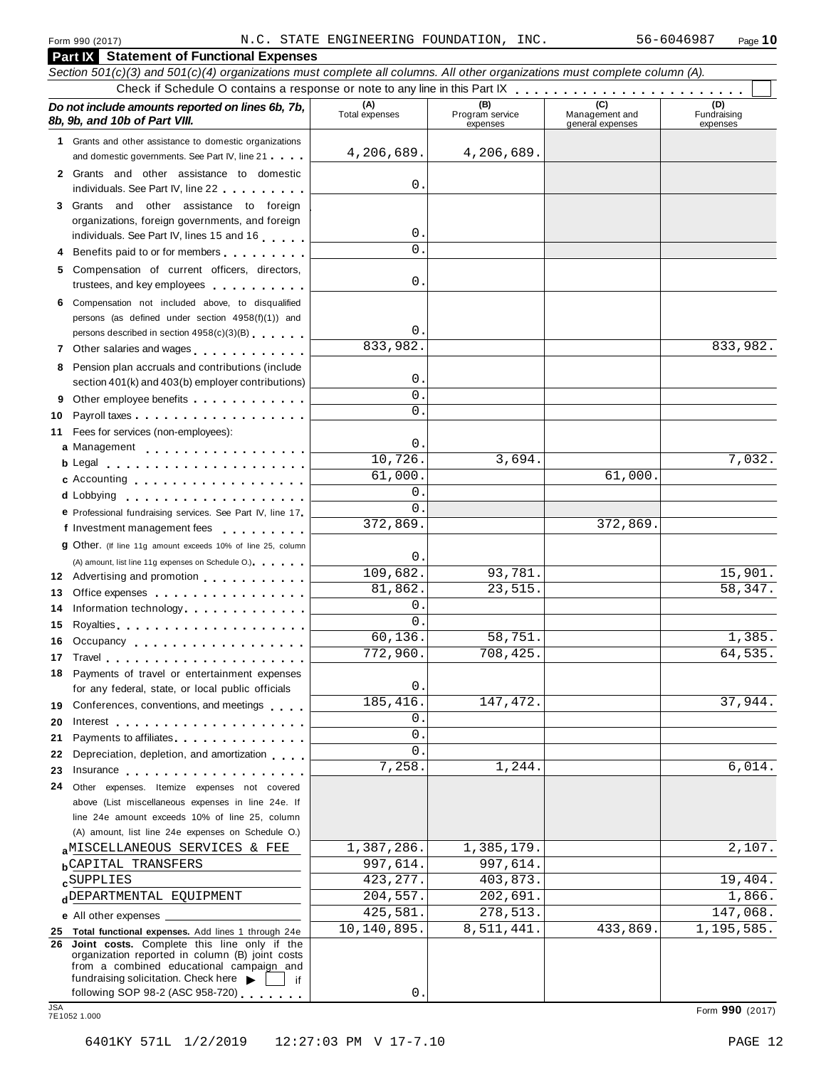### **Part IX Statement of Functional Expenses** Section 501(c)(3) and 501(c)(4) organizations must complete all columns. All other organizations must complete column (A). Check if Schedule <sup>O</sup> contains <sup>a</sup> response or note to any line in this Part IX m m m m m m m m m m m m m m m m m m m m m m m m *Do no* **(A) (B) (C) (D)** *t include amounts reported on lines 6b, 7b,* **8b, 9b, and 10b of Part VIII.** The construction of *B***, 9b, and 10b of Part VIII.** expenses Management and general expenses Fundraising expenses **1** Grants and other assistance to domestic organizations and domestic governments. See Part IV, line 21 **2** Grants and other assistance to domestic individuals. See Part IV, line 22 **3** Grants and other assistance to foreign organizations, foreign governments, and foreign individuals. See Part IV, lines <sup>15</sup> and <sup>16</sup> <sup>m</sup> <sup>m</sup> <sup>m</sup> <sup>m</sup> <sup>m</sup> **<sup>4</sup>** Benefits paid to or for members <sup>m</sup> <sup>m</sup> <sup>m</sup> <sup>m</sup> <sup>m</sup> <sup>m</sup> <sup>m</sup> <sup>m</sup> <sup>m</sup> **5** Compensation of current officers, directors, trustees, and key employees m m m m m m m m m m **6** Compensation not included above, to disqualified persons (as defined under section 4958(f)(1)) and persons described in section 4958(c)(3)(B) <sup>m</sup> <sup>m</sup> <sup>m</sup> <sup>m</sup> <sup>m</sup> <sup>m</sup> **<sup>7</sup>** Other salaries and wages <sup>m</sup> <sup>m</sup> <sup>m</sup> <sup>m</sup> <sup>m</sup> <sup>m</sup> <sup>m</sup> <sup>m</sup> <sup>m</sup> <sup>m</sup> <sup>m</sup> <sup>m</sup> **8** Pension plan accruals and contributions (include section 401(k) and 403(b) employer contributions) **9** Section 401(k) and 403(b) employer contributions<br>9 Other employee benefits 9 Other employee benefits **10** Payroll taxes **10** Fees for services (non-employees): **11** Fees for services (non-employees):<br>**a** Management ..................<br>**b** Legal ......................... Legal m m m m m m m m m m m m m m m m m m m m m c Accounting . . . . . . . . . . . . . Lobbying **cd** m m m m m m m m m m m m m m m m m m m A) amount, list line 11g expenses on Schedule O.<br>**12** Advertising and promotion **manual 13** Office expenses **13** Office expenses<br>**14** Information technology **manual manual metal of the metal of the metal of the metal of 15** Royalties m m m m m m m m m m m m m m m m m m m m **16** Occupancy m m m m m m m m m m m m m m m m m m **16** Occupancy ...................<br>17 Travel..................... **18** Payments of travel or entertainment expenses for any federal, state, or local public officials<br>**19** Conferences, conventions, and meetings **19** Conferences, conventions, and meetings **endorship.**<br>20 Interest **manual meeting 21** Payments to affiliates m m m m m m m m m m m m m m 21 Payments to affiliates<br>22 Depreciation, depletion, and amortization <sub>1</sub> . . . **22** Depreciation, depletion, and amortization **manufation**<br>23 Insurance 24 Other expenses. Itemize expenses not covered **d** Lobbying **come and the services.** See Part IV, line 17 **P** Professional fundraising services. See Part IV, line 17<br>**f** Investment management fees **g** Other. (If line 11g amount exceeds 10% of line 25, column m m m m m m m m m m m m m m m m m m (A) amount, list line 11g expenses on Schedule O.) means m m m m m m m m m m m m m m m m for any federal, state, or local public officials above (List miscellaneous expenses in line 24e. If line 24e amount exceeds 10% of line 25, column (A) amount, list line 24e expenses on Schedule O.) **a**<sup>M</sup>ISCELLANEOUS SERVICES & FEE 1,387,286. 1,385,179.<br>**b**CAPITAL TRANSFERS 997,614. 997,614. **c** SUPPLIES<br> **d** DEPARTMENTAL EQUIPMENT 204,557. 202,691. 1,866. 19,404. **e** All other expenses **25 Total functional expenses.** Add lines 1 through 24e **26 Joint costs.** Complete this line only if the organization reported in column (B) joint costs from a combined educational campaign and fundraising solicitation. Check here  $\blacktriangleright \begin{array}{c} \square \\ \square \end{array}$  if following SOP 98-2 (ASC 958-720) following SOP 98-2 (ASC 958-720) <sup>m</sup> <sup>m</sup> <sup>m</sup> <sup>m</sup> <sup>m</sup> <sup>m</sup> <sup>m</sup> JSA Form **<sup>990</sup>** (2017) 7E1052 1.000 4,206,689. 4,206,689.  $\Omega$ 0. 0. 0. 0. 833,982.  $\Omega$ 0. 0.  $\Omega$ 10,726. 3,694. 7,032. 61,000. 61,000. 0. 0. 372,869. 372,869.  $\Omega$ 109,682. 93,781. 15,901. 81,862. 23,515. 58,347. 0. 0. 60,136. 58,751. 1,385. 772,960. 708,425. 64,535. 0. 185,416. 147,472. 37,944. 0.  $\overline{0}$ . 0.  $7,258.$  1,244.  $\texttt{AMISCELLANEOUS}$  SERVICES & FEE  $\begin{array}{|c|c|c|c|c|c|c|c|c|} \hline \texttt{1,387,286} & \texttt{1,385,179} \hline \end{array}$   $\texttt{2,107}.$  $\texttt{SUPPLIES} \quad | \quad 423, 277. \quad | \quad 403, 873. \quad | \quad 19, 404.$ 147,068. 10,140,895. 8,511,441. 433,869. 1,195,585.

0.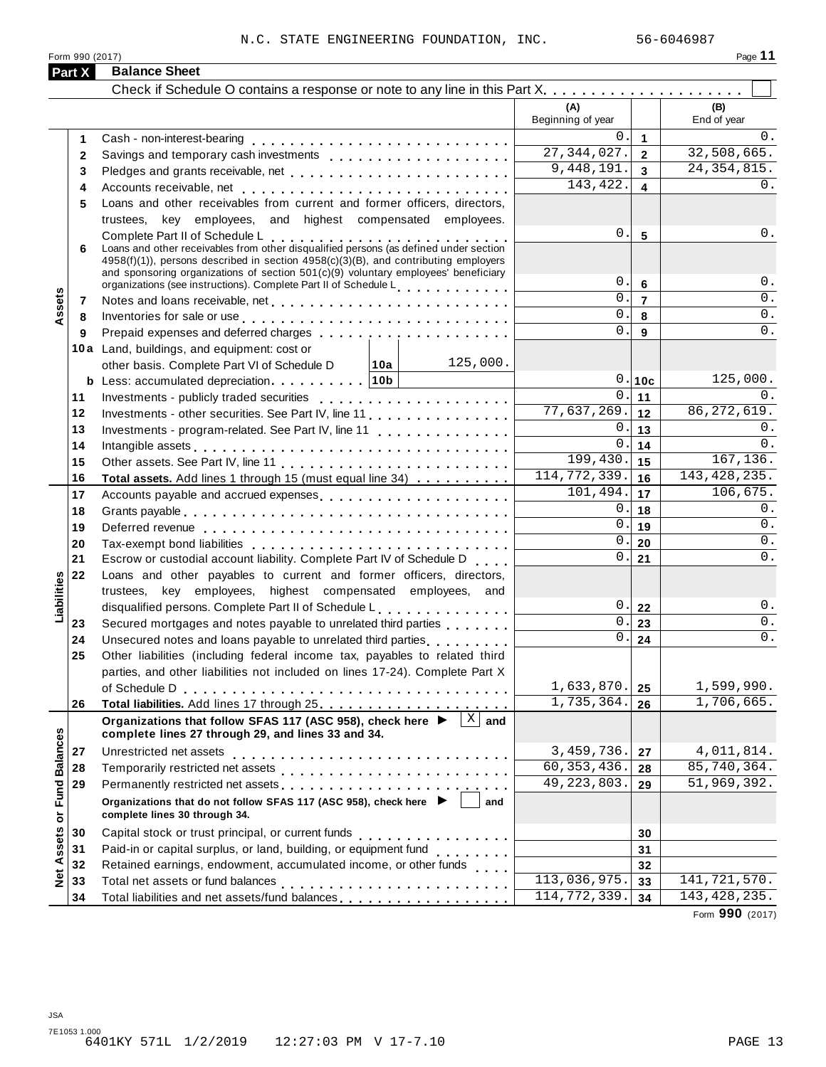Form 990 (2017)

|--|--|

|                      | <b>Part X</b> | <b>Balance Sheet</b>                                                                                                                                                                                                                                                                                 |                                           |                         |                    |
|----------------------|---------------|------------------------------------------------------------------------------------------------------------------------------------------------------------------------------------------------------------------------------------------------------------------------------------------------------|-------------------------------------------|-------------------------|--------------------|
|                      |               |                                                                                                                                                                                                                                                                                                      |                                           |                         |                    |
|                      |               |                                                                                                                                                                                                                                                                                                      | (A)<br>Beginning of year                  |                         | (B)<br>End of year |
|                      | 1             |                                                                                                                                                                                                                                                                                                      | $\Omega$ .                                | $\mathbf{1}$            | $\overline{0}$ .   |
|                      | 2             |                                                                                                                                                                                                                                                                                                      | $\overline{27,344,027}$ .                 | $\overline{2}$          | 32,508,665.        |
|                      | 3             |                                                                                                                                                                                                                                                                                                      | 9,448,191.                                | $\overline{\mathbf{3}}$ | 24, 354, 815.      |
|                      | 4             |                                                                                                                                                                                                                                                                                                      | 143, 422.                                 | $\overline{4}$          | 0.                 |
|                      | 5             | Loans and other receivables from current and former officers, directors,                                                                                                                                                                                                                             |                                           |                         |                    |
|                      |               | trustees, key employees, and highest compensated employees.                                                                                                                                                                                                                                          |                                           |                         |                    |
|                      | 6             | Complete Part II of Schedule L<br>Loans and other receivables from other disqualified persons (as defined under section<br>4958(f)(1)), persons described in section 4958(c)(3)(B), and contributing employers<br>and sponsoring organizations of section 501(c)(9) voluntary employees' beneficiary | 0.<br>0.                                  | 5<br>$\bf 6$            | $0$ .<br>$0$ .     |
|                      |               | organizations (see instructions). Complete Part II of Schedule Letter and Letter Letter Letter                                                                                                                                                                                                       | $\Omega$ .                                | $\overline{7}$          | $0$ .              |
| Assets               | 7<br>8        | Inventories for sale or use enterpreteral resources and response to the set of the set of the set of the set of the set of the set of the set of the set of the set of the set of the set of the set of the set of the set of                                                                        | $\mathsf{O}$ .                            | 8                       | 0.                 |
|                      | 9             |                                                                                                                                                                                                                                                                                                      | $\Omega$ .                                | 9                       | 0.                 |
|                      |               | 10a Land, buildings, and equipment: cost or                                                                                                                                                                                                                                                          |                                           |                         |                    |
|                      |               | 125,000.<br>$\vert$ 10a $\vert$<br>other basis. Complete Part VI of Schedule D                                                                                                                                                                                                                       |                                           |                         |                    |
|                      |               | <b>b</b> Less: accumulated depreciation   10b                                                                                                                                                                                                                                                        | 0.                                        | 10c                     | 125,000.           |
|                      | 11            |                                                                                                                                                                                                                                                                                                      | 0.                                        | │ 11                    | 0.                 |
|                      | 12            | Investments - other securities. See Part IV, line 11                                                                                                                                                                                                                                                 | 77,637,269.                               | $\vert$ 12              | 86, 272, 619.      |
|                      | 13            | Investments - program-related. See Part IV, line 11                                                                                                                                                                                                                                                  | $\mathbf{0}$ .<br><u> 1999 - Jan Jawa</u> | 13                      | 0.                 |
|                      | 14            |                                                                                                                                                                                                                                                                                                      | $\mathbf 0$                               | 14                      | 0.                 |
|                      | 15            |                                                                                                                                                                                                                                                                                                      | 199,430.                                  | 15                      | 167, 136.          |
|                      | 16            | Total assets. Add lines 1 through 15 (must equal line 34)                                                                                                                                                                                                                                            | 114,772,339.                              | ∣ 16                    | 143, 428, 235.     |
|                      | 17            |                                                                                                                                                                                                                                                                                                      | 101,494.                                  | $\vert$ 17              | 106,675.           |
|                      | 18            |                                                                                                                                                                                                                                                                                                      | 0.                                        | 18                      | 0.                 |
|                      | 19            |                                                                                                                                                                                                                                                                                                      | $\overline{0}$ .                          | 19                      | $0$ .              |
|                      | 20            |                                                                                                                                                                                                                                                                                                      | $\mathbf 0$ .                             | 20                      | $0$ .              |
|                      | 21            | Escrow or custodial account liability. Complete Part IV of Schedule D                                                                                                                                                                                                                                | $\Omega$ .                                | 21                      | $\overline{0}$ .   |
|                      | 22            | Loans and other payables to current and former officers, directors,                                                                                                                                                                                                                                  |                                           |                         |                    |
| Liabilities          |               | trustees, key employees, highest compensated employees, and                                                                                                                                                                                                                                          |                                           |                         |                    |
|                      |               | disqualified persons. Complete Part II of Schedule L.                                                                                                                                                                                                                                                | 0.                                        | 22                      | $0$ .              |
|                      | 23            | Secured mortgages and notes payable to unrelated third parties                                                                                                                                                                                                                                       | $\overline{0}$ .                          | 23                      | $0$ .              |
|                      | 24            |                                                                                                                                                                                                                                                                                                      | $\Omega$ .                                | 24                      | $0$ .              |
|                      | 25            | Other liabilities (including federal income tax, payables to related third                                                                                                                                                                                                                           |                                           |                         |                    |
|                      |               | parties, and other liabilities not included on lines 17-24). Complete Part X                                                                                                                                                                                                                         |                                           |                         |                    |
|                      |               |                                                                                                                                                                                                                                                                                                      | 1,633,870.                                | 25                      | 1,599,990.         |
|                      | 26            |                                                                                                                                                                                                                                                                                                      | 1,735,364.                                | 26                      | 1,706,665.         |
|                      |               | $\overline{X}$ and<br>Organizations that follow SFAS 117 (ASC 958), check here ▶<br>complete lines 27 through 29, and lines 33 and 34.                                                                                                                                                               |                                           |                         |                    |
|                      | 27            |                                                                                                                                                                                                                                                                                                      | 3,459,736.                                | 27                      | 4,011,814.         |
|                      | 28            |                                                                                                                                                                                                                                                                                                      | 60, 353, 436.                             | 28                      | 85,740,364.        |
|                      | 29            | Permanently restricted net assets<br>intervals and intervals are not restricted in the set of assets<br>intervals and intervals are not restricted in the set of a set of a set of a set of an analysis of the set of the set of t                                                                   | 49, 223, 803.                             | 29                      | 51,969,392.        |
| <b>Fund Balances</b> |               | Organizations that do not follow SFAS 117 (ASC 958), check here ▶<br>and<br>complete lines 30 through 34.                                                                                                                                                                                            |                                           |                         |                    |
|                      | 30            |                                                                                                                                                                                                                                                                                                      |                                           | 30                      |                    |
| Net Assets or        | 31            | Paid-in or capital surplus, or land, building, or equipment fund<br>                                                                                                                                                                                                                                 |                                           | 31                      |                    |
|                      | 32            | Retained earnings, endowment, accumulated income, or other funds                                                                                                                                                                                                                                     |                                           | 32                      |                    |
|                      | 33            |                                                                                                                                                                                                                                                                                                      | 113,036,975.                              | 33                      | 141,721,570.       |
|                      | 34            | Total liabilities and net assets/fund balances                                                                                                                                                                                                                                                       | 114, 772, 339.                            | 34                      | 143, 428, 235.     |

Form **990** (2017)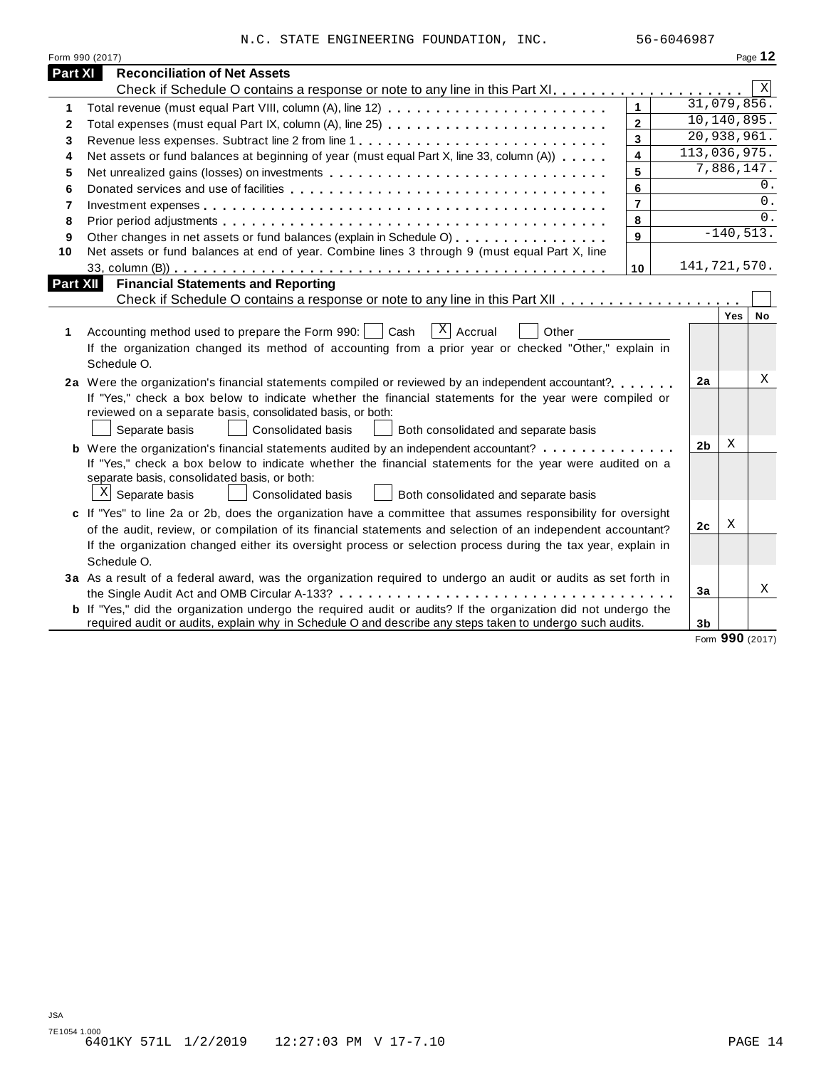N.C. STATE ENGINEERING FOUNDATION, INC. 56-6046987

|                 | Form 990 (2017)                                                                                                       |                         |                |                 | Page 12   |
|-----------------|-----------------------------------------------------------------------------------------------------------------------|-------------------------|----------------|-----------------|-----------|
| Part XI         | <b>Reconciliation of Net Assets</b>                                                                                   |                         |                |                 |           |
|                 |                                                                                                                       |                         |                |                 | Χ         |
| 1               | Total revenue (must equal Part VIII, column (A), line 12)                                                             | $\mathbf{1}$            |                | 31,079,856.     |           |
| 2               | Total expenses (must equal Part IX, column (A), line 25)                                                              | $\overline{2}$          | 10,140,895.    |                 |           |
| 3               |                                                                                                                       | $\overline{\mathbf{3}}$ |                | 20,938,961.     |           |
| 4               | Net assets or fund balances at beginning of year (must equal Part X, line 33, column (A))                             | 4                       | 113,036,975.   |                 |           |
| 5               |                                                                                                                       | 5                       |                | 7,886,147.      |           |
| 6               |                                                                                                                       | 6                       |                |                 | 0.        |
| 7               |                                                                                                                       | $\overline{7}$          |                |                 | 0.        |
| 8               |                                                                                                                       | 8                       |                |                 | 0.        |
| 9               | Other changes in net assets or fund balances (explain in Schedule O)                                                  | 9                       |                | $-140,513.$     |           |
| 10              | Net assets or fund balances at end of year. Combine lines 3 through 9 (must equal Part X, line                        |                         |                |                 |           |
|                 |                                                                                                                       | 10                      | 141,721,570.   |                 |           |
| <b>Part XII</b> | <b>Financial Statements and Reporting</b>                                                                             |                         |                |                 |           |
|                 |                                                                                                                       |                         |                |                 |           |
|                 |                                                                                                                       |                         |                | Yes             | <b>No</b> |
| 1               | $\lceil x \rceil$ Accrual<br>Accounting method used to prepare the Form 990:     Cash<br>Other                        |                         |                |                 |           |
|                 | If the organization changed its method of accounting from a prior year or checked "Other," explain in                 |                         |                |                 |           |
|                 | Schedule O.                                                                                                           |                         |                |                 |           |
|                 | 2a Were the organization's financial statements compiled or reviewed by an independent accountant?                    |                         | 2a             |                 | Χ         |
|                 | If "Yes," check a box below to indicate whether the financial statements for the year were compiled or                |                         |                |                 |           |
|                 | reviewed on a separate basis, consolidated basis, or both:                                                            |                         |                |                 |           |
|                 | Separate basis<br><b>Consolidated basis</b><br>Both consolidated and separate basis                                   |                         |                |                 |           |
|                 | <b>b</b> Were the organization's financial statements audited by an independent accountant?                           |                         | 2 <sub>b</sub> | Χ               |           |
|                 | If "Yes," check a box below to indicate whether the financial statements for the year were audited on a               |                         |                |                 |           |
|                 | separate basis, consolidated basis, or both:                                                                          |                         |                |                 |           |
|                 | Χ<br>Separate basis<br>Consolidated basis<br>Both consolidated and separate basis                                     |                         |                |                 |           |
|                 | c If "Yes" to line 2a or 2b, does the organization have a committee that assumes responsibility for oversight         |                         |                |                 |           |
|                 | of the audit, review, or compilation of its financial statements and selection of an independent accountant?          |                         | 2c             | Χ               |           |
|                 | If the organization changed either its oversight process or selection process during the tax year, explain in         |                         |                |                 |           |
|                 | Schedule O.                                                                                                           |                         |                |                 |           |
|                 | 3a As a result of a federal award, was the organization required to undergo an audit or audits as set forth in        |                         |                |                 |           |
|                 |                                                                                                                       |                         | 3a             |                 | Χ         |
|                 | <b>b</b> If "Yes," did the organization undergo the required audit or audits? If the organization did not undergo the |                         |                |                 |           |
|                 | required audit or audits, explain why in Schedule O and describe any steps taken to undergo such audits.              |                         | 3 <sub>b</sub> |                 |           |
|                 |                                                                                                                       |                         |                | Form 990 (2017) |           |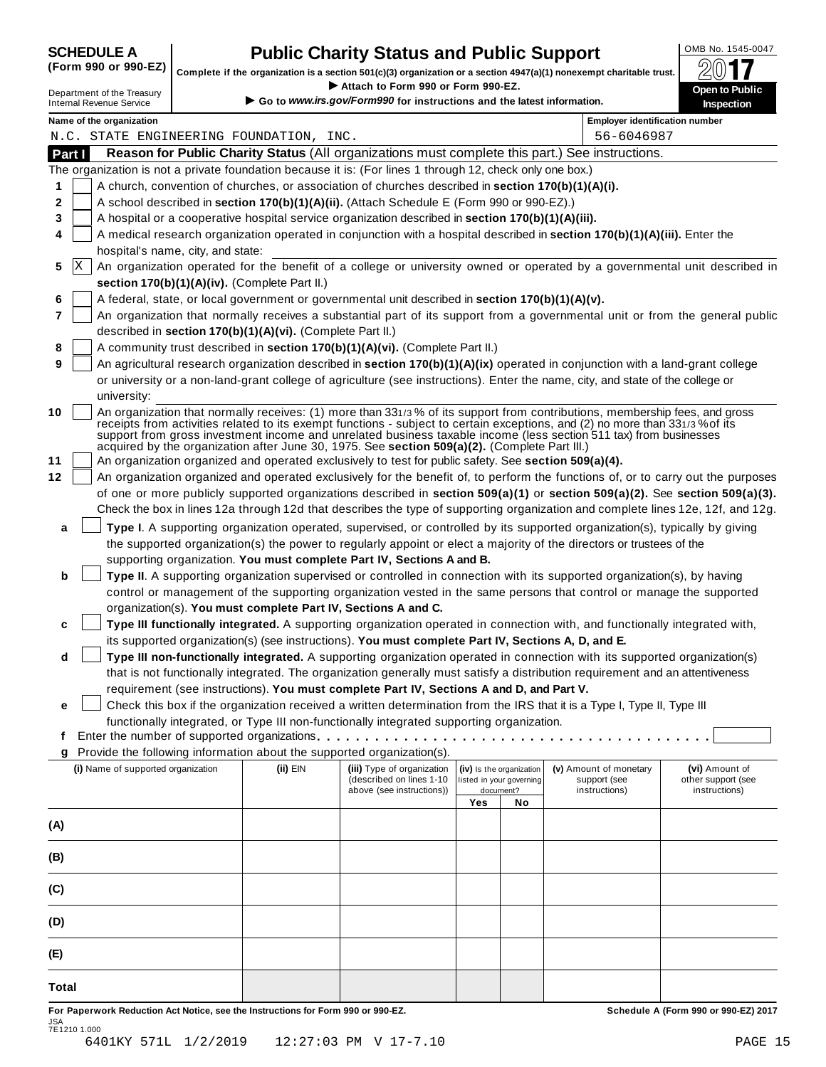### **CHEDULE A Public Charity Status and Public Support**  $\frac{100\text{dB No. }1545-0047}{000\text{dB}}$

(Form 990 or 990-EZ) complete if the organization is a section 501(c)(3) organization or a section 4947(a)(1) nonexempt charitable trust.  $2017$ 

|                                                               |                                    |                                                                                                    |                                                            | Attach to Form 990 or Form 990-EZ.                                                                        |     |                                                      | Complete if the organization is a section 501(c)(3) organization or a section $4947(a)(1)$ nonexempt charitable trust.                                                                                                                                                                                                                                                          | ZV I I                               |  |  |
|---------------------------------------------------------------|------------------------------------|----------------------------------------------------------------------------------------------------|------------------------------------------------------------|-----------------------------------------------------------------------------------------------------------|-----|------------------------------------------------------|---------------------------------------------------------------------------------------------------------------------------------------------------------------------------------------------------------------------------------------------------------------------------------------------------------------------------------------------------------------------------------|--------------------------------------|--|--|
| Department of the Treasury<br><b>Internal Revenue Service</b> |                                    |                                                                                                    |                                                            | Go to www.irs.gov/Form990 for instructions and the latest information.                                    |     |                                                      |                                                                                                                                                                                                                                                                                                                                                                                 | <b>Open to Public</b><br>Inspection  |  |  |
| Name of the organization                                      |                                    |                                                                                                    |                                                            |                                                                                                           |     |                                                      | <b>Employer identification number</b>                                                                                                                                                                                                                                                                                                                                           |                                      |  |  |
|                                                               |                                    |                                                                                                    | N.C. STATE ENGINEERING FOUNDATION, INC.                    |                                                                                                           |     |                                                      | 56-6046987                                                                                                                                                                                                                                                                                                                                                                      |                                      |  |  |
| Part I                                                        |                                    |                                                                                                    |                                                            |                                                                                                           |     |                                                      | Reason for Public Charity Status (All organizations must complete this part.) See instructions.                                                                                                                                                                                                                                                                                 |                                      |  |  |
|                                                               |                                    |                                                                                                    |                                                            | The organization is not a private foundation because it is: (For lines 1 through 12, check only one box.) |     |                                                      |                                                                                                                                                                                                                                                                                                                                                                                 |                                      |  |  |
| 1                                                             |                                    | A church, convention of churches, or association of churches described in section 170(b)(1)(A)(i). |                                                            |                                                                                                           |     |                                                      |                                                                                                                                                                                                                                                                                                                                                                                 |                                      |  |  |
| 2                                                             |                                    |                                                                                                    |                                                            | A school described in section 170(b)(1)(A)(ii). (Attach Schedule E (Form 990 or 990-EZ).)                 |     |                                                      |                                                                                                                                                                                                                                                                                                                                                                                 |                                      |  |  |
| 3                                                             |                                    |                                                                                                    |                                                            | A hospital or a cooperative hospital service organization described in section 170(b)(1)(A)(iii).         |     |                                                      |                                                                                                                                                                                                                                                                                                                                                                                 |                                      |  |  |
| 4                                                             |                                    | hospital's name, city, and state:                                                                  |                                                            |                                                                                                           |     |                                                      | A medical research organization operated in conjunction with a hospital described in section 170(b)(1)(A)(iii). Enter the                                                                                                                                                                                                                                                       |                                      |  |  |
| ΙX<br>5                                                       |                                    |                                                                                                    |                                                            |                                                                                                           |     |                                                      | An organization operated for the benefit of a college or university owned or operated by a governmental unit described in                                                                                                                                                                                                                                                       |                                      |  |  |
|                                                               |                                    |                                                                                                    | section 170(b)(1)(A)(iv). (Complete Part II.)              |                                                                                                           |     |                                                      |                                                                                                                                                                                                                                                                                                                                                                                 |                                      |  |  |
| 6                                                             |                                    |                                                                                                    |                                                            | A federal, state, or local government or governmental unit described in section 170(b)(1)(A)(v).          |     |                                                      |                                                                                                                                                                                                                                                                                                                                                                                 |                                      |  |  |
| 7                                                             |                                    |                                                                                                    |                                                            |                                                                                                           |     |                                                      | An organization that normally receives a substantial part of its support from a governmental unit or from the general public                                                                                                                                                                                                                                                    |                                      |  |  |
|                                                               |                                    |                                                                                                    | described in section 170(b)(1)(A)(vi). (Complete Part II.) |                                                                                                           |     |                                                      |                                                                                                                                                                                                                                                                                                                                                                                 |                                      |  |  |
| 8                                                             |                                    |                                                                                                    |                                                            | A community trust described in section 170(b)(1)(A)(vi). (Complete Part II.)                              |     |                                                      |                                                                                                                                                                                                                                                                                                                                                                                 |                                      |  |  |
| 9                                                             |                                    |                                                                                                    |                                                            |                                                                                                           |     |                                                      | An agricultural research organization described in section 170(b)(1)(A)(ix) operated in conjunction with a land-grant college                                                                                                                                                                                                                                                   |                                      |  |  |
|                                                               |                                    |                                                                                                    |                                                            |                                                                                                           |     |                                                      | or university or a non-land-grant college of agriculture (see instructions). Enter the name, city, and state of the college or                                                                                                                                                                                                                                                  |                                      |  |  |
|                                                               | university:                        |                                                                                                    |                                                            |                                                                                                           |     |                                                      |                                                                                                                                                                                                                                                                                                                                                                                 |                                      |  |  |
| 10                                                            |                                    |                                                                                                    |                                                            | acquired by the organization after June 30, 1975. See section 509(a)(2). (Complete Part III.)             |     |                                                      | An organization that normally receives: (1) more than 331/3% of its support from contributions, membership fees, and gross<br>receipts from activities related to its exempt functions - subject to certain exceptions, and (2) no more than 331/3% of its<br>support from gross investment income and unrelated business taxable income (less section 511 tax) from businesses |                                      |  |  |
| 11                                                            |                                    |                                                                                                    |                                                            | An organization organized and operated exclusively to test for public safety. See section 509(a)(4).      |     |                                                      |                                                                                                                                                                                                                                                                                                                                                                                 |                                      |  |  |
| 12                                                            |                                    |                                                                                                    |                                                            |                                                                                                           |     |                                                      | An organization organized and operated exclusively for the benefit of, to perform the functions of, or to carry out the purposes                                                                                                                                                                                                                                                |                                      |  |  |
|                                                               |                                    |                                                                                                    |                                                            |                                                                                                           |     |                                                      | of one or more publicly supported organizations described in section 509(a)(1) or section 509(a)(2). See section 509(a)(3).                                                                                                                                                                                                                                                     |                                      |  |  |
|                                                               |                                    |                                                                                                    |                                                            |                                                                                                           |     |                                                      | Check the box in lines 12a through 12d that describes the type of supporting organization and complete lines 12e, 12f, and 12g.                                                                                                                                                                                                                                                 |                                      |  |  |
| a                                                             |                                    |                                                                                                    |                                                            |                                                                                                           |     |                                                      | Type I. A supporting organization operated, supervised, or controlled by its supported organization(s), typically by giving                                                                                                                                                                                                                                                     |                                      |  |  |
|                                                               |                                    |                                                                                                    |                                                            |                                                                                                           |     |                                                      | the supported organization(s) the power to regularly appoint or elect a majority of the directors or trustees of the                                                                                                                                                                                                                                                            |                                      |  |  |
|                                                               |                                    |                                                                                                    |                                                            | supporting organization. You must complete Part IV, Sections A and B.                                     |     |                                                      |                                                                                                                                                                                                                                                                                                                                                                                 |                                      |  |  |
| b                                                             |                                    |                                                                                                    |                                                            |                                                                                                           |     |                                                      | Type II. A supporting organization supervised or controlled in connection with its supported organization(s), by having                                                                                                                                                                                                                                                         |                                      |  |  |
|                                                               |                                    |                                                                                                    |                                                            |                                                                                                           |     |                                                      | control or management of the supporting organization vested in the same persons that control or manage the supported                                                                                                                                                                                                                                                            |                                      |  |  |
|                                                               |                                    |                                                                                                    |                                                            | organization(s). You must complete Part IV, Sections A and C.                                             |     |                                                      |                                                                                                                                                                                                                                                                                                                                                                                 |                                      |  |  |
| c                                                             |                                    |                                                                                                    |                                                            |                                                                                                           |     |                                                      | Type III functionally integrated. A supporting organization operated in connection with, and functionally integrated with,                                                                                                                                                                                                                                                      |                                      |  |  |
|                                                               |                                    |                                                                                                    |                                                            | its supported organization(s) (see instructions). You must complete Part IV, Sections A, D, and E.        |     |                                                      |                                                                                                                                                                                                                                                                                                                                                                                 |                                      |  |  |
| d                                                             |                                    |                                                                                                    |                                                            |                                                                                                           |     |                                                      | Type III non-functionally integrated. A supporting organization operated in connection with its supported organization(s)                                                                                                                                                                                                                                                       |                                      |  |  |
|                                                               |                                    |                                                                                                    |                                                            |                                                                                                           |     |                                                      | that is not functionally integrated. The organization generally must satisfy a distribution requirement and an attentiveness                                                                                                                                                                                                                                                    |                                      |  |  |
|                                                               |                                    |                                                                                                    |                                                            | requirement (see instructions). You must complete Part IV, Sections A and D, and Part V.                  |     |                                                      |                                                                                                                                                                                                                                                                                                                                                                                 |                                      |  |  |
| е                                                             |                                    |                                                                                                    |                                                            |                                                                                                           |     |                                                      | Check this box if the organization received a written determination from the IRS that it is a Type I, Type II, Type III                                                                                                                                                                                                                                                         |                                      |  |  |
|                                                               |                                    |                                                                                                    |                                                            | functionally integrated, or Type III non-functionally integrated supporting organization.                 |     |                                                      |                                                                                                                                                                                                                                                                                                                                                                                 |                                      |  |  |
| t                                                             |                                    |                                                                                                    |                                                            |                                                                                                           |     |                                                      |                                                                                                                                                                                                                                                                                                                                                                                 |                                      |  |  |
| g                                                             |                                    |                                                                                                    |                                                            | Provide the following information about the supported organization(s).                                    |     |                                                      |                                                                                                                                                                                                                                                                                                                                                                                 |                                      |  |  |
|                                                               | (i) Name of supported organization |                                                                                                    | (ii) EIN                                                   | (iii) Type of organization<br>(described on lines 1-10)                                                   |     | (iv) Is the organization<br>listed in your governing | (v) Amount of monetary<br>support (see                                                                                                                                                                                                                                                                                                                                          | (vi) Amount of<br>other support (see |  |  |
|                                                               |                                    |                                                                                                    |                                                            | above (see instructions))                                                                                 |     | document?                                            | instructions)                                                                                                                                                                                                                                                                                                                                                                   | instructions)                        |  |  |
|                                                               |                                    |                                                                                                    |                                                            |                                                                                                           | Yes | No                                                   |                                                                                                                                                                                                                                                                                                                                                                                 |                                      |  |  |
| (A)                                                           |                                    |                                                                                                    |                                                            |                                                                                                           |     |                                                      |                                                                                                                                                                                                                                                                                                                                                                                 |                                      |  |  |
|                                                               |                                    |                                                                                                    |                                                            |                                                                                                           |     |                                                      |                                                                                                                                                                                                                                                                                                                                                                                 |                                      |  |  |
| (B)                                                           |                                    |                                                                                                    |                                                            |                                                                                                           |     |                                                      |                                                                                                                                                                                                                                                                                                                                                                                 |                                      |  |  |
|                                                               |                                    |                                                                                                    |                                                            |                                                                                                           |     |                                                      |                                                                                                                                                                                                                                                                                                                                                                                 |                                      |  |  |
| (C)                                                           |                                    |                                                                                                    |                                                            |                                                                                                           |     |                                                      |                                                                                                                                                                                                                                                                                                                                                                                 |                                      |  |  |
|                                                               |                                    |                                                                                                    |                                                            |                                                                                                           |     |                                                      |                                                                                                                                                                                                                                                                                                                                                                                 |                                      |  |  |
| (D)                                                           |                                    |                                                                                                    |                                                            |                                                                                                           |     |                                                      |                                                                                                                                                                                                                                                                                                                                                                                 |                                      |  |  |
|                                                               |                                    |                                                                                                    |                                                            |                                                                                                           |     |                                                      |                                                                                                                                                                                                                                                                                                                                                                                 |                                      |  |  |
| (E)                                                           |                                    |                                                                                                    |                                                            |                                                                                                           |     |                                                      |                                                                                                                                                                                                                                                                                                                                                                                 |                                      |  |  |
| Total                                                         |                                    |                                                                                                    |                                                            |                                                                                                           |     |                                                      |                                                                                                                                                                                                                                                                                                                                                                                 |                                      |  |  |
|                                                               |                                    |                                                                                                    |                                                            |                                                                                                           |     |                                                      |                                                                                                                                                                                                                                                                                                                                                                                 |                                      |  |  |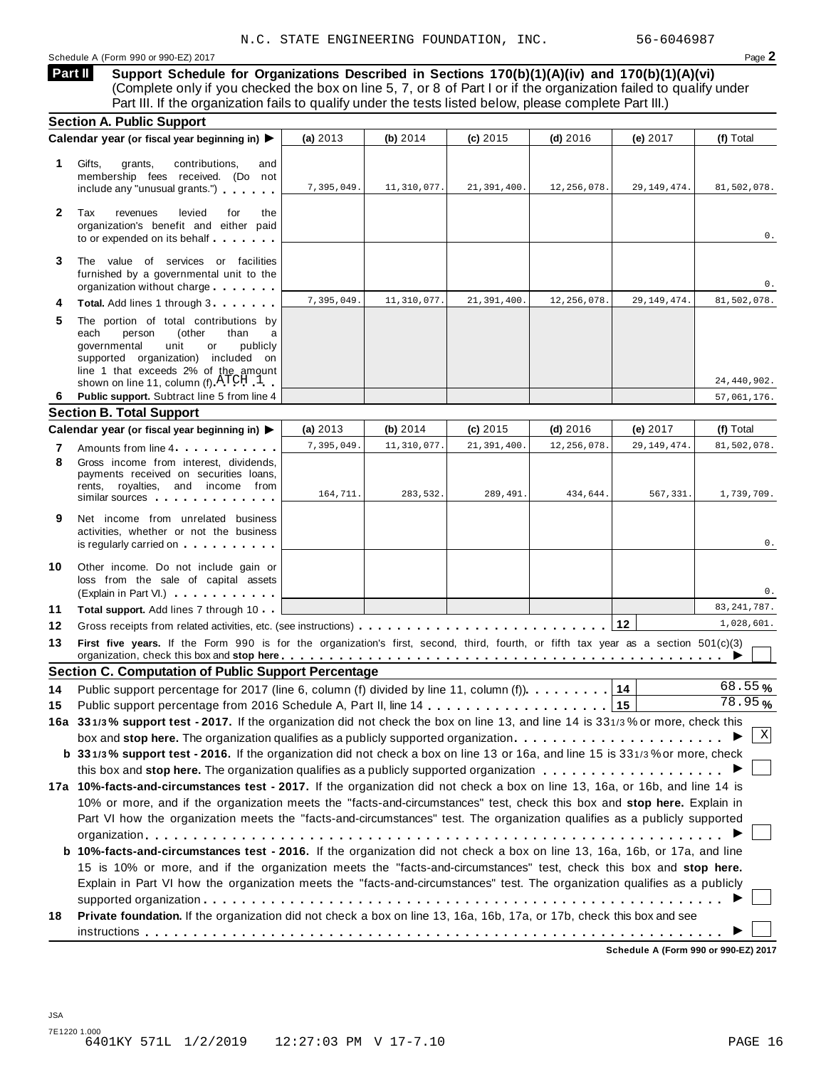### Schedule <sup>A</sup> (Form <sup>990</sup> or 990-EZ) <sup>2017</sup> Page **2**

**Support Schedule for Organizations Described in Sections 170(b)(1)(A)(iv) and 170(b)(1)(A)(vi)** (Complete only if you checked the box on line 5, 7, or 8 of Part I or if the organization failed to qualify under Part III. If the organization fails to qualify under the tests listed below, please complete Part III.) **Part II**

|              | <b>Section A. Public Support</b>                                                                                                                                                                                                                                                                                                                                              |            |             |               |               |                                     |                      |
|--------------|-------------------------------------------------------------------------------------------------------------------------------------------------------------------------------------------------------------------------------------------------------------------------------------------------------------------------------------------------------------------------------|------------|-------------|---------------|---------------|-------------------------------------|----------------------|
|              | Calendar year (or fiscal year beginning in) ▶                                                                                                                                                                                                                                                                                                                                 | (a) $2013$ | (b) $2014$  | $(c)$ 2015    | $(d)$ 2016    | (e) 2017                            | (f) Total            |
| 1.           | Gifts,<br>grants,<br>contributions,<br>and<br>membership fees received. (Do not<br>include any "unusual grants.")                                                                                                                                                                                                                                                             | 7,395,049. | 11,310,077. | 21,391,400.   | 12,256,078.   | 29, 149, 474.                       | 81,502,078.          |
| $\mathbf{2}$ | Tax<br>revenues<br>levied<br>for<br>the<br>organization's benefit and either paid<br>to or expended on its behalf                                                                                                                                                                                                                                                             |            |             |               |               |                                     | 0.                   |
| 3            | The value of services or facilities<br>furnished by a governmental unit to the<br>organization without charge                                                                                                                                                                                                                                                                 |            |             |               |               |                                     | 0.                   |
|              | Total. Add lines 1 through 3                                                                                                                                                                                                                                                                                                                                                  | 7,395,049. | 11,310,077. | 21, 391, 400. | 12, 256, 078. | 29, 149, 474.                       | 81,502,078.          |
| 5            | The portion of total contributions by<br>each<br>person<br>(other<br>than<br>a<br>governmental<br>unit<br>publicly<br>or<br>supported organization) included on<br>line 1 that exceeds 2% of the amount                                                                                                                                                                       |            |             |               |               |                                     | 24,440,902.          |
| 6            | shown on line 11, column (f) $\text{ATCH}$ 1<br>Public support. Subtract line 5 from line 4                                                                                                                                                                                                                                                                                   |            |             |               |               |                                     | 57,061,176.          |
|              | <b>Section B. Total Support</b>                                                                                                                                                                                                                                                                                                                                               |            |             |               |               |                                     |                      |
|              | Calendar year (or fiscal year beginning in)                                                                                                                                                                                                                                                                                                                                   | (a) $2013$ | (b) $2014$  | (c) 2015      | $(d)$ 2016    | (e) 2017                            | (f) Total            |
| 7            | Amounts from line 4                                                                                                                                                                                                                                                                                                                                                           | 7,395,049. | 11,310,077. | 21,391,400    | 12, 256, 078  | 29, 149, 474.                       | 81,502,078.          |
| 8            | Gross income from interest, dividends,<br>payments received on securities loans,<br>rents, royalties, and income from<br>similar sources experiences                                                                                                                                                                                                                          | 164,711.   | 283,532.    | 289,491.      | 434,644.      | 567,331.                            | 1,739,709.           |
| 9            | Net income from unrelated business<br>activities, whether or not the business<br>is regularly carried on the control of the control of the control of the control of the control of the control of the control of the control of the control of the control of the control of the control of the control of the                                                               |            |             |               |               |                                     | 0.                   |
| 10           | Other income. Do not include gain or<br>loss from the sale of capital assets<br>(Explain in Part VI.)                                                                                                                                                                                                                                                                         |            |             |               |               |                                     | 0.                   |
| 11           | Total support. Add lines 7 through 10                                                                                                                                                                                                                                                                                                                                         |            |             |               |               |                                     | 83, 241, 787.        |
| 12           |                                                                                                                                                                                                                                                                                                                                                                               |            |             |               |               | $12$                                | 1,028,601.           |
| 13           | First five years. If the Form 990 is for the organization's first, second, third, fourth, or fifth tax year as a section 501(c)(3)<br>organization, check this box and stop here entitled to contact the content of the content of the content of the content of $\blacktriangleright$                                                                                        |            |             |               |               |                                     |                      |
|              | <b>Section C. Computation of Public Support Percentage</b>                                                                                                                                                                                                                                                                                                                    |            |             |               |               |                                     |                      |
| 14           | Public support percentage for 2017 (line 6, column (f) divided by line 11, column (f)). 14                                                                                                                                                                                                                                                                                    |            |             |               |               |                                     | 68.55%               |
| 15           |                                                                                                                                                                                                                                                                                                                                                                               |            |             |               |               |                                     | $\overline{78.95}$ % |
|              | 16a 331/3% support test - 2017. If the organization did not check the box on line 13, and line 14 is 331/3% or more, check this                                                                                                                                                                                                                                               |            |             |               |               |                                     |                      |
|              | box and stop here. The organization qualifies as a publicly supported organization $\ldots \ldots \ldots \ldots \ldots \ldots$                                                                                                                                                                                                                                                |            |             |               |               |                                     | Χ                    |
|              | b 331/3% support test - 2016. If the organization did not check a box on line 13 or 16a, and line 15 is 331/3% or more, check                                                                                                                                                                                                                                                 |            |             |               |               |                                     |                      |
|              |                                                                                                                                                                                                                                                                                                                                                                               |            |             |               |               |                                     |                      |
|              | 17a 10%-facts-and-circumstances test - 2017. If the organization did not check a box on line 13, 16a, or 16b, and line 14 is                                                                                                                                                                                                                                                  |            |             |               |               |                                     |                      |
|              | 10% or more, and if the organization meets the "facts-and-circumstances" test, check this box and stop here. Explain in                                                                                                                                                                                                                                                       |            |             |               |               |                                     |                      |
|              | Part VI how the organization meets the "facts-and-circumstances" test. The organization qualifies as a publicly supported                                                                                                                                                                                                                                                     |            |             |               |               |                                     |                      |
|              |                                                                                                                                                                                                                                                                                                                                                                               |            |             |               |               |                                     |                      |
|              | b 10%-facts-and-circumstances test - 2016. If the organization did not check a box on line 13, 16a, 16b, or 17a, and line<br>15 is 10% or more, and if the organization meets the "facts-and-circumstances" test, check this box and stop here.<br>Explain in Part VI how the organization meets the "facts-and-circumstances" test. The organization qualifies as a publicly |            |             |               |               |                                     |                      |
|              | Private foundation. If the organization did not check a box on line 13, 16a, 16b, 17a, or 17b, check this box and see                                                                                                                                                                                                                                                         |            |             |               |               |                                     |                      |
| 18           |                                                                                                                                                                                                                                                                                                                                                                               |            |             |               |               | Cohodulo A (Form 000 or 000 F7) 204 |                      |

**Schedule A (Form 990 or 990-EZ) 2017**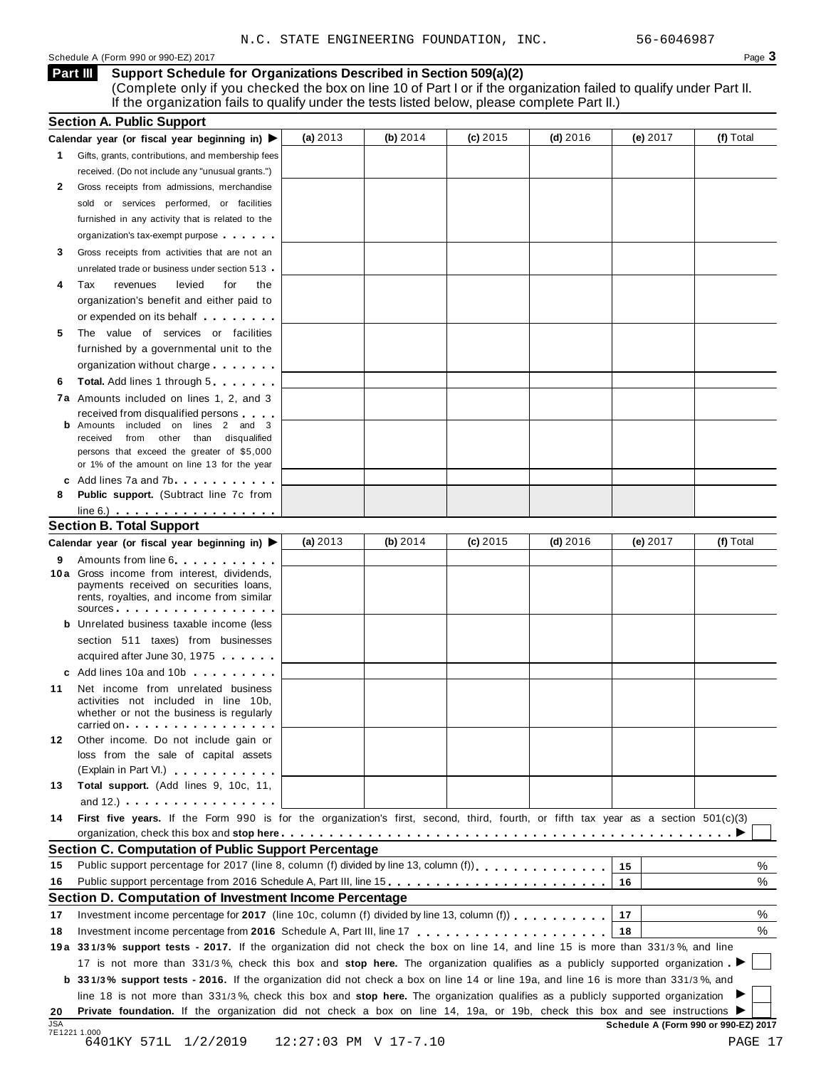### Schedule A (Form 990 or 990-EZ) 2017 Page 3

**Support Schedule for Organizations Described in Section 509(a)(2)** (Complete only if you checked the box on line 10 of Part I or if the organization failed to qualify under Part II. **Part III**

|                  | <b>Section A. Public Support</b>                                                                                                                                                                                                                                                                                                                                     |            |            |            |            |          |                                      |
|------------------|----------------------------------------------------------------------------------------------------------------------------------------------------------------------------------------------------------------------------------------------------------------------------------------------------------------------------------------------------------------------|------------|------------|------------|------------|----------|--------------------------------------|
|                  | Calendar year (or fiscal year beginning in)                                                                                                                                                                                                                                                                                                                          | (a) $2013$ | (b) $2014$ | $(c)$ 2015 | (d) $2016$ | (e) 2017 | (f) Total                            |
| 1                | Gifts, grants, contributions, and membership fees                                                                                                                                                                                                                                                                                                                    |            |            |            |            |          |                                      |
|                  | received. (Do not include any "unusual grants.")                                                                                                                                                                                                                                                                                                                     |            |            |            |            |          |                                      |
| 2                | Gross receipts from admissions, merchandise                                                                                                                                                                                                                                                                                                                          |            |            |            |            |          |                                      |
|                  | sold or services performed, or facilities                                                                                                                                                                                                                                                                                                                            |            |            |            |            |          |                                      |
|                  | furnished in any activity that is related to the                                                                                                                                                                                                                                                                                                                     |            |            |            |            |          |                                      |
|                  | organization's tax-exempt purpose                                                                                                                                                                                                                                                                                                                                    |            |            |            |            |          |                                      |
| 3                | Gross receipts from activities that are not an                                                                                                                                                                                                                                                                                                                       |            |            |            |            |          |                                      |
|                  | unrelated trade or business under section 513                                                                                                                                                                                                                                                                                                                        |            |            |            |            |          |                                      |
| 4                | Tax<br>levied<br>for<br>revenues<br>the                                                                                                                                                                                                                                                                                                                              |            |            |            |            |          |                                      |
|                  | organization's benefit and either paid to                                                                                                                                                                                                                                                                                                                            |            |            |            |            |          |                                      |
|                  | or expended on its behalf <b>contains the set of the set of the set of the set of the set of the set of the set of the set of the set of the set of the set of the set of the set of the set of the set of the set of the set of</b>                                                                                                                                 |            |            |            |            |          |                                      |
| 5                | The value of services or facilities                                                                                                                                                                                                                                                                                                                                  |            |            |            |            |          |                                      |
|                  | furnished by a governmental unit to the                                                                                                                                                                                                                                                                                                                              |            |            |            |            |          |                                      |
|                  | organization without charge                                                                                                                                                                                                                                                                                                                                          |            |            |            |            |          |                                      |
| 6                | <b>Total.</b> Add lines 1 through 5                                                                                                                                                                                                                                                                                                                                  |            |            |            |            |          |                                      |
|                  | 7a Amounts included on lines 1, 2, and 3                                                                                                                                                                                                                                                                                                                             |            |            |            |            |          |                                      |
|                  | received from disqualified persons                                                                                                                                                                                                                                                                                                                                   |            |            |            |            |          |                                      |
|                  | <b>b</b> Amounts included on lines 2 and 3                                                                                                                                                                                                                                                                                                                           |            |            |            |            |          |                                      |
|                  | from other than disqualified<br>received                                                                                                                                                                                                                                                                                                                             |            |            |            |            |          |                                      |
|                  | persons that exceed the greater of \$5,000<br>or 1% of the amount on line 13 for the year                                                                                                                                                                                                                                                                            |            |            |            |            |          |                                      |
|                  | c Add lines 7a and 7b.                                                                                                                                                                                                                                                                                                                                               |            |            |            |            |          |                                      |
| 8                | Public support. (Subtract line 7c from                                                                                                                                                                                                                                                                                                                               |            |            |            |            |          |                                      |
|                  | $line 6.)$ $\ldots$ $\ldots$ $\ldots$ $\ldots$ $\ldots$ $\ldots$ $\ldots$                                                                                                                                                                                                                                                                                            |            |            |            |            |          |                                      |
|                  | <b>Section B. Total Support</b>                                                                                                                                                                                                                                                                                                                                      |            |            |            |            |          |                                      |
|                  | Calendar year (or fiscal year beginning in) ▶                                                                                                                                                                                                                                                                                                                        | (a) $2013$ | (b) $2014$ | $(c)$ 2015 | $(d)$ 2016 | (e) 2017 | (f) Total                            |
| 9                | Amounts from line 6                                                                                                                                                                                                                                                                                                                                                  |            |            |            |            |          |                                      |
|                  | 10 a Gross income from interest, dividends,<br>payments received on securities loans,<br>rents, royalties, and income from similar<br>SOUICES                                                                                                                                                                                                                        |            |            |            |            |          |                                      |
|                  | <b>b</b> Unrelated business taxable income (less                                                                                                                                                                                                                                                                                                                     |            |            |            |            |          |                                      |
|                  |                                                                                                                                                                                                                                                                                                                                                                      |            |            |            |            |          |                                      |
|                  | section 511 taxes) from businesses                                                                                                                                                                                                                                                                                                                                   |            |            |            |            |          |                                      |
|                  | acquired after June 30, 1975                                                                                                                                                                                                                                                                                                                                         |            |            |            |            |          |                                      |
|                  | c Add lines 10a and 10b                                                                                                                                                                                                                                                                                                                                              |            |            |            |            |          |                                      |
| 11               | Net income from unrelated business<br>activities not included in line 10b,<br>whether or not the business is regularly<br>carried on each enterprise that is a property of the care in the case of the case of the contract of the control of                                                                                                                        |            |            |            |            |          |                                      |
| 12               | Other income. Do not include gain or                                                                                                                                                                                                                                                                                                                                 |            |            |            |            |          |                                      |
|                  | loss from the sale of capital assets                                                                                                                                                                                                                                                                                                                                 |            |            |            |            |          |                                      |
|                  | (Explain in Part VI.) <b>Container and Containers</b>                                                                                                                                                                                                                                                                                                                |            |            |            |            |          |                                      |
| 13               | Total support. (Add lines 9, 10c, 11,                                                                                                                                                                                                                                                                                                                                |            |            |            |            |          |                                      |
|                  | and $12.$ ) $\qquad \qquad \qquad$ $\qquad \qquad$ $\qquad \qquad$ $\qquad \qquad$ $\qquad \qquad$ $\qquad \qquad$ $\qquad \qquad$ $\qquad \qquad$ $\qquad \qquad$ $\qquad \qquad$ $\qquad$ $\qquad \qquad$ $\qquad$ $\qquad$ $\qquad$ $\qquad$ $\qquad$ $\qquad$ $\qquad$ $\qquad$ $\qquad$ $\qquad$ $\qquad$ $\qquad$ $\qquad$ $\qquad$ $\qquad$ $\qquad$ $\qquad$ |            |            |            |            |          |                                      |
| 14               | First five years. If the Form 990 is for the organization's first, second, third, fourth, or fifth tax year as a section 501(c)(3)                                                                                                                                                                                                                                   |            |            |            |            |          |                                      |
|                  |                                                                                                                                                                                                                                                                                                                                                                      |            |            |            |            |          |                                      |
|                  | <b>Section C. Computation of Public Support Percentage</b>                                                                                                                                                                                                                                                                                                           |            |            |            |            |          |                                      |
| 15               |                                                                                                                                                                                                                                                                                                                                                                      |            |            |            |            | 15       | %                                    |
| 16               | Public support percentage from 2016 Schedule A, Part III, line 15.                                                                                                                                                                                                                                                                                                   |            |            |            |            | 16       | %                                    |
|                  | Section D. Computation of Investment Income Percentage                                                                                                                                                                                                                                                                                                               |            |            |            |            |          |                                      |
| 17               | Investment income percentage for 2017 (line 10c, column (f) divided by line 13, column (f) $\ldots$ ,,,,,,,,                                                                                                                                                                                                                                                         |            |            |            |            | 17       | %                                    |
| 18               |                                                                                                                                                                                                                                                                                                                                                                      |            |            |            |            | 18       | %                                    |
|                  |                                                                                                                                                                                                                                                                                                                                                                      |            |            |            |            |          |                                      |
|                  |                                                                                                                                                                                                                                                                                                                                                                      |            |            |            |            |          |                                      |
|                  | 19a 331/3% support tests - 2017. If the organization did not check the box on line 14, and line 15 is more than 331/3%, and line                                                                                                                                                                                                                                     |            |            |            |            |          |                                      |
|                  | 17 is not more than 331/3%, check this box and stop here. The organization qualifies as a publicly supported organization                                                                                                                                                                                                                                            |            |            |            |            |          |                                      |
|                  | <b>b</b> 331/3% support tests - 2016. If the organization did not check a box on line 14 or line 19a, and line 16 is more than 331/3%, and                                                                                                                                                                                                                           |            |            |            |            |          |                                      |
|                  | line 18 is not more than 331/3%, check this box and stop here. The organization qualifies as a publicly supported organization                                                                                                                                                                                                                                       |            |            |            |            |          |                                      |
| 20<br><b>JSA</b> | Private foundation. If the organization did not check a box on line 14, 19a, or 19b, check this box and see instructions ▶                                                                                                                                                                                                                                           |            |            |            |            |          | Schedule A (Form 990 or 990-EZ) 2017 |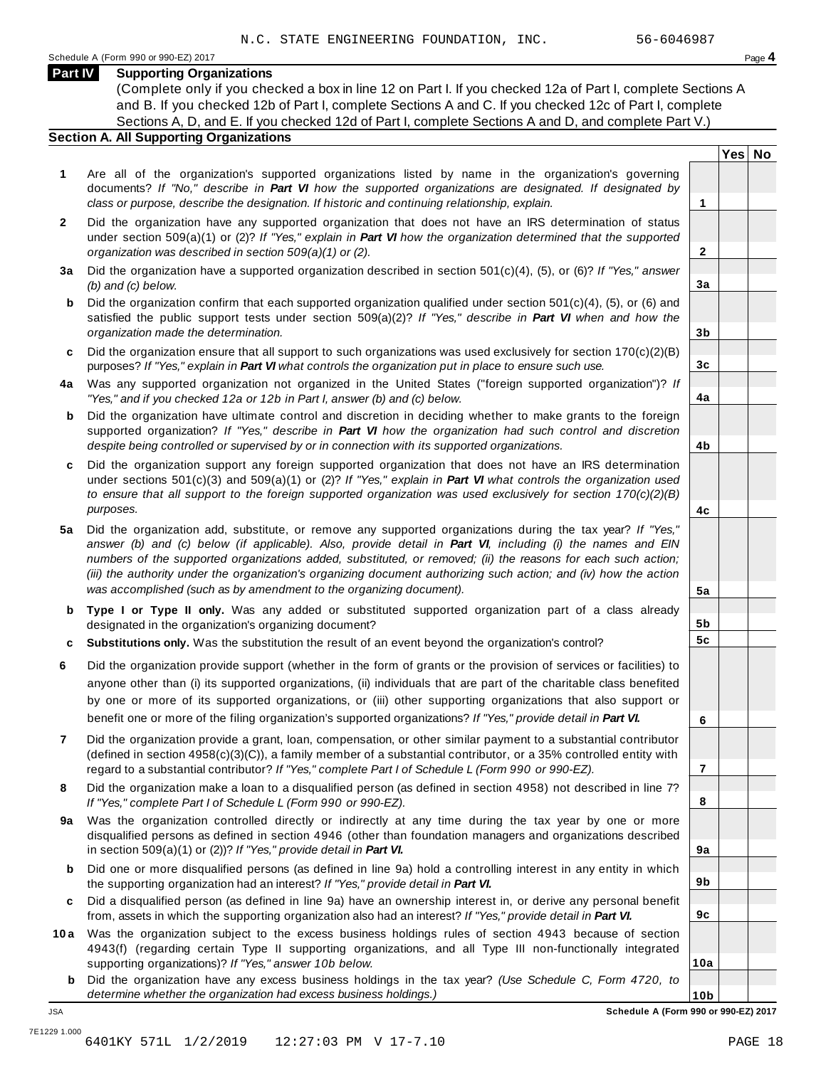**Yes No**

**2**

**3a**

**3b**

**3c**

**4a**

**4b**

**4c**

**5a**

**5b 5c**

**6**

**7**

**8**

**9a**

**9b**

**9c**

**10a**

### **Part IV Supporting Organizations**

(Complete only if you checked a box in line 12 on Part I. If you checked 12a of Part I, complete Sections A and B. If you checked 12b of Part I, complete Sections A and C. If you checked 12c of Part I, complete Sections A, D, and E. If you checked 12d of Part I, complete Sections A and D, and complete Part V.)

### **Section A. All Supporting Organizations**

- **1** Are all of the organization's supported organizations listed by name in the organization's governing documents? *If "No," describe in Part VI how the supported organizations are designated. If designated by class or purpose, describe the designation. If historic and continuing relationship, explain.* **1**
- **2** Did the organization have any supported organization that does not have an IRS determination of status under section 509(a)(1) or (2)? *If"Yes," explain in Part VI how the organization determined that the supported organization was described in section 509(a)(1) or (2).*
- **3 a** Did the organization have a supported organization described in section 501(c)(4), (5), or (6)? *If "Yes," answer (b) and (c) below.*
- **b** Did the organization confirm that each supported organization qualified under section 501(c)(4), (5), or (6) and | satisfied the public support tests under section 509(a)(2)? *If "Yes," describe in Part VI when and how the organization made the determination.*
- **c** Did the organization ensure that all support to such organizations was used exclusively for section 170(c)(2)(B) purposes? *If"Yes," explain in Part VI what controls the organization put in place to ensure such use.*
- **4 a** Was any supported organization not organized in the United States ("foreign supported organization")? *If "Yes," and if you checked 12a or 12b in Part I, answer (b) and (c) below.*
- **b** Did the organization have ultimate control and discretion in deciding whether to make grants to the foreign | supported organization? *If "Yes," describe in Part VI how the organization had such control and discretion despite being controlled or supervised by or in connection with its supported organizations.*
- **c** Did the organization support any foreign supported organization that does not have an IRS determination | under sections 501(c)(3) and 509(a)(1) or (2)? *If "Yes," explain in Part VI what controls the organization used to ensure that all support to the foreign supported organization was used exclusively for section 170(c)(2)(B) purposes.*
- **5 a** Did the organization add, substitute, or remove any supported organizations during the tax year? *If "Yes,"* answer (b) and (c) below (if applicable). Also, provide detail in Part VI, including (i) the names and EIN *numbers of the supported organizations added, substituted, or removed; (ii) the reasons for each such action;* (iii) the authority under the organization's organizing document authorizing such action; and (iv) how the action *was accomplished (such as by amendment to the organizing document).*
- **b** Type I or Type II only. Was any added or substituted supported organization part of a class already | designated in the organization's organizing document?
- **c Substitutions only.** Was the substitution the result of an event beyond the organization's control?
- **6** Did the organization provide support (whether in the form of grants or the provision of services or facilities) to anyone other than (i) its supported organizations, (ii) individuals that are part of the charitable class benefited by one or more of its supported organizations, or (iii) other supporting organizations that also support or benefit one or more of the filing organization's supported organizations? *If"Yes," provide detail in Part VI.*
- **7** Did the organization provide a grant, loan, compensation, or other similar payment to a substantial contributor (defined in section 4958(c)(3)(C)), a family member of a substantial contributor, or a 35% controlled entity with regard to a substantial contributor? *If"Yes," complete Part I of Schedule L (Form 990 or 990-EZ).*
- **8** Did the organization make a loan to a disqualified person (as defined in section 4958) not described in line 7? *If "Yes," complete Part I of Schedule L (Form 990 or 990-EZ).*
- **a** Was the organization controlled directly or indirectly at any time during the tax year by one or more | **9** disqualified persons as defined in section 4946 (other than foundation managers and organizations described in section 509(a)(1) or (2))? *If"Yes," provide detail in Part VI.*
- **b** Did one or more disqualified persons (as defined in line 9a) hold a controlling interest in any entity in which | the supporting organization had an interest? *If"Yes," provide detail in Part VI.*
- **c** Did a disqualified person (as defined in line 9a) have an ownership interest in, or derive any personal benefit from, assets in which the supporting organization also had an interest? *If"Yes," provide detail in Part VI.*
- **10a** Was the organization subject to the excess business holdings rules of section 4943 because of section | 4943(f) (regarding certain Type II supporting organizations, and all Type III non-functionally integrated supporting organizations)? *If"Yes," answer 10b below.*
	- **b** Did the organization have any excess business holdings in the tax year? *(Use Schedule C, Form 4720, to determine whether the organization had excess business holdings.)*

**10b** JSA **Schedule A (Form 990 or 990-EZ) 2017**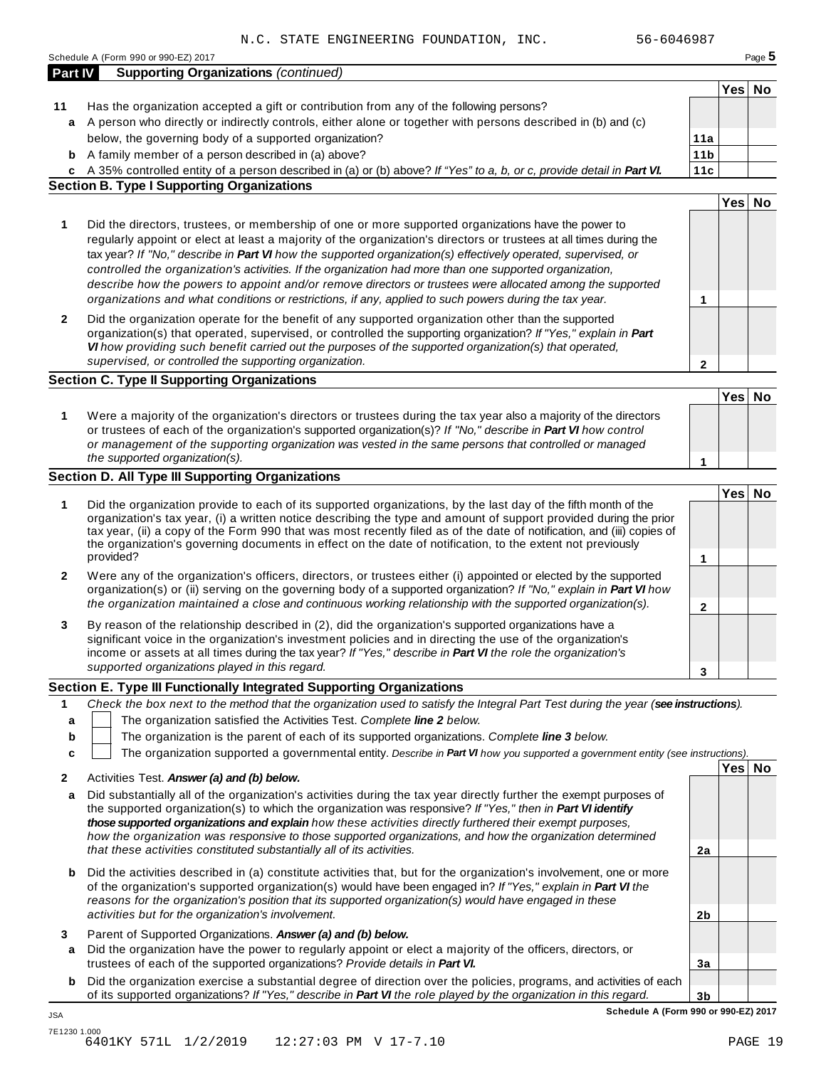|              | Schedule A (Form 990 or 990-EZ) 2017                                                                                                                                                                                                                                                                                                                                                                                                                                                                                                                                                                                                                                         |                 |        | Page 5 |
|--------------|------------------------------------------------------------------------------------------------------------------------------------------------------------------------------------------------------------------------------------------------------------------------------------------------------------------------------------------------------------------------------------------------------------------------------------------------------------------------------------------------------------------------------------------------------------------------------------------------------------------------------------------------------------------------------|-----------------|--------|--------|
| Part IV      | <b>Supporting Organizations (continued)</b>                                                                                                                                                                                                                                                                                                                                                                                                                                                                                                                                                                                                                                  |                 |        |        |
|              |                                                                                                                                                                                                                                                                                                                                                                                                                                                                                                                                                                                                                                                                              |                 | Yes No |        |
| 11           | Has the organization accepted a gift or contribution from any of the following persons?                                                                                                                                                                                                                                                                                                                                                                                                                                                                                                                                                                                      |                 |        |        |
| a            | A person who directly or indirectly controls, either alone or together with persons described in (b) and (c)                                                                                                                                                                                                                                                                                                                                                                                                                                                                                                                                                                 |                 |        |        |
|              | below, the governing body of a supported organization?                                                                                                                                                                                                                                                                                                                                                                                                                                                                                                                                                                                                                       | 11a             |        |        |
| b            | A family member of a person described in (a) above?                                                                                                                                                                                                                                                                                                                                                                                                                                                                                                                                                                                                                          | 11 <sub>b</sub> |        |        |
| C            | A 35% controlled entity of a person described in (a) or (b) above? If "Yes" to a, b, or c, provide detail in Part VI.<br><b>Section B. Type I Supporting Organizations</b>                                                                                                                                                                                                                                                                                                                                                                                                                                                                                                   | 11c             |        |        |
|              |                                                                                                                                                                                                                                                                                                                                                                                                                                                                                                                                                                                                                                                                              |                 | Yes No |        |
| 1            | Did the directors, trustees, or membership of one or more supported organizations have the power to<br>regularly appoint or elect at least a majority of the organization's directors or trustees at all times during the<br>tax year? If "No," describe in Part VI how the supported organization(s) effectively operated, supervised, or<br>controlled the organization's activities. If the organization had more than one supported organization,<br>describe how the powers to appoint and/or remove directors or trustees were allocated among the supported<br>organizations and what conditions or restrictions, if any, applied to such powers during the tax year. | 1               |        |        |
| $\mathbf{2}$ | Did the organization operate for the benefit of any supported organization other than the supported<br>organization(s) that operated, supervised, or controlled the supporting organization? If "Yes," explain in Part<br>VI how providing such benefit carried out the purposes of the supported organization(s) that operated,<br>supervised, or controlled the supporting organization.                                                                                                                                                                                                                                                                                   | $\mathbf{2}$    |        |        |
|              | <b>Section C. Type II Supporting Organizations</b>                                                                                                                                                                                                                                                                                                                                                                                                                                                                                                                                                                                                                           |                 |        |        |
|              |                                                                                                                                                                                                                                                                                                                                                                                                                                                                                                                                                                                                                                                                              |                 | Yes No |        |
| 1            | Were a majority of the organization's directors or trustees during the tax year also a majority of the directors<br>or trustees of each of the organization's supported organization(s)? If "No," describe in Part VI how control                                                                                                                                                                                                                                                                                                                                                                                                                                            |                 |        |        |
|              | or management of the supporting organization was vested in the same persons that controlled or managed                                                                                                                                                                                                                                                                                                                                                                                                                                                                                                                                                                       |                 |        |        |
|              | the supported organization(s).                                                                                                                                                                                                                                                                                                                                                                                                                                                                                                                                                                                                                                               | 1               |        |        |
|              | <b>Section D. All Type III Supporting Organizations</b>                                                                                                                                                                                                                                                                                                                                                                                                                                                                                                                                                                                                                      |                 |        |        |
| 1            | Did the organization provide to each of its supported organizations, by the last day of the fifth month of the<br>organization's tax year, (i) a written notice describing the type and amount of support provided during the prior<br>tax year, (ii) a copy of the Form 990 that was most recently filed as of the date of notification, and (iii) copies of<br>the organization's governing documents in effect on the date of notification, to the extent not previously<br>provided?                                                                                                                                                                                     | 1               | Yes No |        |
| $\mathbf{2}$ | Were any of the organization's officers, directors, or trustees either (i) appointed or elected by the supported<br>organization(s) or (ii) serving on the governing body of a supported organization? If "No," explain in Part VI how<br>the organization maintained a close and continuous working relationship with the supported organization(s).                                                                                                                                                                                                                                                                                                                        | 2               |        |        |
| 3            | By reason of the relationship described in (2), did the organization's supported organizations have a<br>significant voice in the organization's investment policies and in directing the use of the organization's<br>income or assets at all times during the tax year? If "Yes," describe in Part VI the role the organization's<br>supported organizations played in this regard.                                                                                                                                                                                                                                                                                        | 3               |        |        |
|              | Section E. Type III Functionally Integrated Supporting Organizations                                                                                                                                                                                                                                                                                                                                                                                                                                                                                                                                                                                                         |                 |        |        |
| 1            | Check the box next to the method that the organization used to satisfy the Integral Part Test during the year (see instructions).                                                                                                                                                                                                                                                                                                                                                                                                                                                                                                                                            |                 |        |        |
| a            | The organization satisfied the Activities Test. Complete line 2 below.                                                                                                                                                                                                                                                                                                                                                                                                                                                                                                                                                                                                       |                 |        |        |
| b            | The organization is the parent of each of its supported organizations. Complete line 3 below.                                                                                                                                                                                                                                                                                                                                                                                                                                                                                                                                                                                |                 |        |        |
| c            | The organization supported a governmental entity. Describe in Part VI how you supported a government entity (see instructions).                                                                                                                                                                                                                                                                                                                                                                                                                                                                                                                                              |                 |        |        |
|              |                                                                                                                                                                                                                                                                                                                                                                                                                                                                                                                                                                                                                                                                              |                 | Yes No |        |
| 2            | Activities Test. Answer (a) and (b) below.                                                                                                                                                                                                                                                                                                                                                                                                                                                                                                                                                                                                                                   |                 |        |        |
| a            | Did substantially all of the organization's activities during the tax year directly further the exempt purposes of<br>the supported organization(s) to which the organization was responsive? If "Yes," then in Part VI identify<br>those supported organizations and explain how these activities directly furthered their exempt purposes,                                                                                                                                                                                                                                                                                                                                 |                 |        |        |
|              | how the organization was responsive to those supported organizations, and how the organization determined<br>that these activities constituted substantially all of its activities.                                                                                                                                                                                                                                                                                                                                                                                                                                                                                          | 2a              |        |        |
| b            | Did the activities described in (a) constitute activities that, but for the organization's involvement, one or more<br>of the organization's supported organization(s) would have been engaged in? If "Yes," explain in Part VI the<br>reasons for the organization's position that its supported organization(s) would have engaged in these<br>activities but for the organization's involvement.                                                                                                                                                                                                                                                                          | 2 <sub>b</sub>  |        |        |
|              |                                                                                                                                                                                                                                                                                                                                                                                                                                                                                                                                                                                                                                                                              |                 |        |        |
| 3<br>a       | Parent of Supported Organizations. Answer (a) and (b) below.<br>Did the organization have the power to regularly appoint or elect a majority of the officers, directors, or                                                                                                                                                                                                                                                                                                                                                                                                                                                                                                  |                 |        |        |
|              | trustees of each of the supported organizations? Provide details in Part VI.                                                                                                                                                                                                                                                                                                                                                                                                                                                                                                                                                                                                 | 3a              |        |        |
| b            | Did the organization exercise a substantial degree of direction over the policies, programs, and activities of each<br>of its supported organizations? If "Yes," describe in Part VI the role played by the organization in this regard.                                                                                                                                                                                                                                                                                                                                                                                                                                     | 3 <sub>b</sub>  |        |        |

**Schedule A (Form 990 or 990-EZ) 2017**

JSA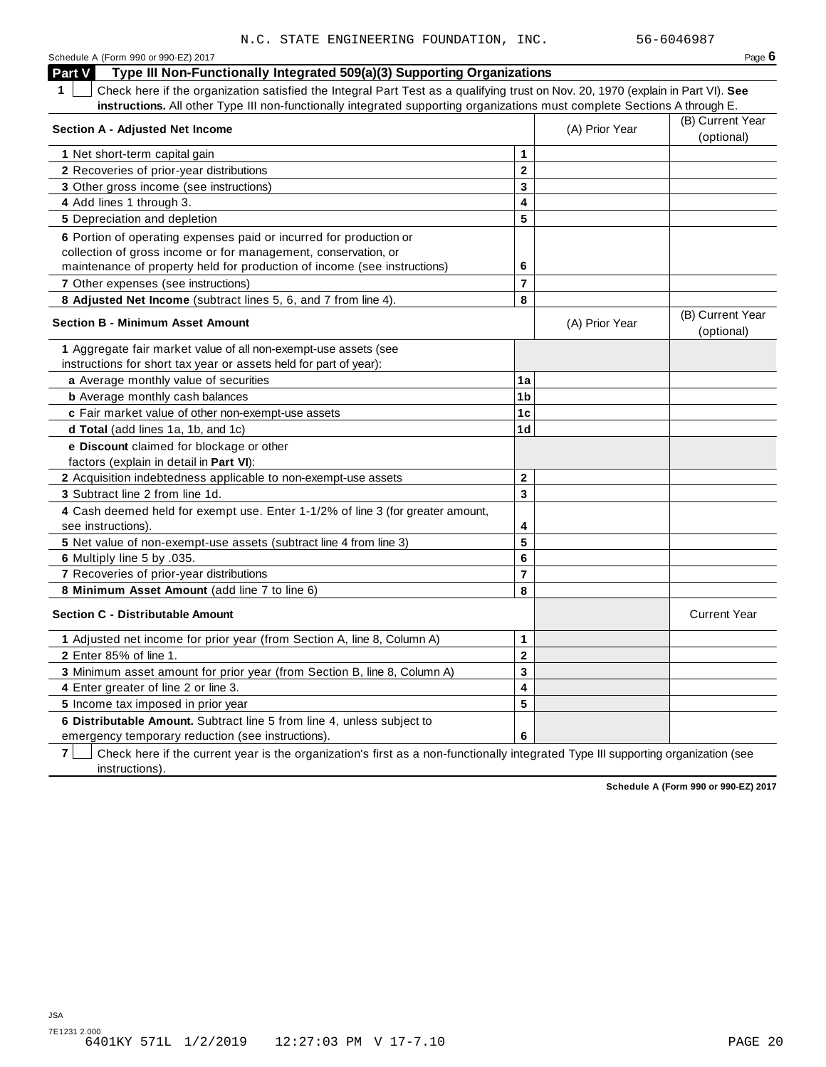| Schedule A (Form 990 or 990-EZ) 2017                                                                                                            |                         |                | Page $6$                       |
|-------------------------------------------------------------------------------------------------------------------------------------------------|-------------------------|----------------|--------------------------------|
| Type III Non-Functionally Integrated 509(a)(3) Supporting Organizations<br><b>Part V</b>                                                        |                         |                |                                |
| $\mathbf 1$<br>Check here if the organization satisfied the Integral Part Test as a qualifying trust on Nov. 20, 1970 (explain in Part VI). See |                         |                |                                |
| instructions. All other Type III non-functionally integrated supporting organizations must complete Sections A through E.                       |                         |                |                                |
| Section A - Adjusted Net Income                                                                                                                 |                         | (A) Prior Year | (B) Current Year<br>(optional) |
| 1 Net short-term capital gain                                                                                                                   | $\mathbf{1}$            |                |                                |
| 2 Recoveries of prior-year distributions                                                                                                        | $\overline{2}$          |                |                                |
| 3 Other gross income (see instructions)                                                                                                         | 3                       |                |                                |
| 4 Add lines 1 through 3.                                                                                                                        | 4                       |                |                                |
| 5 Depreciation and depletion                                                                                                                    | 5                       |                |                                |
| 6 Portion of operating expenses paid or incurred for production or<br>collection of gross income or for management, conservation, or            |                         |                |                                |
| maintenance of property held for production of income (see instructions)                                                                        | 6                       |                |                                |
| 7 Other expenses (see instructions)                                                                                                             | $\overline{7}$          |                |                                |
| 8 Adjusted Net Income (subtract lines 5, 6, and 7 from line 4).                                                                                 | 8                       |                |                                |
| <b>Section B - Minimum Asset Amount</b>                                                                                                         |                         | (A) Prior Year | (B) Current Year<br>(optional) |
| 1 Aggregate fair market value of all non-exempt-use assets (see                                                                                 |                         |                |                                |
| instructions for short tax year or assets held for part of year):                                                                               |                         |                |                                |
| a Average monthly value of securities                                                                                                           | 1a                      |                |                                |
| <b>b</b> Average monthly cash balances                                                                                                          | 1 <sub>b</sub>          |                |                                |
| c Fair market value of other non-exempt-use assets                                                                                              | 1 <sub>c</sub>          |                |                                |
| d Total (add lines 1a, 1b, and 1c)                                                                                                              | 1 <sub>d</sub>          |                |                                |
| e Discount claimed for blockage or other<br>factors (explain in detail in <b>Part VI</b> ):                                                     |                         |                |                                |
| 2 Acquisition indebtedness applicable to non-exempt-use assets                                                                                  | $\overline{\mathbf{2}}$ |                |                                |
| 3 Subtract line 2 from line 1d.                                                                                                                 | $\overline{3}$          |                |                                |
| 4 Cash deemed held for exempt use. Enter 1-1/2% of line 3 (for greater amount,<br>see instructions).                                            | 4                       |                |                                |
| 5 Net value of non-exempt-use assets (subtract line 4 from line 3)                                                                              | 5                       |                |                                |
| 6 Multiply line 5 by .035.                                                                                                                      | 6                       |                |                                |
| 7 Recoveries of prior-year distributions                                                                                                        | $\overline{7}$          |                |                                |
| 8 Minimum Asset Amount (add line 7 to line 6)                                                                                                   | 8                       |                |                                |
| <b>Section C - Distributable Amount</b>                                                                                                         |                         |                | <b>Current Year</b>            |
| 1 Adjusted net income for prior year (from Section A, line 8, Column A)                                                                         | $\mathbf{1}$            |                |                                |
| 2 Enter 85% of line 1.                                                                                                                          | $\mathbf 2$             |                |                                |
| 3 Minimum asset amount for prior year (from Section B, line 8, Column A)                                                                        | 3                       |                |                                |
| 4 Enter greater of line 2 or line 3.                                                                                                            | 4                       |                |                                |
| 5 Income tax imposed in prior year                                                                                                              | 5                       |                |                                |
| 6 Distributable Amount. Subtract line 5 from line 4, unless subject to                                                                          |                         |                |                                |
| emergency temporary reduction (see instructions).                                                                                               | 6                       |                |                                |

**7** | Check here if the current year is the organization's first as a non-functionally integrated Type III supporting organization (see instructions).

**Schedule A (Form 990 or 990-EZ) 2017**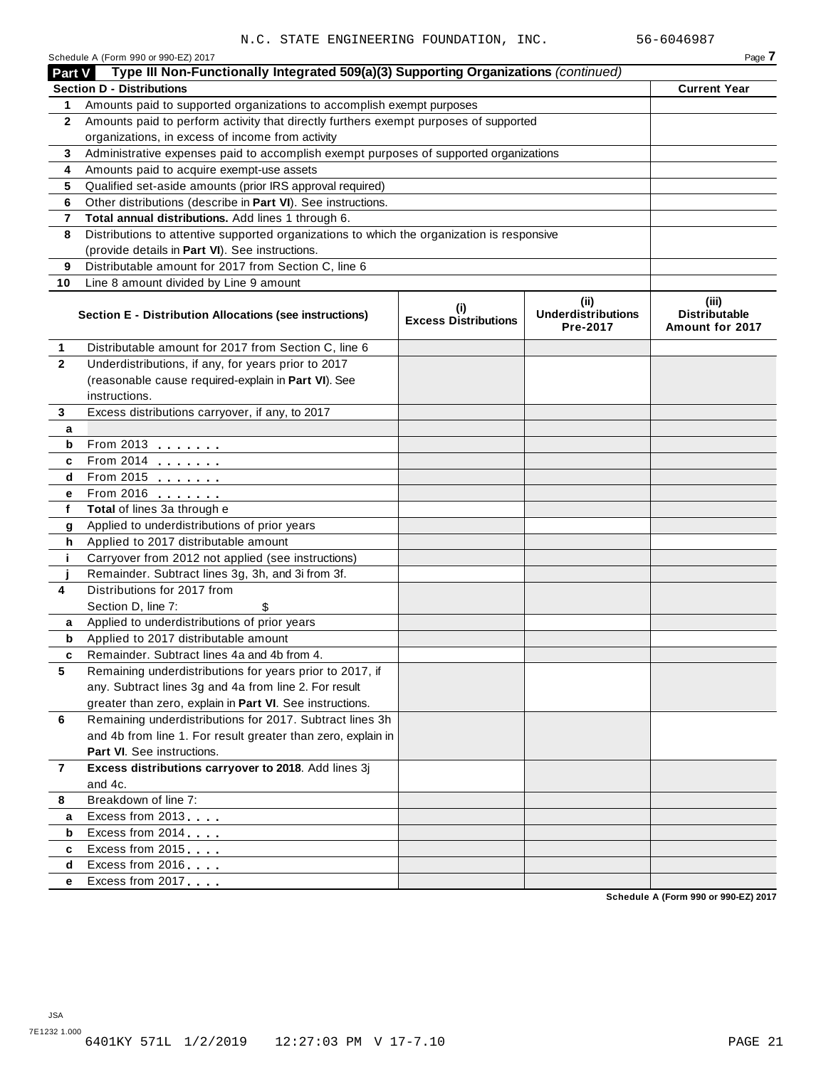|                | Schedule A (Form 990 or 990-EZ) 2017                                                       |                                          |                                               | Page 7                                           |
|----------------|--------------------------------------------------------------------------------------------|------------------------------------------|-----------------------------------------------|--------------------------------------------------|
| Part V         | Type III Non-Functionally Integrated 509(a)(3) Supporting Organizations (continued)        |                                          |                                               |                                                  |
|                | <b>Section D - Distributions</b>                                                           |                                          |                                               | <b>Current Year</b>                              |
| 1              | Amounts paid to supported organizations to accomplish exempt purposes                      |                                          |                                               |                                                  |
| $\mathbf{2}$   | Amounts paid to perform activity that directly furthers exempt purposes of supported       |                                          |                                               |                                                  |
|                | organizations, in excess of income from activity                                           |                                          |                                               |                                                  |
| 3              | Administrative expenses paid to accomplish exempt purposes of supported organizations      |                                          |                                               |                                                  |
| 4              | Amounts paid to acquire exempt-use assets                                                  |                                          |                                               |                                                  |
| 5              | Qualified set-aside amounts (prior IRS approval required)                                  |                                          |                                               |                                                  |
| 6              | Other distributions (describe in Part VI). See instructions.                               |                                          |                                               |                                                  |
| 7              | Total annual distributions. Add lines 1 through 6.                                         |                                          |                                               |                                                  |
| 8              | Distributions to attentive supported organizations to which the organization is responsive |                                          |                                               |                                                  |
|                | (provide details in Part VI). See instructions.                                            |                                          |                                               |                                                  |
| 9              | Distributable amount for 2017 from Section C, line 6                                       |                                          |                                               |                                                  |
| 10             | Line 8 amount divided by Line 9 amount                                                     |                                          |                                               |                                                  |
|                | Section E - Distribution Allocations (see instructions)                                    | $\sf (i)$<br><b>Excess Distributions</b> | (ii)<br><b>Underdistributions</b><br>Pre-2017 | (iii)<br><b>Distributable</b><br>Amount for 2017 |
| 1              | Distributable amount for 2017 from Section C, line 6                                       |                                          |                                               |                                                  |
| $\mathbf{2}$   | Underdistributions, if any, for years prior to 2017                                        |                                          |                                               |                                                  |
|                | (reasonable cause required-explain in Part VI). See                                        |                                          |                                               |                                                  |
|                | instructions.                                                                              |                                          |                                               |                                                  |
| 3              | Excess distributions carryover, if any, to 2017                                            |                                          |                                               |                                                  |
| a              |                                                                                            |                                          |                                               |                                                  |
| b              | From 2013                                                                                  |                                          |                                               |                                                  |
| c              | From 2014                                                                                  |                                          |                                               |                                                  |
| d              | From 2015                                                                                  |                                          |                                               |                                                  |
| е              | From 2016 <b></b>                                                                          |                                          |                                               |                                                  |
| f              | Total of lines 3a through e                                                                |                                          |                                               |                                                  |
| g              | Applied to underdistributions of prior years                                               |                                          |                                               |                                                  |
| h              | Applied to 2017 distributable amount                                                       |                                          |                                               |                                                  |
| j.             | Carryover from 2012 not applied (see instructions)                                         |                                          |                                               |                                                  |
|                | Remainder. Subtract lines 3g, 3h, and 3i from 3f.                                          |                                          |                                               |                                                  |
| 4              | Distributions for 2017 from                                                                |                                          |                                               |                                                  |
|                | Section D, line 7:<br>\$                                                                   |                                          |                                               |                                                  |
| а              | Applied to underdistributions of prior years                                               |                                          |                                               |                                                  |
| b              | Applied to 2017 distributable amount                                                       |                                          |                                               |                                                  |
|                | Remainder. Subtract lines 4a and 4b from 4.                                                |                                          |                                               |                                                  |
| 5              | Remaining underdistributions for years prior to 2017, if                                   |                                          |                                               |                                                  |
|                | any. Subtract lines 3g and 4a from line 2. For result                                      |                                          |                                               |                                                  |
|                | greater than zero, explain in Part VI. See instructions.                                   |                                          |                                               |                                                  |
| 6              | Remaining underdistributions for 2017. Subtract lines 3h                                   |                                          |                                               |                                                  |
|                | and 4b from line 1. For result greater than zero, explain in                               |                                          |                                               |                                                  |
|                | Part VI. See instructions.                                                                 |                                          |                                               |                                                  |
| $\overline{7}$ | Excess distributions carryover to 2018. Add lines 3j                                       |                                          |                                               |                                                  |
|                | and 4c.                                                                                    |                                          |                                               |                                                  |
| 8              | Breakdown of line 7:                                                                       |                                          |                                               |                                                  |
| a              | Excess from 2013                                                                           |                                          |                                               |                                                  |
| b              | Excess from 2014                                                                           |                                          |                                               |                                                  |
| c              | Excess from 2015                                                                           |                                          |                                               |                                                  |
| d              | Excess from 2016                                                                           |                                          |                                               |                                                  |
| е              | Excess from 2017                                                                           |                                          |                                               |                                                  |
|                |                                                                                            |                                          |                                               |                                                  |

**Schedule A (Form 990 or 990-EZ) 2017**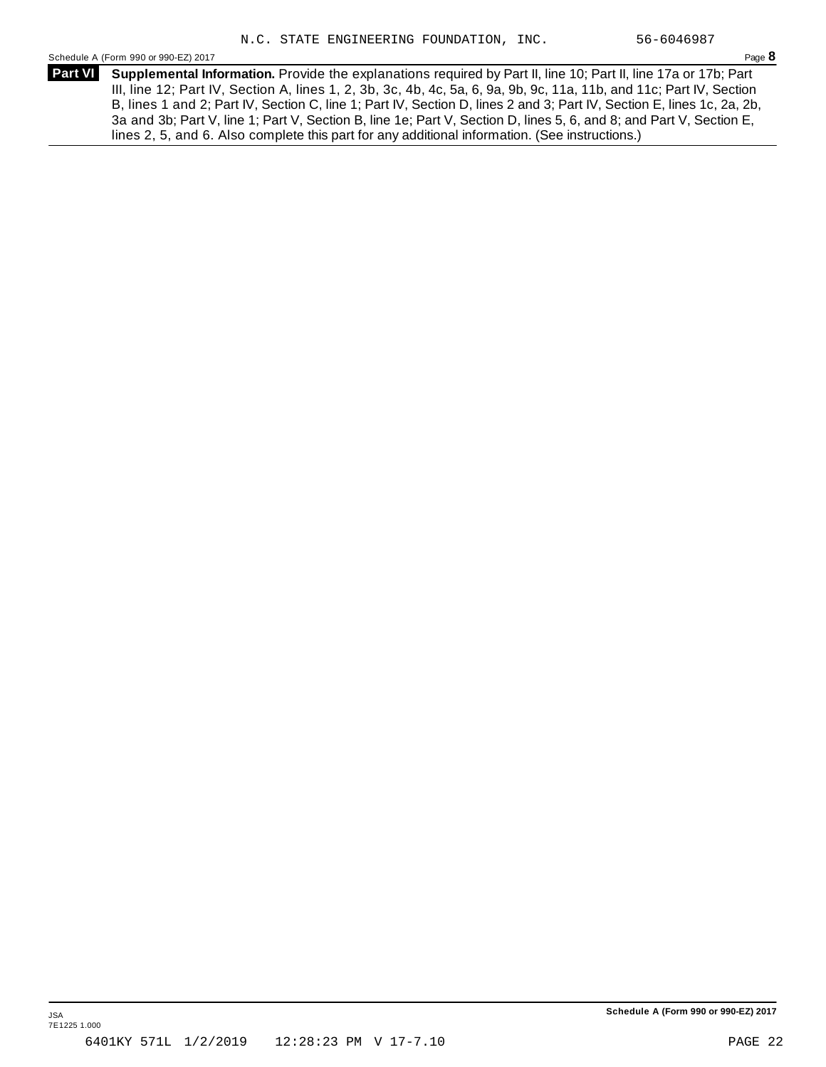Schedule <sup>A</sup> (Form <sup>990</sup> or 990-EZ) <sup>2017</sup> Page **8**

**Supplemental Information.** Provide the explanations required by Part II, line 10; Part II, line 17a or 17b; Part **Part VI** III, line 12; Part IV, Section A, lines 1, 2, 3b, 3c, 4b, 4c, 5a, 6, 9a, 9b, 9c, 11a, 11b, and 11c; Part IV, Section B, lines 1 and 2; Part IV, Section C, line 1; Part IV, Section D, lines 2 and 3; Part IV, Section E, lines 1c, 2a, 2b, 3a and 3b; Part V, line 1; Part V, Section B, line 1e; Part V, Section D, lines 5, 6, and 8; and Part V, Section E, lines 2, 5, and 6. Also complete this part for any additional information. (See instructions.)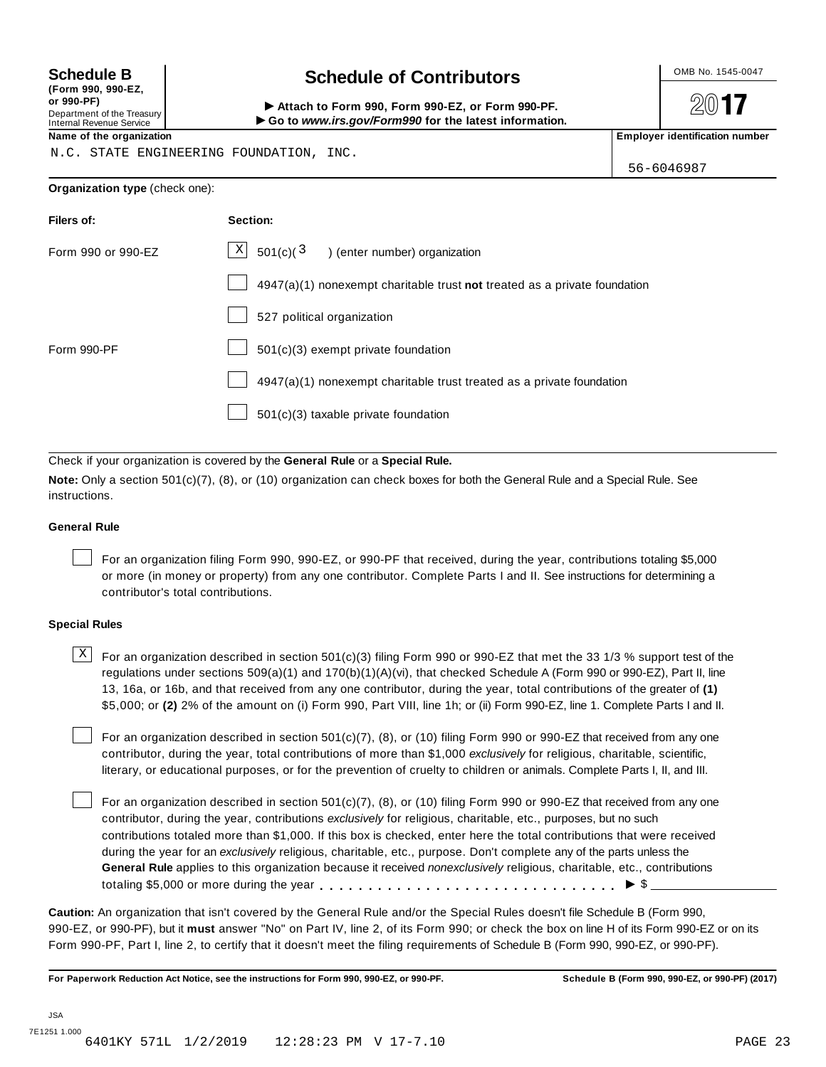**(Form 990, 990-EZ, or 990-PF)** Department of the Treasury<br>Internal Revenue Service

### **Schedule B**  $\leftarrow$  **Contributors**

(Porm 990, Form 990, Form 990-EZ, or Form 990-PF.<br>Department of the Treasury → Attach to Form 990, Form 990-EZ, or Form 990-PF.<br>Internal Revenue Service → → Go to www.irs.gov/Form990 for the latest information.<br>Name of th

 $20$ **17** 

N.C. STATE ENGINEERING FOUNDATION, INC.

56-6046987

### **Organization type** (check one):

| Filers of:         | Section:                                                                    |
|--------------------|-----------------------------------------------------------------------------|
| Form 990 or 990-EZ | $X \mid 501(c)(3)$ (enter number) organization                              |
|                    | $4947(a)(1)$ nonexempt charitable trust not treated as a private foundation |
|                    | 527 political organization                                                  |
| Form 990-PF        | 501(c)(3) exempt private foundation                                         |
|                    | 4947(a)(1) nonexempt charitable trust treated as a private foundation       |
|                    | 501(c)(3) taxable private foundation                                        |

Check if your organization is covered by the **General Rule** or a **Special Rule.**

**Note:** Only a section 501(c)(7), (8), or (10) organization can check boxes for both the General Rule and a Special Rule. See instructions.

### **General Rule**

For an organization filing Form 990, 990-EZ, or 990-PF that received, during the year, contributions totaling \$5,000 or more (in money or property) from any one contributor. Complete Parts I and II. See instructions for determining a contributor's total contributions.

### **Special Rules**

 $\text{X}$  For an organization described in section 501(c)(3) filing Form 990 or 990-EZ that met the 33 1/3 % support test of the regulations under sections 509(a)(1) and 170(b)(1)(A)(vi), that checked Schedule A (Form 990 or 990-EZ), Part II, line 13, 16a, or 16b, and that received from any one contributor, during the year, total contributions of the greater of **(1)** \$5,000; or **(2)** 2% of the amount on (i) Form 990, Part VIII, line 1h; or (ii) Form 990-EZ, line 1. Complete Parts I and II.

For an organization described in section 501(c)(7), (8), or (10) filing Form 990 or 990-EZ that received from any one contributor, during the year, total contributions of more than \$1,000 *exclusively* for religious, charitable, scientific, literary, or educational purposes, or for the prevention of cruelty to children or animals. Complete Parts I, II, and III.

For an organization described in section 501(c)(7), (8), or (10) filing Form 990 or 990-EZ that received from any one contributor, during the year, contributions *exclusively* for religious, charitable, etc., purposes, but no such contributions totaled more than \$1,000. If this box is checked, enter here the total contributions that were received during the year for an *exclusively* religious, charitable, etc., purpose. Don't complete any of the parts unless the **General Rule** applies to this organization because it received *nonexclusively* religious, charitable, etc., contributions totaling \$5,000 or more during the year m m m m m m m m m m m m m m m m m m m m m m m m m m m m m m m I \$

**Caution:** An organization that isn't covered by the General Rule and/or the Special Rules doesn't file Schedule B (Form 990, 990-EZ, or 990-PF), but it **must** answer "No" on Part IV, line 2, of its Form 990; or check the box on line H of its Form 990-EZ or on its Form 990-PF, Part I, line 2, to certify that it doesn't meet the filing requirements of Schedule B (Form 990, 990-EZ, or 990-PF).

For Paperwork Reduction Act Notice, see the instructions for Form 990, 990-EZ, or 990-PF. Schedule B (Form 990, 990-EZ, or 990-PF) (2017)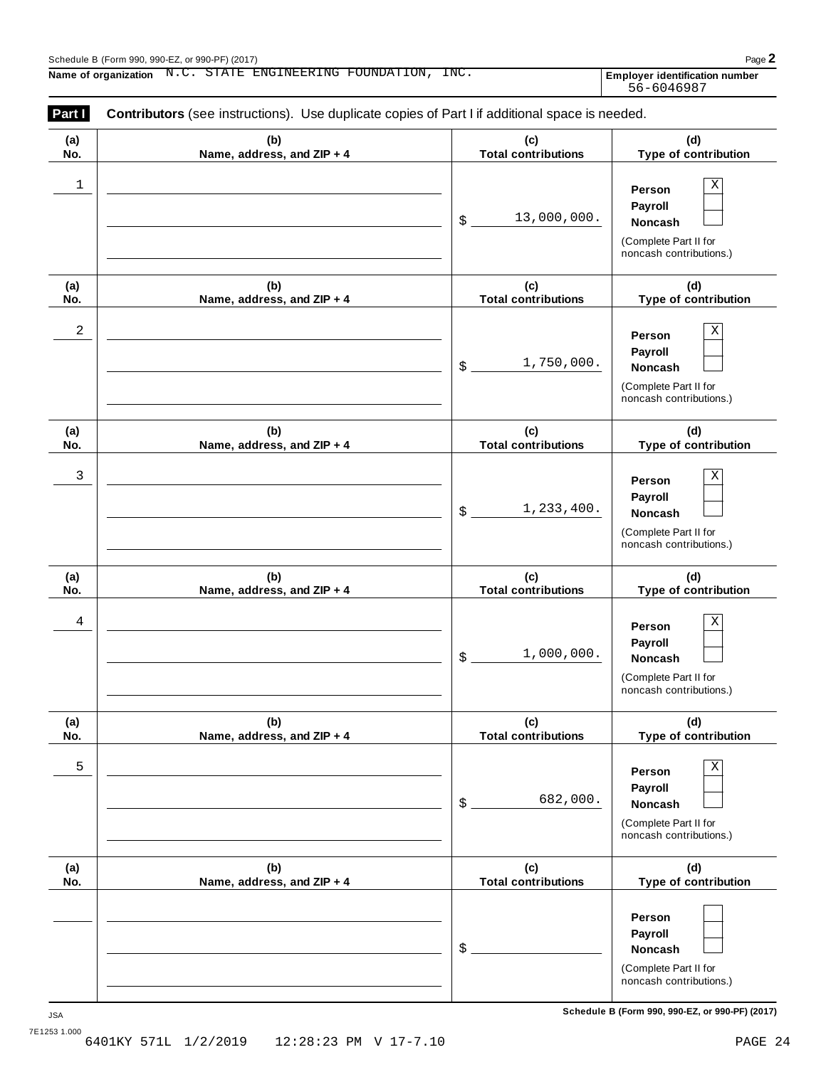**Name of organization**  $M.C.$  STATE ENGINEERING FOUNDATION, INC.  $\blacksquare$  **Employer** identification number

**Employer identification number**<br>56-6046987

| Part I     | <b>Contributors</b> (see instructions). Use duplicate copies of Part I if additional space is needed. |                                   |                                                                                       |
|------------|-------------------------------------------------------------------------------------------------------|-----------------------------------|---------------------------------------------------------------------------------------|
| (a)<br>No. | (b)<br>Name, address, and ZIP + 4                                                                     | (c)<br><b>Total contributions</b> | (d)<br>Type of contribution                                                           |
| 1          |                                                                                                       | 13,000,000.<br>\$                 | Χ<br>Person<br>Payroll<br>Noncash<br>(Complete Part II for<br>noncash contributions.) |
| (a)<br>No. | (b)<br>Name, address, and ZIP + 4                                                                     | (c)<br><b>Total contributions</b> | (d)<br>Type of contribution                                                           |
| 2          |                                                                                                       | 1,750,000.<br>\$                  | Χ<br>Person<br>Payroll<br>Noncash<br>(Complete Part II for<br>noncash contributions.) |
| (a)<br>No. | (b)<br>Name, address, and ZIP + 4                                                                     | (c)<br><b>Total contributions</b> | (d)<br>Type of contribution                                                           |
| 3          |                                                                                                       | 1,233,400.<br>\$                  | Χ<br>Person<br>Payroll<br>Noncash<br>(Complete Part II for<br>noncash contributions.) |
| (a)<br>No. | (b)<br>Name, address, and ZIP + 4                                                                     | (c)<br><b>Total contributions</b> | (d)<br>Type of contribution                                                           |
| 4          |                                                                                                       | 1,000,000.<br>\$                  | Χ<br>Person<br>Payroll<br>Noncash<br>(Complete Part II for<br>noncash contributions.) |
| (a)<br>No. | (b)<br>Name, address, and ZIP + 4                                                                     | (c)<br><b>Total contributions</b> | (d)<br>Type of contribution                                                           |
| 5          |                                                                                                       | 682,000.<br>\$                    | Χ<br>Person<br>Payroll<br>Noncash<br>(Complete Part II for<br>noncash contributions.) |
| (a)<br>No. | (b)<br>Name, address, and ZIP + 4                                                                     | (c)<br><b>Total contributions</b> | (d)<br>Type of contribution                                                           |
|            |                                                                                                       | \$                                | Person<br>Payroll<br>Noncash<br>(Complete Part II for<br>noncash contributions.)      |

**Schedule B (Form 990, 990-EZ, or 990-PF) (2017)** JSA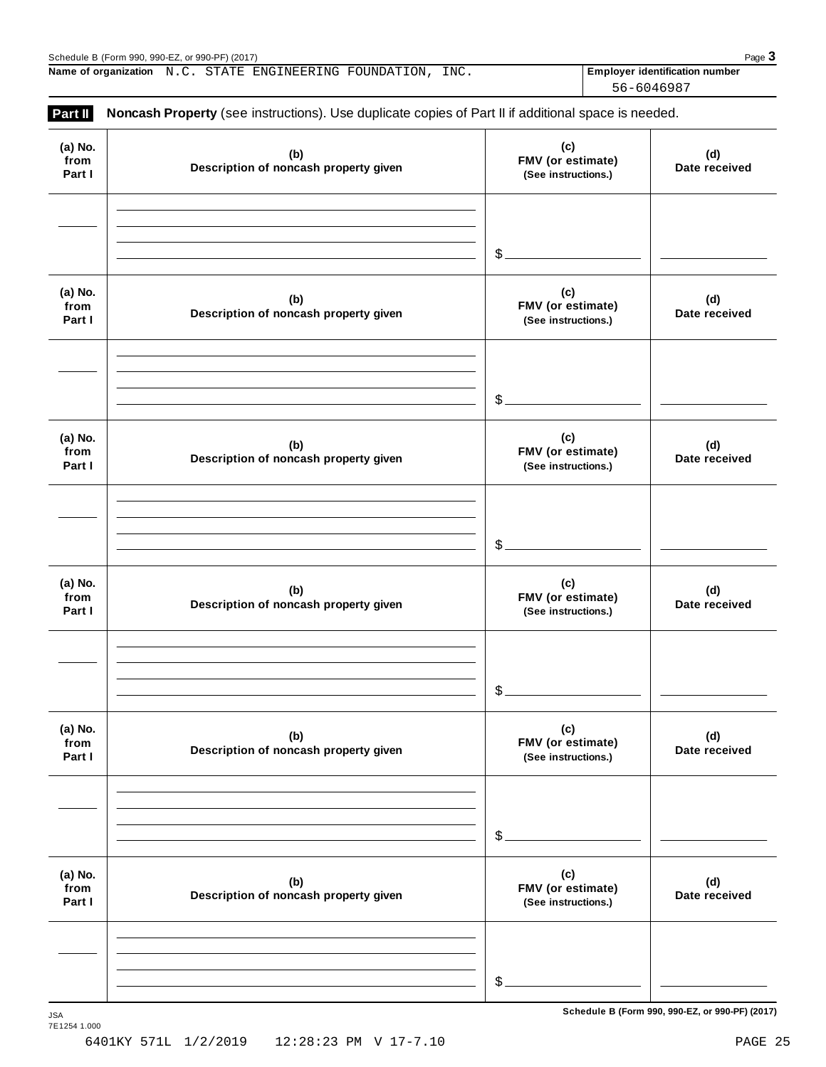Schedule B (Form 990, 990-EZ, or 990-PF) (2017)<br> **Name of organization** N.C. STATE ENGINEERING FOUNDATION, INC. **Property 1998 Page 3 Name of organization Employer identification number** N.C. STATE ENGINEERING FOUNDATION, INC.

56-6046987

| Part II                   | Noncash Property (see instructions). Use duplicate copies of Part II if additional space is needed. |                                                 |                      |
|---------------------------|-----------------------------------------------------------------------------------------------------|-------------------------------------------------|----------------------|
| (a) No.<br>from<br>Part I | (b)<br>Description of noncash property given                                                        | (c)<br>FMV (or estimate)<br>(See instructions.) | (d)<br>Date received |
|                           |                                                                                                     | $\sim$                                          |                      |
| (a) No.<br>from<br>Part I | (b)<br>Description of noncash property given                                                        | (c)<br>FMV (or estimate)<br>(See instructions.) | (d)<br>Date received |
|                           |                                                                                                     | $\frac{1}{2}$                                   |                      |
| (a) No.<br>from<br>Part I | (b)<br>Description of noncash property given                                                        | (c)<br>FMV (or estimate)<br>(See instructions.) | (d)<br>Date received |
|                           |                                                                                                     | $\mathcal{S}_{-}$                               |                      |
| (a) No.<br>from<br>Part I | (b)<br>Description of noncash property given                                                        | (c)<br>FMV (or estimate)<br>(See instructions.) | (d)<br>Date received |
|                           |                                                                                                     | \$                                              |                      |
| (a) No.<br>from<br>Part I | (b)<br>Description of noncash property given                                                        | (c)<br>FMV (or estimate)<br>(See instructions.) | (d)<br>Date received |
|                           |                                                                                                     | \$                                              |                      |
| (a) No.<br>from<br>Part I | (b)<br>Description of noncash property given                                                        | (c)<br>FMV (or estimate)<br>(See instructions.) | (d)<br>Date received |
|                           |                                                                                                     |                                                 |                      |
|                           |                                                                                                     | \$                                              |                      |

 $S$ chedule B (Form 990, 990-EZ, or 990-PF) (2017)

7E1254 1.000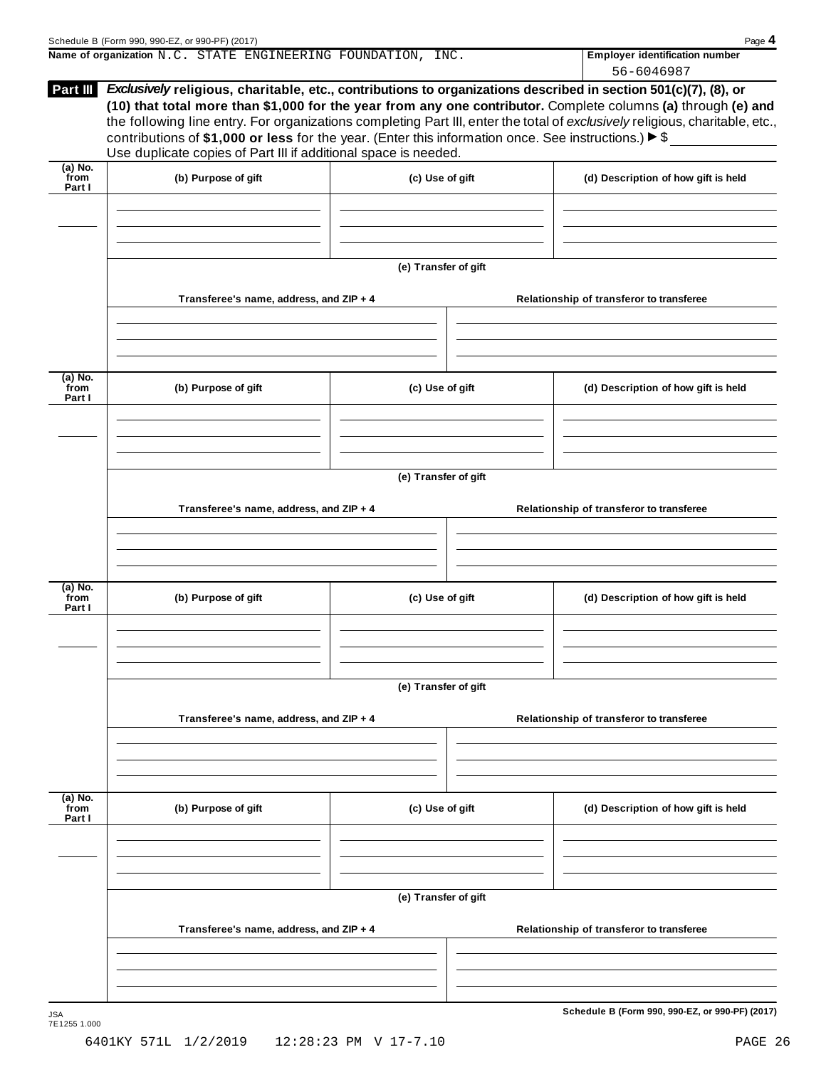| Schedule B (Form 990, 990-EZ, or 990-PF) (2017)                                                                                                                                                                                                            | Page 4                                |  |  |  |  |
|------------------------------------------------------------------------------------------------------------------------------------------------------------------------------------------------------------------------------------------------------------|---------------------------------------|--|--|--|--|
| Name of organization N.C. STATE ENGINEERING FOUNDATION, INC.                                                                                                                                                                                               | <b>Employer identification number</b> |  |  |  |  |
|                                                                                                                                                                                                                                                            | 56-6046987                            |  |  |  |  |
| <b>Part III</b><br><i>Exclusively</i> religious, charitable, etc., contributions to organizations described in section 501(c)(7), (8), or<br>(10) that total more than \$1,000 for the year from any one contributor. Complete columns (a) through (e) and |                                       |  |  |  |  |

|                           | (10) that total more than \$1,000 for the year from any one contributor. Complete columns (a) through (e) and<br>the following line entry. For organizations completing Part III, enter the total of exclusively religious, charitable, etc.,<br>contributions of \$1,000 or less for the year. (Enter this information once. See instructions.) $\blacktriangleright$ \$<br>Use duplicate copies of Part III if additional space is needed. |                      |                                          |
|---------------------------|----------------------------------------------------------------------------------------------------------------------------------------------------------------------------------------------------------------------------------------------------------------------------------------------------------------------------------------------------------------------------------------------------------------------------------------------|----------------------|------------------------------------------|
| (a) No.<br>from<br>Part I | (b) Purpose of gift                                                                                                                                                                                                                                                                                                                                                                                                                          | (c) Use of gift      | (d) Description of how gift is held      |
|                           | Transferee's name, address, and ZIP + 4                                                                                                                                                                                                                                                                                                                                                                                                      | (e) Transfer of gift | Relationship of transferor to transferee |
| (a) No.<br>from           | (b) Purpose of gift                                                                                                                                                                                                                                                                                                                                                                                                                          | (c) Use of gift      | (d) Description of how gift is held      |
| Part I                    |                                                                                                                                                                                                                                                                                                                                                                                                                                              |                      |                                          |

**(e) Transfer of gift**

|                           | Transferee's name, address, and ZIP + 4 |                      | Relationship of transferor to transferee |  |  |
|---------------------------|-----------------------------------------|----------------------|------------------------------------------|--|--|
|                           |                                         |                      |                                          |  |  |
|                           |                                         |                      |                                          |  |  |
|                           |                                         |                      |                                          |  |  |
| (a) No.<br>from<br>Part I | (b) Purpose of gift                     | (c) Use of gift      | (d) Description of how gift is held      |  |  |
|                           |                                         |                      |                                          |  |  |
|                           |                                         |                      |                                          |  |  |
|                           |                                         |                      |                                          |  |  |
|                           |                                         | (e) Transfer of gift |                                          |  |  |
|                           | Transferee's name, address, and ZIP + 4 |                      | Relationship of transferor to transferee |  |  |
|                           |                                         |                      |                                          |  |  |
|                           |                                         |                      |                                          |  |  |
|                           |                                         |                      |                                          |  |  |
| (a) No.<br>from<br>Part I | (b) Purpose of gift                     | (c) Use of gift      | (d) Description of how gift is held      |  |  |
|                           |                                         |                      |                                          |  |  |
|                           |                                         |                      |                                          |  |  |
|                           |                                         |                      |                                          |  |  |
|                           |                                         | (e) Transfer of gift |                                          |  |  |
|                           | Transferee's name, address, and ZIP + 4 |                      | Relationship of transferor to transferee |  |  |
|                           |                                         |                      |                                          |  |  |

JSA<br>7E1255 1.000

 $S$ chedule B (Form 990, 990-EZ, or 990-PF) (2017)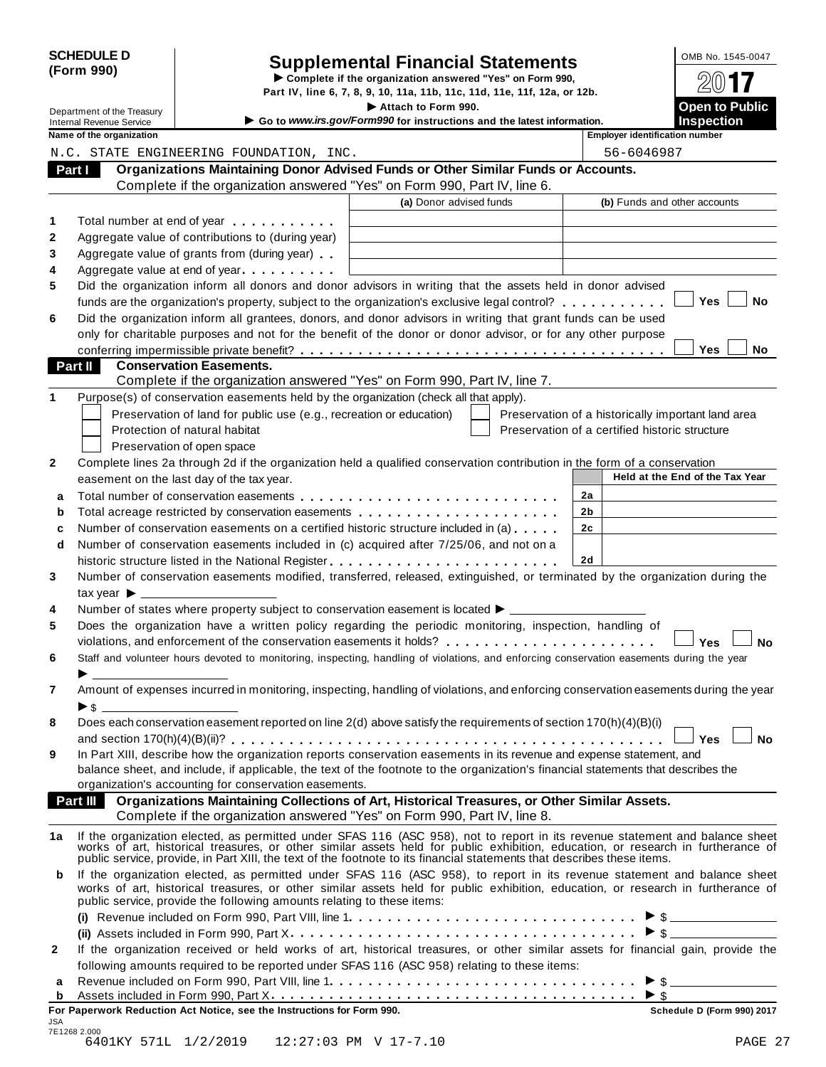| <b>SCHEDULE D</b> |  |
|-------------------|--|
| (Form 990)        |  |

# SCHEDULE D<br>
Supplemental Financial Statements<br>
Form 990)<br>
Part IV, line 6, 7, 8, 9, 10, 11a, 11b, 11c, 11d, 11e, 11f, 12a, or 12b.<br>
Attach to Form 990.<br>
Part IV, line 6, 7, 8, 9, 10, 11a, 11b, 11c, 11d, 11e, 11f, 12a, or

Department of the Treasury Integration of the Treasury Integration of the Treasury **I and CO2 Contract of the Treasury Contract of the Treasury Contract of the Treasury <b>I** and CO2 **Contract of the Integration** of th

|        | Department of the Treasury            |                                                                                                                                                                                                                                                              | Attach to Form 990.                                                    |                                                    | <b>Open to Public</b>           |
|--------|---------------------------------------|--------------------------------------------------------------------------------------------------------------------------------------------------------------------------------------------------------------------------------------------------------------|------------------------------------------------------------------------|----------------------------------------------------|---------------------------------|
|        | <b>Internal Revenue Service</b>       |                                                                                                                                                                                                                                                              | Go to www.irs.gov/Form990 for instructions and the latest information. |                                                    | <b>Inspection</b>               |
|        | Name of the organization              |                                                                                                                                                                                                                                                              |                                                                        | <b>Employer identification number</b>              |                                 |
|        |                                       | N.C. STATE ENGINEERING FOUNDATION, INC.                                                                                                                                                                                                                      |                                                                        | 56-6046987                                         |                                 |
| Part I |                                       | Organizations Maintaining Donor Advised Funds or Other Similar Funds or Accounts.                                                                                                                                                                            |                                                                        |                                                    |                                 |
|        |                                       | Complete if the organization answered "Yes" on Form 990, Part IV, line 6.                                                                                                                                                                                    |                                                                        |                                                    |                                 |
|        |                                       |                                                                                                                                                                                                                                                              | (a) Donor advised funds                                                | (b) Funds and other accounts                       |                                 |
| 1      |                                       | Total number at end of year <b>that the state of the state of the state of the state of the state of the state of the state of the state of the state of the state of the state of the state of the state of the state of the st</b>                         |                                                                        |                                                    |                                 |
| 2      |                                       | Aggregate value of contributions to (during year)                                                                                                                                                                                                            |                                                                        |                                                    |                                 |
| 3      |                                       | Aggregate value of grants from (during year)                                                                                                                                                                                                                 |                                                                        |                                                    |                                 |
| 4      |                                       | Aggregate value at end of year                                                                                                                                                                                                                               |                                                                        |                                                    |                                 |
| 5      |                                       | Did the organization inform all donors and donor advisors in writing that the assets held in donor advised                                                                                                                                                   |                                                                        |                                                    |                                 |
|        |                                       | funds are the organization's property, subject to the organization's exclusive legal control?                                                                                                                                                                |                                                                        |                                                    | Yes<br>No                       |
| 6      |                                       | Did the organization inform all grantees, donors, and donor advisors in writing that grant funds can be used                                                                                                                                                 |                                                                        |                                                    |                                 |
|        |                                       | only for charitable purposes and not for the benefit of the donor or donor advisor, or for any other purpose                                                                                                                                                 |                                                                        |                                                    |                                 |
|        |                                       |                                                                                                                                                                                                                                                              |                                                                        |                                                    | Yes<br>No                       |
|        | Part II                               | <b>Conservation Easements.</b>                                                                                                                                                                                                                               |                                                                        |                                                    |                                 |
|        |                                       | Complete if the organization answered "Yes" on Form 990, Part IV, line 7.                                                                                                                                                                                    |                                                                        |                                                    |                                 |
| 1      |                                       | Purpose(s) of conservation easements held by the organization (check all that apply).                                                                                                                                                                        |                                                                        |                                                    |                                 |
|        |                                       | Preservation of land for public use (e.g., recreation or education)                                                                                                                                                                                          |                                                                        | Preservation of a historically important land area |                                 |
|        |                                       | Protection of natural habitat                                                                                                                                                                                                                                |                                                                        | Preservation of a certified historic structure     |                                 |
|        |                                       | Preservation of open space                                                                                                                                                                                                                                   |                                                                        |                                                    |                                 |
| 2      |                                       | Complete lines 2a through 2d if the organization held a qualified conservation contribution in the form of a conservation                                                                                                                                    |                                                                        |                                                    |                                 |
|        |                                       | easement on the last day of the tax year.                                                                                                                                                                                                                    |                                                                        |                                                    | Held at the End of the Tax Year |
| a      |                                       |                                                                                                                                                                                                                                                              |                                                                        | 2a                                                 |                                 |
| b      |                                       | Total acreage restricted by conservation easements                                                                                                                                                                                                           |                                                                        | 2b                                                 |                                 |
| c      |                                       | Number of conservation easements on a certified historic structure included in (a)                                                                                                                                                                           |                                                                        | 2 <sub>c</sub>                                     |                                 |
| d      |                                       | Number of conservation easements included in (c) acquired after 7/25/06, and not on a                                                                                                                                                                        |                                                                        |                                                    |                                 |
|        |                                       |                                                                                                                                                                                                                                                              |                                                                        | 2d                                                 |                                 |
| 3      |                                       | Number of conservation easements modified, transferred, released, extinguished, or terminated by the organization during the                                                                                                                                 |                                                                        |                                                    |                                 |
|        | tax year $\blacktriangleright$ ______ |                                                                                                                                                                                                                                                              |                                                                        |                                                    |                                 |
| 4      |                                       | Number of states where property subject to conservation easement is located $\blacktriangleright$ ______                                                                                                                                                     |                                                                        |                                                    |                                 |
| 5      |                                       | Does the organization have a written policy regarding the periodic monitoring, inspection, handling of                                                                                                                                                       |                                                                        |                                                    |                                 |
|        |                                       |                                                                                                                                                                                                                                                              |                                                                        |                                                    | Yes<br>No                       |
| 6      |                                       | Staff and volunteer hours devoted to monitoring, inspecting, handling of violations, and enforcing conservation easements during the year                                                                                                                    |                                                                        |                                                    |                                 |
|        |                                       |                                                                                                                                                                                                                                                              |                                                                        |                                                    |                                 |
| 7      |                                       | Amount of expenses incurred in monitoring, inspecting, handling of violations, and enforcing conservation easements during the year                                                                                                                          |                                                                        |                                                    |                                 |
|        | ▶\$                                   |                                                                                                                                                                                                                                                              |                                                                        |                                                    |                                 |
| 8      |                                       | Does each conservation easement reported on line 2(d) above satisfy the requirements of section 170(h)(4)(B)(i)                                                                                                                                              |                                                                        |                                                    |                                 |
|        |                                       |                                                                                                                                                                                                                                                              |                                                                        |                                                    | No<br>Yes                       |
| 9      |                                       | In Part XIII, describe how the organization reports conservation easements in its revenue and expense statement, and                                                                                                                                         |                                                                        |                                                    |                                 |
|        |                                       | balance sheet, and include, if applicable, the text of the footnote to the organization's financial statements that describes the                                                                                                                            |                                                                        |                                                    |                                 |
|        |                                       | organization's accounting for conservation easements.                                                                                                                                                                                                        |                                                                        |                                                    |                                 |
|        | Part III                              | Organizations Maintaining Collections of Art, Historical Treasures, or Other Similar Assets.                                                                                                                                                                 |                                                                        |                                                    |                                 |
|        |                                       | Complete if the organization answered "Yes" on Form 990, Part IV, line 8.                                                                                                                                                                                    |                                                                        |                                                    |                                 |
| 1a     |                                       | If the organization elected, as permitted under SFAS 116 (ASC 958), not to report in its revenue statement and balance sheet                                                                                                                                 |                                                                        |                                                    |                                 |
|        |                                       | works of art, historical treasures, or other similar assets held for public exhibition, education, or research in furtherance of                                                                                                                             |                                                                        |                                                    |                                 |
|        |                                       | public service, provide, in Part XIII, the text of the footnote to its financial statements that describes these items.                                                                                                                                      |                                                                        |                                                    |                                 |
| b      |                                       | If the organization elected, as permitted under SFAS 116 (ASC 958), to report in its revenue statement and balance sheet<br>works of art, historical treasures, or other similar assets held for public exhibition, education, or research in furtherance of |                                                                        |                                                    |                                 |
|        |                                       | public service, provide the following amounts relating to these items:                                                                                                                                                                                       |                                                                        |                                                    |                                 |
|        |                                       |                                                                                                                                                                                                                                                              |                                                                        |                                                    | $\triangleright$ \$             |
|        |                                       |                                                                                                                                                                                                                                                              |                                                                        |                                                    | $\triangleright$ \$             |
| 2      |                                       | If the organization received or held works of art, historical treasures, or other similar assets for financial gain, provide the                                                                                                                             |                                                                        |                                                    |                                 |
|        |                                       | following amounts required to be reported under SFAS 116 (ASC 958) relating to these items:                                                                                                                                                                  |                                                                        |                                                    |                                 |
| a      |                                       |                                                                                                                                                                                                                                                              |                                                                        |                                                    |                                 |
| b      |                                       | Assets included in Form 990, Part $X_1, \ldots, X_n, \ldots, X_n, \ldots, X_n, \ldots, \ldots, \ldots, \ldots, \ldots, \blacktriangleright \S$                                                                                                               |                                                                        |                                                    |                                 |
|        |                                       |                                                                                                                                                                                                                                                              |                                                                        |                                                    |                                 |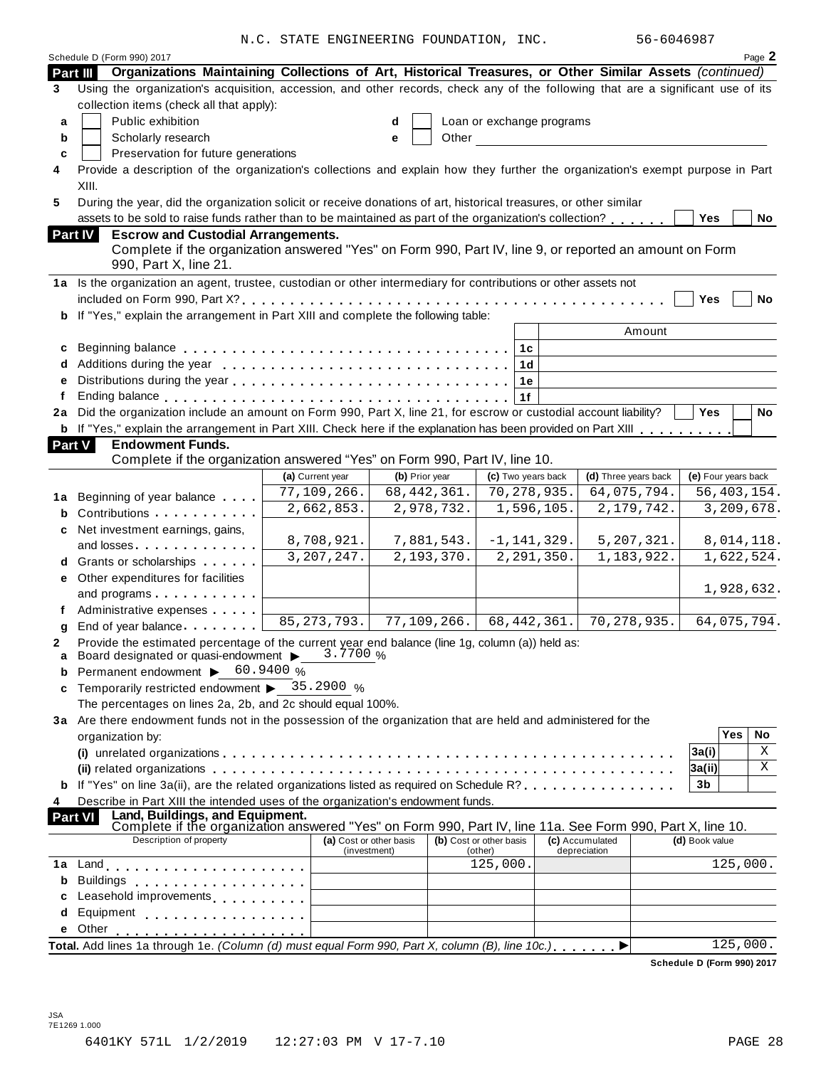N.C. STATE ENGINEERING FOUNDATION, INC. 56-60469

| 56-6046987 |  |
|------------|--|
|            |  |

|                    | Schedule D (Form 990) 2017                                                                                                                                                                                                      |                  | N.C. STATE ENGINEERING FOUNDATION, INC. |                                    |                                 | $50 - 6040987$       |                | Page 2                     |
|--------------------|---------------------------------------------------------------------------------------------------------------------------------------------------------------------------------------------------------------------------------|------------------|-----------------------------------------|------------------------------------|---------------------------------|----------------------|----------------|----------------------------|
| Part III           | Organizations Maintaining Collections of Art, Historical Treasures, or Other Similar Assets (continued)                                                                                                                         |                  |                                         |                                    |                                 |                      |                |                            |
| 3                  | Using the organization's acquisition, accession, and other records, check any of the following that are a significant use of its                                                                                                |                  |                                         |                                    |                                 |                      |                |                            |
|                    | collection items (check all that apply):                                                                                                                                                                                        |                  |                                         |                                    |                                 |                      |                |                            |
| a                  | Public exhibition                                                                                                                                                                                                               |                  | d                                       | Loan or exchange programs          |                                 |                      |                |                            |
| b                  | Scholarly research                                                                                                                                                                                                              |                  | Other<br>е                              |                                    |                                 |                      |                |                            |
| C                  | Preservation for future generations                                                                                                                                                                                             |                  |                                         |                                    |                                 |                      |                |                            |
| 4                  | Provide a description of the organization's collections and explain how they further the organization's exempt purpose in Part                                                                                                  |                  |                                         |                                    |                                 |                      |                |                            |
|                    | XIII.                                                                                                                                                                                                                           |                  |                                         |                                    |                                 |                      |                |                            |
| 5                  | During the year, did the organization solicit or receive donations of art, historical treasures, or other similar                                                                                                               |                  |                                         |                                    |                                 |                      |                |                            |
|                    | assets to be sold to raise funds rather than to be maintained as part of the organization's collection?                                                                                                                         |                  |                                         |                                    |                                 |                      | <b>Yes</b>     | No                         |
|                    | <b>Part IV</b><br><b>Escrow and Custodial Arrangements.</b>                                                                                                                                                                     |                  |                                         |                                    |                                 |                      |                |                            |
|                    | Complete if the organization answered "Yes" on Form 990, Part IV, line 9, or reported an amount on Form<br>990, Part X, line 21.                                                                                                |                  |                                         |                                    |                                 |                      |                |                            |
|                    | 1a Is the organization an agent, trustee, custodian or other intermediary for contributions or other assets not                                                                                                                 |                  |                                         |                                    |                                 |                      |                |                            |
|                    |                                                                                                                                                                                                                                 |                  |                                         |                                    |                                 |                      | Yes            | <b>No</b>                  |
| b                  | If "Yes," explain the arrangement in Part XIII and complete the following table:                                                                                                                                                |                  |                                         |                                    |                                 |                      |                |                            |
|                    |                                                                                                                                                                                                                                 |                  |                                         |                                    |                                 | Amount               |                |                            |
| c                  |                                                                                                                                                                                                                                 |                  |                                         | 1c                                 |                                 |                      |                |                            |
|                    |                                                                                                                                                                                                                                 |                  |                                         | 1d                                 |                                 |                      |                |                            |
| e                  |                                                                                                                                                                                                                                 |                  |                                         | 1e                                 |                                 |                      |                |                            |
| f                  |                                                                                                                                                                                                                                 |                  |                                         | 1f                                 |                                 |                      |                |                            |
| 2a                 | Did the organization include an amount on Form 990, Part X, line 21, for escrow or custodial account liability?<br>If "Yes," explain the arrangement in Part XIII. Check here if the explanation has been provided on Part XIII |                  |                                         |                                    |                                 |                      | <b>Yes</b>     | No                         |
| b<br><b>Part V</b> | <b>Endowment Funds.</b>                                                                                                                                                                                                         |                  |                                         |                                    |                                 |                      |                |                            |
|                    | Complete if the organization answered "Yes" on Form 990, Part IV, line 10.                                                                                                                                                      |                  |                                         |                                    |                                 |                      |                |                            |
|                    |                                                                                                                                                                                                                                 | (a) Current year | (b) Prior year                          | (c) Two years back                 |                                 | (d) Three years back |                | (e) Four years back        |
|                    |                                                                                                                                                                                                                                 | 77,109,266.      | 68, 442, 361.                           | 70,278,935.                        |                                 | 64,075,794.          |                | 56, 403, 154.              |
| 1а                 | Beginning of year balance                                                                                                                                                                                                       | 2,662,853.       | 2,978,732.                              | 1,596,105.                         |                                 | 2, 179, 742.         |                | 3,209,678.                 |
| b                  | Contributions                                                                                                                                                                                                                   |                  |                                         |                                    |                                 |                      |                |                            |
| c                  | Net investment earnings, gains,                                                                                                                                                                                                 | 8,708,921.       | 7,881,543.                              | $-1, 141, 329.$                    |                                 | 5, 207, 321.         | 8,014,118.     |                            |
|                    | and losses<br>d Grants or scholarships                                                                                                                                                                                          | 3, 207, 247.     | 2,193,370.                              | 2,291,350.                         |                                 | 1,183,922.           | 1,622,524.     |                            |
| е                  | Other expenditures for facilities                                                                                                                                                                                               |                  |                                         |                                    |                                 |                      |                |                            |
|                    | and programs                                                                                                                                                                                                                    |                  |                                         |                                    |                                 |                      |                | 1,928,632.                 |
|                    | Administrative expenses                                                                                                                                                                                                         |                  |                                         |                                    |                                 |                      |                |                            |
|                    | End of year balance expansion of year balance                                                                                                                                                                                   | 85, 273, 793.    | 77,109,266.                             | 68, 442, 361.                      |                                 | 70, 278, 935.        |                | 64,075,794.                |
|                    | Provide the estimated percentage of the current year end balance (line 1g, column (a)) held as:                                                                                                                                 |                  |                                         |                                    |                                 |                      |                |                            |
|                    | <b>a</b> Board designated or quasi-endowment $\triangleright$ 3.7700 %                                                                                                                                                          |                  |                                         |                                    |                                 |                      |                |                            |
| b                  | Permanent endowment $\triangleright$ 60.9400 %                                                                                                                                                                                  |                  |                                         |                                    |                                 |                      |                |                            |
| c                  | Temporarily restricted endowment $\blacktriangleright$ 35.2900 %                                                                                                                                                                |                  |                                         |                                    |                                 |                      |                |                            |
|                    | The percentages on lines 2a, 2b, and 2c should equal 100%.                                                                                                                                                                      |                  |                                         |                                    |                                 |                      |                |                            |
|                    | 3a Are there endowment funds not in the possession of the organization that are held and administered for the                                                                                                                   |                  |                                         |                                    |                                 |                      |                |                            |
|                    | organization by:                                                                                                                                                                                                                |                  |                                         |                                    |                                 |                      |                | Yes<br>No                  |
|                    |                                                                                                                                                                                                                                 |                  |                                         |                                    |                                 |                      | 3a(i)          | X<br>X                     |
|                    |                                                                                                                                                                                                                                 |                  |                                         |                                    |                                 |                      | 3a(ii)         |                            |
| b                  | If "Yes" on line 3a(ii), are the related organizations listed as required on Schedule R?, , , , ,                                                                                                                               |                  |                                         |                                    |                                 |                      | 3b             |                            |
| 4                  | Describe in Part XIII the intended uses of the organization's endowment funds.<br>Land, Buildings, and Equipment.                                                                                                               |                  |                                         |                                    |                                 |                      |                |                            |
|                    | <b>Part VI</b><br>Complete if the organization answered "Yes" on Form 990, Part IV, line 11a. See Form 990, Part X, line 10.                                                                                                    |                  |                                         |                                    |                                 |                      |                |                            |
|                    | Description of property                                                                                                                                                                                                         |                  | (a) Cost or other basis<br>(investment) | (b) Cost or other basis<br>(other) | (c) Accumulated<br>depreciation |                      | (d) Book value |                            |
| 1a                 |                                                                                                                                                                                                                                 |                  |                                         | 125,000.                           |                                 |                      |                | 125,000.                   |
|                    | <b>Buildings</b><br>. <b>.</b> .                                                                                                                                                                                                |                  |                                         |                                    |                                 |                      |                |                            |
|                    | Leasehold improvements [1, 1, 1, 1, 1, 1]                                                                                                                                                                                       |                  |                                         |                                    |                                 |                      |                |                            |
| d                  | Equipment entertainment and the set of the set of the set of the set of the set of the set of the set of the s                                                                                                                  |                  |                                         |                                    |                                 |                      |                |                            |
| е                  | Other                                                                                                                                                                                                                           |                  |                                         |                                    |                                 |                      |                |                            |
|                    | Total. Add lines 1a through 1e. (Column (d) must equal Form 990, Part X, column (B), line 10c.).                                                                                                                                |                  |                                         |                                    |                                 |                      |                | 125,000.                   |
|                    |                                                                                                                                                                                                                                 |                  |                                         |                                    |                                 |                      |                | Schedule D (Form 990) 2017 |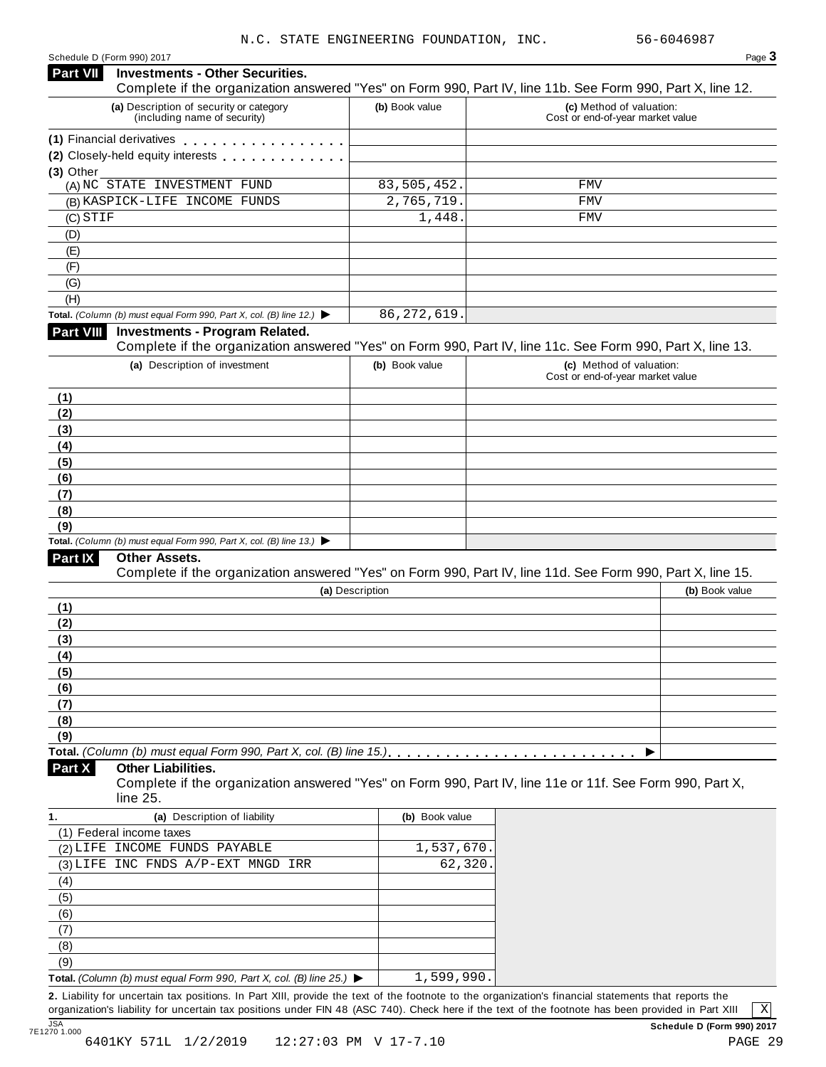| Part VII                                                | Schedule D (Form 990) 2017                                                               |                 | Page 3                                                                                                     |
|---------------------------------------------------------|------------------------------------------------------------------------------------------|-----------------|------------------------------------------------------------------------------------------------------------|
|                                                         | <b>Investments - Other Securities.</b>                                                   |                 |                                                                                                            |
|                                                         |                                                                                          |                 | Complete if the organization answered "Yes" on Form 990, Part IV, line 11b. See Form 990, Part X, line 12. |
|                                                         | (a) Description of security or category<br>(including name of security)                  | (b) Book value  | (c) Method of valuation:<br>Cost or end-of-year market value                                               |
|                                                         | (1) Financial derivatives <b>All Accords</b>                                             |                 |                                                                                                            |
|                                                         | (2) Closely-held equity interests                                                        |                 |                                                                                                            |
| $(3)$ Other                                             |                                                                                          |                 |                                                                                                            |
|                                                         | (A) NC STATE INVESTMENT FUND                                                             | 83,505,452.     | FMV                                                                                                        |
|                                                         | (B) KASPICK-LIFE INCOME FUNDS                                                            | 2,765,719.      | FMV                                                                                                        |
| $(C)$ STIF                                              |                                                                                          | 1,448           | <b>FMV</b>                                                                                                 |
| (D)                                                     |                                                                                          |                 |                                                                                                            |
| (E)                                                     |                                                                                          |                 |                                                                                                            |
| (F)                                                     |                                                                                          |                 |                                                                                                            |
| (G)                                                     |                                                                                          |                 |                                                                                                            |
| (H)                                                     |                                                                                          |                 |                                                                                                            |
|                                                         | Total. (Column (b) must equal Form 990, Part X, col. (B) line 12.) $\blacktriangleright$ | 86, 272, 619.   |                                                                                                            |
| <b>Part VIII</b>                                        | <b>Investments - Program Related.</b>                                                    |                 |                                                                                                            |
|                                                         |                                                                                          |                 | Complete if the organization answered "Yes" on Form 990, Part IV, line 11c. See Form 990, Part X, line 13. |
|                                                         | (a) Description of investment                                                            | (b) Book value  | (c) Method of valuation:                                                                                   |
|                                                         |                                                                                          |                 | Cost or end-of-year market value                                                                           |
| (1)                                                     |                                                                                          |                 |                                                                                                            |
| (2)                                                     |                                                                                          |                 |                                                                                                            |
| (3)                                                     |                                                                                          |                 |                                                                                                            |
| (4)                                                     |                                                                                          |                 |                                                                                                            |
| (5)                                                     |                                                                                          |                 |                                                                                                            |
| (6)                                                     |                                                                                          |                 |                                                                                                            |
|                                                         |                                                                                          |                 |                                                                                                            |
| (7)                                                     |                                                                                          |                 |                                                                                                            |
| (8)                                                     |                                                                                          |                 |                                                                                                            |
| (9)                                                     |                                                                                          |                 |                                                                                                            |
|                                                         | Total. (Column (b) must equal Form 990, Part X, col. (B) line 13.) $\blacktriangleright$ |                 |                                                                                                            |
| <b>Part IX</b>                                          | Other Assets.                                                                            |                 |                                                                                                            |
|                                                         |                                                                                          |                 | Complete if the organization answered "Yes" on Form 990, Part IV, line 11d. See Form 990, Part X, line 15. |
|                                                         |                                                                                          | (a) Description | (b) Book value                                                                                             |
| (1)                                                     |                                                                                          |                 |                                                                                                            |
| (2)                                                     |                                                                                          |                 |                                                                                                            |
| (3)                                                     |                                                                                          |                 |                                                                                                            |
|                                                         |                                                                                          |                 |                                                                                                            |
|                                                         |                                                                                          |                 |                                                                                                            |
|                                                         |                                                                                          |                 |                                                                                                            |
|                                                         |                                                                                          |                 |                                                                                                            |
|                                                         |                                                                                          |                 |                                                                                                            |
|                                                         |                                                                                          |                 |                                                                                                            |
|                                                         |                                                                                          |                 |                                                                                                            |
|                                                         | Total. (Column (b) must equal Form 990, Part X, col. (B) line 15.)                       |                 |                                                                                                            |
| <u>(4)</u><br>(5)<br>(6)<br>(7)<br>(8)<br>(9)<br>Part X | <b>Other Liabilities.</b>                                                                |                 | Complete if the organization answered "Yes" on Form 990, Part IV, line 11e or 11f. See Form 990, Part X,   |
|                                                         | line 25.                                                                                 |                 |                                                                                                            |
|                                                         | (a) Description of liability                                                             | (b) Book value  |                                                                                                            |
|                                                         | (1) Federal income taxes                                                                 |                 |                                                                                                            |
|                                                         | (2) LIFE INCOME FUNDS PAYABLE                                                            | 1,537,670.      |                                                                                                            |
|                                                         | (3) LIFE INC FNDS A/P-EXT MNGD IRR                                                       | 62,320.         |                                                                                                            |
|                                                         |                                                                                          |                 |                                                                                                            |
|                                                         |                                                                                          |                 |                                                                                                            |
|                                                         |                                                                                          |                 |                                                                                                            |
|                                                         |                                                                                          |                 |                                                                                                            |
|                                                         |                                                                                          |                 |                                                                                                            |
| 1.<br>(4)<br>(5)<br>(6)<br>(7)<br>(8)<br>(9)            |                                                                                          |                 |                                                                                                            |

organization's liability for uncertain tax positions under FIN 48 (ASC 740). Check here ifthe text of the footnote has been provided in Part XIII

 $\boxed{\mathbf{x}}$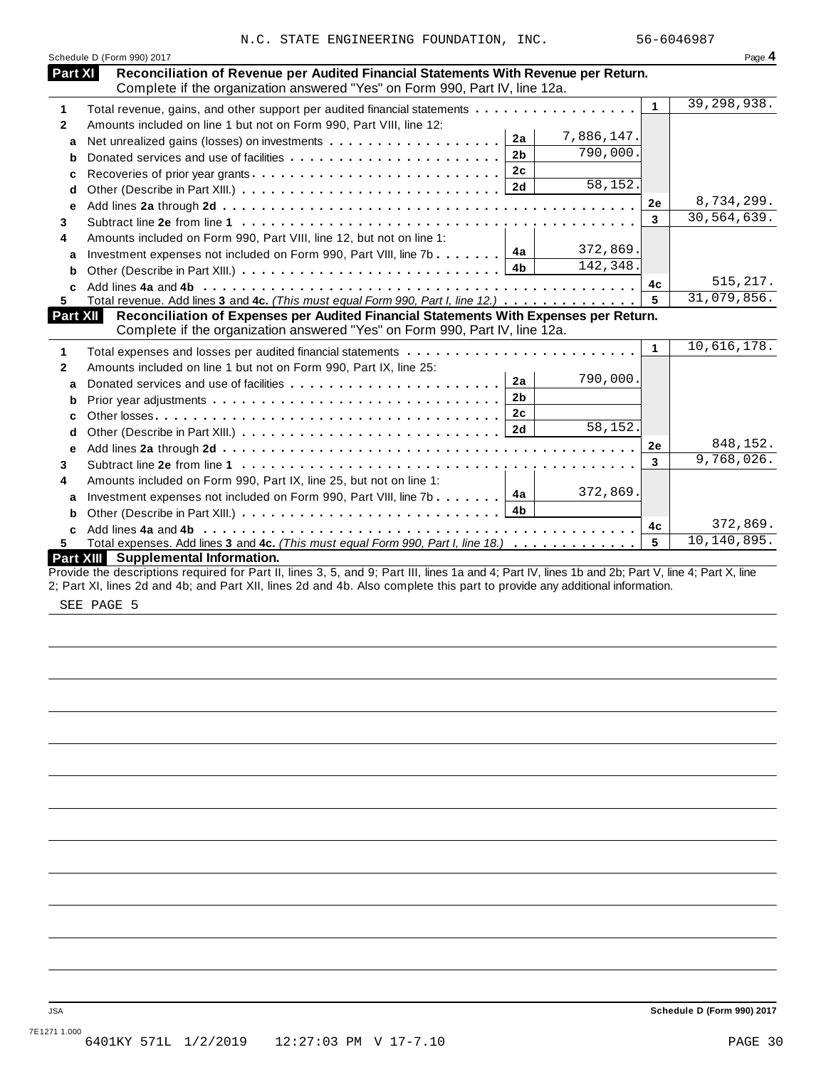| Part XI<br>Reconciliation of Revenue per Audited Financial Statements With Revenue per Return.<br>Complete if the organization answered "Yes" on Form 990, Part IV, line 12a.<br>Total revenue, gains, and other support per audited financial statements<br>Amounts included on line 1 but not on Form 990, Part VIII, line 12:<br>Net unrealized gains (losses) on investments |                                                                                                                                                                                                                             |                                                                                                                                                                                                              | $\mathbf{1}$                                                                                                                                                                                                                             | 39,298,938.                                                                                                                   |
|----------------------------------------------------------------------------------------------------------------------------------------------------------------------------------------------------------------------------------------------------------------------------------------------------------------------------------------------------------------------------------|-----------------------------------------------------------------------------------------------------------------------------------------------------------------------------------------------------------------------------|--------------------------------------------------------------------------------------------------------------------------------------------------------------------------------------------------------------|------------------------------------------------------------------------------------------------------------------------------------------------------------------------------------------------------------------------------------------|-------------------------------------------------------------------------------------------------------------------------------|
|                                                                                                                                                                                                                                                                                                                                                                                  |                                                                                                                                                                                                                             |                                                                                                                                                                                                              |                                                                                                                                                                                                                                          |                                                                                                                               |
|                                                                                                                                                                                                                                                                                                                                                                                  |                                                                                                                                                                                                                             |                                                                                                                                                                                                              |                                                                                                                                                                                                                                          |                                                                                                                               |
|                                                                                                                                                                                                                                                                                                                                                                                  |                                                                                                                                                                                                                             |                                                                                                                                                                                                              |                                                                                                                                                                                                                                          |                                                                                                                               |
|                                                                                                                                                                                                                                                                                                                                                                                  | 2a                                                                                                                                                                                                                          | 7,886,147.                                                                                                                                                                                                   |                                                                                                                                                                                                                                          |                                                                                                                               |
|                                                                                                                                                                                                                                                                                                                                                                                  | 2 <sub>b</sub>                                                                                                                                                                                                              | 790,000.                                                                                                                                                                                                     |                                                                                                                                                                                                                                          |                                                                                                                               |
| Recoveries of prior year grants                                                                                                                                                                                                                                                                                                                                                  | 2c                                                                                                                                                                                                                          |                                                                                                                                                                                                              |                                                                                                                                                                                                                                          |                                                                                                                               |
|                                                                                                                                                                                                                                                                                                                                                                                  | 2d                                                                                                                                                                                                                          | 58,152.                                                                                                                                                                                                      |                                                                                                                                                                                                                                          |                                                                                                                               |
|                                                                                                                                                                                                                                                                                                                                                                                  |                                                                                                                                                                                                                             |                                                                                                                                                                                                              | 2e                                                                                                                                                                                                                                       | 8,734,299.                                                                                                                    |
|                                                                                                                                                                                                                                                                                                                                                                                  |                                                                                                                                                                                                                             |                                                                                                                                                                                                              | 3                                                                                                                                                                                                                                        | 30,564,639.                                                                                                                   |
|                                                                                                                                                                                                                                                                                                                                                                                  |                                                                                                                                                                                                                             |                                                                                                                                                                                                              |                                                                                                                                                                                                                                          |                                                                                                                               |
|                                                                                                                                                                                                                                                                                                                                                                                  |                                                                                                                                                                                                                             | 372,869.                                                                                                                                                                                                     |                                                                                                                                                                                                                                          |                                                                                                                               |
|                                                                                                                                                                                                                                                                                                                                                                                  |                                                                                                                                                                                                                             | 142,348.                                                                                                                                                                                                     |                                                                                                                                                                                                                                          |                                                                                                                               |
|                                                                                                                                                                                                                                                                                                                                                                                  |                                                                                                                                                                                                                             |                                                                                                                                                                                                              |                                                                                                                                                                                                                                          | 515, 217.                                                                                                                     |
|                                                                                                                                                                                                                                                                                                                                                                                  |                                                                                                                                                                                                                             |                                                                                                                                                                                                              | 5                                                                                                                                                                                                                                        | 31,079,856.                                                                                                                   |
|                                                                                                                                                                                                                                                                                                                                                                                  |                                                                                                                                                                                                                             |                                                                                                                                                                                                              |                                                                                                                                                                                                                                          | 10,616,178.                                                                                                                   |
|                                                                                                                                                                                                                                                                                                                                                                                  |                                                                                                                                                                                                                             |                                                                                                                                                                                                              |                                                                                                                                                                                                                                          |                                                                                                                               |
|                                                                                                                                                                                                                                                                                                                                                                                  |                                                                                                                                                                                                                             |                                                                                                                                                                                                              |                                                                                                                                                                                                                                          |                                                                                                                               |
|                                                                                                                                                                                                                                                                                                                                                                                  |                                                                                                                                                                                                                             |                                                                                                                                                                                                              |                                                                                                                                                                                                                                          |                                                                                                                               |
|                                                                                                                                                                                                                                                                                                                                                                                  |                                                                                                                                                                                                                             |                                                                                                                                                                                                              |                                                                                                                                                                                                                                          |                                                                                                                               |
|                                                                                                                                                                                                                                                                                                                                                                                  |                                                                                                                                                                                                                             |                                                                                                                                                                                                              |                                                                                                                                                                                                                                          |                                                                                                                               |
|                                                                                                                                                                                                                                                                                                                                                                                  |                                                                                                                                                                                                                             |                                                                                                                                                                                                              |                                                                                                                                                                                                                                          |                                                                                                                               |
|                                                                                                                                                                                                                                                                                                                                                                                  |                                                                                                                                                                                                                             |                                                                                                                                                                                                              |                                                                                                                                                                                                                                          | 848,152.                                                                                                                      |
|                                                                                                                                                                                                                                                                                                                                                                                  |                                                                                                                                                                                                                             |                                                                                                                                                                                                              | 3                                                                                                                                                                                                                                        | 9,768,026.                                                                                                                    |
|                                                                                                                                                                                                                                                                                                                                                                                  |                                                                                                                                                                                                                             |                                                                                                                                                                                                              |                                                                                                                                                                                                                                          |                                                                                                                               |
|                                                                                                                                                                                                                                                                                                                                                                                  | 4a                                                                                                                                                                                                                          |                                                                                                                                                                                                              |                                                                                                                                                                                                                                          |                                                                                                                               |
|                                                                                                                                                                                                                                                                                                                                                                                  | 4b                                                                                                                                                                                                                          |                                                                                                                                                                                                              |                                                                                                                                                                                                                                          |                                                                                                                               |
|                                                                                                                                                                                                                                                                                                                                                                                  |                                                                                                                                                                                                                             |                                                                                                                                                                                                              | 4c                                                                                                                                                                                                                                       | 372,869.                                                                                                                      |
|                                                                                                                                                                                                                                                                                                                                                                                  |                                                                                                                                                                                                                             |                                                                                                                                                                                                              |                                                                                                                                                                                                                                          | 10,140,895.                                                                                                                   |
|                                                                                                                                                                                                                                                                                                                                                                                  | Amounts included on Form 990, Part VIII, line 12, but not on line 1:<br>Part XII<br>Amounts included on line 1 but not on Form 990, Part IX, line 25:<br>Amounts included on Form 990, Part IX, line 25, but not on line 1: | 4a<br>Investment expenses not included on Form 990, Part VIII, line 7b<br>4 <sub>b</sub><br>2a<br>2 <sub>b</sub><br>2 <sub>c</sub><br>2d<br>Investment expenses not included on Form 990, Part VIII, line 7b | Total revenue. Add lines 3 and 4c. (This must equal Form 990, Part I, line 12.)<br>Complete if the organization answered "Yes" on Form 990, Part IV, line 12a.<br>Total expenses and losses per audited financial statements<br>372,869. | 4c<br>Reconciliation of Expenses per Audited Financial Statements With Expenses per Return.<br>1<br>790,000.<br>58,152.<br>2e |

2; Part XI, lines 2d and 4b; and Part XII, lines 2d and 4b. Also complete this part to provide any additional information.

SEE PAGE 5

JSA **Schedule D (Form 990) 2017**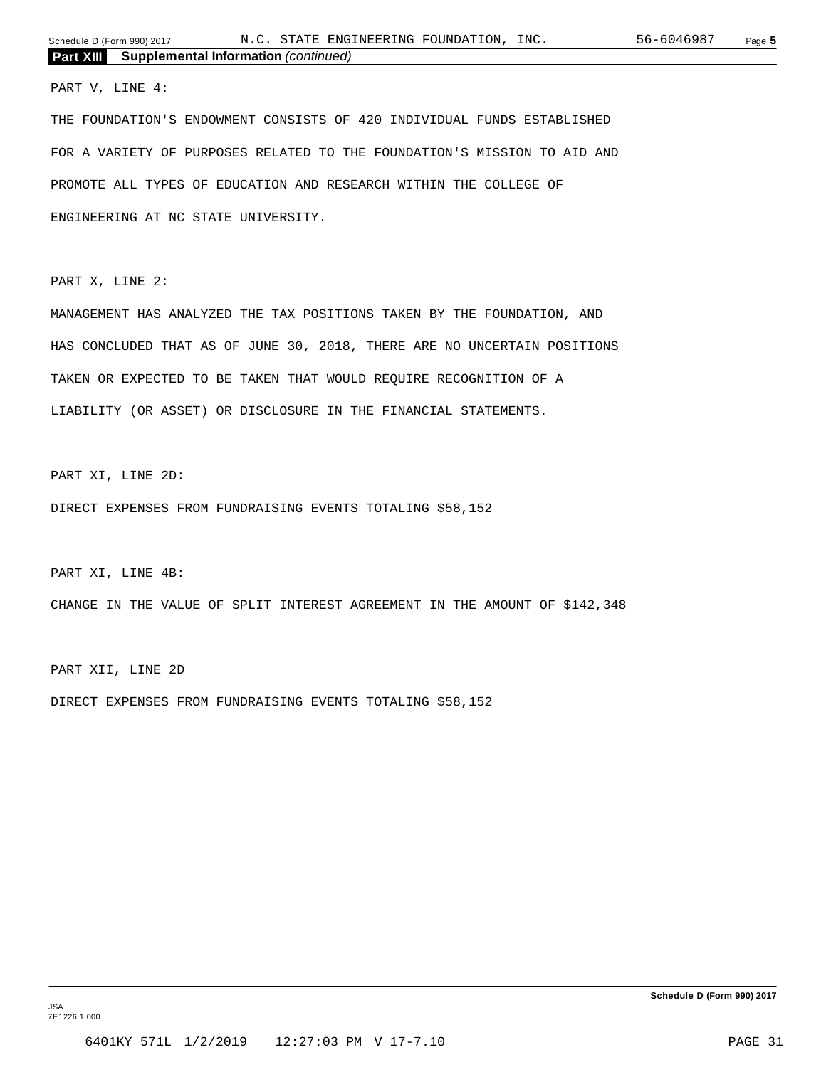PART V, LINE 4:

THE FOUNDATION'S ENDOWMENT CONSISTS OF 420 INDIVIDUAL FUNDS ESTABLISHED FOR A VARIETY OF PURPOSES RELATED TO THE FOUNDATION'S MISSION TO AID AND PROMOTE ALL TYPES OF EDUCATION AND RESEARCH WITHIN THE COLLEGE OF ENGINEERING AT NC STATE UNIVERSITY.

PART X, LINE 2:

MANAGEMENT HAS ANALYZED THE TAX POSITIONS TAKEN BY THE FOUNDATION, AND HAS CONCLUDED THAT AS OF JUNE 30, 2018, THERE ARE NO UNCERTAIN POSITIONS TAKEN OR EXPECTED TO BE TAKEN THAT WOULD REQUIRE RECOGNITION OF A LIABILITY (OR ASSET) OR DISCLOSURE IN THE FINANCIAL STATEMENTS.

PART XI, LINE 2D:

DIRECT EXPENSES FROM FUNDRAISING EVENTS TOTALING \$58,152

PART XI, LINE 4B:

CHANGE IN THE VALUE OF SPLIT INTEREST AGREEMENT IN THE AMOUNT OF \$142,348

PART XII, LINE 2D

DIRECT EXPENSES FROM FUNDRAISING EVENTS TOTALING \$58,152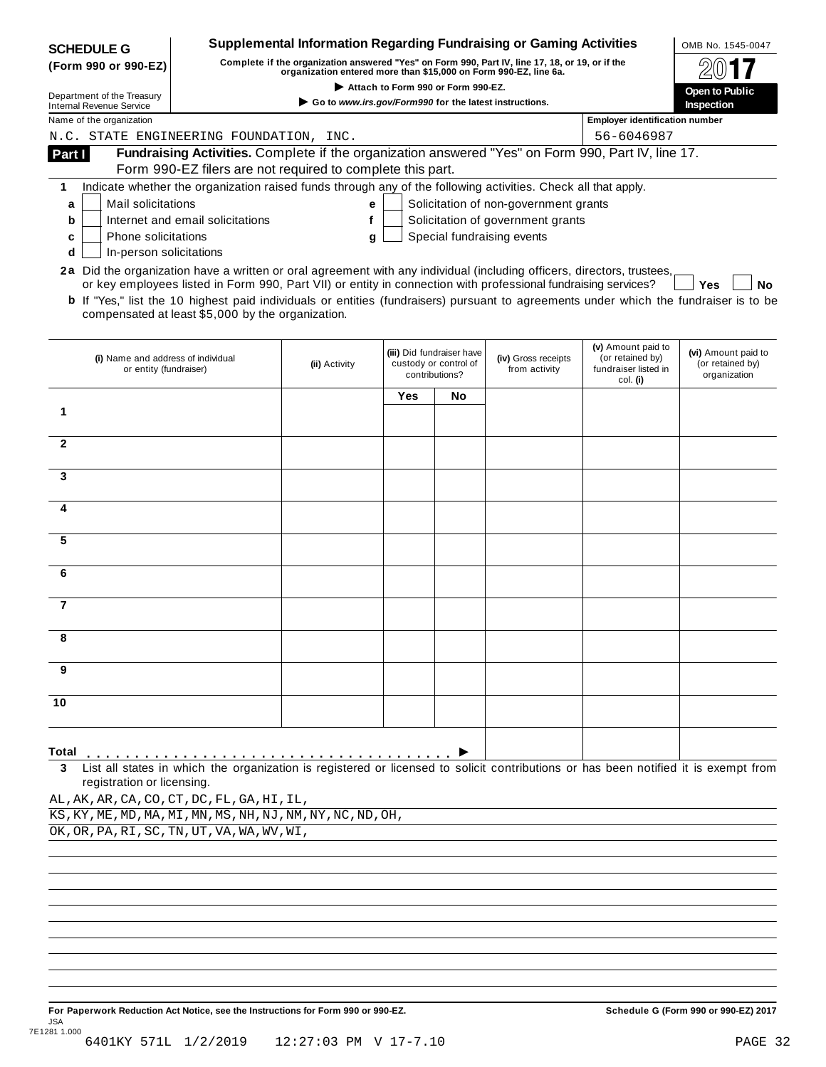| <b>SCHEDULE G</b>                                                                                                                                                                                                                                                                                                                                                                                                                                                                                                                                                                                                                                                                                                                                                                                                                                                                                                     |                                                                                                                                                                                                                                                                                                                                                                                                                                                                                                                                                                                                                                                                                                                                                                                                                                                                                                                                                                                                                                                                                                                                                                                                                                                                                                                                                                                                                    | <b>Supplemental Information Regarding Fundraising or Gaming Activities</b> |  |            | OMB No. 1545-0047 |
|-----------------------------------------------------------------------------------------------------------------------------------------------------------------------------------------------------------------------------------------------------------------------------------------------------------------------------------------------------------------------------------------------------------------------------------------------------------------------------------------------------------------------------------------------------------------------------------------------------------------------------------------------------------------------------------------------------------------------------------------------------------------------------------------------------------------------------------------------------------------------------------------------------------------------|--------------------------------------------------------------------------------------------------------------------------------------------------------------------------------------------------------------------------------------------------------------------------------------------------------------------------------------------------------------------------------------------------------------------------------------------------------------------------------------------------------------------------------------------------------------------------------------------------------------------------------------------------------------------------------------------------------------------------------------------------------------------------------------------------------------------------------------------------------------------------------------------------------------------------------------------------------------------------------------------------------------------------------------------------------------------------------------------------------------------------------------------------------------------------------------------------------------------------------------------------------------------------------------------------------------------------------------------------------------------------------------------------------------------|----------------------------------------------------------------------------|--|------------|-------------------|
| (Form 990 or 990-EZ)                                                                                                                                                                                                                                                                                                                                                                                                                                                                                                                                                                                                                                                                                                                                                                                                                                                                                                  |                                                                                                                                                                                                                                                                                                                                                                                                                                                                                                                                                                                                                                                                                                                                                                                                                                                                                                                                                                                                                                                                                                                                                                                                                                                                                                                                                                                                                    |                                                                            |  |            |                   |
|                                                                                                                                                                                                                                                                                                                                                                                                                                                                                                                                                                                                                                                                                                                                                                                                                                                                                                                       |                                                                                                                                                                                                                                                                                                                                                                                                                                                                                                                                                                                                                                                                                                                                                                                                                                                                                                                                                                                                                                                                                                                                                                                                                                                                                                                                                                                                                    |                                                                            |  |            |                   |
| <b>Internal Revenue Service</b>                                                                                                                                                                                                                                                                                                                                                                                                                                                                                                                                                                                                                                                                                                                                                                                                                                                                                       |                                                                                                                                                                                                                                                                                                                                                                                                                                                                                                                                                                                                                                                                                                                                                                                                                                                                                                                                                                                                                                                                                                                                                                                                                                                                                                                                                                                                                    |                                                                            |  |            | Inspection        |
| Name of the organization                                                                                                                                                                                                                                                                                                                                                                                                                                                                                                                                                                                                                                                                                                                                                                                                                                                                                              |                                                                                                                                                                                                                                                                                                                                                                                                                                                                                                                                                                                                                                                                                                                                                                                                                                                                                                                                                                                                                                                                                                                                                                                                                                                                                                                                                                                                                    |                                                                            |  |            |                   |
|                                                                                                                                                                                                                                                                                                                                                                                                                                                                                                                                                                                                                                                                                                                                                                                                                                                                                                                       |                                                                                                                                                                                                                                                                                                                                                                                                                                                                                                                                                                                                                                                                                                                                                                                                                                                                                                                                                                                                                                                                                                                                                                                                                                                                                                                                                                                                                    |                                                                            |  | 56-6046987 |                   |
|                                                                                                                                                                                                                                                                                                                                                                                                                                                                                                                                                                                                                                                                                                                                                                                                                                                                                                                       | Attach to Form 990 or Form 990-EZ.<br><b>Open to Public</b><br>Go to www.irs.gov/Form990 for the latest instructions.<br><b>Employer identification number</b><br>Fundraising Activities. Complete if the organization answered "Yes" on Form 990, Part IV, line 17.<br>Form 990-EZ filers are not required to complete this part.<br>Indicate whether the organization raised funds through any of the following activities. Check all that apply.<br>Mail solicitations<br>Solicitation of non-government grants<br>е<br>Solicitation of government grants<br>f<br>Internet and email solicitations<br>Special fundraising events<br>Phone solicitations<br>g<br>In-person solicitations<br>or key employees listed in Form 990, Part VII) or entity in connection with professional fundraising services?<br><b>Yes</b><br>No<br>compensated at least \$5,000 by the organization.<br>(v) Amount paid to<br>(iii) Did fundraiser have<br>(vi) Amount paid to<br>(or retained by)<br>(i) Name and address of individual<br>(iv) Gross receipts<br>custody or control of<br>(ii) Activity<br>(or retained by)<br>or entity (fundraiser)<br>fundraiser listed in<br>from activity<br>contributions?<br>organization<br>col. (i)<br>Yes<br>No.<br>List all states in which the organization is registered or licensed to solicit contributions or has been notified it is exempt from<br>registration or licensing. |                                                                            |  |            |                   |
| 1                                                                                                                                                                                                                                                                                                                                                                                                                                                                                                                                                                                                                                                                                                                                                                                                                                                                                                                     |                                                                                                                                                                                                                                                                                                                                                                                                                                                                                                                                                                                                                                                                                                                                                                                                                                                                                                                                                                                                                                                                                                                                                                                                                                                                                                                                                                                                                    |                                                                            |  |            |                   |
| a                                                                                                                                                                                                                                                                                                                                                                                                                                                                                                                                                                                                                                                                                                                                                                                                                                                                                                                     |                                                                                                                                                                                                                                                                                                                                                                                                                                                                                                                                                                                                                                                                                                                                                                                                                                                                                                                                                                                                                                                                                                                                                                                                                                                                                                                                                                                                                    |                                                                            |  |            |                   |
| b                                                                                                                                                                                                                                                                                                                                                                                                                                                                                                                                                                                                                                                                                                                                                                                                                                                                                                                     |                                                                                                                                                                                                                                                                                                                                                                                                                                                                                                                                                                                                                                                                                                                                                                                                                                                                                                                                                                                                                                                                                                                                                                                                                                                                                                                                                                                                                    |                                                                            |  |            |                   |
| c                                                                                                                                                                                                                                                                                                                                                                                                                                                                                                                                                                                                                                                                                                                                                                                                                                                                                                                     |                                                                                                                                                                                                                                                                                                                                                                                                                                                                                                                                                                                                                                                                                                                                                                                                                                                                                                                                                                                                                                                                                                                                                                                                                                                                                                                                                                                                                    |                                                                            |  |            |                   |
|                                                                                                                                                                                                                                                                                                                                                                                                                                                                                                                                                                                                                                                                                                                                                                                                                                                                                                                       |                                                                                                                                                                                                                                                                                                                                                                                                                                                                                                                                                                                                                                                                                                                                                                                                                                                                                                                                                                                                                                                                                                                                                                                                                                                                                                                                                                                                                    |                                                                            |  |            |                   |
|                                                                                                                                                                                                                                                                                                                                                                                                                                                                                                                                                                                                                                                                                                                                                                                                                                                                                                                       |                                                                                                                                                                                                                                                                                                                                                                                                                                                                                                                                                                                                                                                                                                                                                                                                                                                                                                                                                                                                                                                                                                                                                                                                                                                                                                                                                                                                                    |                                                                            |  |            |                   |
|                                                                                                                                                                                                                                                                                                                                                                                                                                                                                                                                                                                                                                                                                                                                                                                                                                                                                                                       |                                                                                                                                                                                                                                                                                                                                                                                                                                                                                                                                                                                                                                                                                                                                                                                                                                                                                                                                                                                                                                                                                                                                                                                                                                                                                                                                                                                                                    |                                                                            |  |            |                   |
|                                                                                                                                                                                                                                                                                                                                                                                                                                                                                                                                                                                                                                                                                                                                                                                                                                                                                                                       |                                                                                                                                                                                                                                                                                                                                                                                                                                                                                                                                                                                                                                                                                                                                                                                                                                                                                                                                                                                                                                                                                                                                                                                                                                                                                                                                                                                                                    |                                                                            |  |            |                   |
|                                                                                                                                                                                                                                                                                                                                                                                                                                                                                                                                                                                                                                                                                                                                                                                                                                                                                                                       |                                                                                                                                                                                                                                                                                                                                                                                                                                                                                                                                                                                                                                                                                                                                                                                                                                                                                                                                                                                                                                                                                                                                                                                                                                                                                                                                                                                                                    |                                                                            |  |            |                   |
| $\overline{2}$                                                                                                                                                                                                                                                                                                                                                                                                                                                                                                                                                                                                                                                                                                                                                                                                                                                                                                        |                                                                                                                                                                                                                                                                                                                                                                                                                                                                                                                                                                                                                                                                                                                                                                                                                                                                                                                                                                                                                                                                                                                                                                                                                                                                                                                                                                                                                    |                                                                            |  |            |                   |
| 3                                                                                                                                                                                                                                                                                                                                                                                                                                                                                                                                                                                                                                                                                                                                                                                                                                                                                                                     |                                                                                                                                                                                                                                                                                                                                                                                                                                                                                                                                                                                                                                                                                                                                                                                                                                                                                                                                                                                                                                                                                                                                                                                                                                                                                                                                                                                                                    |                                                                            |  |            |                   |
|                                                                                                                                                                                                                                                                                                                                                                                                                                                                                                                                                                                                                                                                                                                                                                                                                                                                                                                       |                                                                                                                                                                                                                                                                                                                                                                                                                                                                                                                                                                                                                                                                                                                                                                                                                                                                                                                                                                                                                                                                                                                                                                                                                                                                                                                                                                                                                    |                                                                            |  |            |                   |
|                                                                                                                                                                                                                                                                                                                                                                                                                                                                                                                                                                                                                                                                                                                                                                                                                                                                                                                       |                                                                                                                                                                                                                                                                                                                                                                                                                                                                                                                                                                                                                                                                                                                                                                                                                                                                                                                                                                                                                                                                                                                                                                                                                                                                                                                                                                                                                    |                                                                            |  |            |                   |
| 5                                                                                                                                                                                                                                                                                                                                                                                                                                                                                                                                                                                                                                                                                                                                                                                                                                                                                                                     |                                                                                                                                                                                                                                                                                                                                                                                                                                                                                                                                                                                                                                                                                                                                                                                                                                                                                                                                                                                                                                                                                                                                                                                                                                                                                                                                                                                                                    |                                                                            |  |            |                   |
| Complete if the organization answered "Yes" on Form 990, Part IV, line 17, 18, or 19, or if the<br>organization entered more than \$15,000 on Form 990-EZ, line 6a.<br>Department of the Treasury<br>N.C. STATE ENGINEERING FOUNDATION, INC.<br>Part I<br>d<br>2a Did the organization have a written or oral agreement with any individual (including officers, directors, trustees,<br><b>b</b> If "Yes," list the 10 highest paid individuals or entities (fundraisers) pursuant to agreements under which the fundraiser is to be<br>1<br>4<br>6<br>$\overline{7}$<br>8<br>9<br>10<br>Total<br>3<br>AL, AK, AR, CA, CO, CT, DC, FL, GA, HI, IL,<br>$\mathtt{KS}$ , $\mathtt{KY}$ , $\mathtt{ME}$ , $\mathtt{MD}$ , $\mathtt{MA}$ , $\mathtt{MI}$ , $\mathtt{MN}$ , $\mathtt{NH}$ , $\mathtt{NM}$ , $\mathtt{NY}$ , $\mathtt{NC}$ , $\mathtt{ND}$ , $\mathtt{OH}$ ,<br>OK, OR, PA, RI, SC, TN, UT, VA, WA, WV, WI, |                                                                                                                                                                                                                                                                                                                                                                                                                                                                                                                                                                                                                                                                                                                                                                                                                                                                                                                                                                                                                                                                                                                                                                                                                                                                                                                                                                                                                    |                                                                            |  |            |                   |
|                                                                                                                                                                                                                                                                                                                                                                                                                                                                                                                                                                                                                                                                                                                                                                                                                                                                                                                       |                                                                                                                                                                                                                                                                                                                                                                                                                                                                                                                                                                                                                                                                                                                                                                                                                                                                                                                                                                                                                                                                                                                                                                                                                                                                                                                                                                                                                    |                                                                            |  |            |                   |
|                                                                                                                                                                                                                                                                                                                                                                                                                                                                                                                                                                                                                                                                                                                                                                                                                                                                                                                       |                                                                                                                                                                                                                                                                                                                                                                                                                                                                                                                                                                                                                                                                                                                                                                                                                                                                                                                                                                                                                                                                                                                                                                                                                                                                                                                                                                                                                    |                                                                            |  |            |                   |
|                                                                                                                                                                                                                                                                                                                                                                                                                                                                                                                                                                                                                                                                                                                                                                                                                                                                                                                       |                                                                                                                                                                                                                                                                                                                                                                                                                                                                                                                                                                                                                                                                                                                                                                                                                                                                                                                                                                                                                                                                                                                                                                                                                                                                                                                                                                                                                    |                                                                            |  |            |                   |
|                                                                                                                                                                                                                                                                                                                                                                                                                                                                                                                                                                                                                                                                                                                                                                                                                                                                                                                       |                                                                                                                                                                                                                                                                                                                                                                                                                                                                                                                                                                                                                                                                                                                                                                                                                                                                                                                                                                                                                                                                                                                                                                                                                                                                                                                                                                                                                    |                                                                            |  |            |                   |
|                                                                                                                                                                                                                                                                                                                                                                                                                                                                                                                                                                                                                                                                                                                                                                                                                                                                                                                       |                                                                                                                                                                                                                                                                                                                                                                                                                                                                                                                                                                                                                                                                                                                                                                                                                                                                                                                                                                                                                                                                                                                                                                                                                                                                                                                                                                                                                    |                                                                            |  |            |                   |
|                                                                                                                                                                                                                                                                                                                                                                                                                                                                                                                                                                                                                                                                                                                                                                                                                                                                                                                       |                                                                                                                                                                                                                                                                                                                                                                                                                                                                                                                                                                                                                                                                                                                                                                                                                                                                                                                                                                                                                                                                                                                                                                                                                                                                                                                                                                                                                    |                                                                            |  |            |                   |
|                                                                                                                                                                                                                                                                                                                                                                                                                                                                                                                                                                                                                                                                                                                                                                                                                                                                                                                       |                                                                                                                                                                                                                                                                                                                                                                                                                                                                                                                                                                                                                                                                                                                                                                                                                                                                                                                                                                                                                                                                                                                                                                                                                                                                                                                                                                                                                    |                                                                            |  |            |                   |
|                                                                                                                                                                                                                                                                                                                                                                                                                                                                                                                                                                                                                                                                                                                                                                                                                                                                                                                       |                                                                                                                                                                                                                                                                                                                                                                                                                                                                                                                                                                                                                                                                                                                                                                                                                                                                                                                                                                                                                                                                                                                                                                                                                                                                                                                                                                                                                    |                                                                            |  |            |                   |
|                                                                                                                                                                                                                                                                                                                                                                                                                                                                                                                                                                                                                                                                                                                                                                                                                                                                                                                       |                                                                                                                                                                                                                                                                                                                                                                                                                                                                                                                                                                                                                                                                                                                                                                                                                                                                                                                                                                                                                                                                                                                                                                                                                                                                                                                                                                                                                    |                                                                            |  |            |                   |
|                                                                                                                                                                                                                                                                                                                                                                                                                                                                                                                                                                                                                                                                                                                                                                                                                                                                                                                       |                                                                                                                                                                                                                                                                                                                                                                                                                                                                                                                                                                                                                                                                                                                                                                                                                                                                                                                                                                                                                                                                                                                                                                                                                                                                                                                                                                                                                    |                                                                            |  |            |                   |
|                                                                                                                                                                                                                                                                                                                                                                                                                                                                                                                                                                                                                                                                                                                                                                                                                                                                                                                       |                                                                                                                                                                                                                                                                                                                                                                                                                                                                                                                                                                                                                                                                                                                                                                                                                                                                                                                                                                                                                                                                                                                                                                                                                                                                                                                                                                                                                    |                                                                            |  |            |                   |
|                                                                                                                                                                                                                                                                                                                                                                                                                                                                                                                                                                                                                                                                                                                                                                                                                                                                                                                       |                                                                                                                                                                                                                                                                                                                                                                                                                                                                                                                                                                                                                                                                                                                                                                                                                                                                                                                                                                                                                                                                                                                                                                                                                                                                                                                                                                                                                    |                                                                            |  |            |                   |
|                                                                                                                                                                                                                                                                                                                                                                                                                                                                                                                                                                                                                                                                                                                                                                                                                                                                                                                       |                                                                                                                                                                                                                                                                                                                                                                                                                                                                                                                                                                                                                                                                                                                                                                                                                                                                                                                                                                                                                                                                                                                                                                                                                                                                                                                                                                                                                    |                                                                            |  |            |                   |
|                                                                                                                                                                                                                                                                                                                                                                                                                                                                                                                                                                                                                                                                                                                                                                                                                                                                                                                       |                                                                                                                                                                                                                                                                                                                                                                                                                                                                                                                                                                                                                                                                                                                                                                                                                                                                                                                                                                                                                                                                                                                                                                                                                                                                                                                                                                                                                    |                                                                            |  |            |                   |
|                                                                                                                                                                                                                                                                                                                                                                                                                                                                                                                                                                                                                                                                                                                                                                                                                                                                                                                       |                                                                                                                                                                                                                                                                                                                                                                                                                                                                                                                                                                                                                                                                                                                                                                                                                                                                                                                                                                                                                                                                                                                                                                                                                                                                                                                                                                                                                    |                                                                            |  |            |                   |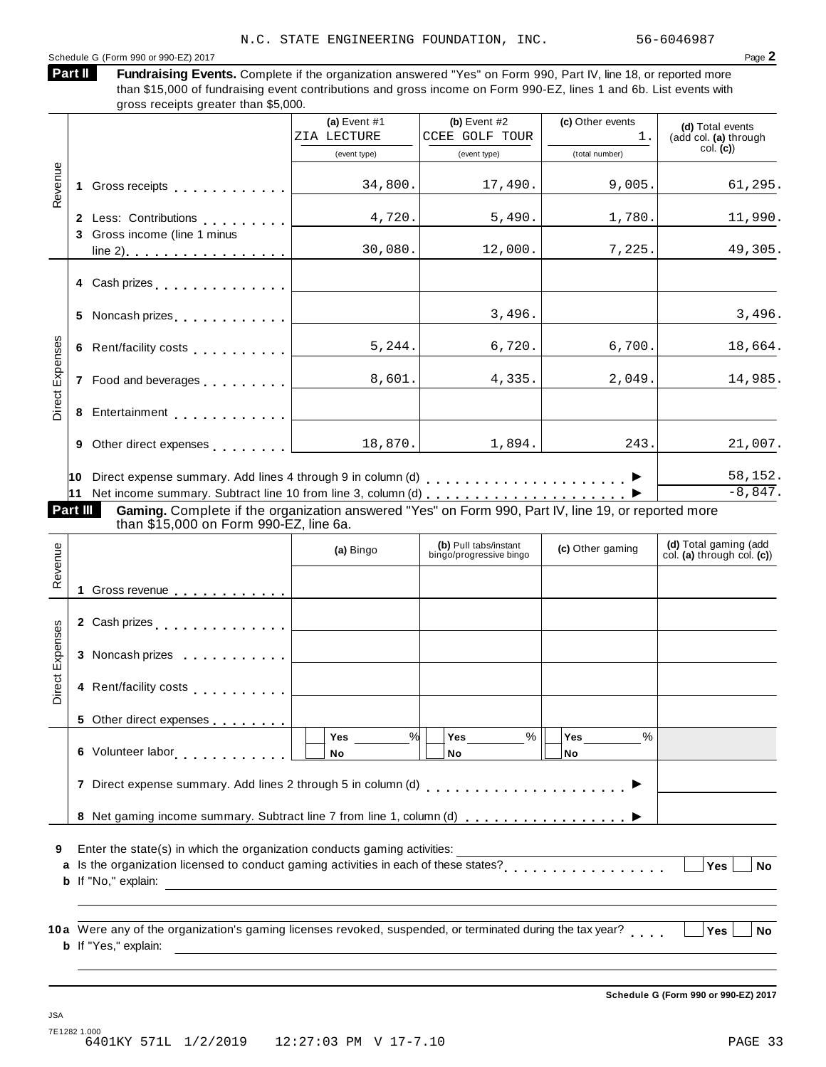### Schedule <sup>G</sup> (Form <sup>990</sup> or 990-EZ) <sup>2017</sup> Page **2**

Fundraising Events. Complete if the organization answered "Yes" on Form 990, Part IV, line 18, or reported more than \$15,000 of fundraising event contributions and gross income on Form 990-EZ, lines 1 and 6b. List events with gross receipts greater than \$5,000. **Part II**

|                 |                                                                                                                                                                                              | (a) Event $#1$<br>ZIA LECTURE                | (b) Event $#2$<br>CCEE GOLF TOUR                 | (c) Other events<br>1. | (d) Total events<br>(add col. (a) through<br>col. (c) |
|-----------------|----------------------------------------------------------------------------------------------------------------------------------------------------------------------------------------------|----------------------------------------------|--------------------------------------------------|------------------------|-------------------------------------------------------|
|                 |                                                                                                                                                                                              | (event type)                                 | (event type)                                     | (total number)         |                                                       |
| Revenue         |                                                                                                                                                                                              | 34,800.                                      | 17,490.                                          | 9,005.                 | 61,295.                                               |
|                 | 2 Less: Contributions [1, 1, 1, 1, 1, 1]<br>3 Gross income (line 1 minus                                                                                                                     | 4,720.                                       | 5,490.                                           | 1,780.                 | 11,990.                                               |
|                 |                                                                                                                                                                                              | 30,080.                                      | 12,000.                                          | 7,225.                 | 49,305.                                               |
|                 | 4 Cash prizes                                                                                                                                                                                |                                              |                                                  |                        |                                                       |
|                 | 5 Noncash prizes [19]                                                                                                                                                                        |                                              | 3,496.                                           |                        | 3,496.                                                |
|                 | 6 Rent/facility costs                                                                                                                                                                        | 5,244.                                       | 6,720.                                           | 6,700.                 | 18,664.                                               |
| Direct Expenses |                                                                                                                                                                                              | 8,601.                                       | 4,335.                                           | 2,049.                 | 14,985.                                               |
|                 | 8 Entertainment                                                                                                                                                                              | the control of the control of the control of |                                                  |                        |                                                       |
|                 | 9 Other direct expenses [                                                                                                                                                                    |                                              | 18,870.<br>1,894.                                | 243.                   | 21,007.                                               |
|                 |                                                                                                                                                                                              |                                              |                                                  |                        | 58,152.<br>$-8,847.$                                  |
| Part III        | Gaming. Complete if the organization answered "Yes" on Form 990, Part IV, line 19, or reported more<br>than \$15,000 on Form 990-EZ, line 6a.                                                |                                              |                                                  |                        |                                                       |
|                 |                                                                                                                                                                                              | (a) Bingo                                    | (b) Pull tabs/instant<br>bingo/progressive bingo | (c) Other gaming       | (d) Total gaming (add<br>col. (a) through col. (c))   |
| Revenue         |                                                                                                                                                                                              |                                              |                                                  |                        |                                                       |
|                 |                                                                                                                                                                                              |                                              |                                                  |                        |                                                       |
|                 |                                                                                                                                                                                              |                                              |                                                  |                        |                                                       |
|                 | 3 Noncash prizes                                                                                                                                                                             |                                              |                                                  |                        |                                                       |
| Direct Expenses | 4 Rent/facility costs                                                                                                                                                                        |                                              |                                                  |                        |                                                       |
|                 | 5 Other direct expenses                                                                                                                                                                      |                                              |                                                  |                        |                                                       |
|                 |                                                                                                                                                                                              | %<br>Yes                                     | $\%$<br>Yes                                      | $\frac{0}{0}$<br>Yes   |                                                       |
|                 | 6 Volunteer labor entry and the Volunteer labor                                                                                                                                              | No                                           | No                                               | No                     |                                                       |
|                 | 7 Direct expense summary. Add lines 2 through 5 in column (d)                                                                                                                                |                                              |                                                  |                        |                                                       |
|                 |                                                                                                                                                                                              |                                              |                                                  |                        |                                                       |
| 9<br>a          | Enter the state(s) in which the organization conducts gaming activities:<br>Is the organization licensed to conduct gaming activities in each of these states?<br><b>b</b> If "No," explain: |                                              |                                                  |                        | Yes<br>No                                             |
|                 |                                                                                                                                                                                              |                                              |                                                  |                        |                                                       |
|                 | 10a Were any of the organization's gaming licenses revoked, suspended, or terminated during the tax year?<br><b>b</b> If "Yes," explain:                                                     |                                              |                                                  |                        | Yes<br>No                                             |
|                 |                                                                                                                                                                                              |                                              |                                                  |                        |                                                       |

JSA 7E1282 1.000 6401KY 571L 1/2/2019 12:27:03 PM V 17-7.10 PAGE 33

**Schedule G (Form 990 or 990-EZ) 2017**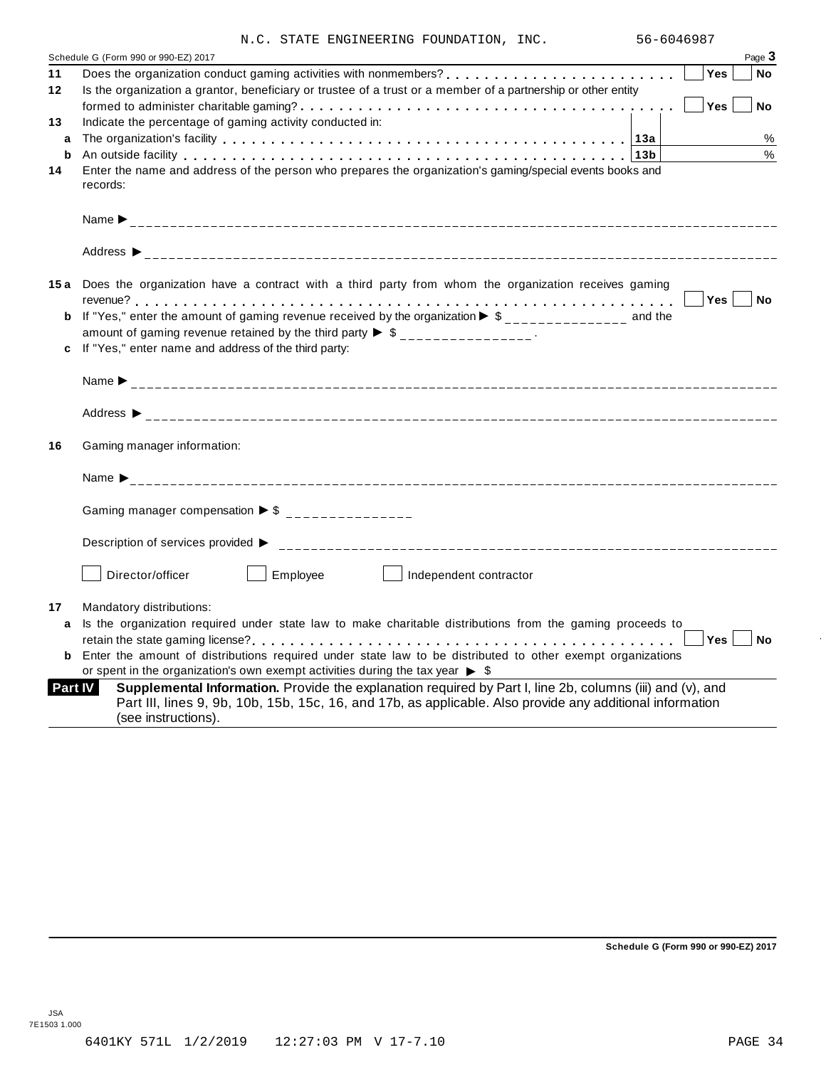|  | N.C. STATE ENGINEERING FOUNDATION, INC. |  | 56-6046987 |
|--|-----------------------------------------|--|------------|
|  |                                         |  |            |

| 11             | <b>Yes</b><br>No                                                                                                                                                                                                                              |
|----------------|-----------------------------------------------------------------------------------------------------------------------------------------------------------------------------------------------------------------------------------------------|
| $12 \,$        | Is the organization a grantor, beneficiary or trustee of a trust or a member of a partnership or other entity                                                                                                                                 |
|                | Yes<br><b>No</b>                                                                                                                                                                                                                              |
| 13             | Indicate the percentage of gaming activity conducted in:                                                                                                                                                                                      |
| a              | ℅                                                                                                                                                                                                                                             |
| b              | %<br>An outside facility enterpretence in the set of the contract of the contract of the contract of the current of the contract of the current of the current of the contract of the current of the current of the current of the            |
| 14             | Enter the name and address of the person who prepares the organization's gaming/special events books and                                                                                                                                      |
|                | records:                                                                                                                                                                                                                                      |
|                |                                                                                                                                                                                                                                               |
|                |                                                                                                                                                                                                                                               |
|                | 15a Does the organization have a contract with a third party from whom the organization receives gaming                                                                                                                                       |
|                | Yes <sub>1</sub><br><b>No</b>                                                                                                                                                                                                                 |
|                | <b>b</b> If "Yes," enter the amount of gaming revenue received by the organization $\triangleright$ \$______________ and the                                                                                                                  |
|                | amount of gaming revenue retained by the third party $\triangleright$ \$ _______________.                                                                                                                                                     |
|                | c If "Yes," enter name and address of the third party:                                                                                                                                                                                        |
|                |                                                                                                                                                                                                                                               |
|                |                                                                                                                                                                                                                                               |
|                |                                                                                                                                                                                                                                               |
| 16             | Gaming manager information:                                                                                                                                                                                                                   |
|                |                                                                                                                                                                                                                                               |
|                |                                                                                                                                                                                                                                               |
|                |                                                                                                                                                                                                                                               |
|                | Gaming manager compensation $\triangleright$ \$ ________________                                                                                                                                                                              |
|                |                                                                                                                                                                                                                                               |
|                | Description of services provided ▶                                                                                                                                                                                                            |
|                |                                                                                                                                                                                                                                               |
|                | Employee<br>Director/officer<br>Independent contractor                                                                                                                                                                                        |
|                |                                                                                                                                                                                                                                               |
| 17             | Mandatory distributions:                                                                                                                                                                                                                      |
| a              | Is the organization required under state law to make charitable distributions from the gaming proceeds to                                                                                                                                     |
|                | Yes<br>No                                                                                                                                                                                                                                     |
| b              | Enter the amount of distributions required under state law to be distributed to other exempt organizations                                                                                                                                    |
|                | or spent in the organization's own exempt activities during the tax year $\triangleright$ \$                                                                                                                                                  |
| <b>Part IV</b> | Supplemental Information. Provide the explanation required by Part I, line 2b, columns (iii) and (v), and<br>Part III, lines 9, 9b, 10b, 15b, 15c, 16, and 17b, as applicable. Also provide any additional information<br>(see instructions). |

**Schedule G (Form 990 or 990-EZ) 2017**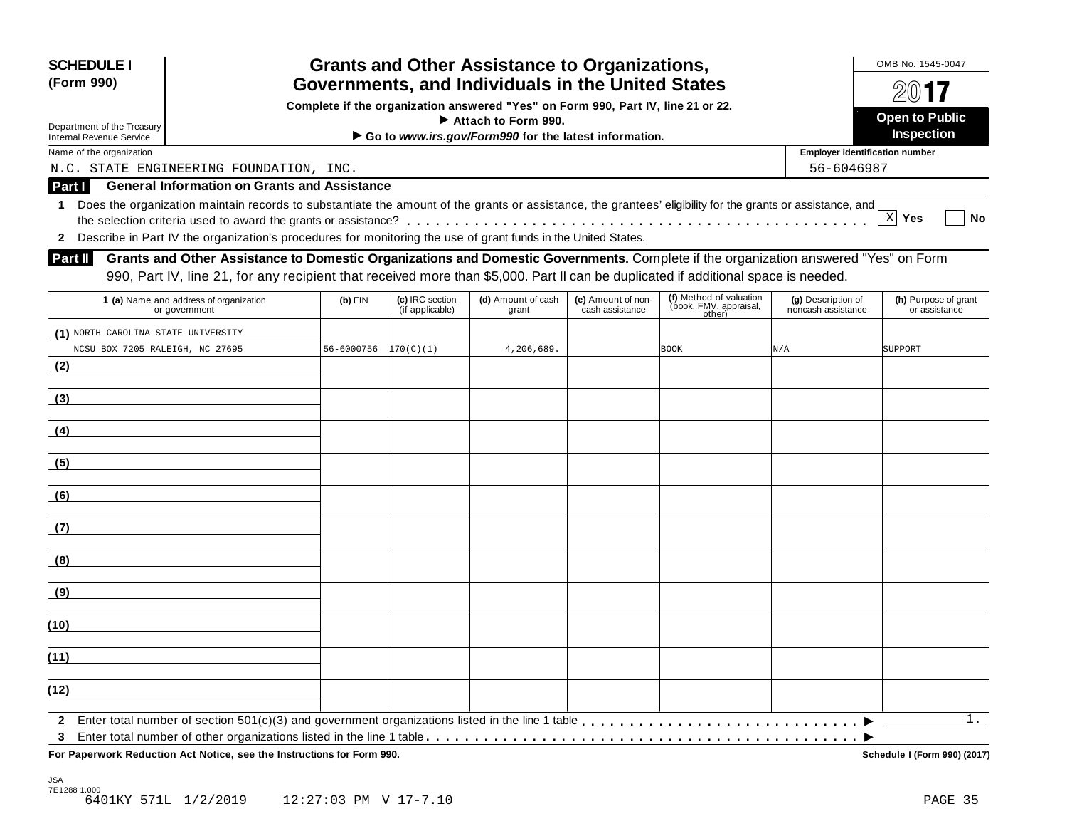| <b>SCHEDULE I</b>                                                                                                                                                    |                                                                                                                                                                                                                                                                                                                                                                                                                                                                                                                                                                                                                                                                                                                                                                                                         |            |                                    |                             |                                       |                                                             |                                          | OMB No. 1545-0047                     |
|----------------------------------------------------------------------------------------------------------------------------------------------------------------------|---------------------------------------------------------------------------------------------------------------------------------------------------------------------------------------------------------------------------------------------------------------------------------------------------------------------------------------------------------------------------------------------------------------------------------------------------------------------------------------------------------------------------------------------------------------------------------------------------------------------------------------------------------------------------------------------------------------------------------------------------------------------------------------------------------|------------|------------------------------------|-----------------------------|---------------------------------------|-------------------------------------------------------------|------------------------------------------|---------------------------------------|
|                                                                                                                                                                      |                                                                                                                                                                                                                                                                                                                                                                                                                                                                                                                                                                                                                                                                                                                                                                                                         |            |                                    |                             |                                       |                                                             |                                          |                                       |
| Department of the Treasury                                                                                                                                           |                                                                                                                                                                                                                                                                                                                                                                                                                                                                                                                                                                                                                                                                                                                                                                                                         |            |                                    |                             |                                       |                                                             |                                          | <b>Open to Public</b>                 |
| <b>Internal Revenue Service</b>                                                                                                                                      |                                                                                                                                                                                                                                                                                                                                                                                                                                                                                                                                                                                                                                                                                                                                                                                                         |            |                                    |                             |                                       |                                                             |                                          |                                       |
|                                                                                                                                                                      |                                                                                                                                                                                                                                                                                                                                                                                                                                                                                                                                                                                                                                                                                                                                                                                                         |            |                                    |                             |                                       |                                                             |                                          |                                       |
|                                                                                                                                                                      |                                                                                                                                                                                                                                                                                                                                                                                                                                                                                                                                                                                                                                                                                                                                                                                                         |            |                                    |                             |                                       |                                                             |                                          |                                       |
|                                                                                                                                                                      |                                                                                                                                                                                                                                                                                                                                                                                                                                                                                                                                                                                                                                                                                                                                                                                                         |            |                                    |                             |                                       |                                                             |                                          |                                       |
|                                                                                                                                                                      |                                                                                                                                                                                                                                                                                                                                                                                                                                                                                                                                                                                                                                                                                                                                                                                                         |            |                                    |                             |                                       |                                                             |                                          | X Yes<br>No                           |
| $\mathbf{2}$                                                                                                                                                         |                                                                                                                                                                                                                                                                                                                                                                                                                                                                                                                                                                                                                                                                                                                                                                                                         |            |                                    |                             |                                       |                                                             |                                          |                                       |
| <b>Part II</b>                                                                                                                                                       |                                                                                                                                                                                                                                                                                                                                                                                                                                                                                                                                                                                                                                                                                                                                                                                                         |            |                                    |                             |                                       |                                                             |                                          |                                       |
|                                                                                                                                                                      |                                                                                                                                                                                                                                                                                                                                                                                                                                                                                                                                                                                                                                                                                                                                                                                                         |            |                                    |                             |                                       |                                                             |                                          |                                       |
|                                                                                                                                                                      |                                                                                                                                                                                                                                                                                                                                                                                                                                                                                                                                                                                                                                                                                                                                                                                                         | $(b)$ EIN  | (c) IRC section<br>(if applicable) | (d) Amount of cash<br>grant | (e) Amount of non-<br>cash assistance | (f) Method of valuation<br>(book, FMV, appraisal,<br>other) | (g) Description of<br>noncash assistance | (h) Purpose of grant<br>or assistance |
|                                                                                                                                                                      |                                                                                                                                                                                                                                                                                                                                                                                                                                                                                                                                                                                                                                                                                                                                                                                                         |            |                                    |                             |                                       |                                                             |                                          |                                       |
|                                                                                                                                                                      |                                                                                                                                                                                                                                                                                                                                                                                                                                                                                                                                                                                                                                                                                                                                                                                                         | 56-6000756 | 170(C)(1)                          | 4,206,689.                  |                                       | <b>BOOK</b>                                                 | N/A                                      | SUPPORT                               |
| (2)                                                                                                                                                                  |                                                                                                                                                                                                                                                                                                                                                                                                                                                                                                                                                                                                                                                                                                                                                                                                         |            |                                    |                             |                                       |                                                             |                                          |                                       |
| (3)                                                                                                                                                                  |                                                                                                                                                                                                                                                                                                                                                                                                                                                                                                                                                                                                                                                                                                                                                                                                         |            |                                    |                             |                                       |                                                             |                                          |                                       |
| (4)                                                                                                                                                                  |                                                                                                                                                                                                                                                                                                                                                                                                                                                                                                                                                                                                                                                                                                                                                                                                         |            |                                    |                             |                                       |                                                             |                                          |                                       |
| (5)                                                                                                                                                                  | <b>Grants and Other Assistance to Organizations,</b><br>Governments, and Individuals in the United States<br>Complete if the organization answered "Yes" on Form 990, Part IV, line 21 or 22.<br>$\blacktriangleright$ Attach to Form 990.<br>Inspection<br>Go to www.irs.gov/Form990 for the latest information.<br><b>Employer identification number</b><br>56-6046987<br><b>General Information on Grants and Assistance</b><br>Grants and Other Assistance to Domestic Organizations and Domestic Governments. Complete if the organization answered "Yes" on Form<br>990, Part IV, line 21, for any recipient that received more than \$5,000. Part II can be duplicated if additional space is needed.<br>1 (a) Name and address of organization<br>or government<br>Schedule I (Form 990) (2017) |            |                                    |                             |                                       |                                                             |                                          |                                       |
| (6)                                                                                                                                                                  |                                                                                                                                                                                                                                                                                                                                                                                                                                                                                                                                                                                                                                                                                                                                                                                                         |            |                                    |                             |                                       |                                                             |                                          |                                       |
| (7)                                                                                                                                                                  |                                                                                                                                                                                                                                                                                                                                                                                                                                                                                                                                                                                                                                                                                                                                                                                                         |            |                                    |                             |                                       |                                                             |                                          |                                       |
| (8)                                                                                                                                                                  |                                                                                                                                                                                                                                                                                                                                                                                                                                                                                                                                                                                                                                                                                                                                                                                                         |            |                                    |                             |                                       |                                                             |                                          |                                       |
| (9)                                                                                                                                                                  |                                                                                                                                                                                                                                                                                                                                                                                                                                                                                                                                                                                                                                                                                                                                                                                                         |            |                                    |                             |                                       |                                                             |                                          |                                       |
| (10)                                                                                                                                                                 | Does the organization maintain records to substantiate the amount of the grants or assistance, the grantees' eligibility for the grants or assistance, and<br>Describe in Part IV the organization's procedures for monitoring the use of grant funds in the United States.<br>NCSU BOX 7205 RALEIGH, NC 27695<br>For Paperwork Reduction Act Notice, see the Instructions for Form 990.                                                                                                                                                                                                                                                                                                                                                                                                                |            |                                    |                             |                                       |                                                             |                                          |                                       |
| (Form 990)<br>Name of the organization<br>N.C. STATE ENGINEERING FOUNDATION, INC.<br>Part I<br>1<br>(1) NORTH CAROLINA STATE UNIVERSITY<br>(11)<br>$\mathbf{2}$<br>3 |                                                                                                                                                                                                                                                                                                                                                                                                                                                                                                                                                                                                                                                                                                                                                                                                         |            |                                    |                             |                                       |                                                             |                                          |                                       |
| (12)                                                                                                                                                                 |                                                                                                                                                                                                                                                                                                                                                                                                                                                                                                                                                                                                                                                                                                                                                                                                         |            |                                    |                             |                                       |                                                             |                                          |                                       |
|                                                                                                                                                                      |                                                                                                                                                                                                                                                                                                                                                                                                                                                                                                                                                                                                                                                                                                                                                                                                         |            |                                    |                             |                                       |                                                             |                                          | 1.                                    |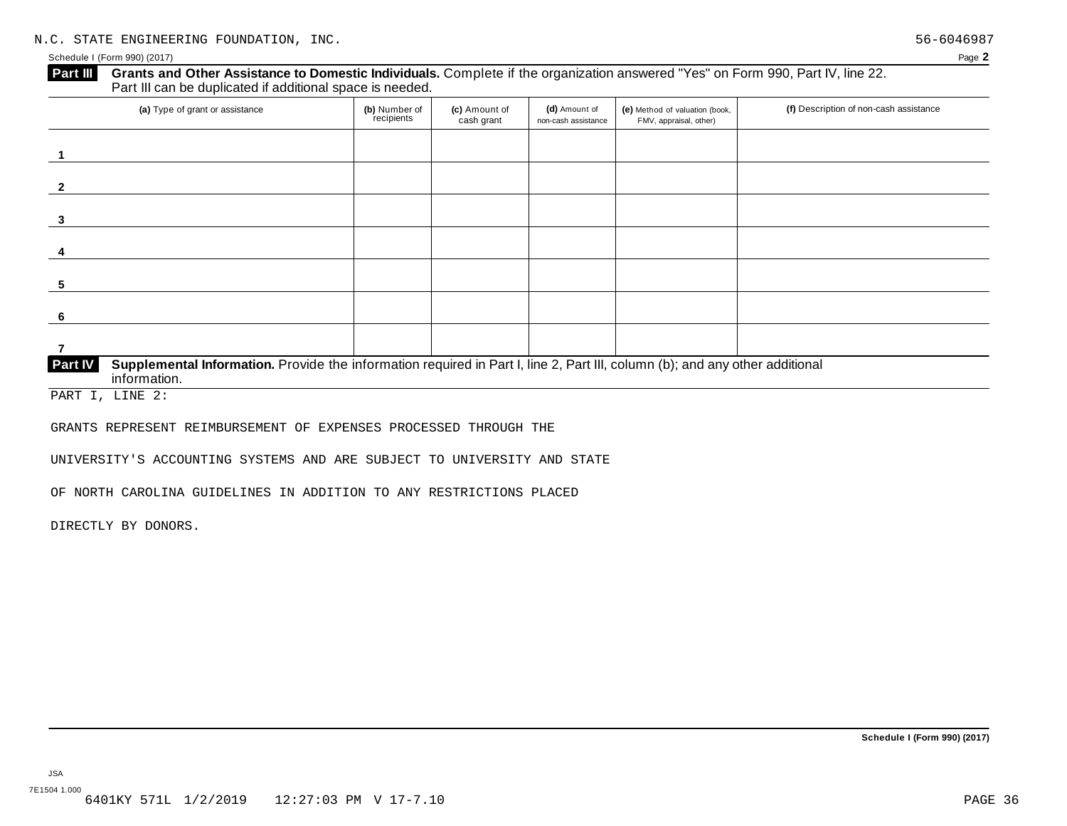### **Grants and Other Assistance to Domestic Individuals.** Complete ifthe organization answered "Yes" on Form 990, Part IV, line 22. **Part III** Grants and Other Assistance to Domestic Individuals<br>Part III can be duplicated if additional space is needed.

| (a) Type of grant or assistance                                                                                                                         | (b) Number of<br>recipients | (c) Amount of<br>cash grant | (d) Amount of<br>non-cash assistance | (e) Method of valuation (book,<br>FMV, appraisal, other) | (f) Description of non-cash assistance |
|---------------------------------------------------------------------------------------------------------------------------------------------------------|-----------------------------|-----------------------------|--------------------------------------|----------------------------------------------------------|----------------------------------------|
|                                                                                                                                                         |                             |                             |                                      |                                                          |                                        |
|                                                                                                                                                         |                             |                             |                                      |                                                          |                                        |
| 3                                                                                                                                                       |                             |                             |                                      |                                                          |                                        |
| 4                                                                                                                                                       |                             |                             |                                      |                                                          |                                        |
| 5                                                                                                                                                       |                             |                             |                                      |                                                          |                                        |
| -6                                                                                                                                                      |                             |                             |                                      |                                                          |                                        |
|                                                                                                                                                         |                             |                             |                                      |                                                          |                                        |
| Part IV<br>Supplemental Information. Provide the information required in Part I, line 2, Part III, column (b); and any other additional<br>information. |                             |                             |                                      |                                                          |                                        |

PART I, LINE 2:

GRANTS REPRESENT REIMBURSEMENT OF EXPENSES PROCESSED THROUGH THE

UNIVERSITY'S ACCOUNTING SYSTEMS AND ARE SUBJECT TO UNIVERSITY AND STATE

OF NORTH CAROLINA GUIDELINES IN ADDITION TO ANY RESTRICTIONS PLACED

DIRECTLY BY DONORS.

**Schedule I (Form 990) (2017)**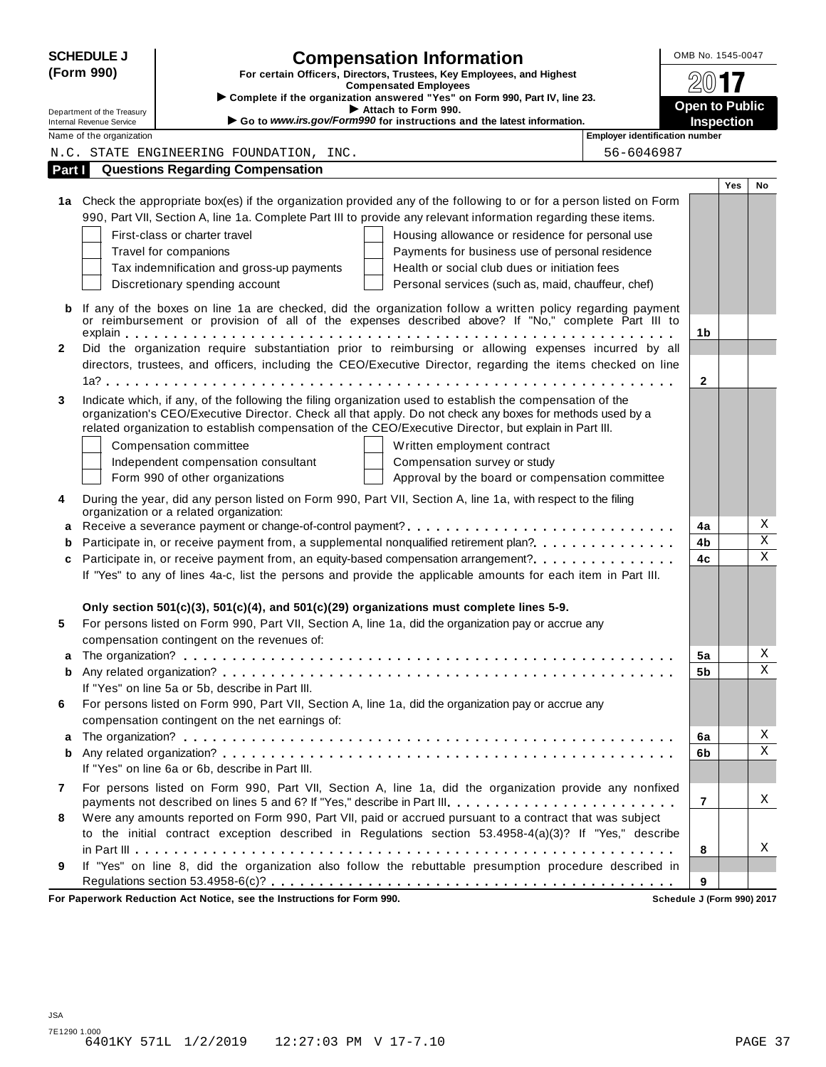|        | <b>SCHEDULE J</b><br><b>Compensation Information</b> |                                                                                                                                                                                                                         |                       |            |              |  |  |  |
|--------|------------------------------------------------------|-------------------------------------------------------------------------------------------------------------------------------------------------------------------------------------------------------------------------|-----------------------|------------|--------------|--|--|--|
|        | (Form 990)                                           | For certain Officers, Directors, Trustees, Key Employees, and Highest                                                                                                                                                   |                       |            |              |  |  |  |
|        |                                                      | <b>Compensated Employees</b><br>Complete if the organization answered "Yes" on Form 990, Part IV, line 23.                                                                                                              |                       |            |              |  |  |  |
|        | Department of the Treasury                           | Attach to Form 990.                                                                                                                                                                                                     | <b>Open to Public</b> |            |              |  |  |  |
|        | Internal Revenue Service                             | Go to www.irs.gov/Form990 for instructions and the latest information.                                                                                                                                                  | <b>Inspection</b>     |            |              |  |  |  |
|        | Name of the organization                             | <b>Employer identification number</b>                                                                                                                                                                                   |                       |            |              |  |  |  |
|        |                                                      | 56-6046987<br>N.C. STATE ENGINEERING FOUNDATION, INC.                                                                                                                                                                   |                       |            |              |  |  |  |
| Part I |                                                      | <b>Questions Regarding Compensation</b>                                                                                                                                                                                 |                       | <b>Yes</b> | <b>No</b>    |  |  |  |
|        |                                                      | 1a Check the appropriate box(es) if the organization provided any of the following to or for a person listed on Form                                                                                                    |                       |            |              |  |  |  |
|        |                                                      | 990, Part VII, Section A, line 1a. Complete Part III to provide any relevant information regarding these items.                                                                                                         |                       |            |              |  |  |  |
|        |                                                      | First-class or charter travel<br>Housing allowance or residence for personal use                                                                                                                                        |                       |            |              |  |  |  |
|        |                                                      | Payments for business use of personal residence<br>Travel for companions                                                                                                                                                |                       |            |              |  |  |  |
|        |                                                      | Tax indemnification and gross-up payments<br>Health or social club dues or initiation fees                                                                                                                              |                       |            |              |  |  |  |
|        |                                                      | Discretionary spending account<br>Personal services (such as, maid, chauffeur, chef)                                                                                                                                    |                       |            |              |  |  |  |
|        |                                                      | If any of the boxes on line 1a are checked, did the organization follow a written policy regarding payment                                                                                                              |                       |            |              |  |  |  |
| b      |                                                      | or reimbursement or provision of all of the expenses described above? If "No," complete Part III to                                                                                                                     |                       |            |              |  |  |  |
|        |                                                      |                                                                                                                                                                                                                         | 1 <sub>b</sub>        |            |              |  |  |  |
| 2      |                                                      | Did the organization require substantiation prior to reimbursing or allowing expenses incurred by all                                                                                                                   |                       |            |              |  |  |  |
|        |                                                      | directors, trustees, and officers, including the CEO/Executive Director, regarding the items checked on line                                                                                                            |                       |            |              |  |  |  |
|        |                                                      |                                                                                                                                                                                                                         | $\mathbf{2}$          |            |              |  |  |  |
| 3      |                                                      | Indicate which, if any, of the following the filing organization used to establish the compensation of the<br>organization's CEO/Executive Director. Check all that apply. Do not check any boxes for methods used by a |                       |            |              |  |  |  |
|        |                                                      | related organization to establish compensation of the CEO/Executive Director, but explain in Part III.                                                                                                                  |                       |            |              |  |  |  |
|        |                                                      | Compensation committee<br>Written employment contract                                                                                                                                                                   |                       |            |              |  |  |  |
|        |                                                      | Compensation survey or study<br>Independent compensation consultant                                                                                                                                                     |                       |            |              |  |  |  |
|        |                                                      | Form 990 of other organizations<br>Approval by the board or compensation committee                                                                                                                                      |                       |            |              |  |  |  |
| 4      |                                                      | During the year, did any person listed on Form 990, Part VII, Section A, line 1a, with respect to the filing<br>organization or a related organization:                                                                 |                       |            |              |  |  |  |
| a      |                                                      |                                                                                                                                                                                                                         | 4a                    |            | Χ            |  |  |  |
| b      |                                                      | Participate in, or receive payment from, a supplemental nonqualified retirement plan?.                                                                                                                                  | 4b                    |            | $\mathbf{X}$ |  |  |  |
| c      |                                                      | Participate in, or receive payment from, an equity-based compensation arrangement?                                                                                                                                      | 4c                    |            | X            |  |  |  |
|        |                                                      | If "Yes" to any of lines 4a-c, list the persons and provide the applicable amounts for each item in Part III.                                                                                                           |                       |            |              |  |  |  |
|        |                                                      |                                                                                                                                                                                                                         |                       |            |              |  |  |  |
|        |                                                      | Only section $501(c)(3)$ , $501(c)(4)$ , and $501(c)(29)$ organizations must complete lines 5-9.                                                                                                                        |                       |            |              |  |  |  |
| 5      |                                                      | For persons listed on Form 990, Part VII, Section A, line 1a, did the organization pay or accrue any                                                                                                                    |                       |            |              |  |  |  |
|        |                                                      | compensation contingent on the revenues of:                                                                                                                                                                             |                       |            | Χ            |  |  |  |
| а      |                                                      |                                                                                                                                                                                                                         | 5a<br>5b              |            | Χ            |  |  |  |
| b      |                                                      | If "Yes" on line 5a or 5b, describe in Part III.                                                                                                                                                                        |                       |            |              |  |  |  |
| 6      |                                                      | For persons listed on Form 990, Part VII, Section A, line 1a, did the organization pay or accrue any                                                                                                                    |                       |            |              |  |  |  |
|        |                                                      | compensation contingent on the net earnings of:                                                                                                                                                                         |                       |            |              |  |  |  |
| a      |                                                      |                                                                                                                                                                                                                         | 6a                    |            | Χ            |  |  |  |
| b      |                                                      |                                                                                                                                                                                                                         | 6b                    |            | X            |  |  |  |
|        |                                                      | If "Yes" on line 6a or 6b, describe in Part III.                                                                                                                                                                        |                       |            |              |  |  |  |
| 7      |                                                      | For persons listed on Form 990, Part VII, Section A, line 1a, did the organization provide any nonfixed                                                                                                                 |                       |            |              |  |  |  |
|        |                                                      | payments not described on lines 5 and 6? If "Yes," describe in Part III.                                                                                                                                                | $\overline{7}$        |            | X            |  |  |  |
| 8      |                                                      | Were any amounts reported on Form 990, Part VII, paid or accrued pursuant to a contract that was subject                                                                                                                |                       |            |              |  |  |  |
|        |                                                      | to the initial contract exception described in Regulations section 53.4958-4(a)(3)? If "Yes," describe                                                                                                                  | 8                     |            | Χ            |  |  |  |
| 9      |                                                      | If "Yes" on line 8, did the organization also follow the rebuttable presumption procedure described in                                                                                                                  |                       |            |              |  |  |  |
|        |                                                      |                                                                                                                                                                                                                         | 9                     |            |              |  |  |  |
|        |                                                      |                                                                                                                                                                                                                         |                       |            |              |  |  |  |

**For Paperwork Reduction Act Notice, see the Instructions for Form 990. Schedule J (Form 990) 2017**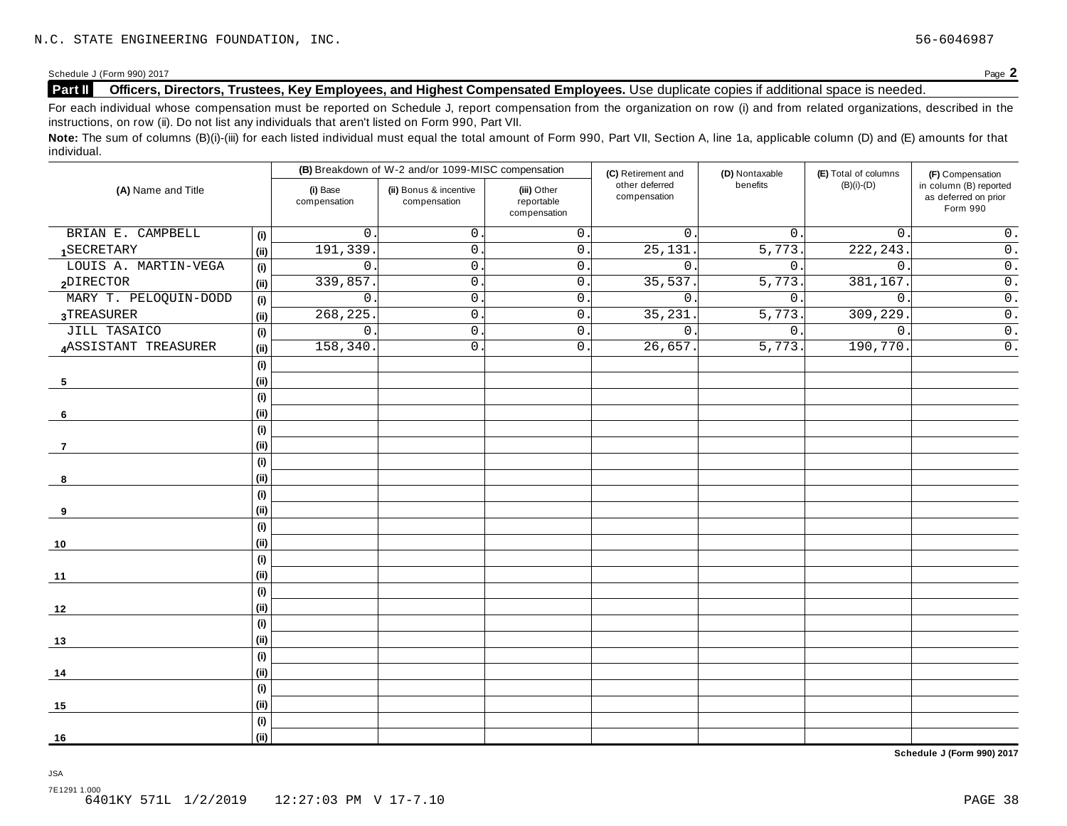### **Part II Officers, Directors, Trustees, Key Employees, and Highest Compensated Employees.** Use duplicate copies ifadditional space is needed.

For each individual whose compensation must be reported on Schedule J, report compensation from the organization on row (i) and from related organizations, described in the instructions, on row (ii). Do not list any individuals that aren't listed on Form 990, Part VII.

Note: The sum of columns (B)(i)-(iii) for each listed individual must equal the total amount of Form 990, Part VII, Section A, line 1a, applicable column (D) and (E) amounts for that individual.

|                       |      |                          | (B) Breakdown of W-2 and/or 1099-MISC compensation |                                           | (C) Retirement and             | (D) Nontaxable   | (E) Total of columns | (F) Compensation                                           |
|-----------------------|------|--------------------------|----------------------------------------------------|-------------------------------------------|--------------------------------|------------------|----------------------|------------------------------------------------------------|
| (A) Name and Title    |      | (i) Base<br>compensation | (ii) Bonus & incentive<br>compensation             | (iii) Other<br>reportable<br>compensation | other deferred<br>compensation | benefits         | $(B)(i)-(D)$         | in column (B) reported<br>as deferred on prior<br>Form 990 |
| BRIAN E. CAMPBELL     | (i)  | $\mathbf 0$              | $\mathsf{O}$ .                                     | $\overline{0}$ .                          | $\mathbf{0}$ .                 | 0.               | $\mathbf{0}$ .       | $\overline{0}$ .                                           |
| 1SECRETARY            | (i)  | 191,339                  | $\mathbf 0$ .                                      | $\overline{0}$ .                          | 25,131                         | 5,773.           | 222, 243.            | $\overline{0}$ .                                           |
| LOUIS A. MARTIN-VEGA  | (i)  | $\mathbf 0$              | $\mathbf{0}$ .                                     | $\mathsf 0$ .                             | $\mathbf{0}$ .                 | $\overline{0}$ . | $\mathbf{0}$ .       | $\overline{0}$ .                                           |
| 2DIRECTOR             | (ii) | 339,857                  | $0\,$ .                                            | $\mathsf 0$ .                             | 35,537.                        | 5,773.           | 381,167.             | $\overline{0}$ .                                           |
| MARY T. PELOQUIN-DODD | (i)  | $\mathsf{O}$             | $\mathsf{O}$ .                                     | $\mathsf 0$ .                             | $\mathbf{0}$ .                 | 0.               | $\mathbf 0$ .        | $\overline{0}$ .                                           |
| $3$ TREASURER         | (i)  | 268, 225                 | $\mathsf{O}$ .                                     | $\overline{0}$ .                          | 35,231                         | 5,773.           | 309,229              | $\overline{0}$ .                                           |
| <b>JILL TASAICO</b>   | (i)  | $\mathsf{O}$             | $\mathsf{O}$ .                                     | $\overline{0}$ .                          | $0$ .                          | $\overline{0}$ . | $\mathbf 0$ .        | $\overline{0}$ .                                           |
| 4ASSISTANT TREASURER  | (ii) | 158,340                  | $\mathsf{O}$ .                                     | $\overline{0}$ .                          | 26,657.                        | 5,773.           | 190,770.             | $\overline{\overline{\mathfrak{o}}\hspace{0.5pt}}$ .       |
|                       | (i)  |                          |                                                    |                                           |                                |                  |                      |                                                            |
| 5                     | (i)  |                          |                                                    |                                           |                                |                  |                      |                                                            |
|                       | (i)  |                          |                                                    |                                           |                                |                  |                      |                                                            |
| 6                     | (i)  |                          |                                                    |                                           |                                |                  |                      |                                                            |
|                       | (i)  |                          |                                                    |                                           |                                |                  |                      |                                                            |
| $\overline{7}$        | (i)  |                          |                                                    |                                           |                                |                  |                      |                                                            |
|                       | (i)  |                          |                                                    |                                           |                                |                  |                      |                                                            |
| 8                     | (i)  |                          |                                                    |                                           |                                |                  |                      |                                                            |
|                       | (i)  |                          |                                                    |                                           |                                |                  |                      |                                                            |
| 9                     | (i)  |                          |                                                    |                                           |                                |                  |                      |                                                            |
|                       | (i)  |                          |                                                    |                                           |                                |                  |                      |                                                            |
| 10                    | (i)  |                          |                                                    |                                           |                                |                  |                      |                                                            |
|                       | (i)  |                          |                                                    |                                           |                                |                  |                      |                                                            |
| 11                    | (ii) |                          |                                                    |                                           |                                |                  |                      |                                                            |
|                       | (i)  |                          |                                                    |                                           |                                |                  |                      |                                                            |
| 12                    | (i)  |                          |                                                    |                                           |                                |                  |                      |                                                            |
|                       | (i)  |                          |                                                    |                                           |                                |                  |                      |                                                            |
| 13                    | (i)  |                          |                                                    |                                           |                                |                  |                      |                                                            |
|                       | (i)  |                          |                                                    |                                           |                                |                  |                      |                                                            |
| 14                    | (i)  |                          |                                                    |                                           |                                |                  |                      |                                                            |
|                       | (i)  |                          |                                                    |                                           |                                |                  |                      |                                                            |
| 15                    | (i)  |                          |                                                    |                                           |                                |                  |                      |                                                            |
|                       | (i)  |                          |                                                    |                                           |                                |                  |                      |                                                            |
| 16                    | (ii) |                          |                                                    |                                           |                                |                  |                      |                                                            |

**Schedule J (Form 990) 2017**

JSA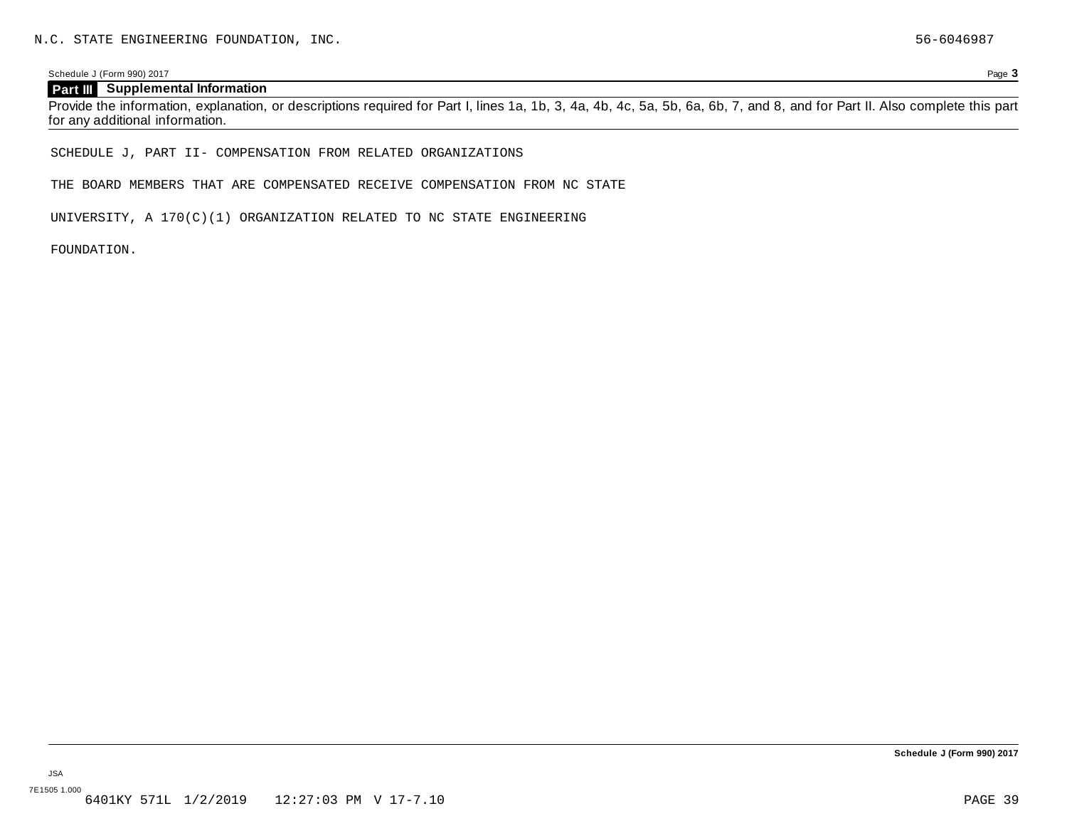### **Part III Supplemental Information**

Provide the information, explanation, or descriptions required for Part I, lines 1a, 1b, 3, 4a, 4b, 4c, 5a, 5b, 6a, 6b, 7, and 8, and for Part II. Also complete this part for any additional information.

SCHEDULE J, PART II- COMPENSATION FROM RELATED ORGANIZATIONS

THE BOARD MEMBERS THAT ARE COMPENSATED RECEIVE COMPENSATION FROM NC STATE

UNIVERSITY, A 170(C)(1) ORGANIZATION RELATED TO NC STATE ENGINEERING

FOUNDATION.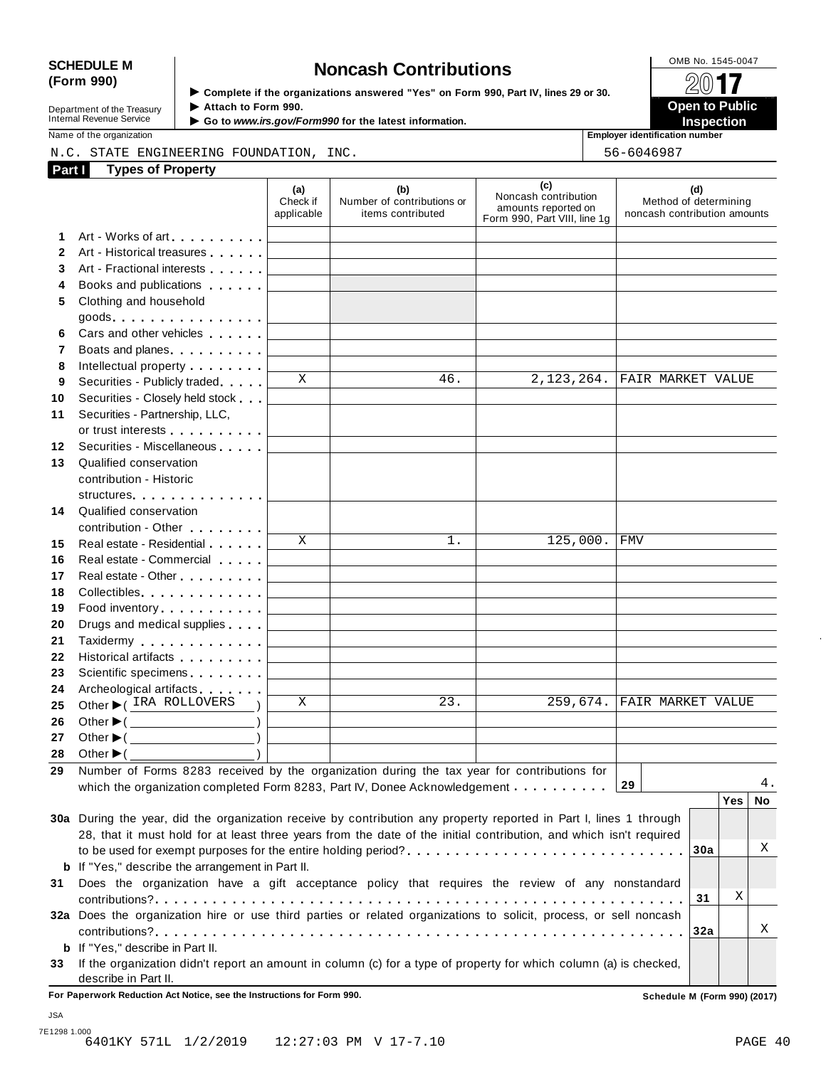# SCHEDULE M<br>
(Form 990) **Solutions**<br> **Solutions**<br> **Solutions**<br> **Schedule 2014**

Department of the Treasury<br>Internal Revenue Service

**Examplete** if the organizations answered "Yes" on Form 990, Part IV, lines 29 or 30. △△○■■<br>▶ Attach to Form 990. **Department of the Treasury ▶ Attach to Form 990.**<br>Internal Revenue Service ▶ Go to *www.irs.gov/Form990* for the latest information.<br>Nome of the organization, authorities in a support of the latest information.

Name of the organization **Employer identification number**

|              | <b>Types of Property</b><br>Part I                                                                                 |                               |                                                        |                                                                                    |            |                                                              |     |    |
|--------------|--------------------------------------------------------------------------------------------------------------------|-------------------------------|--------------------------------------------------------|------------------------------------------------------------------------------------|------------|--------------------------------------------------------------|-----|----|
|              |                                                                                                                    | (a)<br>Check if<br>applicable | (b)<br>Number of contributions or<br>items contributed | (c)<br>Noncash contribution<br>amounts reported on<br>Form 990, Part VIII, line 1g |            | (d)<br>Method of determining<br>noncash contribution amounts |     |    |
| 1            | Art - Works of art <b>Article 2018</b>                                                                             |                               |                                                        |                                                                                    |            |                                                              |     |    |
| $\mathbf{2}$ | Art - Historical treasures                                                                                         |                               |                                                        |                                                                                    |            |                                                              |     |    |
|              | Art - Fractional interests                                                                                         |                               |                                                        |                                                                                    |            |                                                              |     |    |
|              | Books and publications <b>Solutions</b>                                                                            |                               |                                                        |                                                                                    |            |                                                              |     |    |
|              | Clothing and household<br>$goods.$                                                                                 |                               |                                                        |                                                                                    |            |                                                              |     |    |
|              | Cars and other vehicles <b>Cars</b>                                                                                |                               |                                                        |                                                                                    |            |                                                              |     |    |
|              | Boats and planes experience and planes                                                                             |                               |                                                        |                                                                                    |            |                                                              |     |    |
| $\mathbf{7}$ | Intellectual property <b>Algebra</b>                                                                               |                               |                                                        |                                                                                    |            |                                                              |     |    |
|              | Securities - Publicly traded                                                                                       | X                             | 46.                                                    | 2,123,264.                                                                         |            | FAIR MARKET VALUE                                            |     |    |
|              | Securities - Closely held stock                                                                                    |                               |                                                        |                                                                                    |            |                                                              |     |    |
|              | Securities - Partnership, LLC,                                                                                     |                               |                                                        |                                                                                    |            |                                                              |     |    |
| 11           | or trust interests [19]                                                                                            |                               |                                                        |                                                                                    |            |                                                              |     |    |
| 12           | Securities - Miscellaneous                                                                                         |                               |                                                        |                                                                                    |            |                                                              |     |    |
| 13           | Qualified conservation                                                                                             |                               |                                                        |                                                                                    |            |                                                              |     |    |
|              | contribution - Historic                                                                                            |                               |                                                        |                                                                                    |            |                                                              |     |    |
|              | structures experiences                                                                                             |                               |                                                        |                                                                                    |            |                                                              |     |    |
| 14           | Qualified conservation                                                                                             |                               |                                                        |                                                                                    |            |                                                              |     |    |
|              |                                                                                                                    |                               |                                                        |                                                                                    |            |                                                              |     |    |
|              | Real estate - Residential                                                                                          | $\mathbf x$                   | $1$ .                                                  | 125,000.                                                                           | <b>FMV</b> |                                                              |     |    |
| 15           | Real estate - Commercial                                                                                           |                               |                                                        |                                                                                    |            |                                                              |     |    |
|              | Real estate - Other <b>Called a Contact Advances</b>                                                               |                               |                                                        |                                                                                    |            |                                                              |     |    |
| 17           |                                                                                                                    |                               |                                                        |                                                                                    |            |                                                              |     |    |
| 18           | Collectibles                                                                                                       |                               |                                                        |                                                                                    |            |                                                              |     |    |
|              | Food inventory entertainment of the state of the state of the state of the state of the state of the state of      |                               |                                                        |                                                                                    |            |                                                              |     |    |
|              | Drugs and medical supplies                                                                                         |                               |                                                        |                                                                                    |            |                                                              |     |    |
|              | Taxidermy                                                                                                          |                               |                                                        |                                                                                    |            |                                                              |     |    |
|              | Historical artifacts <b>All Accords</b>                                                                            |                               |                                                        |                                                                                    |            |                                                              |     |    |
|              | Scientific specimens <b>Scientific specimens</b>                                                                   |                               |                                                        |                                                                                    |            |                                                              |     |    |
|              | Archeological artifacts <b>Archeological</b>                                                                       | Χ                             | 23.                                                    | 259,674.                                                                           |            | FAIR MARKET VALUE                                            |     |    |
|              | Other $\blacktriangleright$ ( IRA ROLLOVERS                                                                        |                               |                                                        |                                                                                    |            |                                                              |     |    |
|              | Other $\blacktriangleright$ ( $\_\_\_\_\_\_\_\_$ )                                                                 |                               |                                                        |                                                                                    |            |                                                              |     |    |
| 27           | Other $\blacktriangleright$ (                                                                                      |                               |                                                        |                                                                                    |            |                                                              |     |    |
| 28           | Other $\blacktriangleright$ (                                                                                      |                               |                                                        |                                                                                    |            |                                                              |     |    |
|              | Number of Forms 8283 received by the organization during the tax year for contributions for                        |                               |                                                        |                                                                                    |            |                                                              |     |    |
|              | which the organization completed Form 8283, Part IV, Donee Acknowledgement                                         |                               |                                                        |                                                                                    | 29         |                                                              |     | 4. |
|              |                                                                                                                    |                               |                                                        |                                                                                    |            |                                                              | Yes | No |
|              | 30a During the year, did the organization receive by contribution any property reported in Part I, lines 1 through |                               |                                                        |                                                                                    |            |                                                              |     |    |
|              | 28, that it must hold for at least three years from the date of the initial contribution, and which isn't required |                               |                                                        |                                                                                    |            |                                                              |     |    |
|              |                                                                                                                    |                               |                                                        |                                                                                    |            | 30a                                                          |     | Χ  |
|              | <b>b</b> If "Yes," describe the arrangement in Part II.                                                            |                               |                                                        |                                                                                    |            |                                                              |     |    |
|              | Does the organization have a gift acceptance policy that requires the review of any nonstandard                    |                               |                                                        |                                                                                    |            |                                                              |     |    |
|              |                                                                                                                    |                               |                                                        |                                                                                    |            | 31                                                           | Χ   |    |
|              | 32a Does the organization hire or use third parties or related organizations to solicit, process, or sell noncash  |                               |                                                        |                                                                                    |            |                                                              |     |    |

**33** If the organization didn't report an amount in column (c) for a type of property for which column (a) is checked, | **b** If "Yes," describe in Part II. describe in Part II.

contributions? m m m m m m m m m m m m m m m m m m m m m m m m m m m m m m m m m m m m m m m m m m m m m m m m m m m m m m m **32a**

**For Paperwork Reduction Act Notice, see the Instructions for Form 990. Schedule M (Form 990) (2017)**

JSA

X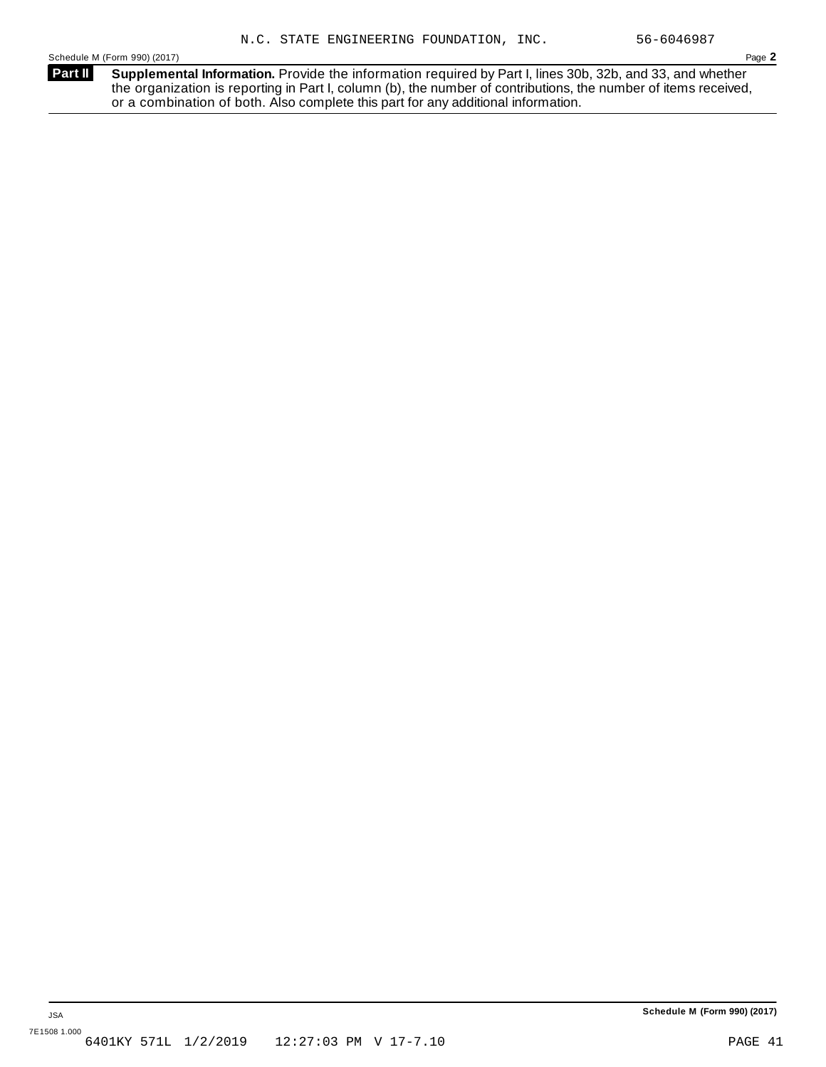**Supplemental Information.** Provide the information required by Part I, lines 30b, 32b, and 33, and whether the organization is reporting in Part I, column (b), the number of contributions, the number of items received, or a combination of both. Also complete this part for any additional information. **Part II**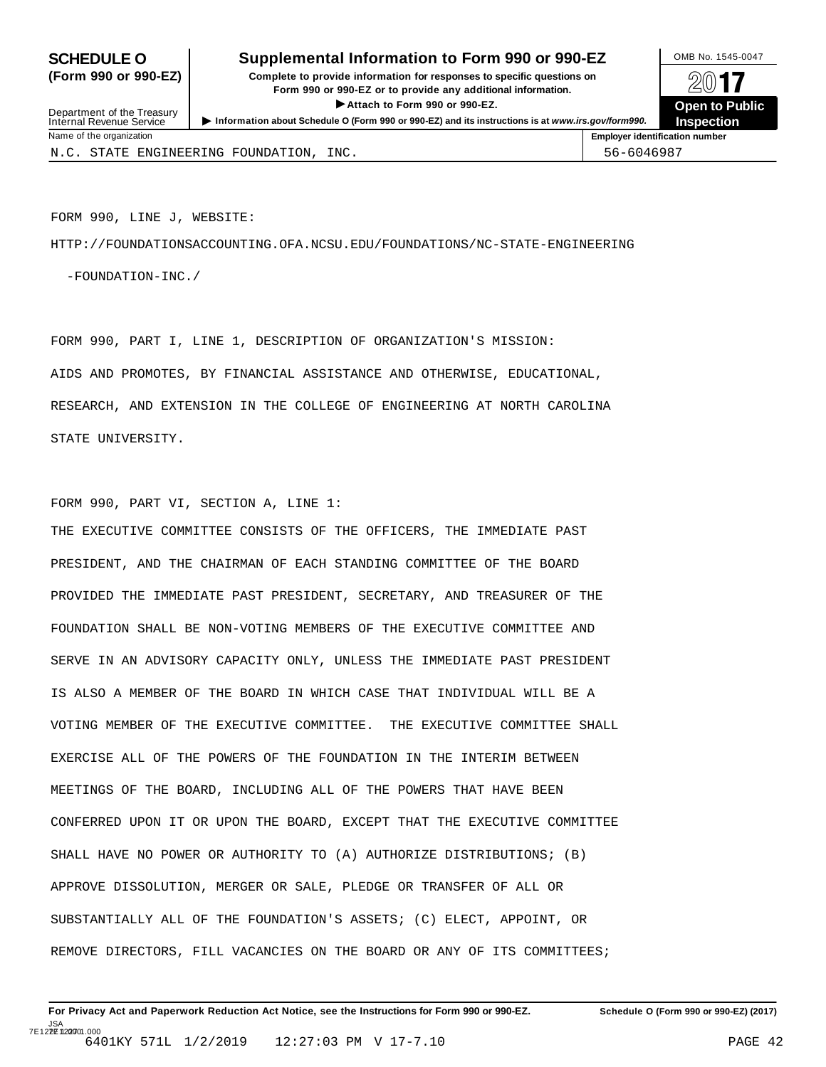### **SCHEDULE O** Supplemental Information to Form 990 or 990-EZ DMB No. 1545-0047

**(Form 990 or 990-EZ) Complete to provide information for responses to specific questions on Form 990 or 990-EZ** or to provide any additional information.  $\blacktriangleright$  Attach to Form 990 or 990-EZ.



| Department of the Treasury<br>Internal Revenue Service | Information about Schedule O (Form 990 or 990-EZ) and its instructions is at www.irs.gov/form990. | <b>Open to Publi</b><br><b>Inspection</b> |  |
|--------------------------------------------------------|---------------------------------------------------------------------------------------------------|-------------------------------------------|--|
| Name of the organization                               |                                                                                                   | <b>Employer identification number</b>     |  |
| N.C. STATE ENGINEERING FOUNDATION                      | INC.                                                                                              | 56-6046987                                |  |

FORM 990, LINE J, WEBSITE:

HTTP://FOUNDATIONSACCOUNTING.OFA.NCSU.EDU/FOUNDATIONS/NC-STATE-ENGINEERING

-FOUNDATION-INC./

FORM 990, PART I, LINE 1, DESCRIPTION OF ORGANIZATION'S MISSION: AIDS AND PROMOTES, BY FINANCIAL ASSISTANCE AND OTHERWISE, EDUCATIONAL, RESEARCH, AND EXTENSION IN THE COLLEGE OF ENGINEERING AT NORTH CAROLINA STATE UNIVERSITY.

```
FORM 990, PART VI, SECTION A, LINE 1:
```
THE EXECUTIVE COMMITTEE CONSISTS OF THE OFFICERS, THE IMMEDIATE PAST PRESIDENT, AND THE CHAIRMAN OF EACH STANDING COMMITTEE OF THE BOARD PROVIDED THE IMMEDIATE PAST PRESIDENT, SECRETARY, AND TREASURER OF THE FOUNDATION SHALL BE NON-VOTING MEMBERS OF THE EXECUTIVE COMMITTEE AND SERVE IN AN ADVISORY CAPACITY ONLY, UNLESS THE IMMEDIATE PAST PRESIDENT IS ALSO A MEMBER OF THE BOARD IN WHICH CASE THAT INDIVIDUAL WILL BE A VOTING MEMBER OF THE EXECUTIVE COMMITTEE. THE EXECUTIVE COMMITTEE SHALL EXERCISE ALL OF THE POWERS OF THE FOUNDATION IN THE INTERIM BETWEEN MEETINGS OF THE BOARD, INCLUDING ALL OF THE POWERS THAT HAVE BEEN CONFERRED UPON IT OR UPON THE BOARD, EXCEPT THAT THE EXECUTIVE COMMITTEE SHALL HAVE NO POWER OR AUTHORITY TO (A) AUTHORIZE DISTRIBUTIONS; (B) APPROVE DISSOLUTION, MERGER OR SALE, PLEDGE OR TRANSFER OF ALL OR SUBSTANTIALLY ALL OF THE FOUNDATION'S ASSETS; (C) ELECT, APPOINT, OR REMOVE DIRECTORS, FILL VACANCIES ON THE BOARD OR ANY OF ITS COMMITTEES;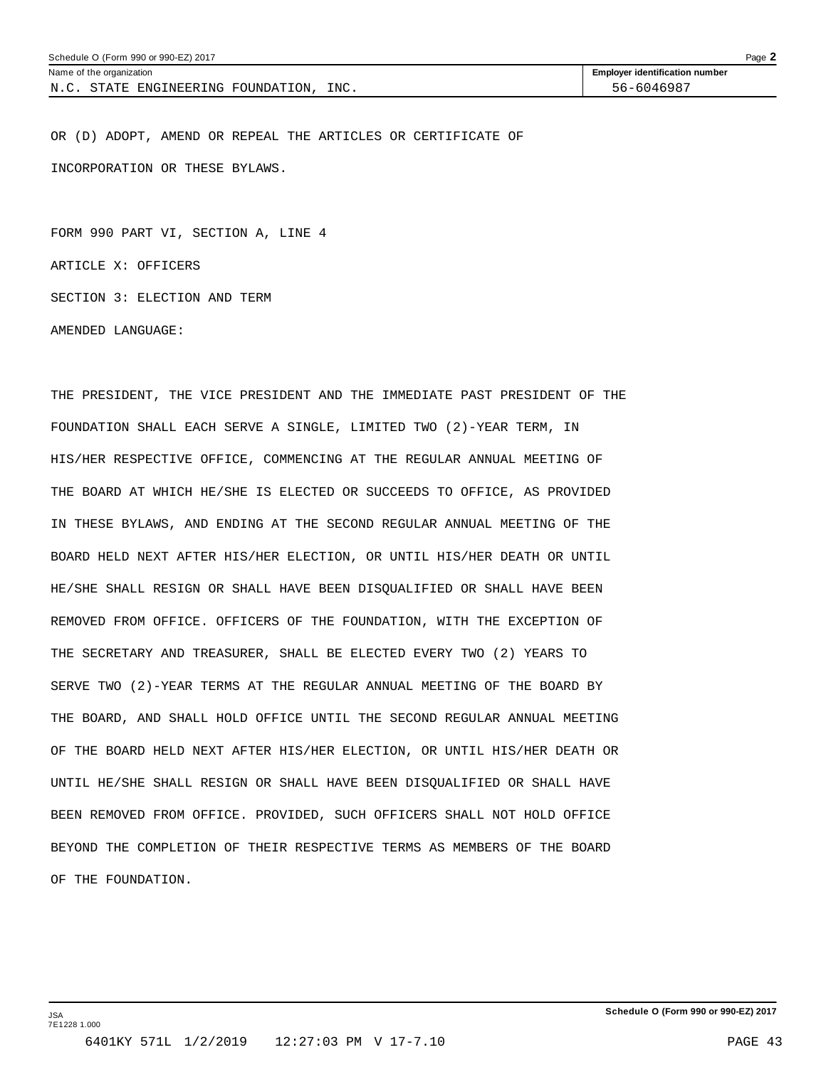| Schedule O (Form 990 or 990-EZ) 2017            | Page                                  |
|-------------------------------------------------|---------------------------------------|
| Name of the organization                        | <b>Employer identification number</b> |
| INC.<br>N.C<br>ENGINEERING FOUNDATION,<br>STATE | 56-6046987                            |

OR (D) ADOPT, AMEND OR REPEAL THE ARTICLES OR CERTIFICATE OF INCORPORATION OR THESE BYLAWS.

FORM 990 PART VI, SECTION A, LINE 4

ARTICLE X: OFFICERS

SECTION 3: ELECTION AND TERM

AMENDED LANGUAGE:

THE PRESIDENT, THE VICE PRESIDENT AND THE IMMEDIATE PAST PRESIDENT OF THE FOUNDATION SHALL EACH SERVE A SINGLE, LIMITED TWO (2)-YEAR TERM, IN HIS/HER RESPECTIVE OFFICE, COMMENCING AT THE REGULAR ANNUAL MEETING OF THE BOARD AT WHICH HE/SHE IS ELECTED OR SUCCEEDS TO OFFICE, AS PROVIDED IN THESE BYLAWS, AND ENDING AT THE SECOND REGULAR ANNUAL MEETING OF THE BOARD HELD NEXT AFTER HIS/HER ELECTION, OR UNTIL HIS/HER DEATH OR UNTIL HE/SHE SHALL RESIGN OR SHALL HAVE BEEN DISQUALIFIED OR SHALL HAVE BEEN REMOVED FROM OFFICE. OFFICERS OF THE FOUNDATION, WITH THE EXCEPTION OF THE SECRETARY AND TREASURER, SHALL BE ELECTED EVERY TWO (2) YEARS TO SERVE TWO (2)-YEAR TERMS AT THE REGULAR ANNUAL MEETING OF THE BOARD BY THE BOARD, AND SHALL HOLD OFFICE UNTIL THE SECOND REGULAR ANNUAL MEETING OF THE BOARD HELD NEXT AFTER HIS/HER ELECTION, OR UNTIL HIS/HER DEATH OR UNTIL HE/SHE SHALL RESIGN OR SHALL HAVE BEEN DISQUALIFIED OR SHALL HAVE BEEN REMOVED FROM OFFICE. PROVIDED, SUCH OFFICERS SHALL NOT HOLD OFFICE BEYOND THE COMPLETION OF THEIR RESPECTIVE TERMS AS MEMBERS OF THE BOARD OF THE FOUNDATION.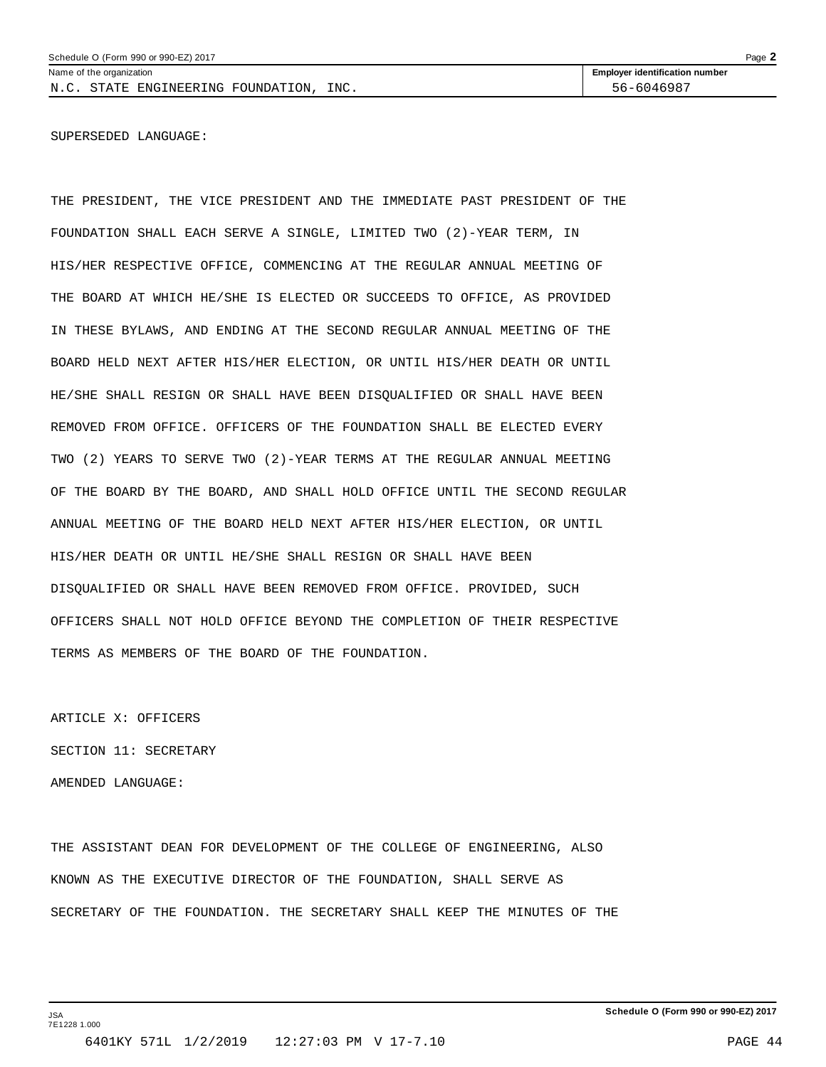N.C. STATE ENGINEERING FOUNDATION, INC. 56-6046987

Name of the organization **intervalse of the organization number intervalse of the organization number intervalse of the organization number** 

SUPERSEDED LANGUAGE:

THE PRESIDENT, THE VICE PRESIDENT AND THE IMMEDIATE PAST PRESIDENT OF THE FOUNDATION SHALL EACH SERVE A SINGLE, LIMITED TWO (2)-YEAR TERM, IN HIS/HER RESPECTIVE OFFICE, COMMENCING AT THE REGULAR ANNUAL MEETING OF THE BOARD AT WHICH HE/SHE IS ELECTED OR SUCCEEDS TO OFFICE, AS PROVIDED IN THESE BYLAWS, AND ENDING AT THE SECOND REGULAR ANNUAL MEETING OF THE BOARD HELD NEXT AFTER HIS/HER ELECTION, OR UNTIL HIS/HER DEATH OR UNTIL HE/SHE SHALL RESIGN OR SHALL HAVE BEEN DISQUALIFIED OR SHALL HAVE BEEN REMOVED FROM OFFICE. OFFICERS OF THE FOUNDATION SHALL BE ELECTED EVERY TWO (2) YEARS TO SERVE TWO (2)-YEAR TERMS AT THE REGULAR ANNUAL MEETING OF THE BOARD BY THE BOARD, AND SHALL HOLD OFFICE UNTIL THE SECOND REGULAR ANNUAL MEETING OF THE BOARD HELD NEXT AFTER HIS/HER ELECTION, OR UNTIL HIS/HER DEATH OR UNTIL HE/SHE SHALL RESIGN OR SHALL HAVE BEEN DISQUALIFIED OR SHALL HAVE BEEN REMOVED FROM OFFICE. PROVIDED, SUCH OFFICERS SHALL NOT HOLD OFFICE BEYOND THE COMPLETION OF THEIR RESPECTIVE TERMS AS MEMBERS OF THE BOARD OF THE FOUNDATION.

ARTICLE X: OFFICERS

SECTION 11: SECRETARY

AMENDED LANGUAGE:

THE ASSISTANT DEAN FOR DEVELOPMENT OF THE COLLEGE OF ENGINEERING, ALSO KNOWN AS THE EXECUTIVE DIRECTOR OF THE FOUNDATION, SHALL SERVE AS SECRETARY OF THE FOUNDATION. THE SECRETARY SHALL KEEP THE MINUTES OF THE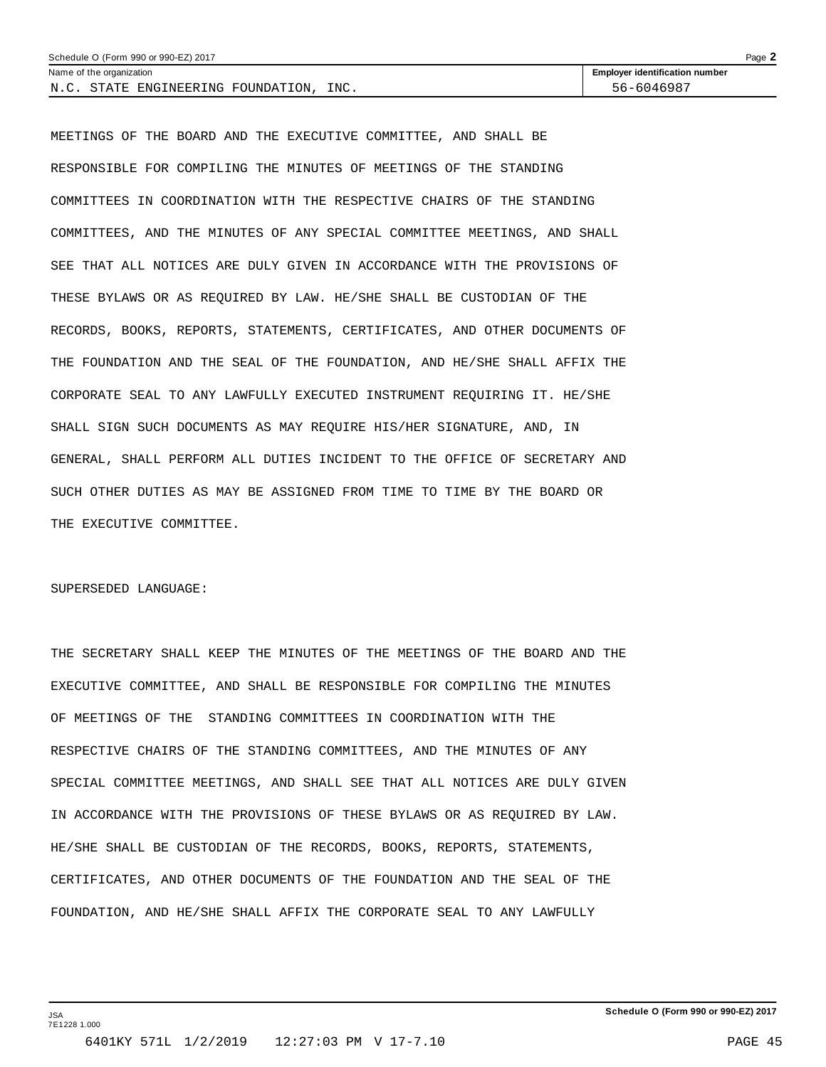|      | Schedule O (Form 990 or 990-EZ) 2017 |      |                                       | Page $\angle$ |
|------|--------------------------------------|------|---------------------------------------|---------------|
|      | Name of the organization             |      | <b>Employer identification number</b> |               |
| N.C. | STATE ENGINEERING FOUNDATION.        | INC. | 56-6046987                            |               |

MEETINGS OF THE BOARD AND THE EXECUTIVE COMMITTEE, AND SHALL BE RESPONSIBLE FOR COMPILING THE MINUTES OF MEETINGS OF THE STANDING COMMITTEES IN COORDINATION WITH THE RESPECTIVE CHAIRS OF THE STANDING COMMITTEES, AND THE MINUTES OF ANY SPECIAL COMMITTEE MEETINGS, AND SHALL SEE THAT ALL NOTICES ARE DULY GIVEN IN ACCORDANCE WITH THE PROVISIONS OF THESE BYLAWS OR AS REQUIRED BY LAW. HE/SHE SHALL BE CUSTODIAN OF THE RECORDS, BOOKS, REPORTS, STATEMENTS, CERTIFICATES, AND OTHER DOCUMENTS OF THE FOUNDATION AND THE SEAL OF THE FOUNDATION, AND HE/SHE SHALL AFFIX THE CORPORATE SEAL TO ANY LAWFULLY EXECUTED INSTRUMENT REQUIRING IT. HE/SHE SHALL SIGN SUCH DOCUMENTS AS MAY REQUIRE HIS/HER SIGNATURE, AND, IN GENERAL, SHALL PERFORM ALL DUTIES INCIDENT TO THE OFFICE OF SECRETARY AND SUCH OTHER DUTIES AS MAY BE ASSIGNED FROM TIME TO TIME BY THE BOARD OR THE EXECUTIVE COMMITTEE.

### SUPERSEDED LANGUAGE:

THE SECRETARY SHALL KEEP THE MINUTES OF THE MEETINGS OF THE BOARD AND THE EXECUTIVE COMMITTEE, AND SHALL BE RESPONSIBLE FOR COMPILING THE MINUTES OF MEETINGS OF THE STANDING COMMITTEES IN COORDINATION WITH THE RESPECTIVE CHAIRS OF THE STANDING COMMITTEES, AND THE MINUTES OF ANY SPECIAL COMMITTEE MEETINGS, AND SHALL SEE THAT ALL NOTICES ARE DULY GIVEN IN ACCORDANCE WITH THE PROVISIONS OF THESE BYLAWS OR AS REQUIRED BY LAW. HE/SHE SHALL BE CUSTODIAN OF THE RECORDS, BOOKS, REPORTS, STATEMENTS, CERTIFICATES, AND OTHER DOCUMENTS OF THE FOUNDATION AND THE SEAL OF THE FOUNDATION, AND HE/SHE SHALL AFFIX THE CORPORATE SEAL TO ANY LAWFULLY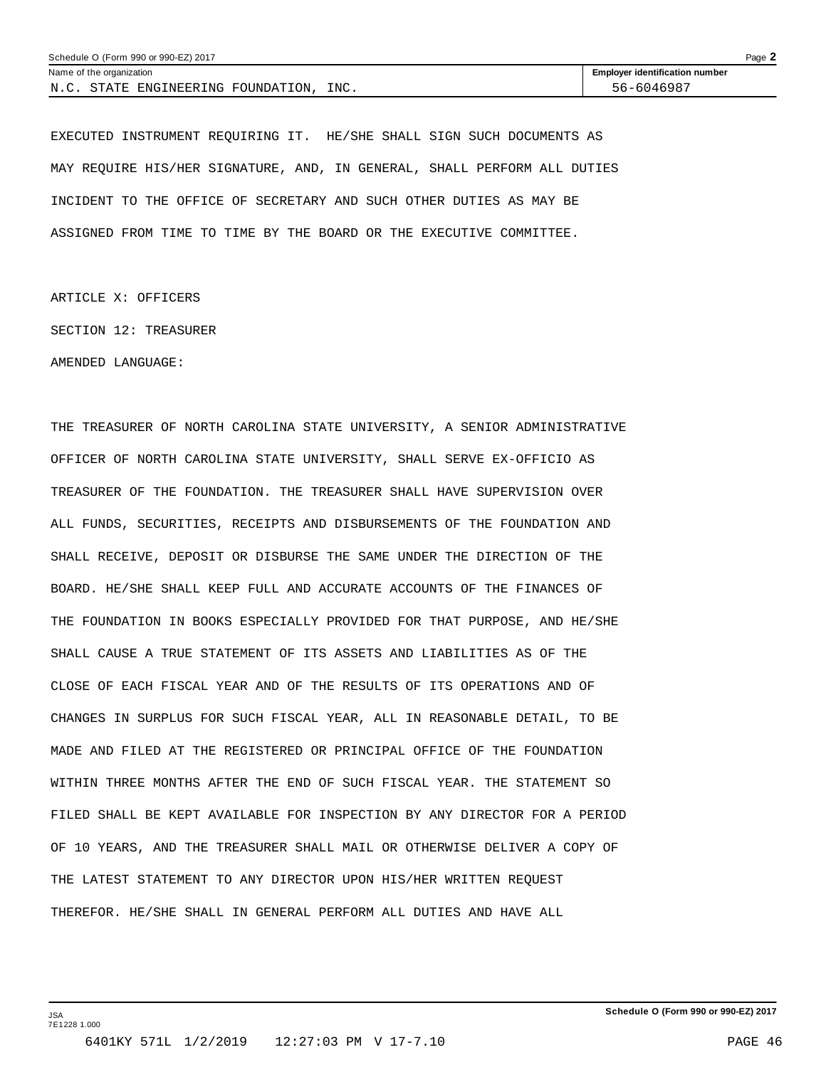| Schedule O (Form 990 or 990-EZ) 2017 |                                            |                                       | Page $\blacktriangle$ |
|--------------------------------------|--------------------------------------------|---------------------------------------|-----------------------|
|                                      | Name of the organization                   | <b>Employer identification number</b> |                       |
|                                      | INC.<br>N.C. STATE ENGINEERING FOUNDATION. | 56-6046987                            |                       |

EXECUTED INSTRUMENT REQUIRING IT. HE/SHE SHALL SIGN SUCH DOCUMENTS AS MAY REQUIRE HIS/HER SIGNATURE, AND, IN GENERAL, SHALL PERFORM ALL DUTIES INCIDENT TO THE OFFICE OF SECRETARY AND SUCH OTHER DUTIES AS MAY BE ASSIGNED FROM TIME TO TIME BY THE BOARD OR THE EXECUTIVE COMMITTEE.

ARTICLE X: OFFICERS

SECTION 12: TREASURER

AMENDED LANGUAGE:

JSA 7E1228 1.000

THE TREASURER OF NORTH CAROLINA STATE UNIVERSITY, A SENIOR ADMINISTRATIVE OFFICER OF NORTH CAROLINA STATE UNIVERSITY, SHALL SERVE EX-OFFICIO AS TREASURER OF THE FOUNDATION. THE TREASURER SHALL HAVE SUPERVISION OVER ALL FUNDS, SECURITIES, RECEIPTS AND DISBURSEMENTS OF THE FOUNDATION AND SHALL RECEIVE, DEPOSIT OR DISBURSE THE SAME UNDER THE DIRECTION OF THE BOARD. HE/SHE SHALL KEEP FULL AND ACCURATE ACCOUNTS OF THE FINANCES OF THE FOUNDATION IN BOOKS ESPECIALLY PROVIDED FOR THAT PURPOSE, AND HE/SHE SHALL CAUSE A TRUE STATEMENT OF ITS ASSETS AND LIABILITIES AS OF THE CLOSE OF EACH FISCAL YEAR AND OF THE RESULTS OF ITS OPERATIONS AND OF CHANGES IN SURPLUS FOR SUCH FISCAL YEAR, ALL IN REASONABLE DETAIL, TO BE MADE AND FILED AT THE REGISTERED OR PRINCIPAL OFFICE OF THE FOUNDATION WITHIN THREE MONTHS AFTER THE END OF SUCH FISCAL YEAR. THE STATEMENT SO FILED SHALL BE KEPT AVAILABLE FOR INSPECTION BY ANY DIRECTOR FOR A PERIOD OF 10 YEARS, AND THE TREASURER SHALL MAIL OR OTHERWISE DELIVER A COPY OF THE LATEST STATEMENT TO ANY DIRECTOR UPON HIS/HER WRITTEN REQUEST THEREFOR. HE/SHE SHALL IN GENERAL PERFORM ALL DUTIES AND HAVE ALL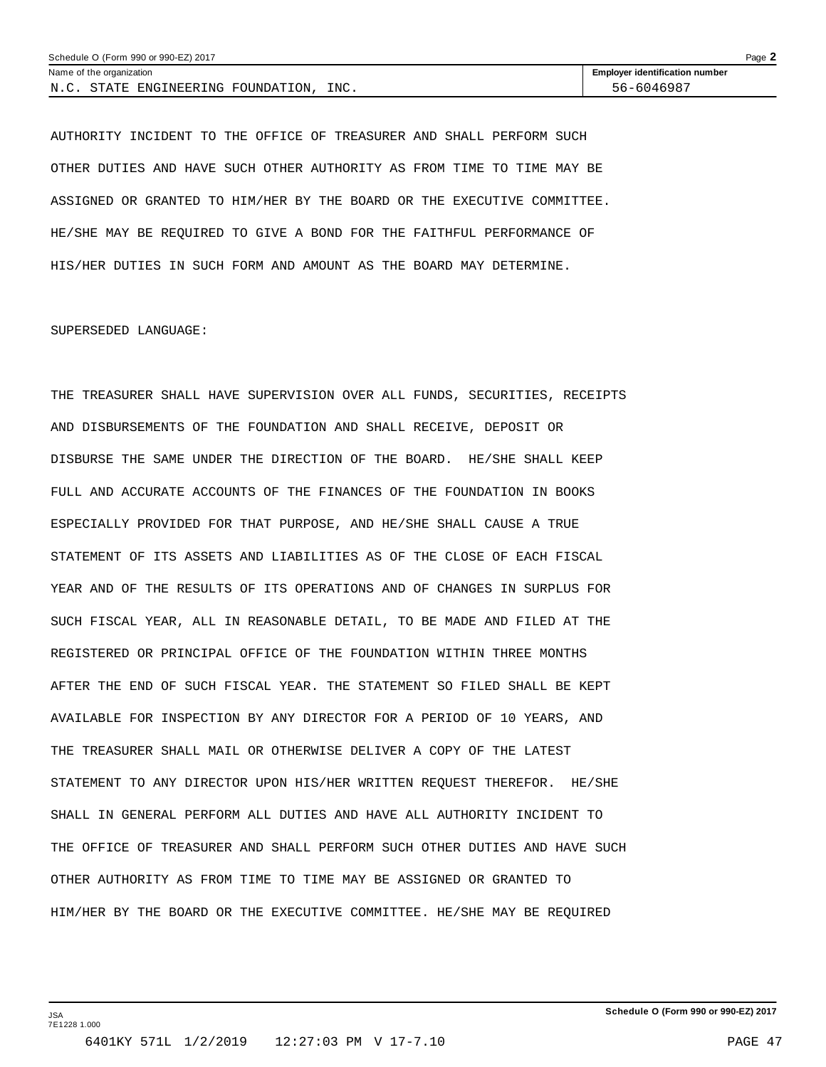|                          | Schedule O (Form 990 or 990-EZ) 2017  |                                       | $P$ age $\blacktriangle$ |
|--------------------------|---------------------------------------|---------------------------------------|--------------------------|
| Name of the organization |                                       | <b>Employer identification number</b> |                          |
| N.C.                     | INC.<br>STATE ENGINEERING FOUNDATION. | 56-6046987                            |                          |

AUTHORITY INCIDENT TO THE OFFICE OF TREASURER AND SHALL PERFORM SUCH OTHER DUTIES AND HAVE SUCH OTHER AUTHORITY AS FROM TIME TO TIME MAY BE ASSIGNED OR GRANTED TO HIM/HER BY THE BOARD OR THE EXECUTIVE COMMITTEE. HE/SHE MAY BE REQUIRED TO GIVE A BOND FOR THE FAITHFUL PERFORMANCE OF HIS/HER DUTIES IN SUCH FORM AND AMOUNT AS THE BOARD MAY DETERMINE.

### SUPERSEDED LANGUAGE:

THE TREASURER SHALL HAVE SUPERVISION OVER ALL FUNDS, SECURITIES, RECEIPTS AND DISBURSEMENTS OF THE FOUNDATION AND SHALL RECEIVE, DEPOSIT OR DISBURSE THE SAME UNDER THE DIRECTION OF THE BOARD. HE/SHE SHALL KEEP FULL AND ACCURATE ACCOUNTS OF THE FINANCES OF THE FOUNDATION IN BOOKS ESPECIALLY PROVIDED FOR THAT PURPOSE, AND HE/SHE SHALL CAUSE A TRUE STATEMENT OF ITS ASSETS AND LIABILITIES AS OF THE CLOSE OF EACH FISCAL YEAR AND OF THE RESULTS OF ITS OPERATIONS AND OF CHANGES IN SURPLUS FOR SUCH FISCAL YEAR, ALL IN REASONABLE DETAIL, TO BE MADE AND FILED AT THE REGISTERED OR PRINCIPAL OFFICE OF THE FOUNDATION WITHIN THREE MONTHS AFTER THE END OF SUCH FISCAL YEAR. THE STATEMENT SO FILED SHALL BE KEPT AVAILABLE FOR INSPECTION BY ANY DIRECTOR FOR A PERIOD OF 10 YEARS, AND THE TREASURER SHALL MAIL OR OTHERWISE DELIVER A COPY OF THE LATEST STATEMENT TO ANY DIRECTOR UPON HIS/HER WRITTEN REQUEST THEREFOR. HE/SHE SHALL IN GENERAL PERFORM ALL DUTIES AND HAVE ALL AUTHORITY INCIDENT TO THE OFFICE OF TREASURER AND SHALL PERFORM SUCH OTHER DUTIES AND HAVE SUCH OTHER AUTHORITY AS FROM TIME TO TIME MAY BE ASSIGNED OR GRANTED TO HIM/HER BY THE BOARD OR THE EXECUTIVE COMMITTEE. HE/SHE MAY BE REQUIRED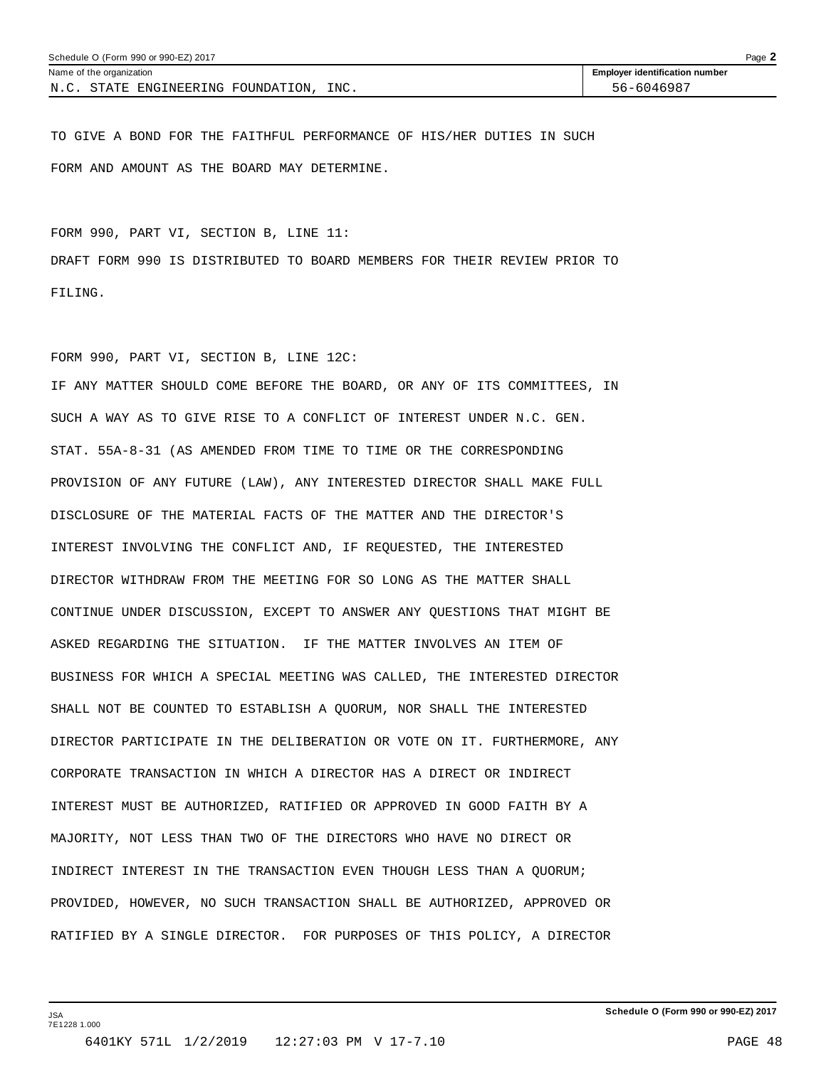| Schedule O (Form 990 or 990-EZ) 2017 |                                          |                                       | Page $\blacktriangle$ |
|--------------------------------------|------------------------------------------|---------------------------------------|-----------------------|
|                                      | Name of the organization                 | <b>Employer identification number</b> |                       |
| N.C.                                 | INC.<br>ENGINEERING FOUNDATION.<br>STATE | 56-6046987                            |                       |

TO GIVE A BOND FOR THE FAITHFUL PERFORMANCE OF HIS/HER DUTIES IN SUCH FORM AND AMOUNT AS THE BOARD MAY DETERMINE.

FORM 990, PART VI, SECTION B, LINE 11: DRAFT FORM 990 IS DISTRIBUTED TO BOARD MEMBERS FOR THEIR REVIEW PRIOR TO FILING.

### FORM 990, PART VI, SECTION B, LINE 12C:

IF ANY MATTER SHOULD COME BEFORE THE BOARD, OR ANY OF ITS COMMITTEES, IN SUCH A WAY AS TO GIVE RISE TO A CONFLICT OF INTEREST UNDER N.C. GEN. STAT. 55A-8-31 (AS AMENDED FROM TIME TO TIME OR THE CORRESPONDING PROVISION OF ANY FUTURE (LAW), ANY INTERESTED DIRECTOR SHALL MAKE FULL DISCLOSURE OF THE MATERIAL FACTS OF THE MATTER AND THE DIRECTOR'S INTEREST INVOLVING THE CONFLICT AND, IF REQUESTED, THE INTERESTED DIRECTOR WITHDRAW FROM THE MEETING FOR SO LONG AS THE MATTER SHALL CONTINUE UNDER DISCUSSION, EXCEPT TO ANSWER ANY QUESTIONS THAT MIGHT BE ASKED REGARDING THE SITUATION. IF THE MATTER INVOLVES AN ITEM OF BUSINESS FOR WHICH A SPECIAL MEETING WAS CALLED, THE INTERESTED DIRECTOR SHALL NOT BE COUNTED TO ESTABLISH A QUORUM, NOR SHALL THE INTERESTED DIRECTOR PARTICIPATE IN THE DELIBERATION OR VOTE ON IT. FURTHERMORE, ANY CORPORATE TRANSACTION IN WHICH A DIRECTOR HAS A DIRECT OR INDIRECT INTEREST MUST BE AUTHORIZED, RATIFIED OR APPROVED IN GOOD FAITH BY A MAJORITY, NOT LESS THAN TWO OF THE DIRECTORS WHO HAVE NO DIRECT OR INDIRECT INTEREST IN THE TRANSACTION EVEN THOUGH LESS THAN A QUORUM; PROVIDED, HOWEVER, NO SUCH TRANSACTION SHALL BE AUTHORIZED, APPROVED OR RATIFIED BY A SINGLE DIRECTOR. FOR PURPOSES OF THIS POLICY, A DIRECTOR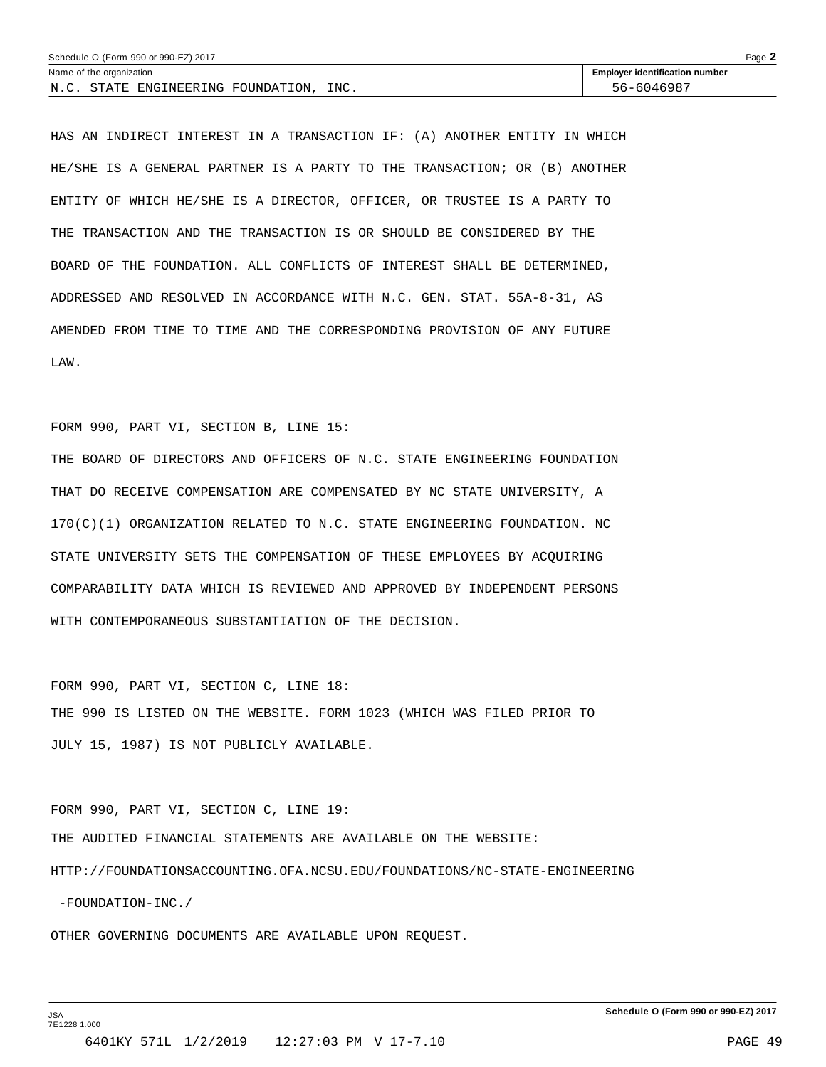| Schedule O (Form 990 or 990-EZ) 2017       | Page $\blacktriangle$                 |
|--------------------------------------------|---------------------------------------|
| Name of the organization                   | <b>Employer identification number</b> |
| N.C. STATE ENGINEERING FOUNDATION.<br>INC. | 56-6046987                            |

HAS AN INDIRECT INTEREST IN A TRANSACTION IF: (A) ANOTHER ENTITY IN WHICH HE/SHE IS A GENERAL PARTNER IS A PARTY TO THE TRANSACTION; OR (B) ANOTHER ENTITY OF WHICH HE/SHE IS A DIRECTOR, OFFICER, OR TRUSTEE IS A PARTY TO THE TRANSACTION AND THE TRANSACTION IS OR SHOULD BE CONSIDERED BY THE BOARD OF THE FOUNDATION. ALL CONFLICTS OF INTEREST SHALL BE DETERMINED, ADDRESSED AND RESOLVED IN ACCORDANCE WITH N.C. GEN. STAT. 55A-8-31, AS AMENDED FROM TIME TO TIME AND THE CORRESPONDING PROVISION OF ANY FUTURE LAW.

### FORM 990, PART VI, SECTION B, LINE 15:

THE BOARD OF DIRECTORS AND OFFICERS OF N.C. STATE ENGINEERING FOUNDATION THAT DO RECEIVE COMPENSATION ARE COMPENSATED BY NC STATE UNIVERSITY, A 170(C)(1) ORGANIZATION RELATED TO N.C. STATE ENGINEERING FOUNDATION. NC STATE UNIVERSITY SETS THE COMPENSATION OF THESE EMPLOYEES BY ACQUIRING COMPARABILITY DATA WHICH IS REVIEWED AND APPROVED BY INDEPENDENT PERSONS WITH CONTEMPORANEOUS SUBSTANTIATION OF THE DECISION.

FORM 990, PART VI, SECTION C, LINE 18: THE 990 IS LISTED ON THE WEBSITE. FORM 1023 (WHICH WAS FILED PRIOR TO JULY 15, 1987) IS NOT PUBLICLY AVAILABLE.

FORM 990, PART VI, SECTION C, LINE 19: THE AUDITED FINANCIAL STATEMENTS ARE AVAILABLE ON THE WEBSITE: HTTP://FOUNDATIONSACCOUNTING.OFA.NCSU.EDU/FOUNDATIONS/NC-STATE-ENGINEERING -FOUNDATION-INC./

OTHER GOVERNING DOCUMENTS ARE AVAILABLE UPON REQUEST.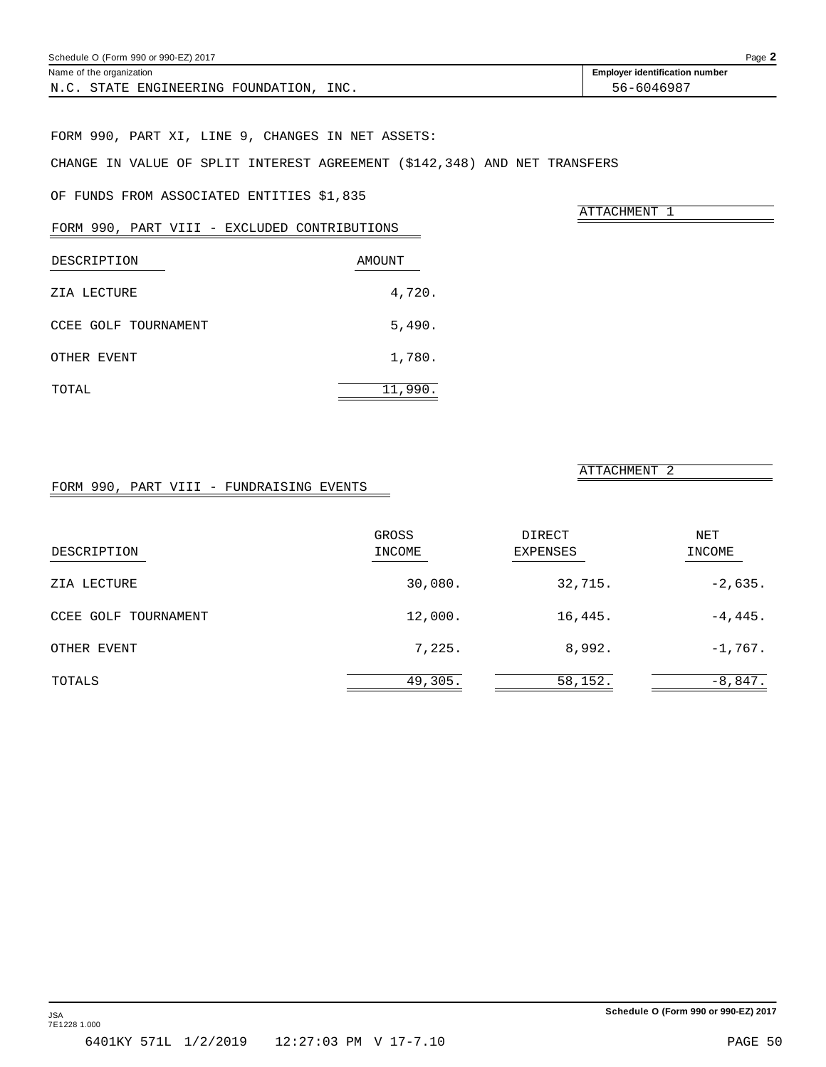<span id="page-50-0"></span>

| Schedule O (Form 990 or 990-EZ) 2017                       |                                       |  |
|------------------------------------------------------------|---------------------------------------|--|
| Name of the organization                                   | <b>Employer identification number</b> |  |
| $N$ $\cap$<br>INC.<br>FOUNDATION,<br>ENGINEERING<br>STATE. | 56-6046987                            |  |

FORM 990, PART XI, LINE 9, CHANGES IN NET ASSETS:

CHANGE IN VALUE OF SPLIT INTEREST AGREEMENT (\$142,348) AND NET TRANSFERS

OF FUNDS FROM ASSOCIATED ENTITIES \$1,835

### FORM 990, PART VIII - EXCLUDED CONTRIBUTIONS

| DESCRIPTION          | AMOUNT  |
|----------------------|---------|
| ZIA LECTURE          | 4,720.  |
| CCEE GOLF TOURNAMENT | 5,490.  |
| OTHER EVENT          | 1,780.  |
| TOTAL                | 11,990. |

### FORM 990, PART VIII - FUNDRAISING EVENTS

GROSS DIRECT NET DESCRIPTION INCOME EXPENSES INCOME ZIA LECTURE 20. 20. 20. 20. 30,080. 21. 32,715. 21. 21. 21. 21. 32,715. CCEE GOLF TOURNAMENT  $12,000.$   $16,445.$   $-4,445.$ OTHER EVENT 7,225. 8,992. -1,767.  $\begin{array}{cccccccccccccc} \text{TOTALS} & & & & & \text{---} & & 49\,,305\,. & & & & & & 58\,,152\,. & & & & & & -8\,,847\,. \end{array}$ 

ATTACHMENT 1

ATTACHMENT 2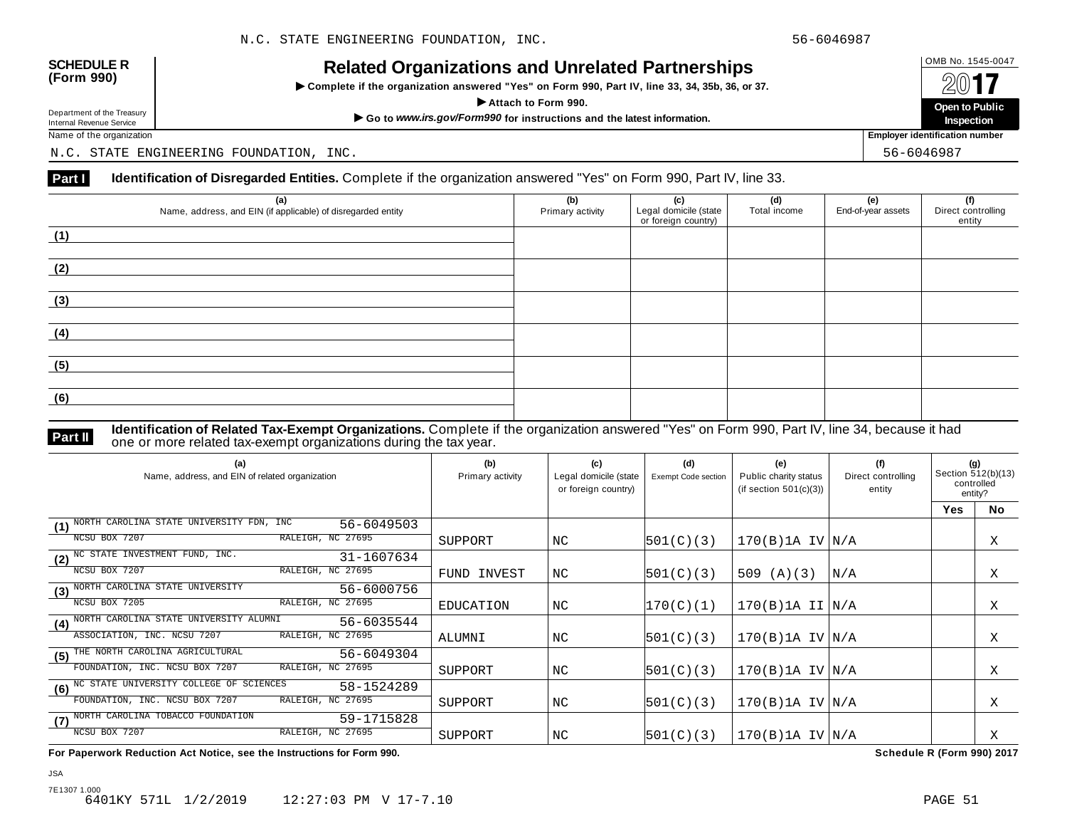# OMB No. 1545-0047 **SCHEDULE R (Form 990) Related Organizations and Unrelated Partnerships**

 $\triangleright$  Complete if the organization answered "Yes" on Form 990, Part IV, line 33, 34, 35b, 36, or 37.



Department of the Treasury<br>Internal Revenue Service

N.C. STATE ENGINEERING FOUNDATION, INC. STATE ENGINEERING FOUNDATION, INC.

### **Part I Identification of Disregarded Entities.** Complete if the organization answered "Yes" on Form 990, Part IV, line 33.

| (a)<br>Name, address, and EIN (if applicable) of disregarded entity | (b)<br>Primary activity | (c)<br>Legal domicile (state<br>or foreign country) | (d)<br>Total income | (e)<br>End-of-year assets | (f)<br>Direct controlling<br>entity |
|---------------------------------------------------------------------|-------------------------|-----------------------------------------------------|---------------------|---------------------------|-------------------------------------|
| (1)                                                                 |                         |                                                     |                     |                           |                                     |
| (2)                                                                 |                         |                                                     |                     |                           |                                     |
| (3)                                                                 |                         |                                                     |                     |                           |                                     |
| (4)                                                                 |                         |                                                     |                     |                           |                                     |
| (5)                                                                 |                         |                                                     |                     |                           |                                     |
| (6)                                                                 |                         |                                                     |                     |                           |                                     |

**Identification of Related Tax-Exempt Organizations.** Complete if the organization answered "Yes" on Form 990, Part IV, line 34, because it had **Part II** one or more related tax-exempt organizations during the tax year.

| (a)<br>Name, address, and EIN of related organization                | (b)<br>Primary activity | (c)<br>Legal domicile (state<br>or foreign country) | (d)<br>Exempt Code section | (e)<br>Public charity status<br>(if section $501(c)(3)$ ) | (f)<br>Direct controlling<br>entity | (g)<br>Section 512(b)(13)<br>controlled<br>entity? |    |
|----------------------------------------------------------------------|-------------------------|-----------------------------------------------------|----------------------------|-----------------------------------------------------------|-------------------------------------|----------------------------------------------------|----|
|                                                                      |                         |                                                     |                            |                                                           |                                     | <b>Yes</b>                                         | No |
| NORTH CAROLINA STATE UNIVERSITY FDN, INC<br>56-6049503<br>(1)        |                         |                                                     |                            |                                                           |                                     |                                                    |    |
| RALEIGH, NC 27695<br>NCSU BOX 7207                                   | SUPPORT                 | NC                                                  | 501(C)(3)                  | $170(B)$ 1A IV $N/A$                                      |                                     |                                                    | Χ  |
| (2) <sup>NC</sup> STATE INVESTMENT FUND, INC.<br>31-1607634          |                         |                                                     |                            |                                                           |                                     |                                                    |    |
| NCSU BOX 7207<br>RALEIGH, NC 27695                                   | FUND INVEST             | NC                                                  | 501(C)(3)                  | 509 $(A)(3)$                                              | N/A                                 |                                                    | Χ  |
| (3) NORTH CAROLINA STATE UNIVERSITY<br>56-6000756                    |                         |                                                     |                            |                                                           |                                     |                                                    |    |
| RALEIGH, NC 27695<br>NCSU BOX 7205                                   | EDUCATION               | NC                                                  | 170(C)(1)                  | $170(B)$ 1A II $N/A$                                      |                                     |                                                    | X  |
| NORTH CAROLINA STATE UNIVERSITY ALUMNI<br>56-6035544<br>(4)          |                         |                                                     |                            |                                                           |                                     |                                                    |    |
| RALEIGH, NC 27695<br>ASSOCIATION, INC. NCSU 7207                     | ALUMNI                  | NC                                                  | 501(C)(3)                  | $170(B)$ 1A IV $ N/A$                                     |                                     |                                                    | Χ  |
| THE NORTH CAROLINA AGRICULTURAL<br>56-6049304<br>(5)                 |                         |                                                     |                            |                                                           |                                     |                                                    |    |
| FOUNDATION, INC. NCSU BOX 7207<br>RALEIGH, NC 27695                  | SUPPORT                 | NC                                                  | 501(C)(3)                  | $170(B)$ 1A IV $N/A$                                      |                                     |                                                    | Χ  |
| (6) <sup>NC</sup> STATE UNIVERSITY COLLEGE OF SCIENCES<br>58-1524289 |                         |                                                     |                            |                                                           |                                     |                                                    |    |
| RALEIGH, NC 27695<br>FOUNDATION, INC. NCSU BOX 7207                  | SUPPORT                 | NC                                                  | 501(C)(3)                  | $170(B)$ 1A IV $ N/A$                                     |                                     |                                                    | Χ  |
| NORTH CAROLINA TOBACCO FOUNDATION<br>59-1715828<br>(7)               |                         |                                                     |                            |                                                           |                                     |                                                    |    |
| NCSU BOX 7207<br>RALEIGH, NC 27695                                   | SUPPORT                 | NC                                                  | 501(C)(3)                  | $170(B)$ 1A IV $ N/A$                                     |                                     |                                                    | Χ  |

**For Paperwork Reduction Act Notice, see the Instructions for Form 990. Schedule R (Form 990) 2017**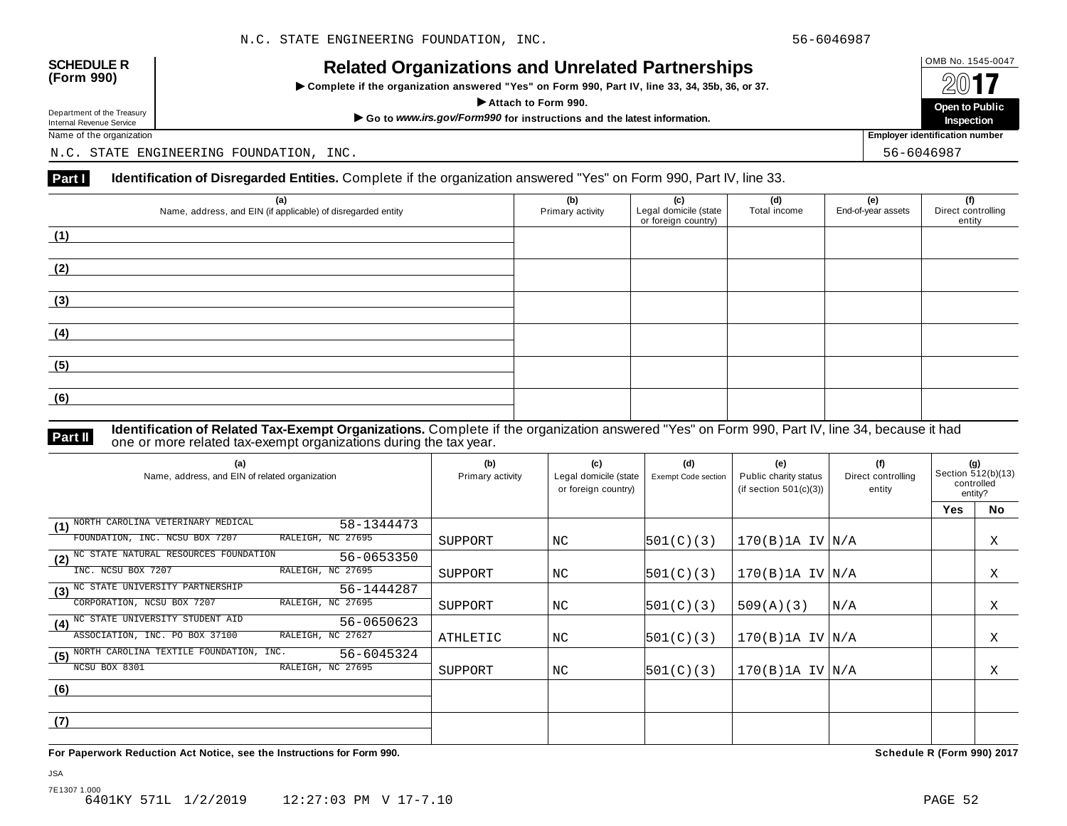# OMB No. 1545-0047 **SCHEDULE R (Form 990) Related Organizations and Unrelated Partnerships**

 $\triangleright$  Complete if the organization answered "Yes" on Form 990, Part IV, line 33, 34, 35b, 36, or 37.



Department of the Treasury<br>Internal Revenue Service

N.C. STATE ENGINEERING FOUNDATION, INC. STATE ENGINEERING FOUNDATION, INC.

### **Part I Identification of Disregarded Entities.** Complete if the organization answered "Yes" on Form 990, Part IV, line 33.

| (a)<br>Name, address, and EIN (if applicable) of disregarded entity | (b)<br>Primary activity | (c)<br>Legal domicile (state<br>or foreign country) | (d)<br>Total income | (e)<br>End-of-year assets | (f)<br>Direct controlling<br>entity |
|---------------------------------------------------------------------|-------------------------|-----------------------------------------------------|---------------------|---------------------------|-------------------------------------|
| (1)                                                                 |                         |                                                     |                     |                           |                                     |
| (2)                                                                 |                         |                                                     |                     |                           |                                     |
| (3)                                                                 |                         |                                                     |                     |                           |                                     |
| (4)                                                                 |                         |                                                     |                     |                           |                                     |
| (5)                                                                 |                         |                                                     |                     |                           |                                     |
| (6)                                                                 |                         |                                                     |                     |                           |                                     |

JSA

**Identification of Related Tax-Exempt Organizations.** Complete if the organization answered "Yes" on Form 990, Part IV, line 34, because it had **Part II** one or more related tax-exempt organizations during the tax year.

| (a)<br>Name, address, and EIN of related organization        | (b)<br>Primary activity | (c)<br>Legal domicile (state<br>or foreign country) | (d)<br><b>Exempt Code section</b> | (e)<br>Public charity status<br>(if section $501(c)(3)$ ) | (f)<br>Direct controlling<br>entity | (g)<br>Section 512(b)(13)<br>controlled<br>entity? |    |
|--------------------------------------------------------------|-------------------------|-----------------------------------------------------|-----------------------------------|-----------------------------------------------------------|-------------------------------------|----------------------------------------------------|----|
|                                                              |                         |                                                     |                                   |                                                           |                                     | Yes                                                | No |
| NORTH CAROLINA VETERINARY MEDICAL<br>58-1344473<br>(1)       |                         |                                                     |                                   |                                                           |                                     |                                                    |    |
| FOUNDATION, INC. NCSU BOX 7207<br>RALEIGH, NC 27695          | SUPPORT                 | NC.                                                 | 501(C)(3)                         | $170(B)$ 1A IV $N/A$                                      |                                     |                                                    | Χ  |
| (2) NC STATE NATURAL RESOURCES FOUNDATION<br>56-0653350      |                         |                                                     |                                   |                                                           |                                     |                                                    |    |
| RALEIGH, NC 27695<br>INC. NCSU BOX 7207                      | SUPPORT                 | NC.                                                 | 501(C)(3)                         | $170(B)$ 1A IV $N/A$                                      |                                     |                                                    | X  |
| $\boxed{3}$ NC STATE UNIVERSITY PARTNERSHIP<br>56-1444287    |                         |                                                     |                                   |                                                           |                                     |                                                    |    |
| RALEIGH, NC 27695<br>CORPORATION, NCSU BOX 7207              | SUPPORT                 | NC                                                  | 501(C)(3)                         | 509(A)(3)                                                 | N/A                                 |                                                    | Χ  |
| NC STATE UNIVERSITY STUDENT AID<br>56-0650623<br>(4)         |                         |                                                     |                                   |                                                           |                                     |                                                    |    |
| ASSOCIATION, INC. PO BOX 37100<br>RALEIGH, NC 27627          | ATHLETIC                | NC                                                  | 501(C)(3)                         | $170(B)$ 1A IV $ N/A$                                     |                                     |                                                    | X  |
| NORTH CAROLINA TEXTILE FOUNDATION, INC.<br>56-6045324<br>(5) |                         |                                                     |                                   |                                                           |                                     |                                                    |    |
| NCSU BOX 8301<br>RALEIGH, NC 27695                           | SUPPORT                 | NC.                                                 | 501(C)(3)                         | $170(B)$ 1A IV $ N/A$                                     |                                     |                                                    | Χ  |
| (6)                                                          |                         |                                                     |                                   |                                                           |                                     |                                                    |    |
|                                                              |                         |                                                     |                                   |                                                           |                                     |                                                    |    |
| (7)                                                          |                         |                                                     |                                   |                                                           |                                     |                                                    |    |
|                                                              |                         |                                                     |                                   |                                                           |                                     |                                                    |    |

**For Paperwork Reduction Act Notice, see the Instructions for Form 990. Schedule R (Form 990) 2017**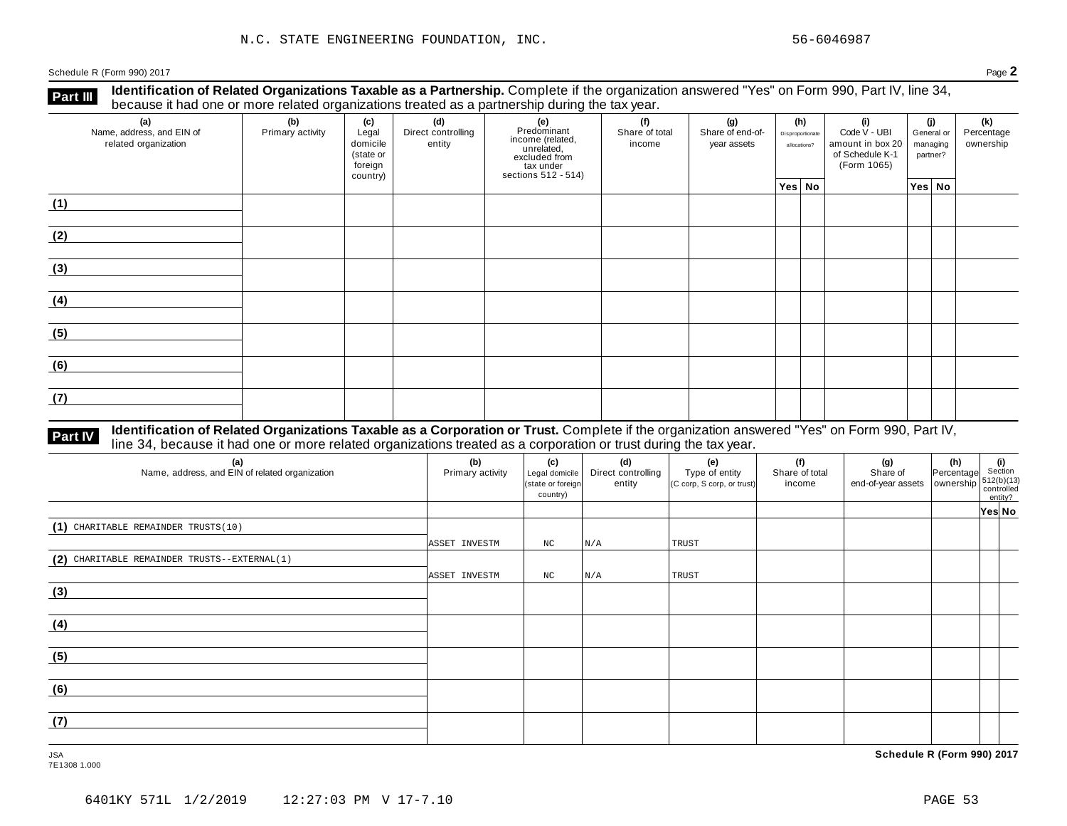**Identification of Related Organizations Taxable as a Partnership.** Complete if the organization answered "Yes" on Form 990, Part IV, line 34, **because it had one or more related organizations Taxable as a Partnership.** Complete it the organization because it had one or more related organizations treated as a partnership during the tax year.

| <u>booddoo it had ono of more foldtod organizations trodtod do a partnoromp danny the tax four.</u> |                         |                                                              |                                     |                                                                                                           |  |                                        |                                  |     |                                                                           |                                           |        |                                |
|-----------------------------------------------------------------------------------------------------|-------------------------|--------------------------------------------------------------|-------------------------------------|-----------------------------------------------------------------------------------------------------------|--|----------------------------------------|----------------------------------|-----|---------------------------------------------------------------------------|-------------------------------------------|--------|--------------------------------|
| (a)<br>Name, address, and EIN of<br>related organization                                            | (b)<br>Primary activity | (c)<br>Legal<br>domicile<br>(state or<br>foreign<br>country) | (d)<br>Direct controlling<br>entity | (e)<br>Predominant<br>income (related,<br>unrelated,<br>excluded from<br>tax under<br>sections 512 - 514) |  | (g)<br>Share of end-of-<br>year assets | Disproportionate<br>allocations? | (h) | (i)<br>Code V - UBI<br>amount in box 20<br>of Schedule K-1<br>(Form 1065) | (j)<br>General or<br>managing<br>partner? |        | (k)<br>Percentage<br>ownership |
|                                                                                                     |                         |                                                              |                                     |                                                                                                           |  |                                        | Yes No                           |     |                                                                           |                                           | Yes No |                                |
| (1)                                                                                                 |                         |                                                              |                                     |                                                                                                           |  |                                        |                                  |     |                                                                           |                                           |        |                                |
| (2)                                                                                                 |                         |                                                              |                                     |                                                                                                           |  |                                        |                                  |     |                                                                           |                                           |        |                                |
| (3)                                                                                                 |                         |                                                              |                                     |                                                                                                           |  |                                        |                                  |     |                                                                           |                                           |        |                                |
| (4)                                                                                                 |                         |                                                              |                                     |                                                                                                           |  |                                        |                                  |     |                                                                           |                                           |        |                                |
| (5)                                                                                                 |                         |                                                              |                                     |                                                                                                           |  |                                        |                                  |     |                                                                           |                                           |        |                                |
| (6)                                                                                                 |                         |                                                              |                                     |                                                                                                           |  |                                        |                                  |     |                                                                           |                                           |        |                                |
| (7)                                                                                                 |                         |                                                              |                                     |                                                                                                           |  |                                        |                                  |     |                                                                           |                                           |        |                                |

# **Part IV** Identification of Related Organizations Taxable as a Corporation or Trust. Complete if the organization answered "Yes" on Form 990, Part IV,<br>line 34, because it had one or more related organizations treated as a

| (a)<br>Name, address, and EIN of related organization | (b)<br>Primary activity | (c)<br>Legal domicile<br>(state or foreign<br>country) | (d)<br>Direct controlling<br>entity | (e)<br>Type of entity<br>(C corp, S corp, or trust) | (f)<br>Share of total<br>income | (g)<br>Share of<br>Share or<br>end-of-year assets ownership 512(b)(13)<br>controlled | $\begin{vmatrix} (h) \ \text{Percentage} \end{vmatrix}$ Section | entity? |
|-------------------------------------------------------|-------------------------|--------------------------------------------------------|-------------------------------------|-----------------------------------------------------|---------------------------------|--------------------------------------------------------------------------------------|-----------------------------------------------------------------|---------|
|                                                       |                         |                                                        |                                     |                                                     |                                 |                                                                                      |                                                                 | Yes No  |
| (1) CHARITABLE REMAINDER TRUSTS(10)                   |                         |                                                        |                                     |                                                     |                                 |                                                                                      |                                                                 |         |
|                                                       | ASSET INVESTM           | NC                                                     | N/A                                 | TRUST                                               |                                 |                                                                                      |                                                                 |         |
| (2) CHARITABLE REMAINDER TRUSTS--EXTERNAL(1)          |                         |                                                        |                                     |                                                     |                                 |                                                                                      |                                                                 |         |
|                                                       | ASSET INVESTM           | $_{\mathrm{NC}}$                                       | N/A                                 | TRUST                                               |                                 |                                                                                      |                                                                 |         |
| (3)                                                   |                         |                                                        |                                     |                                                     |                                 |                                                                                      |                                                                 |         |
|                                                       |                         |                                                        |                                     |                                                     |                                 |                                                                                      |                                                                 |         |
| (4)                                                   |                         |                                                        |                                     |                                                     |                                 |                                                                                      |                                                                 |         |
|                                                       |                         |                                                        |                                     |                                                     |                                 |                                                                                      |                                                                 |         |
| (5)                                                   |                         |                                                        |                                     |                                                     |                                 |                                                                                      |                                                                 |         |
|                                                       |                         |                                                        |                                     |                                                     |                                 |                                                                                      |                                                                 |         |
| (6)                                                   |                         |                                                        |                                     |                                                     |                                 |                                                                                      |                                                                 |         |
|                                                       |                         |                                                        |                                     |                                                     |                                 |                                                                                      |                                                                 |         |
| (7)                                                   |                         |                                                        |                                     |                                                     |                                 |                                                                                      |                                                                 |         |
|                                                       |                         |                                                        |                                     |                                                     |                                 |                                                                                      |                                                                 |         |

7E1308 1.000

JSA **Schedule R (Form 990) 2017**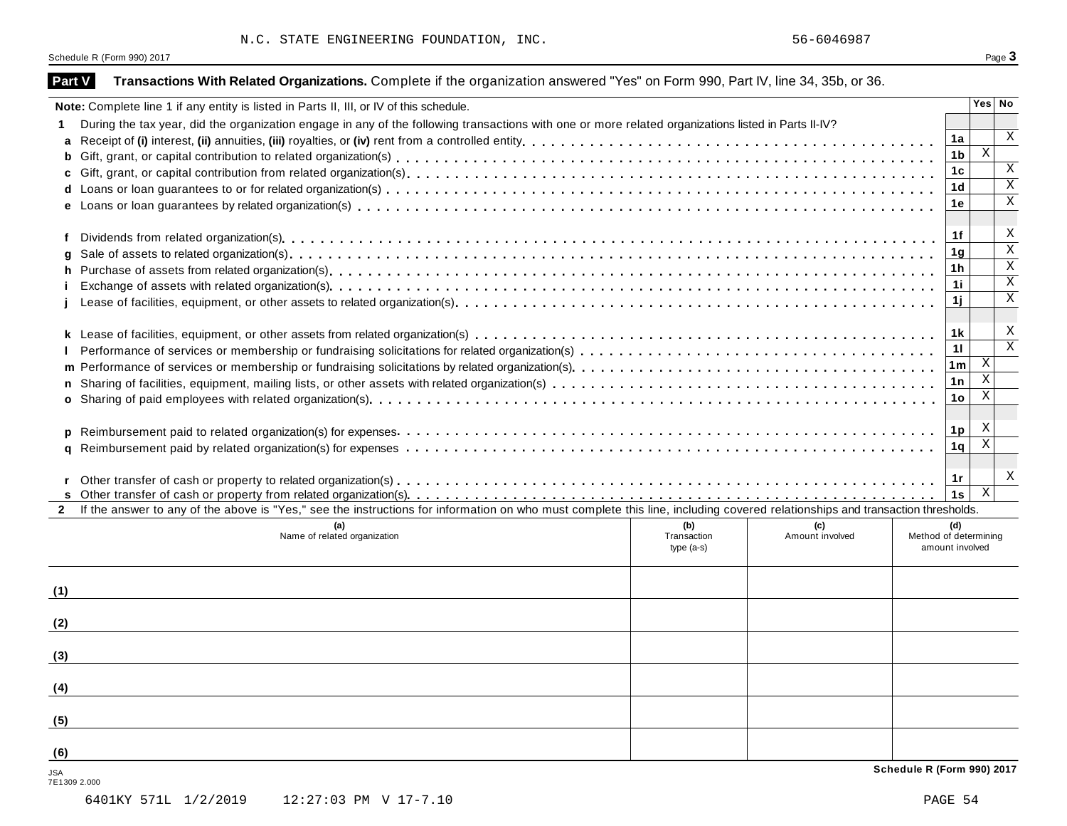|  |  | N.C. STATE ENGINEERING FOUNDATION, INC. |  |  |
|--|--|-----------------------------------------|--|--|
|--|--|-----------------------------------------|--|--|

| Part V              | Transactions With Related Organizations. Complete if the organization answered "Yes" on Form 990, Part IV, line 34, 35b, or 36.                                              |                             |                 |                                          |                           |                           |
|---------------------|------------------------------------------------------------------------------------------------------------------------------------------------------------------------------|-----------------------------|-----------------|------------------------------------------|---------------------------|---------------------------|
|                     | Note: Complete line 1 if any entity is listed in Parts II, III, or IV of this schedule.                                                                                      |                             |                 |                                          |                           | Yes No                    |
|                     | During the tax year, did the organization engage in any of the following transactions with one or more related organizations listed in Parts II-IV?                          |                             |                 |                                          |                           |                           |
| a                   |                                                                                                                                                                              |                             |                 | 1a                                       |                           | X                         |
| b                   |                                                                                                                                                                              |                             |                 | 1 <sub>b</sub>                           | $\overline{X}$            |                           |
| c                   |                                                                                                                                                                              |                             |                 | 1c                                       |                           | Χ                         |
| d                   |                                                                                                                                                                              |                             |                 | 1 <sub>d</sub>                           |                           | $\overline{\mathbf{x}}$   |
|                     |                                                                                                                                                                              |                             |                 | 1е                                       |                           | $\mathbf X$               |
|                     |                                                                                                                                                                              |                             |                 |                                          |                           |                           |
| f                   |                                                                                                                                                                              |                             |                 | 1f                                       |                           | X                         |
|                     |                                                                                                                                                                              |                             |                 | 1 <sub>g</sub>                           |                           | $\overline{\mathbf{x}}$   |
| h                   |                                                                                                                                                                              |                             |                 | 1 <sub>h</sub>                           |                           | $\overline{\mathbf{x}}$   |
|                     |                                                                                                                                                                              |                             |                 | 11                                       |                           | $\overline{\mathbf{x}}$   |
|                     |                                                                                                                                                                              |                             |                 | 1j                                       |                           | $\overline{\mathbf{x}}$   |
|                     |                                                                                                                                                                              |                             |                 |                                          |                           |                           |
|                     |                                                                                                                                                                              |                             |                 | 1k                                       |                           | X                         |
|                     |                                                                                                                                                                              |                             |                 | 11                                       |                           | $\overline{\overline{x}}$ |
| m                   |                                                                                                                                                                              |                             |                 | 1 <sub>m</sub>                           | $\mathbf{X}$              |                           |
| n                   |                                                                                                                                                                              |                             |                 | 1n                                       | $\,$ X                    |                           |
| $\mathbf{o}$        |                                                                                                                                                                              |                             |                 | 1 <sub>o</sub>                           | $\mathbf{x}$              |                           |
|                     |                                                                                                                                                                              |                             |                 |                                          |                           |                           |
| p                   |                                                                                                                                                                              |                             |                 | 1p                                       | $\boldsymbol{\mathrm{X}}$ |                           |
| a                   |                                                                                                                                                                              |                             |                 | 1 <sub>q</sub>                           | $\overline{\mathbf{x}}$   |                           |
|                     |                                                                                                                                                                              |                             |                 |                                          |                           |                           |
|                     |                                                                                                                                                                              |                             |                 | 1r                                       |                           | X                         |
|                     |                                                                                                                                                                              |                             |                 | 1s                                       | $\overline{X}$            |                           |
| $\mathbf{2}$        | If the answer to any of the above is "Yes," see the instructions for information on who must complete this line, including covered relationships and transaction thresholds. |                             |                 |                                          |                           |                           |
|                     | (a)                                                                                                                                                                          | (b)                         | (c)             | (d)                                      |                           |                           |
|                     | Name of related organization                                                                                                                                                 | Transaction<br>type $(a-s)$ | Amount involved | Method of determining<br>amount involved |                           |                           |
|                     |                                                                                                                                                                              |                             |                 |                                          |                           |                           |
|                     |                                                                                                                                                                              |                             |                 |                                          |                           |                           |
| (1)                 |                                                                                                                                                                              |                             |                 |                                          |                           |                           |
|                     |                                                                                                                                                                              |                             |                 |                                          |                           |                           |
| (2)                 |                                                                                                                                                                              |                             |                 |                                          |                           |                           |
|                     |                                                                                                                                                                              |                             |                 |                                          |                           |                           |
| (3)                 |                                                                                                                                                                              |                             |                 |                                          |                           |                           |
|                     |                                                                                                                                                                              |                             |                 |                                          |                           |                           |
| (4)                 |                                                                                                                                                                              |                             |                 |                                          |                           |                           |
|                     |                                                                                                                                                                              |                             |                 |                                          |                           |                           |
| (5)                 |                                                                                                                                                                              |                             |                 |                                          |                           |                           |
|                     |                                                                                                                                                                              |                             |                 |                                          |                           |                           |
| (6)                 |                                                                                                                                                                              |                             |                 | Schedule R (Form 990) 2017               |                           |                           |
| JSA<br>7E1309 2.000 |                                                                                                                                                                              |                             |                 |                                          |                           |                           |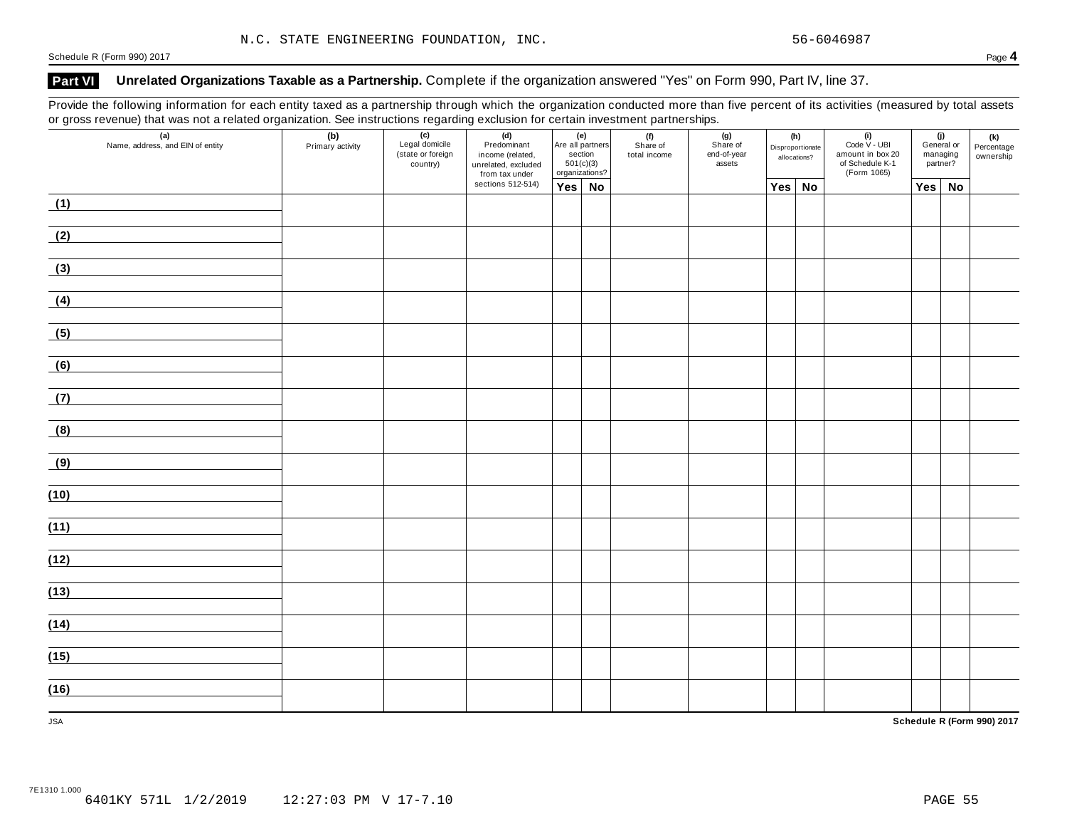### **Part VI Unrelated Organizations Taxable as a Partnership.** Complete if the organization answered "Yes" on Form 990, Part IV, line 37.

Provide the following information for each entity taxed as a partnership through which the organization conducted more than five percent of its activities (measured by total assets or gross revenue) that was not a related organization. See instructions regarding exclusion for certain investment partnerships.

| $\mathbf{v}$<br>$\sim$ $\sim$ $\sim$<br>(a)<br>Name, address, and EIN of entity | (b)<br>Primary activity | ໍ້<br>$\overline{(c)}$<br>Legal domicile<br>(state or foreign<br>country) | (d)<br>Predominant<br>income (related,<br>unrelated, excluded<br>from tax under | (e)<br>Are all partners<br>section<br>501(c)(3) |        | organizations? |  | (f)<br>Share of<br>total income |  |  | (h)<br>Disproportionate<br>allocations? | $(i)$<br>Code $\vee$ - UBI<br>amount in box 20<br>of Schedule K-1<br>(Form 1065) | (j)<br>General or<br>managing<br>partner? |  | (k)<br>Percentage<br>ownership |
|---------------------------------------------------------------------------------|-------------------------|---------------------------------------------------------------------------|---------------------------------------------------------------------------------|-------------------------------------------------|--------|----------------|--|---------------------------------|--|--|-----------------------------------------|----------------------------------------------------------------------------------|-------------------------------------------|--|--------------------------------|
|                                                                                 |                         |                                                                           | sections 512-514)                                                               |                                                 | Yes No |                |  | Yes No                          |  |  | Yes                                     | No                                                                               |                                           |  |                                |
| (1)                                                                             |                         |                                                                           |                                                                                 |                                                 |        |                |  |                                 |  |  |                                         |                                                                                  |                                           |  |                                |
| (2)                                                                             |                         |                                                                           |                                                                                 |                                                 |        |                |  |                                 |  |  |                                         |                                                                                  |                                           |  |                                |
| (3)                                                                             |                         |                                                                           |                                                                                 |                                                 |        |                |  |                                 |  |  |                                         |                                                                                  |                                           |  |                                |
| (4)                                                                             |                         |                                                                           |                                                                                 |                                                 |        |                |  |                                 |  |  |                                         |                                                                                  |                                           |  |                                |
| (5)                                                                             |                         |                                                                           |                                                                                 |                                                 |        |                |  |                                 |  |  |                                         |                                                                                  |                                           |  |                                |
| (6)                                                                             |                         |                                                                           |                                                                                 |                                                 |        |                |  |                                 |  |  |                                         |                                                                                  |                                           |  |                                |
| (7)                                                                             |                         |                                                                           |                                                                                 |                                                 |        |                |  |                                 |  |  |                                         |                                                                                  |                                           |  |                                |
| (8)                                                                             |                         |                                                                           |                                                                                 |                                                 |        |                |  |                                 |  |  |                                         |                                                                                  |                                           |  |                                |
| (9)                                                                             |                         |                                                                           |                                                                                 |                                                 |        |                |  |                                 |  |  |                                         |                                                                                  |                                           |  |                                |
| (10)                                                                            |                         |                                                                           |                                                                                 |                                                 |        |                |  |                                 |  |  |                                         |                                                                                  |                                           |  |                                |
| (11)                                                                            |                         |                                                                           |                                                                                 |                                                 |        |                |  |                                 |  |  |                                         |                                                                                  |                                           |  |                                |
| (12)                                                                            |                         |                                                                           |                                                                                 |                                                 |        |                |  |                                 |  |  |                                         |                                                                                  |                                           |  |                                |
| (13)                                                                            |                         |                                                                           |                                                                                 |                                                 |        |                |  |                                 |  |  |                                         |                                                                                  |                                           |  |                                |
| (14)                                                                            |                         |                                                                           |                                                                                 |                                                 |        |                |  |                                 |  |  |                                         |                                                                                  |                                           |  |                                |
| (15)                                                                            |                         |                                                                           |                                                                                 |                                                 |        |                |  |                                 |  |  |                                         |                                                                                  |                                           |  |                                |
| (16)                                                                            |                         |                                                                           |                                                                                 |                                                 |        |                |  |                                 |  |  |                                         |                                                                                  |                                           |  |                                |
| <b>JSA</b>                                                                      |                         |                                                                           |                                                                                 |                                                 |        |                |  |                                 |  |  |                                         |                                                                                  | Schedule R (Form 990) 2017                |  |                                |